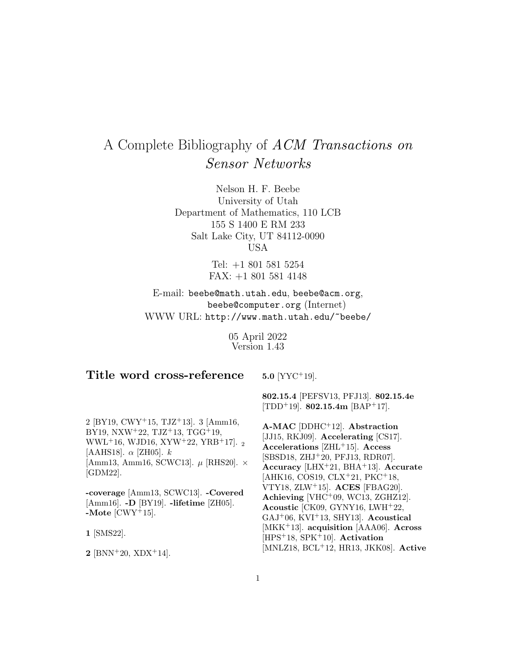# A Complete Bibliography of ACM Transactions on Sensor Networks

Nelson H. F. Beebe University of Utah Department of Mathematics, 110 LCB 155 S 1400 E RM 233 Salt Lake City, UT 84112-0090 USA

> Tel: +1 801 581 5254 FAX: +1 801 581 4148

E-mail: beebe@math.utah.edu, beebe@acm.org, beebe@computer.org (Internet) WWW URL: http://www.math.utah.edu/~beebe/

> 05 April 2022 Version 1.43

# **Title word cross-reference**

**5.0** [YYC<sup>+</sup>19].

2 [BY19, CWY<sup>+</sup>15, TJZ<sup>+</sup>13]. 3 [Amm16, BY19, NXW<sup>+</sup>22, TJZ<sup>+</sup>13, TGG<sup>+</sup>19, WWL<sup>+</sup>16, WJD16, XYW<sup>+</sup>22, YRB<sup>+</sup>17]. <sup>2</sup> [AAHS18].  $\alpha$  [ZH05].  $k$ [Amm13, Amm16, SCWC13].  $\mu$  [RHS20].  $\times$ [GDM22].

**-coverage** [Amm13, SCWC13]. **-Covered** [Amm16]. **-D** [BY19]. **-lifetime** [ZH05]. **-Mote** [CWY<sup>+</sup>15].

**1** [SMS22].

**2** [BNN<sup>+</sup>20, XDX<sup>+</sup>14].

**802.15.4** [PEFSV13, PFJ13]. **802.15.4e** [TDD<sup>+</sup>19]. **802.15.4m** [BAP<sup>+</sup>17].

**A-MAC** [DDHC<sup>+</sup>12]. **Abstraction** [JJ15, RKJ09]. **Accelerating** [CS17]. **Accelerations** [ZHL<sup>+</sup>15]. **Access** [SBSD18, ZHJ<sup>+</sup>20, PFJ13, RDR07]. **Accuracy** [LHX<sup>+</sup>21, BHA<sup>+</sup>13]. **Accurate** [AHK16, COS19, CLX<sup>+</sup>21, PKC<sup>+</sup>18, VTY18, ZLW<sup>+</sup>15]. **ACES** [FBAG20]. **Achieving** [VHC<sup>+</sup>09, WC13, ZGHZ12]. **Acoustic** [CK09, GYNY16, LWH<sup>+</sup>22, GAJ<sup>+</sup>06, KVI<sup>+</sup>13, SHY13]. **Acoustical** [MKK<sup>+</sup>13]. **acquisition** [AAA06]. **Across** [HPS<sup>+</sup>18, SPK<sup>+</sup>10]. **Activation** [MNLZ18, BCL<sup>+</sup>12, HR13, JKK08]. **Active**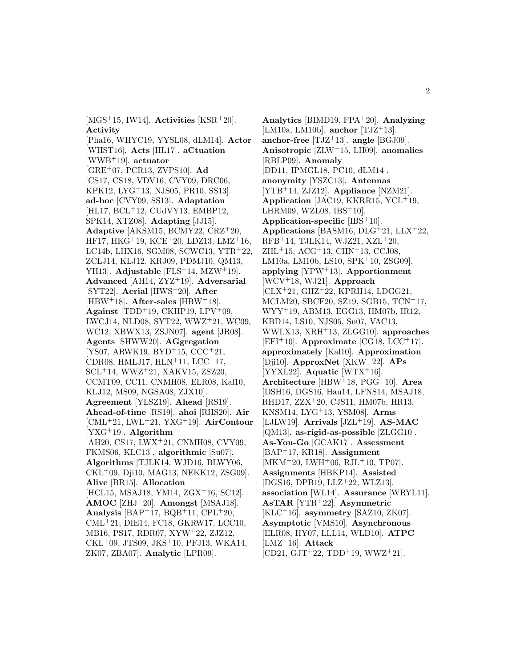[MGS<sup>+</sup>15, IW14]. **Activities** [KSR<sup>+</sup>20]. **Activity**

[Pha16, WHYC19, YYSL08, dLM14]. **Actor** [WHST16]. **Acts** [HL17]. **aCtuation** [WWB<sup>+</sup>19]. **actuator** [GRE<sup>+</sup>07, PCR13, ZVPS10]. **Ad** [CS17, CS18, VDV16, CVY09, DRC06, KPK12, LYG<sup>+</sup>13, NJS05, PR10, SS13]. **ad-hoc** [CVY09, SS13]. **Adaptation** [HL17, BCL<sup>+</sup>12, CUdVY13, EMBP12, SPK14, XTZ08]. **Adapting** [JJ15]. **Adaptive** [AKSM15, BCMY22, CRZ<sup>+</sup>20, HF17, HKG<sup>+</sup>19, KCE<sup>+</sup>20, LDZ13, LMZ<sup>+</sup>16, LC14b, LHX16, SGM08, SCWC13, YTR<sup>+</sup>22, ZCLJ14, KLJ12, KRJ09, PDMJ10, QM13, YH13]. **Adjustable** [FLS<sup>+</sup>14, MZW<sup>+</sup>19]. **Advanced** [AH14, ZYZ<sup>+</sup>19]. **Adversarial** [SYT22]. **Aerial** [HWS<sup>+</sup>20]. **After** [HBW<sup>+</sup>18]. **After-sales** [HBW<sup>+</sup>18]. **Against** [TDD<sup>+</sup>19, CKHP19, LPV<sup>+</sup>09, LWCJ14, NLD08, SYT22, WWZ<sup>+</sup>21, WC09, WC12, XBWX13, ZSJN07]. **agent** [JR08]. **Agents** [SHWW20]. **AGgregation** [YS07, ARWK19, BYD<sup>+</sup>15, CCC<sup>+</sup>21, CDR08, HMLJ17, HLN<sup>+</sup>11, LCC<sup>+</sup>17, SCL<sup>+</sup>14, WWZ<sup>+</sup>21, XAKV15, ZSZ20, CCMT09, CC11, CNMH08, ELR08, Kal10, KLJ12, MS09, NGSA08, ZJX10]. **Agreement** [YLSZ19]. **Ahead** [RS19]. **Ahead-of-time** [RS19]. **ahoi** [RHS20]. **Air** [CML<sup>+</sup>21, LWL<sup>+</sup>21, YXG<sup>+</sup>19]. **AirContour** [YXG<sup>+</sup>19]. **Algorithm** [AH20, CS17, LWX<sup>+</sup>21, CNMH08, CVY09, FKMS06, KLC13]. **algorithmic** [Su07]. **Algorithms** [TJLK14, WJD16, BLWY06, CKL<sup>+</sup>09, Dji10, MAG13, NEKK12, ZSG09]. **Alive** [BR15]. **Allocation** [HCL15, MSAJ18, YM14, ZGX<sup>+</sup>16, SC12]. **AMOC** [ZHJ<sup>+</sup>20]. **Amongst** [MSAJ18]. **Analysis** [BAP<sup>+</sup>17, BQB<sup>+</sup>11, CPL<sup>+</sup>20, CML<sup>+</sup>21, DIE14, FC18, GKRW17, LCC10, MB16, PS17, RDR07, XYW<sup>+</sup>22, ZJZ12,  $CKL+09$ , JTS09, JKS<sup>+</sup>10, PFJ13, WKA14, ZK07, ZBA07]. **Analytic** [LPR09].

**Analytics** [BIMD19, FPA<sup>+</sup>20]. **Analyzing** [LM10a, LM10b]. **anchor** [TJZ<sup>+</sup>13]. **anchor-free** [TJZ<sup>+</sup>13]. **angle** [BGJ09]. **Anisotropic** [ZLW<sup>+</sup>15, LH09]. **anomalies** [RBLP09]. **Anomaly** [DD11, IPMGL18, PC10, dLM14]. **anonymity** [YSZC13]. **Antennas** [YTB<sup>+</sup>14, ZJZ12]. **Appliance** [NZM21]. **Application** [JAC19, KKRR15, YCL<sup>+</sup>19, LHRM09, WZL08, IBS<sup>+</sup>10]. **Application-specific** [IBS<sup>+</sup>10]. **Applications** [BASM16, DLG<sup>+</sup>21, LLX<sup>+</sup>22, RFB<sup>+</sup>14, TJLK14, WJZ21, XZL<sup>+</sup>20,  $ZHL+15$ ,  $ACG+13$ ,  $CHN+13$ ,  $CCJ08$ , LM10a, LM10b, LS10, SPK<sup>+</sup>10, ZSG09]. **applying** [YPW<sup>+</sup>13]. **Apportionment** [WCV<sup>+</sup>18, WJ21]. **Approach** [CLX<sup>+</sup>21, GHZ<sup>+</sup>22, KPRH14, LDGG21, MCLM20, SBCF20, SZ19, SGB15, TCN<sup>+</sup>17, WYY<sup>+</sup>19, ABM13, EGG13, HM07b, IR12, KBD14, LS10, NJS05, Su07, VAC13, WWLX13, XRH<sup>+</sup>13, ZLGG10]. **approaches**  $[EFI<sup>+</sup>10]$ . **Approximate**  $[CG18, LCC<sup>+</sup>17]$ . **approximately** [Kal10]. **Approximation** [Dji10]. **ApproxNet** [XKW<sup>+</sup>22]. **APs** [YYXL22]. **Aquatic** [WTX<sup>+</sup>16]. **Architecture** [HBW<sup>+</sup>18, PGG<sup>+</sup>10]. **Area** [DSH16, DGS16, Hau14, LFNS14, MSAJ18, RHD17, ZZX<sup>+</sup>20, CJS11, HM07b, HR13, KNSM14, LYG<sup>+</sup>13, YSM08]. **Arms** [LJLW19]. **Arrivals** [JZL<sup>+</sup>19]. **AS-MAC** [QM13]. **as-rigid-as-possible** [ZLGG10]. **As-You-Go** [GCAK17]. **Assessment** [BAP<sup>+</sup>17, KR18]. **Assignment** [MKM<sup>+</sup>20, LWH<sup>+</sup>06, RJL<sup>+</sup>10, TP07]. **Assignments** [HBKP14]. **Assisted** [DGS16, DPB19, LLZ<sup>+</sup>22, WLZ13]. **association** [WL14]. **Assurance** [WRYL11]. **AsTAR** [YTR<sup>+</sup>22]. **Asymmetric** [KLC<sup>+</sup>16]. **asymmetry** [SAZ10, ZK07]. **Asymptotic** [VMS10]. **Asynchronous** [ELR08, HY07, LLL14, WLD10]. **ATPC** [LMZ<sup>+</sup>16]. **Attack**  $[CD21, GJT+22, TDD+19, WWZ+21].$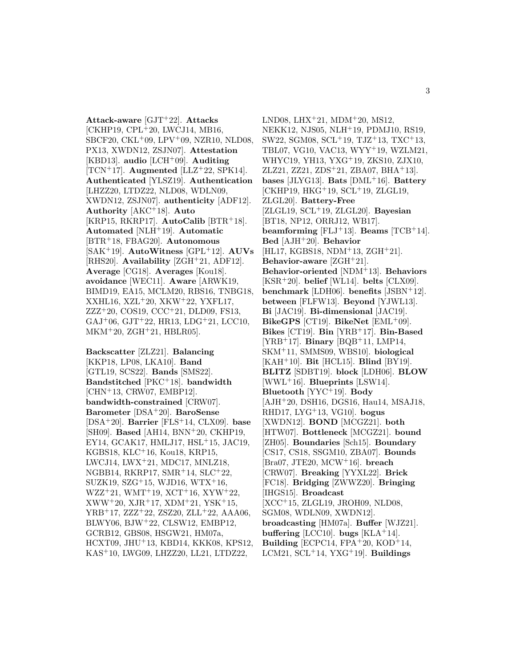**Attack-aware** [GJT<sup>+</sup>22]. **Attacks** [CKHP19, CPL<sup>+</sup>20, LWCJ14, MB16, SBCF20, CKL<sup>+</sup>09, LPV<sup>+</sup>09, NZR10, NLD08, PX13, XWDN12, ZSJN07]. **Attestation** [KBD13]. **audio** [LCH<sup>+</sup>09]. **Auditing** [TCN<sup>+</sup>17]. **Augmented** [LLZ<sup>+</sup>22, SPK14]. **Authenticated** [YLSZ19]. **Authentication** [LHZZ20, LTDZ22, NLD08, WDLN09, XWDN12, ZSJN07]. **authenticity** [ADF12]. **Authority** [AKC<sup>+</sup>18]. **Auto** [KRP15, RKRP17]. **AutoCalib** [BTR<sup>+</sup>18]. **Automated** [NLH<sup>+</sup>19]. **Automatic** [BTR<sup>+</sup>18, FBAG20]. **Autonomous** [SAK<sup>+</sup>19]. **AutoWitness** [GPL<sup>+</sup>12]. **AUVs** [RHS20]. **Availability** [ZGH<sup>+</sup>21, ADF12]. **Average** [CG18]. **Averages** [Kou18]. **avoidance** [WEC11]. **Aware** [ARWK19, BIMD19, EA15, MCLM20, RBS16, TNBG18, XXHL16, XZL<sup>+</sup>20, XKW<sup>+</sup>22, YXFL17, ZZZ<sup>+</sup>20, COS19, CCC<sup>+</sup>21, DLD09, FS13, GAJ<sup>+</sup>06, GJT<sup>+</sup>22, HR13, LDG<sup>+</sup>21, LCC10,  $MKM+20$ ,  $ZGH+21$ ,  $HBLR05$ .

**Backscatter** [ZLZ21]. **Balancing** [KKP18, LP08, LKA10]. **Band** [GTL19, SCS22]. **Bands** [SMS22]. **Bandstitched** [PKC<sup>+</sup>18]. **bandwidth** [CHN<sup>+</sup>13, CRW07, EMBP12]. **bandwidth-constrained** [CRW07]. **Barometer** [DSA<sup>+</sup>20]. **BaroSense** [DSA<sup>+</sup>20]. **Barrier** [FLS<sup>+</sup>14, CLX09]. **base** [SH09]. **Based** [AH14, BNN<sup>+</sup>20, CKHP19, EY14, GCAK17, HMLJ17, HSL<sup>+</sup>15, JAC19, KGBS18, KLC<sup>+</sup>16, Kou18, KRP15, LWCJ14, LWX<sup>+</sup>21, MDC17, MNLZ18, NGBB14, RKRP17, SMR<sup>+</sup>14, SLC<sup>+</sup>22, SUZK19, SZG<sup>+</sup>15, WJD16, WTX<sup>+</sup>16, WZZ<sup>+</sup>21, WMT<sup>+</sup>19, XCT<sup>+</sup>16, XYW<sup>+</sup>22, XWW<sup>+</sup>20, XJR<sup>+</sup>17, XDM<sup>+</sup>21, YSK<sup>+</sup>15, YRB<sup>+</sup>17, ZZZ<sup>+</sup>22, ZSZ20, ZLL<sup>+</sup>22, AAA06, BLWY06, BJW<sup>+</sup>22, CLSW12, EMBP12, GCRB12, GBS08, HSGW21, HM07a, HCXT09, JHU<sup>+</sup>13, KBD14, KKK08, KPS12, KAS<sup>+</sup>10, LWG09, LHZZ20, LL21, LTDZ22,

LND08, LHX<sup>+</sup>21, MDM<sup>+</sup>20, MS12, NEKK12, NJS05, NLH<sup>+</sup>19, PDMJ10, RS19, SW22, SGM08, SCL<sup>+</sup>19, TJZ<sup>+</sup>13, TXC<sup>+</sup>13, TBL07, VG10, VAC13, WYY<sup>+</sup>19, WZLM21, WHYC19, YH13, YXG<sup>+</sup>19, ZKS10, ZJX10, ZLZ21, ZZ21, ZDS<sup>+</sup>21, ZBA07, BHA<sup>+</sup>13]. **bases** [JLYG13]. **Bats** [DML<sup>+</sup>16]. **Battery** [CKHP19, HKG<sup>+</sup>19, SCL<sup>+</sup>19, ZLGL19, ZLGL20]. **Battery-Free** [ZLGL19, SCL<sup>+</sup>19, ZLGL20]. **Bayesian** [BT18, NP12, ORRJ12, WB17]. **beamforming** [FLJ<sup>+</sup>13]. **Beams** [TCB<sup>+</sup>14]. **Bed** [AJH<sup>+</sup>20]. **Behavior** [HL17, KGBS18, NDM<sup>+</sup>13, ZGH<sup>+</sup>21]. **Behavior-aware** [ZGH<sup>+</sup>21]. **Behavior-oriented** [NDM<sup>+</sup>13]. **Behaviors** [KSR<sup>+</sup>20]. **belief** [WL14]. **belts** [CLX09]. **benchmark** [LDH06]. **benefits** [JSBN<sup>+</sup>12]. **between** [FLFW13]. **Beyond** [YJWL13]. **Bi** [JAC19]. **Bi-dimensional** [JAC19]. **BikeGPS** [CT19]. **BikeNet** [EML<sup>+</sup>09]. **Bikes** [CT19]. **Bin** [YRB<sup>+</sup>17]. **Bin-Based** [YRB<sup>+</sup>17]. **Binary** [BQB<sup>+</sup>11, LMP14, SKM<sup>+</sup>11, SMMS09, WBS10]. **biological** [KAH<sup>+</sup>10]. **Bit** [HCL15]. **Blind** [BY19]. **BLITZ** [SDBT19]. **block** [LDH06]. **BLOW** [WWL<sup>+</sup>16]. **Blueprints** [LSW14]. **Bluetooth** [YYC<sup>+</sup>19]. **Body** [AJH<sup>+</sup>20, DSH16, DGS16, Hau14, MSAJ18, RHD17, LYG<sup>+</sup>13, VG10]. **bogus** [XWDN12]. **BOND** [MCGZ21]. **both** [HTW07]. **Bottleneck** [MCGZ21]. **bound** [ZH05]. **Boundaries** [Sch15]. **Boundary** [CS17, CS18, SSGM10, ZBA07]. **Bounds** [Bra07, JTE20, MCW<sup>+</sup>16]. **breach** [CRW07]. **Breaking** [YYXL22]. **Brick** [FC18]. **Bridging** [ZWWZ20]. **Bringing** [IHGS15]. **Broadcast** [XCC<sup>+</sup>15, ZLGL19, JROH09, NLD08, SGM08, WDLN09, XWDN12]. **broadcasting** [HM07a]. **Buffer** [WJZ21]. **buffering** [LCC10]. **bugs** [KLA<sup>+</sup>14]. **Building** [ECPC14, FPA $+20$ , KOD $+14$ , LCM21, SCL<sup>+</sup>14, YXG<sup>+</sup>19]. **Buildings**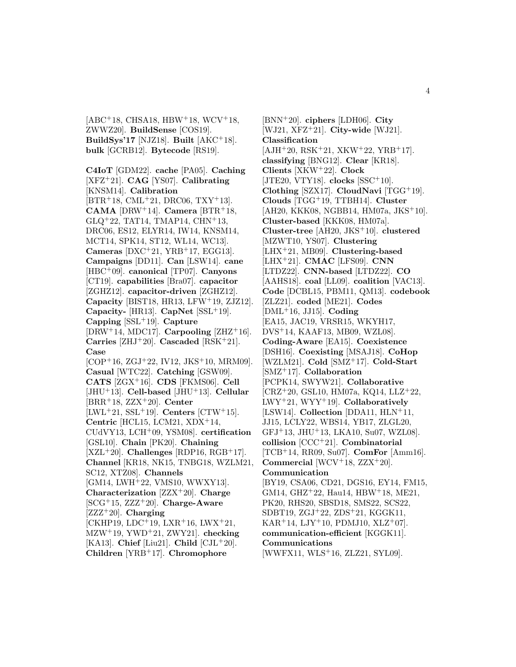$[ABC^{+}18, CHSA18, HBW^{+}18, WCV^{+}18,$ ZWWZ20]. **BuildSense** [COS19]. **BuildSys'17** [NJZ18]. **Built** [AKC<sup>+</sup>18]. **bulk** [GCRB12]. **Bytecode** [RS19].

**C4IoT** [GDM22]. **cache** [PA05]. **Caching** [XFZ<sup>+</sup>21]. **CAG** [YS07]. **Calibrating** [KNSM14]. **Calibration** [BTR<sup>+</sup>18, CML<sup>+</sup>21, DRC06, TXY<sup>+</sup>13]. **CAMA** [DRW<sup>+</sup>14]. **Camera** [BTR<sup>+</sup>18, GLQ<sup>+</sup>22, TAT14, TMAP14, CHN<sup>+</sup>13, DRC06, ES12, ELYR14, IW14, KNSM14, MCT14, SPK14, ST12, WL14, WC13]. **Cameras** [DXC<sup>+</sup>21, YRB<sup>+</sup>17, EGG13]. **Campaigns** [DD11]. **Can** [LSW14]. **cane** [HBC<sup>+</sup>09]. **canonical** [TP07]. **Canyons** [CT19]. **capabilities** [Bra07]. **capacitor** [ZGHZ12]. **capacitor-driven** [ZGHZ12]. **Capacity** [BIST18, HR13, LFW<sup>+</sup>19, ZJZ12]. **Capacity-** [HR13]. **CapNet** [SSL<sup>+</sup>19]. **Capping** [SSL<sup>+</sup>19]. **Capture**  $[DRW^+14, MDC17]$ . **Carpooling**  $[ZHZ^+16]$ . **Carries** [ZHJ<sup>+</sup>20]. **Cascaded** [RSK<sup>+</sup>21]. **Case**  $[COP<sup>+</sup>16, ZGJ<sup>+</sup>22, IV12, JKS<sup>+</sup>10, MRM09].$ **Casual** [WTC22]. **Catching** [GSW09]. **CATS** [ZGX<sup>+</sup>16]. **CDS** [FKMS06]. **Cell** [JHU<sup>+</sup>13]. **Cell-based** [JHU<sup>+</sup>13]. **Cellular** [BRR<sup>+</sup>18, ZZX<sup>+</sup>20]. **Center** [LWL<sup>+</sup>21, SSL<sup>+</sup>19]. **Centers** [CTW<sup>+</sup>15]. **Centric** [HCL15, LCM21, XDX<sup>+</sup>14, CUdVY13, LCH<sup>+</sup>09, YSM08]. **certification** [GSL10]. **Chain** [PK20]. **Chaining**  $[XZL+20]$ . **Challenges** [RDP16, RGB+17]. **Channel** [KR18, NK15, TNBG18, WZLM21, SC12, XTZ08]. **Channels** [GM14, LWH<sup>+</sup>22, VMS10, WWXY13]. **Characterization** [ZZX<sup>+</sup>20]. **Charge** [SCG<sup>+</sup>15, ZZZ<sup>+</sup>20]. **Charge-Aware** [ZZZ<sup>+</sup>20]. **Charging**  $[CHHP19, LDC+19, LXR+16, LWX+21,$ MZW<sup>+</sup>19, YWD<sup>+</sup>21, ZWY21]. **checking** [KA13]. **Chief** [Liu21]. **Child** [CJL<sup>+</sup>20]. **Children** [YRB<sup>+</sup>17]. **Chromophore**

[BNN<sup>+</sup>20]. **ciphers** [LDH06]. **City** [WJ21, XFZ<sup>+</sup>21]. **City-wide** [WJ21]. **Classification**  $[AJH<sup>+</sup>20, RSK<sup>+</sup>21, XKW<sup>+</sup>22, YRB<sup>+</sup>17].$ **classifying** [BNG12]. **Clear** [KR18]. **Clients** [XKW<sup>+</sup>22]. **Clock** [JTE20, VTY18]. **clocks** [SSC<sup>+</sup>10]. **Clothing** [SZX17]. **CloudNavi** [TGG<sup>+</sup>19]. **Clouds** [TGG<sup>+</sup>19, TTBH14]. **Cluster** [AH20, KKK08, NGBB14, HM07a, JKS<sup>+</sup>10]. **Cluster-based** [KKK08, HM07a]. **Cluster-tree** [AH20, JKS<sup>+</sup>10]. **clustered** [MZWT10, YS07]. **Clustering** [LHX<sup>+</sup>21, MB09]. **Clustering-based** [LHX<sup>+</sup>21]. **CMAC** [LFS09]. **CNN** [LTDZ22]. **CNN-based** [LTDZ22]. **CO** [AAHS18]. **coal** [LL09]. **coalition** [VAC13]. **Code** [DCBL15, PBM11, QM13]. **codebook** [ZLZ21]. **coded** [ME21]. **Codes** [DML<sup>+</sup>16, JJ15]. **Coding** [EA15, JAC19, VRSR15, WKYH17, DVS<sup>+</sup>14, KAAF13, MB09, WZL08]. **Coding-Aware** [EA15]. **Coexistence** [DSH16]. **Coexisting** [MSAJ18]. **CoHop** [WZLM21]. **Cold** [SMZ<sup>+</sup>17]. **Cold-Start** [SMZ<sup>+</sup>17]. **Collaboration** [PCPK14, SWYW21]. **Collaborative** [CRZ<sup>+</sup>20, GSL10, HM07a, KQ14, LLZ<sup>+</sup>22, LWY<sup>+</sup>21, WYY<sup>+</sup>19]. **Collaboratively** [LSW14]. **Collection** [DDA11, HLN<sup>+</sup>11, JJ15, LCLY22, WBS14, YB17, ZLGL20, GFJ<sup>+</sup>13, JHU<sup>+</sup>13, LKA10, Su07, WZL08]. **collision** [CCC<sup>+</sup>21]. **Combinatorial** [TCB<sup>+</sup>14, RR09, Su07]. **ComFor** [Amm16]. **Commercial** [WCV<sup>+</sup>18, ZZX<sup>+</sup>20]. **Communication** [BY19, CSA06, CD21, DGS16, EY14, FM15, GM14, GHZ<sup>+</sup>22, Hau14, HBW<sup>+</sup>18, ME21, PK20, RHS20, SBSD18, SMS22, SCS22, SDBT19, ZGJ<sup>+</sup>22, ZDS<sup>+</sup>21, KGGK11, KAR<sup>+</sup>14, LJY<sup>+</sup>10, PDMJ10, XLZ<sup>+</sup>07]. **communication-efficient** [KGGK11]. **Communications** [WWFX11, WLS<sup>+</sup>16, ZLZ21, SYL09].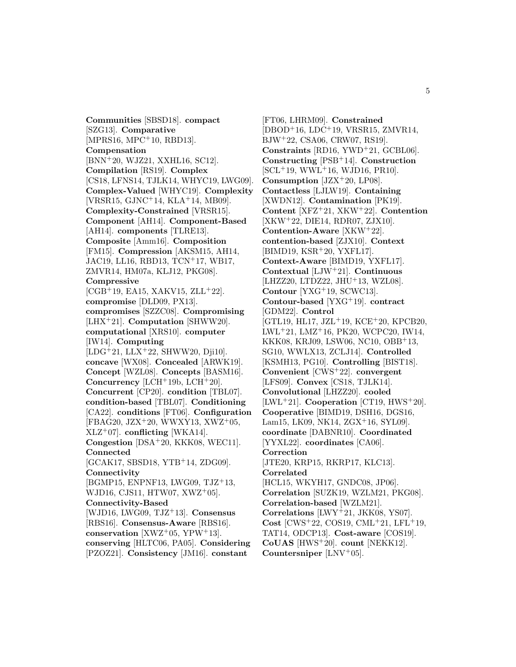**Communities** [SBSD18]. **compact** [SZG13]. **Comparative** [MPRS16, MPC<sup>+</sup>10, RBD13]. **Compensation** [BNN<sup>+</sup>20, WJZ21, XXHL16, SC12]. **Compilation** [RS19]. **Complex** [CS18, LFNS14, TJLK14, WHYC19, LWG09]. **Complex-Valued** [WHYC19]. **Complexity** [VRSR15, GJNC<sup>+</sup>14, KLA<sup>+</sup>14, MB09]. **Complexity-Constrained** [VRSR15]. **Component** [AH14]. **Component-Based** [AH14]. **components** [TLRE13]. **Composite** [Amm16]. **Composition** [FM15]. **Compression** [AKSM15, AH14, JAC19, LL16, RBD13, TCN<sup>+</sup>17, WB17, ZMVR14, HM07a, KLJ12, PKG08]. **Compressive**  $[{\rm CGB}^+19, {\rm EA}15, {\rm XAKV}15, {\rm ZLL}^+22].$ **compromise** [DLD09, PX13]. **compromises** [SZZC08]. **Compromising** [LHX<sup>+</sup>21]. **Computation** [SHWW20]. **computational** [XRS10]. **computer** [IW14]. **Computing** [LDG<sup>+</sup>21, LLX<sup>+</sup>22, SHWW20, Dji10]. **concave** [WX08]. **Concealed** [ARWK19]. **Concept** [WZL08]. **Concepts** [BASM16]. **Concurrency** [LCH<sup>+</sup>19b, LCH<sup>+</sup>20]. **Concurrent** [CP20]. **condition** [TBL07]. **condition-based** [TBL07]. **Conditioning** [CA22]. **conditions** [FT06]. **Configuration**  $[FBAG20, JZX^+20, WWXY13, XWZ^+05,$ XLZ<sup>+</sup>07]. **conflicting** [WKA14]. **Congestion** [DSA<sup>+</sup>20, KKK08, WEC11]. **Connected** [GCAK17, SBSD18, YTB<sup>+</sup>14, ZDG09]. **Connectivity** [BGMP15, ENPNF13, LWG09, TJZ<sup>+</sup>13, WJD16, CJS11, HTW07, XWZ<sup>+</sup>05]. **Connectivity-Based** [WJD16, LWG09, TJZ<sup>+</sup>13]. **Consensus** [RBS16]. **Consensus-Aware** [RBS16]. **conservation** [XWZ<sup>+</sup>05, YPW<sup>+</sup>13]. **conserving** [HLTC06, PA05]. **Considering** [PZOZ21]. **Consistency** [JM16]. **constant**

[FT06, LHRM09]. **Constrained** [DBOD<sup>+</sup>16, LDC<sup>+</sup>19, VRSR15, ZMVR14, BJW<sup>+</sup>22, CSA06, CRW07, RS19]. **Constraints** [RD16, YWD<sup>+</sup>21, GCBL06]. **Constructing** [PSB<sup>+</sup>14]. **Construction** [SCL<sup>+</sup>19, WWL<sup>+</sup>16, WJD16, PR10]. **Consumption** [JZX<sup>+</sup>20, LP08]. **Contactless** [LJLW19]. **Containing** [XWDN12]. **Contamination** [PK19]. **Content** [XFZ<sup>+</sup>21, XKW<sup>+</sup>22]. **Contention** [XKW<sup>+</sup>22, DIE14, RDR07, ZJX10]. **Contention-Aware** [XKW<sup>+</sup>22]. **contention-based** [ZJX10]. **Context** [BIMD19, KSR<sup>+</sup>20, YXFL17]. **Context-Aware** [BIMD19, YXFL17]. **Contextual** [LJW<sup>+</sup>21]. **Continuous** [LHZZ20, LTDZ22, JHU<sup>+</sup>13, WZL08]. **Contour** [YXG<sup>+</sup>19, SCWC13]. **Contour-based** [YXG<sup>+</sup>19]. **contract** [GDM22]. **Control** [GTL19, HL17, JZL<sup>+</sup>19, KCE<sup>+</sup>20, KPCB20, LWL<sup>+</sup>21, LMZ<sup>+</sup>16, PK20, WCPC20, IW14, KKK08, KRJ09, LSW06, NC10, OBB<sup>+</sup>13, SG10, WWLX13, ZCLJ14]. **Controlled** [KSMH13, PG10]. **Controlling** [BIST18]. **Convenient** [CWS<sup>+</sup>22]. **convergent** [LFS09]. **Convex** [CS18, TJLK14]. **Convolutional** [LHZZ20]. **cooled** [LWL<sup>+</sup>21]. **Cooperation** [CT19, HWS<sup>+</sup>20]. **Cooperative** [BIMD19, DSH16, DGS16, Lam15, LK09, NK14, ZGX<sup>+</sup>16, SYL09. **coordinate** [DABNR10]. **Coordinated** [YYXL22]. **coordinates** [CA06]. **Correction** [JTE20, KRP15, RKRP17, KLC13]. **Correlated** [HCL15, WKYH17, GNDC08, JP06]. **Correlation** [SUZK19, WZLM21, PKG08]. **Correlation-based** [WZLM21]. **Correlations** [LWY<sup>+</sup>21, JKK08, YS07]. **Cost** [CWS<sup>+</sup>22, COS19, CML<sup>+</sup>21, LFL<sup>+</sup>19, TAT14, ODCP13]. **Cost-aware** [COS19]. **CoUAS** [HWS<sup>+</sup>20]. **count** [NEKK12]. **Countersniper** [LNV<sup>+</sup>05].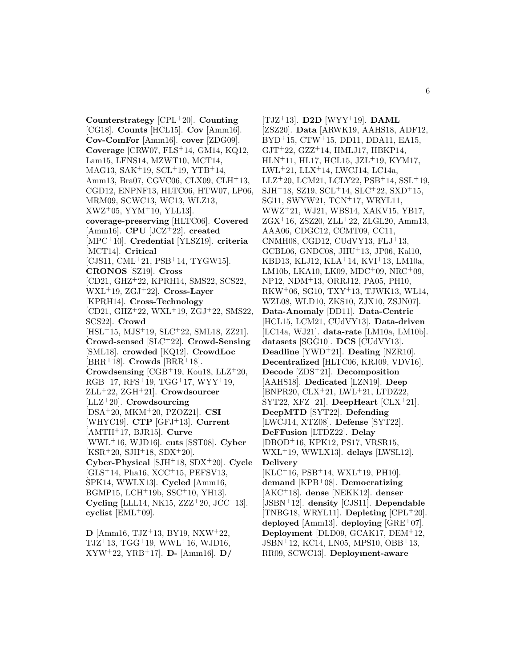**Counterstrategy** [CPL<sup>+</sup>20]. **Counting** [CG18]. **Counts** [HCL15]. **Cov** [Amm16]. **Cov-ComFor** [Amm16]. **cover** [ZDG09]. **Coverage** [CRW07, FLS<sup>+</sup>14, GM14, KQ12, Lam15, LFNS14, MZWT10, MCT14, MAG13, SAK<sup>+</sup>19, SCL<sup>+</sup>19, YTB<sup>+</sup>14, Amm13, Bra07, CGVC06, CLX09, CLH<sup>+</sup>13, CGD12, ENPNF13, HLTC06, HTW07, LP06, MRM09, SCWC13, WC13, WLZ13, XWZ<sup>+</sup>05, YYM<sup>+</sup>10, YLL13]. **coverage-preserving** [HLTC06]. **Covered** [Amm16]. **CPU** [JCZ<sup>+</sup>22]. **created** [MPC<sup>+</sup>10]. **Credential** [YLSZ19]. **criteria** [MCT14]. **Critical** [CJS11, CML<sup>+</sup>21, PSB<sup>+</sup>14, TYGW15]. **CRONOS** [SZ19]. **Cross** [CD21, GHZ<sup>+</sup>22, KPRH14, SMS22, SCS22, WXL<sup>+</sup>19, ZGJ<sup>+</sup>22]. **Cross-Layer** [KPRH14]. **Cross-Technology** [CD21, GHZ<sup>+</sup>22, WXL<sup>+</sup>19, ZGJ<sup>+</sup>22, SMS22, SCS22]. **Crowd** [HSL<sup>+</sup>15, MJS<sup>+</sup>19, SLC<sup>+</sup>22, SML18, ZZ21]. **Crowd-sensed** [SLC<sup>+</sup>22]. **Crowd-Sensing** [SML18]. **crowded** [KQ12]. **CrowdLoc**  $[BRR+18]$ . **Crowds**  $[BRR+18]$ . **Crowdsensing** [CGB<sup>+</sup>19, Kou18, LLZ<sup>+</sup>20,  $RGB+17, RFS+19, TGG+17, WYY+19,$ ZLL<sup>+</sup>22, ZGH<sup>+</sup>21]. **Crowdsourcer** [LLZ<sup>+</sup>20]. **Crowdsourcing** [DSA<sup>+</sup>20, MKM<sup>+</sup>20, PZOZ21]. **CSI** [WHYC19]. **CTP** [GFJ<sup>+</sup>13]. **Current** [AMTH<sup>+</sup>17, BJR15]. **Curve** [WWL<sup>+</sup>16, WJD16]. **cuts** [SST08]. **Cyber**  $[KSR<sup>+</sup>20, SJH<sup>+</sup>18, SDX<sup>+</sup>20].$ **Cyber-Physical** [SJH<sup>+</sup>18, SDX<sup>+</sup>20]. **Cycle** [GLS<sup>+</sup>14, Pha16, XCC<sup>+</sup>15, PEFSV13, SPK14, WWLX13]. **Cycled** [Amm16, BGMP15, LCH<sup>+</sup>19b, SSC<sup>+</sup>10, YH13]. **Cycling** [LLL14, NK15, ZZZ<sup>+</sup>20, JCC<sup>+</sup>13]. **cyclist** [EML<sup>+</sup>09].

**D** [Amm16, TJZ<sup>+</sup>13, BY19, NXW<sup>+</sup>22,  $TJZ+13$ ,  $TGG+19$ ,  $WWL+16$ ,  $WJD16$ , XYW<sup>+</sup>22, YRB<sup>+</sup>17]. **D-** [Amm16]. **D/**

[TJZ<sup>+</sup>13]. **D2D** [WYY<sup>+</sup>19]. **DAML** [ZSZ20]. **Data** [ARWK19, AAHS18, ADF12, BYD<sup>+</sup>15, CTW<sup>+</sup>15, DD11, DDA11, EA15,  $GJT+22$ ,  $GZZ+14$ , HMLJ17, HBKP14, HLN<sup>+</sup>11, HL17, HCL15, JZL<sup>+</sup>19, KYM17, LWL<sup>+</sup>21, LLX<sup>+</sup>14, LWCJ14, LC14a,  $LLZ+20$ , LCM21, LCLY22, PSB+14, SSL+19,  $SH<sup>+</sup>18$ , SZ19, SCL<sup>+</sup>14, SLC<sup>+</sup>22, SXD<sup>+</sup>15, SG11, SWYW21, TCN<sup>+</sup>17, WRYL11, WWZ<sup>+</sup>21, WJ21, WBS14, XAKV15, YB17, ZGX<sup>+</sup>16, ZSZ20, ZLL<sup>+</sup>22, ZLGL20, Amm13, AAA06, CDGC12, CCMT09, CC11, CNMH08, CGD12, CUdVY13, FLJ<sup>+</sup>13, GCBL06, GNDC08, JHU<sup>+</sup>13, JP06, Kal10, KBD13, KLJ12, KLA<sup>+</sup>14, KVI<sup>+</sup>13, LM10a, LM10b, LKA10, LK09, MDC<sup>+</sup>09, NRC<sup>+</sup>09, NP12, NDM<sup>+</sup>13, ORRJ12, PA05, PH10, RKW<sup>+</sup>06, SG10, TXY<sup>+</sup>13, TJWK13, WL14, WZL08, WLD10, ZKS10, ZJX10, ZSJN07]. **Data-Anomaly** [DD11]. **Data-Centric** [HCL15, LCM21, CUdVY13]. **Data-driven** [LC14a, WJ21]. **data-rate** [LM10a, LM10b]. **datasets** [SGG10]. **DCS** [CUdVY13]. **Deadline** [YWD<sup>+</sup>21]. **Dealing** [NZR10]. **Decentralized** [HLTC06, KRJ09, VDV16]. **Decode** [ZDS<sup>+</sup>21]. **Decomposition** [AAHS18]. **Dedicated** [LZN19]. **Deep** [BNPR20, CLX<sup>+</sup>21, LWL<sup>+</sup>21, LTDZ22, SYT22, XFZ<sup>+</sup>21]. **DeepHeart** [CLX<sup>+</sup>21]. **DeepMTD** [SYT22]. **Defending** [LWCJ14, XTZ08]. **Defense** [SYT22]. **DeFFusion** [LTDZ22]. **Delay** [DBOD<sup>+</sup>16, KPK12, PS17, VRSR15, WXL<sup>+</sup>19, WWLX13]. **delays** [LWSL12]. **Delivery** [KLC<sup>+</sup>16, PSB<sup>+</sup>14, WXL<sup>+</sup>19, PH10]. **demand** [KPB<sup>+</sup>08]. **Democratizing** [AKC<sup>+</sup>18]. **dense** [NEKK12]. **denser** [JSBN<sup>+</sup>12]. **density** [CJS11]. **Dependable** [TNBG18, WRYL11]. **Depleting** [CPL<sup>+</sup>20]. **deployed** [Amm13]. **deploying** [GRE<sup>+</sup>07]. **Deployment** [DLD09, GCAK17, DEM<sup>+</sup>12, JSBN<sup>+</sup>12, KC14, LN05, MPS10, OBB<sup>+</sup>13, RR09, SCWC13]. **Deployment-aware**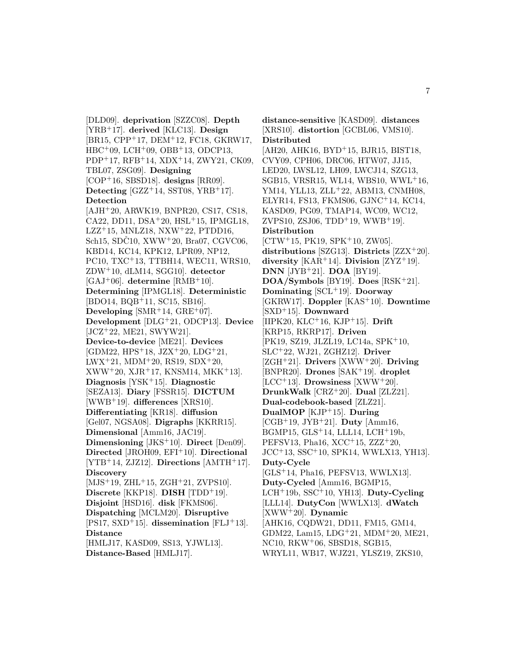[DLD09]. **deprivation** [SZZC08]. **Depth** [YRB<sup>+</sup>17]. **derived** [KLC13]. **Design** [BR15, CPP<sup>+</sup>17, DEM<sup>+</sup>12, FC18, GKRW17, HBC<sup>+</sup>09, LCH<sup>+</sup>09, OBB<sup>+</sup>13, ODCP13, PDP<sup>+</sup>17, RFB<sup>+</sup>14, XDX<sup>+</sup>14, ZWY21, CK09, TBL07, ZSG09]. **Designing** [COP<sup>+</sup>16, SBSD18]. **designs** [RR09]. **Detecting**  $[GZZ^+14, SST08, YRB^+17]$ . **Detection** [AJH<sup>+</sup>20, ARWK19, BNPR20, CS17, CS18, CA22, DD11, DSA<sup>+</sup>20, HSL<sup>+</sup>15, IPMGL18, LZZ<sup>+</sup>15, MNLZ18, NXW<sup>+</sup>22, PTDD16, Sch15, SDC10,  $XWW+20$ , Bra07, CGVC06, KBD14, KC14, KPK12, LPR09, NP12, PC10, TXC<sup>+</sup>13, TTBH14, WEC11, WRS10, ZDW<sup>+</sup>10, dLM14, SGG10]. **detector**  $[GAJ^+06]$ . **determine**  $[RMB^+10]$ . **Determining** [IPMGL18]. **Deterministic** [BDO14, BQB<sup>+</sup>11, SC15, SB16]. **Developing** [SMR<sup>+</sup>14, GRE<sup>+</sup>07]. **Development** [DLG<sup>+</sup>21, ODCP13]. **Device** [JCZ<sup>+</sup>22, ME21, SWYW21]. **Device-to-device** [ME21]. **Devices**  $[GDM22, HPS<sup>+</sup>18, JZX<sup>+</sup>20, LDG<sup>+</sup>21,$  $LWX+21$ ,  $MDM+20$ ,  $RS19$ ,  $SDX+20$ ,  $XWW+20, XJR+17, KNSM14, MKK+13].$ **Diagnosis** [YSK<sup>+</sup>15]. **Diagnostic** [SEZA13]. **Diary** [FSSR15]. **DICTUM** [WWB<sup>+</sup>19]. **differences** [XRS10]. **Differentiating** [KR18]. **diffusion** [Gel07, NGSA08]. **Digraphs** [KKRR15]. **Dimensional** [Amm16, JAC19]. **Dimensioning** [JKS<sup>+</sup>10]. **Direct** [Den09]. **Directed** [JROH09, EFI<sup>+</sup>10]. **Directional** [YTB<sup>+</sup>14, ZJZ12]. **Directions** [AMTH<sup>+</sup>17]. **Discovery** [MJS<sup>+</sup>19, ZHL<sup>+</sup>15, ZGH<sup>+</sup>21, ZVPS10]. **Discrete** [KKP18]. **DISH** [TDD<sup>+</sup>19]. **Disjoint** [HSD16]. **disk** [FKMS06]. **Dispatching** [MCLM20]. **Disruptive** [PS17, SXD<sup>+</sup>15]. **dissemination** [FLJ<sup>+</sup>13]. **Distance** [HMLJ17, KASD09, SS13, YJWL13]. **Distance-Based** [HMLJ17].

**distance-sensitive** [KASD09]. **distances** [XRS10]. **distortion** [GCBL06, VMS10]. **Distributed** [AH20, AHK16, BYD<sup>+</sup>15, BJR15, BIST18, CVY09, CPH06, DRC06, HTW07, JJ15, LED20, LWSL12, LH09, LWCJ14, SZG13, SGB15, VRSR15, WL14, WBS10, WWL<sup>+</sup>16, YM14, YLL13, ZLL+22, ABM13, CNMH08, ELYR14, FS13, FKMS06, GJNC<sup>+</sup>14, KC14, KASD09, PG09, TMAP14, WC09, WC12,  $ZVPS10, ZSJ06, TDD+19, WWB+19$ . **Distribution** [CTW<sup>+</sup>15, PK19, SPK<sup>+</sup>10, ZW05]. **distributions** [SZG13]. **Districts** [ZZX<sup>+</sup>20]. **diversity** [KAR<sup>+</sup>14]. **Division** [ZYZ<sup>+</sup>19]. **DNN** [JYB<sup>+</sup>21]. **DOA** [BY19]. **DOA/Symbols** [BY19]. **Does** [RSK<sup>+</sup>21]. **Dominating** [SCL<sup>+</sup>19]. **Doorway** [GKRW17]. **Doppler** [KAS<sup>+</sup>10]. **Downtime** [SXD<sup>+</sup>15]. **Downward** [IIPK20, KLC<sup>+</sup>16, KJP<sup>+</sup>15]. **Drift** [KRP15, RKRP17]. **Driven** [PK19, SZ19, JLZL19, LC14a, SPK<sup>+</sup>10, SLC<sup>+</sup>22, WJ21, ZGHZ12]. **Driver** [ZGH<sup>+</sup>21]. **Drivers** [XWW<sup>+</sup>20]. **Driving** [BNPR20]. **Drones** [SAK<sup>+</sup>19]. **droplet** [LCC<sup>+</sup>13]. **Drowsiness** [XWW<sup>+</sup>20]. **DrunkWalk** [CRZ<sup>+</sup>20]. **Dual** [ZLZ21]. **Dual-codebook-based** [ZLZ21]. **DualMOP** [KJP<sup>+</sup>15]. **During** [CGB<sup>+</sup>19, JYB<sup>+</sup>21]. **Duty** [Amm16, BGMP15, GLS<sup>+</sup>14, LLL14, LCH<sup>+</sup>19b, PEFSV13, Pha16,  $XCC+15$ ,  $ZZZ+20$ , JCC<sup>+</sup>13, SSC<sup>+</sup>10, SPK14, WWLX13, YH13]. **Duty-Cycle** [GLS<sup>+</sup>14, Pha16, PEFSV13, WWLX13]. **Duty-Cycled** [Amm16, BGMP15, LCH<sup>+</sup>19b, SSC<sup>+</sup>10, YH13]. **Duty-Cycling** [LLL14]. **DutyCon** [WWLX13]. **dWatch** [XWW<sup>+</sup>20]. **Dynamic** [AHK16, CQDW21, DD11, FM15, GM14, GDM22, Lam15, LDG<sup>+</sup>21, MDM<sup>+</sup>20, ME21, NC10, RKW<sup>+</sup>06, SBSD18, SGB15, WRYL11, WB17, WJZ21, YLSZ19, ZKS10,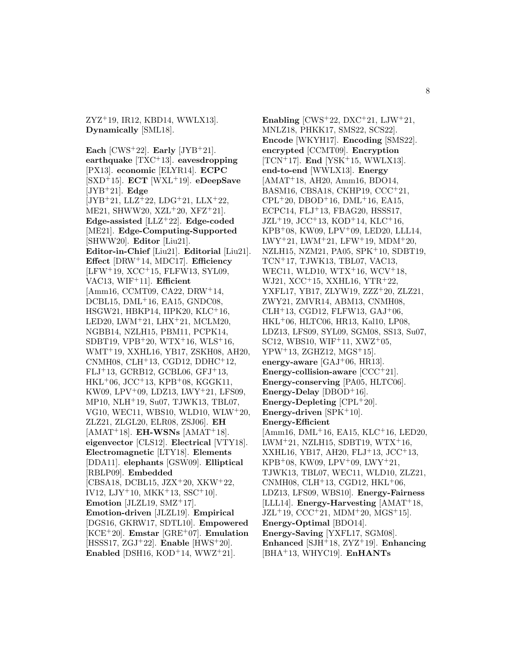ZYZ<sup>+</sup>19, IR12, KBD14, WWLX13]. **Dynamically** [SML18].

**Each** [CWS<sup>+</sup>22]. **Early** [JYB<sup>+</sup>21]. **earthquake** [TXC<sup>+</sup>13]. **eavesdropping** [PX13]. **economic** [ELYR14]. **ECPC** [SXD<sup>+</sup>15]. **ECT** [WXL<sup>+</sup>19]. **eDeepSave** [JYB<sup>+</sup>21]. **Edge**  $[JYB+21, LLZ+22, LDG+21, LLX+22,$ ME21, SHWW20, XZL<sup>+</sup>20, XFZ<sup>+</sup>21]. **Edge-assisted** [LLZ<sup>+</sup>22]. **Edge-coded** [ME21]. **Edge-Computing-Supported** [SHWW20]. **Editor** [Liu21]. **Editor-in-Chief** [Liu21]. **Editorial** [Liu21]. **Effect** [DRW<sup>+</sup>14, MDC17]. **Efficiency**  $[LFW<sup>+</sup>19, XCC<sup>+</sup>15, FLFW13, SYL09,$ VAC13, WIF<sup>+</sup>11]. **Efficient** [Amm16, CCMT09, CA22, DRW<sup>+</sup>14, DCBL15, DML<sup>+</sup>16, EA15, GNDC08, HSGW21, HBKP14, IIPK20, KLC<sup>+</sup>16, LED20, LWM<sup>+</sup>21, LHX<sup>+</sup>21, MCLM20, NGBB14, NZLH15, PBM11, PCPK14, SDBT19, VPB<sup>+</sup>20, WTX<sup>+</sup>16, WLS<sup>+</sup>16, WMT<sup>+</sup>19, XXHL16, YB17, ZSKH08, AH20, CNMH08, CLH<sup>+</sup>13, CGD12, DDHC<sup>+</sup>12,  $FLJ+13$ , GCRB12, GCBL06, GFJ+13,  $HKL+06$ , JCC<sup>+</sup>13, KPB<sup>+</sup>08, KGGK11, KW09, LPV<sup>+</sup>09, LDZ13, LWY<sup>+</sup>21, LFS09, MP10, NLH<sup>+</sup>19, Su07, TJWK13, TBL07, VG10, WEC11, WBS10, WLD10, WLW<sup>+</sup>20, ZLZ21, ZLGL20, ELR08, ZSJ06]. **EH**  $[AMAT+18]$ . **EH-WSNs**  $[AMAT+18]$ . **eigenvector** [CLS12]. **Electrical** [VTY18]. **Electromagnetic** [LTY18]. **Elements** [DDA11]. **elephants** [GSW09]. **Elliptical** [RBLP09]. **Embedded** [CBSA18, DCBL15, JZX<sup>+</sup>20, XKW<sup>+</sup>22, IV12, LJY<sup>+</sup>10, MKK<sup>+</sup>13, SSC<sup>+</sup>10]. **Emotion** [JLZL19, SMZ<sup>+</sup>17]. **Emotion-driven** [JLZL19]. **Empirical** [DGS16, GKRW17, SDTL10]. **Empowered** [KCE<sup>+</sup>20]. **Emstar** [GRE<sup>+</sup>07]. **Emulation** [HSSS17, ZGJ<sup>+</sup>22]. **Enable** [HWS<sup>+</sup>20]. **Enabled** [DSH16, KOD+14, WWZ+21].

**Enabling**  $[CWS^+22, DXC^+21, LJW^+21,$ MNLZ18, PHKK17, SMS22, SCS22]. **Encode** [WKYH17]. **Encoding** [SMS22]. **encrypted** [CCMT09]. **Encryption** [TCN<sup>+</sup>17]. **End** [YSK<sup>+</sup>15, WWLX13]. **end-to-end** [WWLX13]. **Energy** [AMAT<sup>+</sup>18, AH20, Amm16, BDO14, BASM16, CBSA18, CKHP19, CCC<sup>+</sup>21,  $CPL+20$ , DBOD<sup>+</sup>16, DML<sup>+</sup>16, EA15, ECPC14, FLJ<sup>+</sup>13, FBAG20, HSSS17,  $JZL+19$ ,  $JCC+13$ ,  $KOD+14$ ,  $KLC+16$ , KPB<sup>+</sup>08, KW09, LPV<sup>+</sup>09, LED20, LLL14, LWY<sup>+</sup>21, LWM<sup>+</sup>21, LFW<sup>+</sup>19, MDM<sup>+</sup>20, NZLH15, NZM21, PA05, SPK<sup>+</sup>10, SDBT19, TCN<sup>+</sup>17, TJWK13, TBL07, VAC13, WEC11, WLD10, WTX<sup>+</sup>16, WCV<sup>+</sup>18, WJ21, XCC<sup>+</sup>15, XXHL16, YTR<sup>+</sup>22, YXFL17, YB17, ZLYW19, ZZZ<sup>+</sup>20, ZLZ21, ZWY21, ZMVR14, ABM13, CNMH08, CLH<sup>+</sup>13, CGD12, FLFW13, GAJ<sup>+</sup>06, HKL<sup>+</sup>06, HLTC06, HR13, Kal10, LP08, LDZ13, LFS09, SYL09, SGM08, SS13, Su07, SC12, WBS10, WIF<sup>+</sup>11, XWZ<sup>+</sup>05,  $YPW^+13$ , ZGHZ12, MGS<sup>+</sup>15]. **energy-aware** [GAJ<sup>+</sup>06, HR13]. **Energy-collision-aware** [CCC+21]. **Energy-conserving** [PA05, HLTC06]. **Energy-Delay** [DBOD+16]. **Energy-Depleting** [CPL<sup>+</sup>20]. Energy-driven [SPK<sup>+</sup>10]. **Energy-Efficient**  $[Amm16, DML<sup>+</sup>16, EA15, KLC<sup>+</sup>16, LED20,$ LWM<sup>+</sup>21, NZLH15, SDBT19, WTX<sup>+</sup>16, XXHL16, YB17, AH20, FLJ<sup>+</sup>13, JCC<sup>+</sup>13,  $KPB+08$ ,  $KW09$ ,  $LPV+09$ ,  $LWY+21$ , TJWK13, TBL07, WEC11, WLD10, ZLZ21, CNMH08, CLH $+13$ , CGD12, HKL $+06$ , LDZ13, LFS09, WBS10]. **Energy-Fairness** [LLL14]. **Energy-Harvesting** [AMAT<sup>+</sup>18,  $JZL+19$ ,  $CCC+21$ ,  $MDM+20$ ,  $MGS+15$ ]. **Energy-Optimal** [BDO14]. **Energy-Saving** [YXFL17, SGM08]. **Enhanced** [SJH<sup>+</sup>18, ZYZ<sup>+</sup>19]. **Enhancing**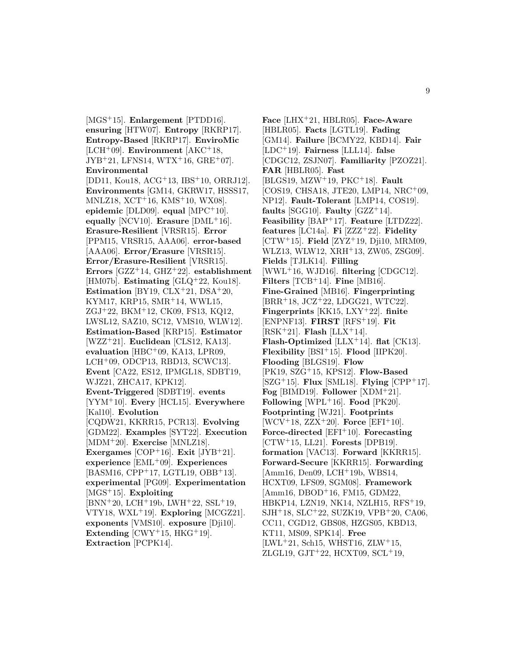[MGS<sup>+</sup>15]. **Enlargement** [PTDD16]. **ensuring** [HTW07]. **Entropy** [RKRP17]. **Entropy-Based** [RKRP17]. **EnviroMic** [LCH<sup>+</sup>09]. **Environment** [AKC<sup>+</sup>18,  $JYB+21, LFNS14, WTX+16, GRE+07$ . **Environmental** [DD11, Kou18, ACG<sup>+</sup>13, IBS<sup>+</sup>10, ORRJ12]. **Environments** [GM14, GKRW17, HSSS17, MNLZ18, XCT<sup>+</sup>16, KMS<sup>+</sup>10, WX08]. **epidemic** [DLD09]. **equal** [MPC<sup>+</sup>10]. **equally** [NCV10]. **Erasure** [DML<sup>+</sup>16]. **Erasure-Resilient** [VRSR15]. **Error** [PPM15, VRSR15, AAA06]. **error-based** [AAA06]. **Error/Erasure** [VRSR15]. **Error/Erasure-Resilient** [VRSR15]. **Errors** [GZZ<sup>+</sup>14, GHZ<sup>+</sup>22]. **establishment** [HM07b]. **Estimating** [GLQ<sup>+</sup>22, Kou18]. **Estimation** [BY19,  $CLX+21$ ,  $DSA+20$ , KYM17, KRP15, SMR<sup>+</sup>14, WWL15, ZGJ<sup>+</sup>22, BKM<sup>+</sup>12, CK09, FS13, KQ12, LWSL12, SAZ10, SC12, VMS10, WLW12]. **Estimation-Based** [KRP15]. **Estimator** [WZZ<sup>+</sup>21]. **Euclidean** [CLS12, KA13]. **evaluation** [HBC<sup>+</sup>09, KA13, LPR09, LCH<sup>+</sup>09, ODCP13, RBD13, SCWC13]. **Event** [CA22, ES12, IPMGL18, SDBT19, WJZ21, ZHCA17, KPK12]. **Event-Triggered** [SDBT19]. **events** [YYM<sup>+</sup>10]. **Every** [HCL15]. **Everywhere** [Kal10]. **Evolution** [CQDW21, KKRR15, PCR13]. **Evolving** [GDM22]. **Examples** [SYT22]. **Execution** [MDM<sup>+</sup>20]. **Exercise** [MNLZ18]. **Exergames** [COP<sup>+</sup>16]. **Exit** [JYB<sup>+</sup>21]. **experience** [EML<sup>+</sup>09]. **Experiences** [BASM16, CPP<sup>+</sup>17, LGTL19, OBB<sup>+</sup>13]. **experimental** [PG09]. **Experimentation** [MGS<sup>+</sup>15]. **Exploiting**  $[BNN+20, LCH+19b, LWH+22, SSL+19,$ VTY18, WXL<sup>+</sup>19]. **Exploring** [MCGZ21]. **exponents** [VMS10]. **exposure** [Dji10]. **Extending**  $[CWY^+15, HKG^+19]$ . **Extraction** [PCPK14].

**Face** [LHX<sup>+</sup>21, HBLR05]. **Face-Aware** [HBLR05]. **Facts** [LGTL19]. **Fading** [GM14]. **Failure** [BCMY22, KBD14]. **Fair** [LDC<sup>+</sup>19]. **Fairness** [LLL14]. **false** [CDGC12, ZSJN07]. **Familiarity** [PZOZ21]. **FAR** [HBLR05]. **Fast** [BLGS19, MZW<sup>+</sup>19, PKC<sup>+</sup>18]. **Fault** [COS19, CHSA18, JTE20, LMP14, NRC<sup>+</sup>09, NP12]. **Fault-Tolerant** [LMP14, COS19]. **faults** [SGG10]. **Faulty**  $[GZZ^+14]$ . **Feasibility** [BAP<sup>+</sup>17]. **Feature** [LTDZ22]. **features** [LC14a]. **Fi** [ZZZ<sup>+</sup>22]. **Fidelity** [CTW<sup>+</sup>15]. **Field** [ZYZ<sup>+</sup>19, Dji10, MRM09, WLZ13, WLW12, XRH<sup>+</sup>13, ZW05, ZSG09. **Fields** [TJLK14]. **Filling** [WWL<sup>+</sup>16, WJD16]. **filtering** [CDGC12]. **Filters** [TCB<sup>+</sup>14]. **Fine** [MB16]. **Fine-Grained** [MB16]. **Fingerprinting** [BRR<sup>+</sup>18, JCZ<sup>+</sup>22, LDGG21, WTC22]. **Fingerprints** [KK15, LXY<sup>+</sup>22]. **finite** [ENPNF13]. **FIRST** [RFS<sup>+</sup>19]. **Fit** [RSK<sup>+</sup>21]. **Flash** [LLX<sup>+</sup>14]. **Flash-Optimized** [LLX<sup>+</sup>14]. **flat** [CK13]. **Flexibility** [BSI<sup>+</sup>15]. **Flood** [IIPK20]. **Flooding** [BLGS19]. **Flow** [PK19, SZG<sup>+</sup>15, KPS12]. **Flow-Based** [SZG<sup>+</sup>15]. **Flux** [SML18]. **Flying** [CPP<sup>+</sup>17]. **Fog** [BIMD19]. **Follower** [XDM<sup>+</sup>21]. **Following** [WPL+16]. **Food** [PK20]. **Footprinting** [WJ21]. **Footprints**  $[WCV^{+}18, ZZX^{+}20]$ . **Force**  $[EFI^{+}10]$ . **Force-directed** [EFI<sup>+</sup>10]. **Forecasting** [CTW<sup>+</sup>15, LL21]. **Forests** [DPB19]. **formation** [VAC13]. **Forward** [KKRR15]. **Forward-Secure** [KKRR15]. **Forwarding** [Amm16, Den09, LCH<sup>+</sup>19b, WBS14, HCXT09, LFS09, SGM08]. **Framework** [Amm16, DBOD<sup>+</sup>16, FM15, GDM22, HBKP14, LZN19, NK14, NZLH15, RFS<sup>+</sup>19, SJH<sup>+</sup>18, SLC<sup>+</sup>22, SUZK19, VPB<sup>+</sup>20, CA06, CC11, CGD12, GBS08, HZGS05, KBD13, KT11, MS09, SPK14]. **Free**  $[LWL+21, Sch15, WHST16, ZLW+15,$ ZLGL19, GJT $+22$ , HCXT09, SCL $+19$ ,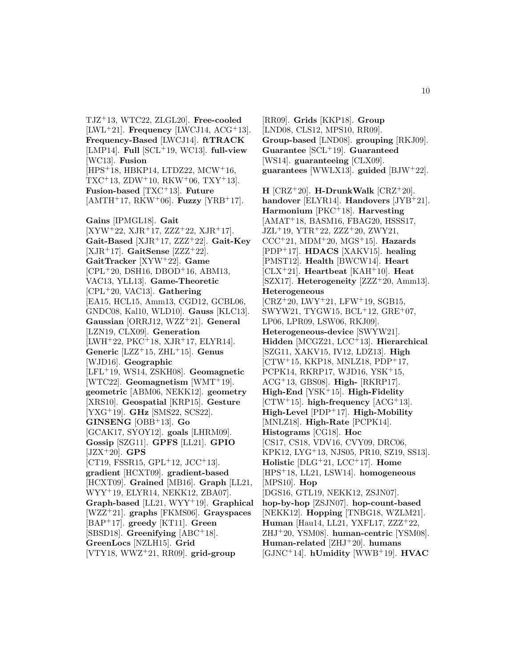TJZ<sup>+</sup>13, WTC22, ZLGL20]. **Free-cooled** [LWL<sup>+</sup>21]. **Frequency** [LWCJ14, ACG<sup>+</sup>13]. **Frequency-Based** [LWCJ14]. **ftTRACK** [LMP14]. **Full** [SCL<sup>+</sup>19, WC13]. **full-view** [WC13]. **Fusion** [HPS<sup>+</sup>18, HBKP14, LTDZ22, MCW<sup>+</sup>16,  $TXC+13$ ,  $ZDW+10$ ,  $RKW+06$ ,  $TXY+13$ . **Fusion-based** [TXC<sup>+</sup>13]. **Future** [AMTH<sup>+</sup>17, RKW<sup>+</sup>06]. **Fuzzy** [YRB<sup>+</sup>17]. **Gains** [IPMGL18]. **Gait**  $[XYW+22, XJR+17, ZZZ+22, XJR+17].$ **Gait-Based** [XJR<sup>+</sup>17, ZZZ<sup>+</sup>22]. **Gait-Key** [XJR<sup>+</sup>17]. **GaitSense** [ZZZ<sup>+</sup>22]. **GaitTracker** [XYW<sup>+</sup>22]. **Game**  $[CPL+20, DSH16, DBOD+16, ABM13,$ VAC13, YLL13]. **Game-Theoretic** [CPL<sup>+</sup>20, VAC13]. **Gathering** [EA15, HCL15, Amm13, CGD12, GCBL06, GNDC08, Kal10, WLD10]. **Gauss** [KLC13]. **Gaussian** [ORRJ12, WZZ<sup>+</sup>21]. **General** [LZN19, CLX09]. **Generation**  $[LWH<sup>+</sup>22, PKC<sup>+</sup>18, XJR<sup>+</sup>17, ELYR14].$ **Generic** [LZZ<sup>+</sup>15, ZHL<sup>+</sup>15]. **Genus** [WJD16]. **Geographic** [LFL<sup>+</sup>19, WS14, ZSKH08]. **Geomagnetic** [WTC22]. **Geomagnetism** [WMT<sup>+</sup>19]. **geometric** [ABM06, NEKK12]. **geometry** [XRS10]. **Geospatial** [KRP15]. **Gesture** [YXG<sup>+</sup>19]. **GHz** [SMS22, SCS22]. **GINSENG** [OBB<sup>+</sup>13]. **Go** [GCAK17, SYOY12]. **goals** [LHRM09]. **Gossip** [SZG11]. **GPFS** [LL21]. **GPIO** [JZX<sup>+</sup>20]. **GPS**  $[CT19, FSSR15, GPL<sup>+</sup>12, JCC<sup>+</sup>13].$ **gradient** [HCXT09]. **gradient-based** [HCXT09]. **Grained** [MB16]. **Graph** [LL21, WYY<sup>+</sup>19, ELYR14, NEKK12, ZBA07]. **Graph-based** [LL21, WYY<sup>+</sup>19]. **Graphical** [WZZ<sup>+</sup>21]. **graphs** [FKMS06]. **Grayspaces** [BAP<sup>+</sup>17]. **greedy** [KT11]. **Green** [SBSD18]. **Greenifying** [ABC<sup>+</sup>18]. **GreenLocs** [NZLH15]. **Grid** [VTY18, WWZ<sup>+</sup>21, RR09]. **grid-group**

[RR09]. **Grids** [KKP18]. **Group** [LND08, CLS12, MPS10, RR09]. **Group-based** [LND08]. **grouping** [RKJ09]. **Guarantee** [SCL<sup>+</sup>19]. **Guaranteed** [WS14]. **guaranteeing** [CLX09]. **guarantees** [WWLX13]. **guided** [BJW<sup>+</sup>22]. **H**  $[CRZ+20]$ . **H-DrunkWalk**  $[CRZ+20]$ . **handover** [ELYR14]. **Handovers** [JYB<sup>+</sup>21]. **Harmonium** [PKC<sup>+</sup>18]. **Harvesting** [AMAT<sup>+</sup>18, BASM16, FBAG20, HSSS17, JZL<sup>+</sup>19, YTR<sup>+</sup>22, ZZZ<sup>+</sup>20, ZWY21, CCC<sup>+</sup>21, MDM<sup>+</sup>20, MGS<sup>+</sup>15]. **Hazards** [PDP<sup>+</sup>17]. **HDACS** [XAKV15]. **healing** [PMST12]. **Health** [BWCW14]. **Heart** [CLX<sup>+</sup>21]. **Heartbeat** [KAH<sup>+</sup>10]. **Heat** [SZX17]. **Heterogeneity** [ZZZ<sup>+</sup>20, Amm13]. **Heterogeneous**  $[CRZ+20, LWY+21, LFW+19, SGB15,$ SWYW21, TYGW15, BCL<sup>+</sup>12, GRE<sup>+</sup>07, LP06, LPR09, LSW06, RKJ09]. **Heterogeneous-device** [SWYW21]. **Hidden** [MCGZ21, LCC<sup>+</sup>13]. **Hierarchical** [SZG11, XAKV15, IV12, LDZ13]. **High** [CTW<sup>+</sup>15, KKP18, MNLZ18, PDP<sup>+</sup>17, PCPK14, RKRP17, WJD16, YSK<sup>+</sup>15, ACG<sup>+</sup>13, GBS08]. **High-** [RKRP17]. **High-End** [YSK<sup>+</sup>15]. **High-Fidelity**  $[CTW+15]$ . **high-frequency**  $[ACG+13]$ . **High-Level** [PDP<sup>+</sup>17]. **High-Mobility** [MNLZ18]. **High-Rate** [PCPK14]. **Histograms** [CG18]. **Hoc** [CS17, CS18, VDV16, CVY09, DRC06, KPK12, LYG<sup>+</sup>13, NJS05, PR10, SZ19, SS13]. **Holistic** [DLG<sup>+</sup>21, LCC<sup>+</sup>17]. **Home** [HPS<sup>+</sup>18, LL21, LSW14]. **homogeneous** [MPS10]. **Hop** [DGS16, GTL19, NEKK12, ZSJN07]. **hop-by-hop** [ZSJN07]. **hop-count-based** [NEKK12]. **Hopping** [TNBG18, WZLM21]. **Human** [Hau14, LL21, YXFL17, ZZZ<sup>+</sup>22, ZHJ<sup>+</sup>20, YSM08]. **human-centric** [YSM08]. **Human-related** [ZHJ<sup>+</sup>20]. **humans** [GJNC<sup>+</sup>14]. **hUmidity** [WWB<sup>+</sup>19]. **HVAC**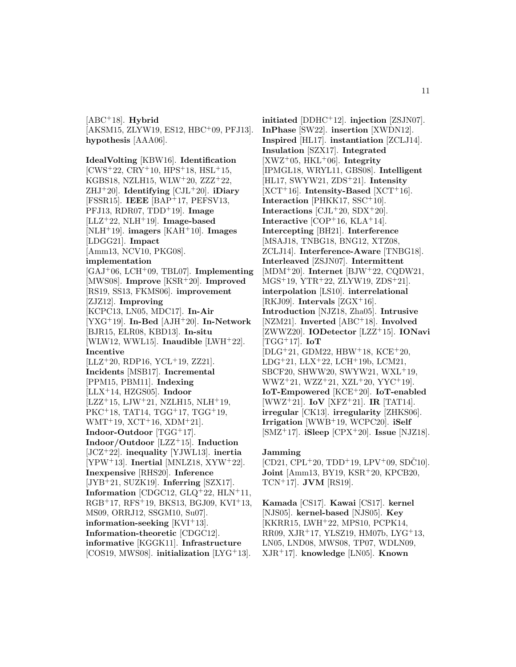[ABC<sup>+</sup>18]. **Hybrid** [AKSM15, ZLYW19, ES12, HBC<sup>+</sup>09, PFJ13]. **hypothesis** [AAA06].

**IdealVolting** [KBW16]. **Identification**  $[{\rm CWS}_{22}, {\rm CRY}_{10}, {\rm HPS}_{18}, {\rm HSL}_{15},$ KGBS18, NZLH15, WLW<sup>+</sup>20, ZZZ<sup>+</sup>22, ZHJ<sup>+</sup>20]. **Identifying** [CJL<sup>+</sup>20]. **iDiary** [FSSR15]. **IEEE** [BAP<sup>+</sup>17, PEFSV13, PFJ13, RDR07, TDD<sup>+</sup>19]. **Image** [LLZ<sup>+</sup>22, NLH<sup>+</sup>19]. **Image-based** [NLH<sup>+</sup>19]. **imagers** [KAH<sup>+</sup>10]. **Images** [LDGG21]. **Impact** [Amm13, NCV10, PKG08]. **implementation** [GAJ<sup>+</sup>06, LCH<sup>+</sup>09, TBL07]. **Implementing** [MWS08]. **Improve** [KSR<sup>+</sup>20]. **Improved** [RS19, SS13, FKMS06]. **improvement** [ZJZ12]. **Improving** [KCPC13, LN05, MDC17]. **In-Air** [YXG<sup>+</sup>19]. **In-Bed** [AJH<sup>+</sup>20]. **In-Network** [BJR15, ELR08, KBD13]. **In-situ** [WLW12, WWL15]. **Inaudible** [LWH<sup>+</sup>22]. **Incentive**  $[LLZ+20, RDP16, YCL+19, ZZ21].$ **Incidents** [MSB17]. **Incremental** [PPM15, PBM11]. **Indexing** [LLX<sup>+</sup>14, HZGS05]. **Indoor**  $[LZZ+15, LJW+21, NLH15, NLH+19,$ PKC<sup>+</sup>18, TAT14, TGG<sup>+</sup>17, TGG<sup>+</sup>19,  $WMT+19$ ,  $XCT+16$ ,  $XDM+21$ ]. **Indoor-Outdoor** [TGG<sup>+</sup>17]. **Indoor/Outdoor** [LZZ<sup>+</sup>15]. **Induction** [JCZ<sup>+</sup>22]. **inequality** [YJWL13]. **inertia** [YPW<sup>+</sup>13]. **Inertial** [MNLZ18, XYW<sup>+</sup>22]. **Inexpensive** [RHS20]. **Inference** [JYB<sup>+</sup>21, SUZK19]. **Inferring** [SZX17]. **Information** [CDGC12, GLQ<sup>+</sup>22, HLN<sup>+</sup>11, RGB<sup>+</sup>17, RFS<sup>+</sup>19, BKS13, BGJ09, KVI<sup>+</sup>13, MS09, ORRJ12, SSGM10, Su07]. **information-seeking** [KVI<sup>+</sup>13]. **Information-theoretic** [CDGC12]. **informative** [KGGK11]. **Infrastructure** [COS19, MWS08]. **initialization** [LYG<sup>+</sup>13].

**initiated** [DDHC<sup>+</sup>12]. **injection** [ZSJN07]. **InPhase** [SW22]. **insertion** [XWDN12]. **Inspired** [HL17]. **instantiation** [ZCLJ14]. **Insulation** [SZX17]. **Integrated** [XWZ<sup>+</sup>05, HKL<sup>+</sup>06]. **Integrity** [IPMGL18, WRYL11, GBS08]. **Intelligent** [HL17, SWYW21, ZDS<sup>+</sup>21]. **Intensity**  $[XCT<sup>+</sup>16]$ . **Intensity-Based**  $[XCT<sup>+</sup>16]$ . **Interaction** [PHKK17, SSC<sup>+</sup>10]. **Interactions** [CJL<sup>+</sup>20, SDX<sup>+</sup>20]. **Interactive** [COP<sup>+</sup>16, KLA<sup>+</sup>14]. **Intercepting** [BH21]. **Interference** [MSAJ18, TNBG18, BNG12, XTZ08, ZCLJ14]. **Interference-Aware** [TNBG18]. **Interleaved** [ZSJN07]. **Intermittent** [MDM<sup>+</sup>20]. **Internet** [BJW<sup>+</sup>22, CQDW21, MGS<sup>+</sup>19, YTR<sup>+</sup>22, ZLYW19, ZDS<sup>+</sup>21]. **interpolation** [LS10]. **interrelational** [RKJ09]. **Intervals** [ZGX<sup>+</sup>16]. **Introduction** [NJZ18, Zha05]. **Intrusive** [NZM21]. **Inverted** [ABC<sup>+</sup>18]. **Involved** [ZWWZ20]. **IODetector** [LZZ<sup>+</sup>15]. **IONavi** [TGG<sup>+</sup>17]. **IoT** [DLG<sup>+</sup>21, GDM22, HBW<sup>+</sup>18, KCE<sup>+</sup>20,  $LDG+21$ ,  $LLX+22$ ,  $LCH+19b$ ,  $LCM21$ , SBCF20, SHWW20, SWYW21, WXL<sup>+</sup>19, WWZ<sup>+</sup>21, WZZ<sup>+</sup>21, XZL<sup>+</sup>20, YYC<sup>+</sup>19]. **IoT-Empowered** [KCE<sup>+</sup>20]. **IoT-enabled** [WWZ<sup>+</sup>21]. **IoV** [XFZ<sup>+</sup>21]. **IR** [TAT14]. **irregular** [CK13]. **irregularity** [ZHKS06]. **Irrigation** [WWB<sup>+</sup>19, WCPC20]. **iSelf** [SMZ<sup>+</sup>17]. **iSleep** [CPX<sup>+</sup>20]. **Issue** [NJZ18].

#### **Jamming**

 $[CD21, CPL<sup>+</sup>20, TDD<sup>+</sup>19, LPV<sup>+</sup>09, SDČ10].$ **Joint** [Amm13, BY19, KSR<sup>+</sup>20, KPCB20, TCN<sup>+</sup>17]. **JVM** [RS19].

**Kamada** [CS17]. **Kawai** [CS17]. **kernel** [NJS05]. **kernel-based** [NJS05]. **Key** [KKRR15, LWH<sup>+</sup>22, MPS10, PCPK14, RR09, XJR<sup>+</sup>17, YLSZ19, HM07b, LYG<sup>+</sup>13, LN05, LND08, MWS08, TP07, WDLN09, XJR<sup>+</sup>17]. **knowledge** [LN05]. **Known**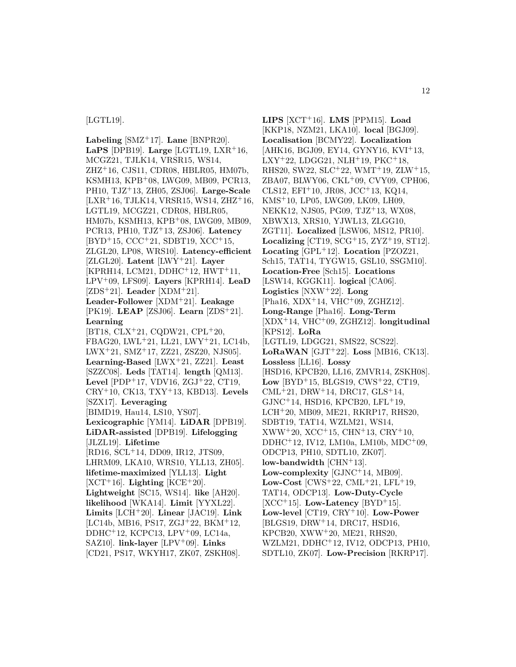#### [LGTL19].

**Labeling** [SMZ<sup>+</sup>17]. **Lane** [BNPR20]. **LaPS** [DPB19]. **Large** [LGTL19, LXR<sup>+</sup>16, MCGZ21, TJLK14, VRSR15, WS14, ZHZ<sup>+</sup>16, CJS11, CDR08, HBLR05, HM07b, KSMH13, KPB<sup>+</sup>08, LWG09, MB09, PCR13, PH10, TJZ<sup>+</sup>13, ZH05, ZSJ06]. **Large-Scale**  $[LXR+16, TJLK14, VRSR15, WS14, ZHZ+16,$ LGTL19, MCGZ21, CDR08, HBLR05, HM07b, KSMH13, KPB<sup>+</sup>08, LWG09, MB09, PCR13, PH10, TJZ<sup>+</sup>13, ZSJ06]. **Latency** [BYD<sup>+</sup>15, CCC<sup>+</sup>21, SDBT19, XCC<sup>+</sup>15, ZLGL20, LP08, WRS10]. **Latency-efficient** [ZLGL20]. **Latent** [LWY<sup>+</sup>21]. **Layer**  $[KPRH14, LCM21, DDHC<sup>+</sup>12, HWT<sup>+</sup>11,$ LPV<sup>+</sup>09, LFS09]. **Layers** [KPRH14]. **LeaD** [ZDS<sup>+</sup>21]. **Leader** [XDM<sup>+</sup>21]. **Leader-Follower** [XDM<sup>+</sup>21]. **Leakage** [PK19]. **LEAP** [ZSJ06]. **Learn** [ZDS<sup>+</sup>21]. **Learning** [BT18, CLX<sup>+</sup>21, CQDW21, CPL<sup>+</sup>20, FBAG20, LWL<sup>+</sup>21, LL21, LWY<sup>+</sup>21, LC14b, LWX<sup>+</sup>21, SMZ<sup>+</sup>17, ZZ21, ZSZ20, NJS05]. **Learning-Based** [LWX<sup>+</sup>21, ZZ21]. **Least** [SZZC08]. **Leds** [TAT14]. **length** [QM13]. **Level** [PDP<sup>+</sup>17, VDV16, ZGJ<sup>+</sup>22, CT19, CRY<sup>+</sup>10, CK13, TXY<sup>+</sup>13, KBD13]. **Levels** [SZX17]. **Leveraging** [BIMD19, Hau14, LS10, YS07]. **Lexicographic** [YM14]. **LiDAR** [DPB19]. **LiDAR-assisted** [DPB19]. **Lifelogging** [JLZL19]. **Lifetime** [RD16, SCL<sup>+</sup>14, DD09, IR12, JTS09, LHRM09, LKA10, WRS10, YLL13, ZH05]. **lifetime-maximized** [YLL13]. **Light**  $[XCT+16]$ . **Lighting**  $[KCE+20]$ . **Lightweight** [SC15, WS14]. **like** [AH20]. **likelihood** [WKA14]. **Limit** [YYXL22]. **Limits** [LCH<sup>+</sup>20]. **Linear** [JAC19]. **Link** [LC14b, MB16, PS17, ZGJ<sup>+</sup>22, BKM<sup>+</sup>12, DDHC<sup>+</sup>12, KCPC13, LPV<sup>+</sup>09, LC14a, SAZ10]. **link-layer** [LPV<sup>+</sup>09]. **Links** [CD21, PS17, WKYH17, ZK07, ZSKH08].

**LIPS** [XCT<sup>+</sup>16]. **LMS** [PPM15]. **Load** [KKP18, NZM21, LKA10]. **local** [BGJ09]. **Localisation** [BCMY22]. **Localization** [AHK16, BGJ09, EY14, GYNY16, KVI<sup>+</sup>13,  $LXY+22$ ,  $LDGG21$ ,  $NLH+19$ ,  $PKC+18$ , RHS20, SW22, SLC<sup>+</sup>22, WMT<sup>+</sup>19, ZLW<sup>+</sup>15, ZBA07, BLWY06, CKL<sup>+</sup>09, CVY09, CPH06, CLS12, EFI<sup>+</sup>10, JR08, JCC<sup>+</sup>13, KQ14, KMS<sup>+</sup>10, LP05, LWG09, LK09, LH09, NEKK12, NJS05, PG09, TJZ<sup>+</sup>13, WX08, XBWX13, XRS10, YJWL13, ZLGG10, ZGT11]. **Localized** [LSW06, MS12, PR10]. **Localizing** [CT19, SCG<sup>+</sup>15, ZYZ<sup>+</sup>19, ST12]. **Locating** [GPL<sup>+</sup>12]. **Location** [PZOZ21, Sch15, TAT14, TYGW15, GSL10, SSGM10]. **Location-Free** [Sch15]. **Locations** [LSW14, KGGK11]. **logical** [CA06]. **Logistics** [NXW<sup>+</sup>22]. **Long** [Pha16, XDX<sup>+</sup>14, VHC<sup>+</sup>09, ZGHZ12]. **Long-Range** [Pha16]. **Long-Term** [XDX<sup>+</sup>14, VHC<sup>+</sup>09, ZGHZ12]. **longitudinal** [KPS12]. **LoRa** [LGTL19, LDGG21, SMS22, SCS22]. **LoRaWAN** [GJT<sup>+</sup>22]. **Loss** [MB16, CK13]. **Lossless** [LL16]. **Lossy** [HSD16, KPCB20, LL16, ZMVR14, ZSKH08]. **Low** [BYD<sup>+</sup>15, BLGS19, CWS<sup>+</sup>22, CT19, CML<sup>+</sup>21, DRW<sup>+</sup>14, DRC17, GLS<sup>+</sup>14, GJNC<sup>+</sup>14, HSD16, KPCB20, LFL<sup>+</sup>19, LCH<sup>+</sup>20, MB09, ME21, RKRP17, RHS20, SDBT19, TAT14, WZLM21, WS14,  $XWW+20, XCC+15, CHN+13, CRY+10,$ DDHC<sup>+</sup>12, IV12, LM10a, LM10b, MDC<sup>+</sup>09, ODCP13, PH10, SDTL10, ZK07]. **low-bandwidth** [CHN<sup>+</sup>13]. **Low-complexity** [GJNC<sup>+</sup>14, MB09]. **Low-Cost** [CWS<sup>+</sup>22, CML<sup>+</sup>21, LFL<sup>+</sup>19, TAT14, ODCP13]. **Low-Duty-Cycle**  $[XCC<sup>+</sup>15]$ . **Low-Latency**  $[BYD<sup>+</sup>15]$ . **Low-level** [CT19, CRY<sup>+</sup>10]. **Low-Power** [BLGS19, DRW<sup>+</sup>14, DRC17, HSD16, KPCB20, XWW<sup>+</sup>20, ME21, RHS20, WZLM21, DDHC<sup>+</sup>12, IV12, ODCP13, PH10, SDTL10, ZK07]. **Low-Precision** [RKRP17].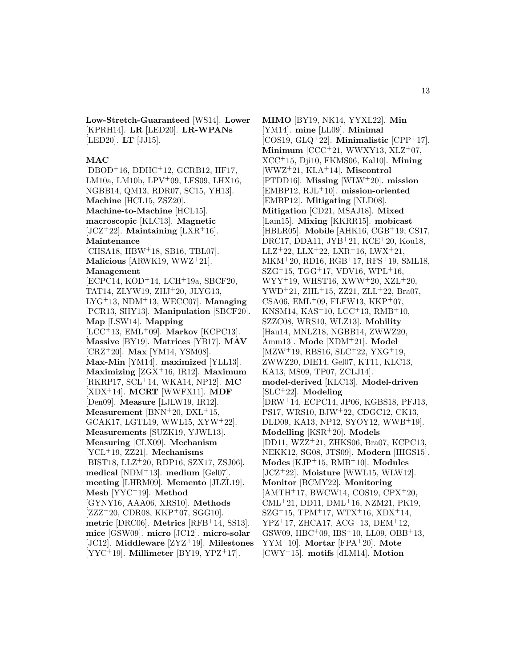**Low-Stretch-Guaranteed** [WS14]. **Lower** [KPRH14]. **LR** [LED20]. **LR-WPANs** [LED20]. **LT** [JJ15].

#### **MAC**

[DBOD<sup>+</sup>16, DDHC<sup>+</sup>12, GCRB12, HF17, LM10a, LM10b, LPV<sup>+</sup>09, LFS09, LHX16, NGBB14, QM13, RDR07, SC15, YH13]. **Machine** [HCL15, ZSZ20]. **Machine-to-Machine** [HCL15]. **macroscopic** [KLC13]. **Magnetic** [JCZ<sup>+</sup>22]. **Maintaining** [LXR<sup>+</sup>16]. **Maintenance** [CHSA18, HBW<sup>+</sup>18, SB16, TBL07]. **Malicious** [ARWK19, WWZ<sup>+</sup>21]. **Management** [ECPC14, KOD<sup>+</sup>14, LCH<sup>+</sup>19a, SBCF20, TAT14, ZLYW19, ZHJ<sup>+</sup>20, JLYG13, LYG<sup>+</sup>13, NDM<sup>+</sup>13, WECC07]. **Managing** [PCR13, SHY13]. **Manipulation** [SBCF20]. **Map** [LSW14]. **Mapping** [LCC<sup>+</sup>13, EML<sup>+</sup>09]. **Markov** [KCPC13]. **Massive** [BY19]. **Matrices** [YB17]. **MAV** [CRZ<sup>+</sup>20]. **Max** [YM14, YSM08]. **Max-Min** [YM14]. **maximized** [YLL13]. **Maximizing** [ZGX<sup>+</sup>16, IR12]. **Maximum** [RKRP17, SCL<sup>+</sup>14, WKA14, NP12]. **MC** [XDX<sup>+</sup>14]. **MCRT** [WWFX11]. **MDF** [Den09]. **Measure** [LJLW19, IR12]. **Measurement** [BNN<sup>+</sup>20, DXL<sup>+</sup>15, GCAK17, LGTL19, WWL15, XYW<sup>+</sup>22]. **Measurements** [SUZK19, YJWL13]. **Measuring** [CLX09]. **Mechanism** [YCL<sup>+</sup>19, ZZ21]. **Mechanisms** [BIST18, LLZ<sup>+</sup>20, RDP16, SZX17, ZSJ06]. **medical** [NDM<sup>+</sup>13]. **medium** [Gel07]. **meeting** [LHRM09]. **Memento** [JLZL19]. **Mesh** [YYC<sup>+</sup>19]. **Method** [GYNY16, AAA06, XRS10]. **Methods**  $[ZZZ^+20, \text{CDR08}, \text{KKP}^+07, \text{SGG10}].$ **metric** [DRC06]. **Metrics** [RFB<sup>+</sup>14, SS13]. **mice** [GSW09]. **micro** [JC12]. **micro-solar** [JC12]. **Middleware** [ZYZ<sup>+</sup>19]. **Milestones** [YYC<sup>+</sup>19]. **Millimeter** [BY19, YPZ<sup>+</sup>17].

**MIMO** [BY19, NK14, YYXL22]. **Min** [YM14]. **mine** [LL09]. **Minimal** [COS19, GLQ<sup>+</sup>22]. **Minimalistic** [CPP<sup>+</sup>17]. **Minimum** [CCC<sup>+</sup>21, WWXY13, XLZ<sup>+</sup>07, XCC<sup>+</sup>15, Dji10, FKMS06, Kal10]. **Mining** [WWZ<sup>+</sup>21, KLA<sup>+</sup>14]. **Miscontrol** [PTDD16]. **Missing** [WLW<sup>+</sup>20]. **mission** [EMBP12, RJL<sup>+</sup>10]. **mission-oriented** [EMBP12]. **Mitigating** [NLD08]. **Mitigation** [CD21, MSAJ18]. **Mixed** [Lam15]. **Mixing** [KKRR15]. **mobicast** [HBLR05]. **Mobile** [AHK16, CGB<sup>+</sup>19, CS17, DRC17, DDA11, JYB<sup>+</sup>21, KCE<sup>+</sup>20, Kou18, LLZ<sup>+</sup>22, LLX<sup>+</sup>22, LXR<sup>+</sup>16, LWX<sup>+</sup>21, MKM<sup>+</sup>20, RD16, RGB<sup>+</sup>17, RFS<sup>+</sup>19, SML18,  $SZG+15$ , TGG+17, VDV16, WPL+16,  $WYY<sup>+</sup>19, WHST16, XWW<sup>+</sup>20, XZL<sup>+</sup>20,$ YWD<sup>+</sup>21, ZHL<sup>+</sup>15, ZZ21, ZLL<sup>+</sup>22, Bra07, CSA06,  $EML+09$ , FLFW13, KKP<sup>+</sup>07, KNSM14, KAS<sup>+</sup>10, LCC<sup>+</sup>13, RMB<sup>+</sup>10, SZZC08, WRS10, WLZ13]. **Mobility** [Hau14, MNLZ18, NGBB14, ZWWZ20, Amm13]. **Mode** [XDM<sup>+</sup>21]. **Model** [MZW<sup>+</sup>19, RBS16, SLC<sup>+</sup>22, YXG<sup>+</sup>19, ZWWZ20, DIE14, Gel07, KT11, KLC13, KA13, MS09, TP07, ZCLJ14]. **model-derived** [KLC13]. **Model-driven** [SLC<sup>+</sup>22]. **Modeling** [DRW<sup>+</sup>14, ECPC14, JP06, KGBS18, PFJ13, PS17, WRS10, BJW<sup>+</sup>22, CDGC12, CK13, DLD09, KA13, NP12, SYOY12, WWB<sup>+</sup>19]. **Modelling** [KSR<sup>+</sup>20]. **Models** [DD11, WZZ<sup>+</sup>21, ZHKS06, Bra07, KCPC13, NEKK12, SG08, JTS09]. **Modern** [IHGS15]. **Modes** [KJP<sup>+</sup>15, RMB<sup>+</sup>10]. **Modules** [JCZ<sup>+</sup>22]. **Moisture** [WWL15, WLW12]. **Monitor** [BCMY22]. **Monitoring** [AMTH<sup>+</sup>17, BWCW14, COS19, CPX<sup>+</sup>20, CML<sup>+</sup>21, DD11, DML<sup>+</sup>16, NZM21, PK19,  $SZG+15$ , TPM $+17$ , WTX $+16$ , XDX $+14$ ,  $YPZ^+17$ , ZHCA17, ACG<sup>+</sup>13, DEM<sup>+</sup>12, GSW09, HBC<sup>+</sup>09, IBS<sup>+</sup>10, LL09, OBB<sup>+</sup>13, YYM<sup>+</sup>10]. **Mortar** [FPA<sup>+</sup>20]. **Mote** [CWY<sup>+</sup>15]. **motifs** [dLM14]. **Motion**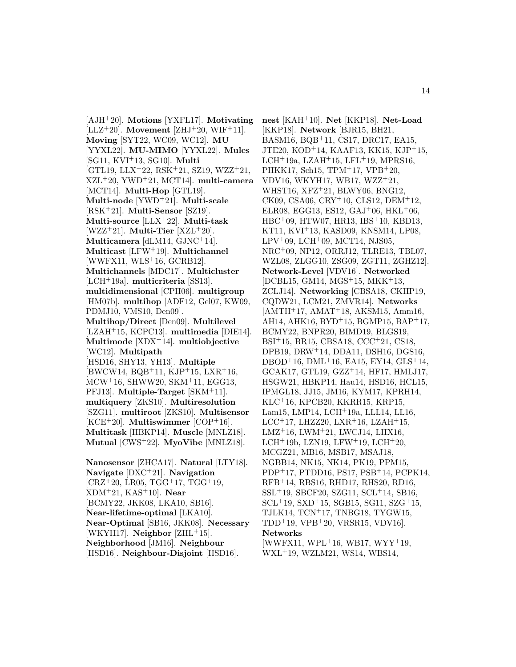[AJH<sup>+</sup>20]. **Motions** [YXFL17]. **Motivating** [ $LLZ+20$ ]. **Movement** [ $ZHJ+20$ ,  $WIF+11$ ]. **Moving** [SYT22, WC09, WC12]. **MU** [YYXL22]. **MU-MIMO** [YYXL22]. **Mules** [SG11, KVI<sup>+</sup>13, SG10]. **Multi**  $[GTL19, LLX+22, RSK+21, SZ19, WZZ+21,$ XZL<sup>+</sup>20, YWD<sup>+</sup>21, MCT14]. **multi-camera** [MCT14]. **Multi-Hop** [GTL19]. **Multi-node** [YWD<sup>+</sup>21]. **Multi-scale** [RSK<sup>+</sup>21]. **Multi-Sensor** [SZ19]. **Multi-source** [LLX<sup>+</sup>22]. **Multi-task** [WZZ<sup>+</sup>21]. **Multi-Tier** [XZL<sup>+</sup>20]. **Multicamera** [dLM14, GJNC<sup>+</sup>14]. **Multicast** [LFW<sup>+</sup>19]. **Multichannel**  $[WWFX11, WLS<sup>+</sup>16, GCRB12].$ **Multichannels** [MDC17]. **Multicluster** [LCH<sup>+</sup>19a]. **multicriteria** [SS13]. **multidimensional** [CPH06]. **multigroup** [HM07b]. **multihop** [ADF12, Gel07, KW09, PDMJ10, VMS10, Den09]. **Multihop/Direct** [Den09]. **Multilevel** [LZAH<sup>+</sup>15, KCPC13]. **multimedia** [DIE14]. **Multimode** [XDX<sup>+</sup>14]. **multiobjective** [WC12]. **Multipath** [HSD16, SHY13, YH13]. **Multiple**  $[BWCW14, BQB+11, KJP+15, LXR+16,$ MCW<sup>+</sup>16, SHWW20, SKM<sup>+</sup>11, EGG13, PFJ13]. **Multiple-Target** [SKM<sup>+</sup>11]. **multiquery** [ZKS10]. **Multiresolution** [SZG11]. **multiroot** [ZKS10]. **Multisensor**  $[KCE<sup>+</sup>20]$ . **Multiswimmer**  $[COP<sup>+</sup>16]$ . **Multitask** [HBKP14]. **Muscle** [MNLZ18]. **Mutual** [CWS<sup>+</sup>22]. **MyoVibe** [MNLZ18]. **Nanosensor** [ZHCA17]. **Natural** [LTY18].

**Navigate** [DXC<sup>+</sup>21]. **Navigation**  $[CRZ+20, LR05, TGG+17, TGG+19,$ XDM<sup>+</sup>21, KAS<sup>+</sup>10]. **Near** [BCMY22, JKK08, LKA10, SB16]. **Near-lifetime-optimal** [LKA10]. **Near-Optimal** [SB16, JKK08]. **Necessary** [WKYH17]. **Neighbor** [ZHL<sup>+</sup>15]. **Neighborhood** [JM16]. **Neighbour** [HSD16]. **Neighbour-Disjoint** [HSD16].

**nest** [KAH<sup>+</sup>10]. **Net** [KKP18]. **Net-Load** [KKP18]. **Network** [BJR15, BH21, BASM16, BQB<sup>+</sup>11, CS17, DRC17, EA15, JTE20, KOD<sup>+</sup>14, KAAF13, KK15, KJP<sup>+</sup>15, LCH<sup>+</sup>19a, LZAH<sup>+</sup>15, LFL<sup>+</sup>19, MPRS16, PHKK17, Sch15, TPM<sup>+</sup>17, VPB<sup>+</sup>20, VDV16, WKYH17, WB17, WZZ<sup>+</sup>21, WHST16, XFZ<sup>+</sup>21, BLWY06, BNG12, CK09, CSA06, CRY<sup>+</sup>10, CLS12, DEM<sup>+</sup>12, ELR08, EGG13, ES12,  $GAJ+06$ ,  $HKL+06$ , HBC<sup>+</sup>09, HTW07, HR13, IBS<sup>+</sup>10, KBD13, KT11, KVI<sup>+</sup>13, KASD09, KNSM14, LP08,  $LPV+09$ ,  $LCH+09$ ,  $MCT14$ , NJS05, NRC<sup>+</sup>09, NP12, ORRJ12, TLRE13, TBL07, WZL08, ZLGG10, ZSG09, ZGT11, ZGHZ12]. **Network-Level** [VDV16]. **Networked** [DCBL15, GM14, MGS<sup>+</sup>15, MKK<sup>+</sup>13, ZCLJ14]. **Networking** [CBSA18, CKHP19, CQDW21, LCM21, ZMVR14]. **Networks** [AMTH<sup>+</sup>17, AMAT<sup>+</sup>18, AKSM15, Amm16, AH14, AHK16, BYD<sup>+</sup>15, BGMP15, BAP<sup>+</sup>17, BCMY22, BNPR20, BIMD19, BLGS19, BSI<sup>+</sup>15, BR15, CBSA18, CCC<sup>+</sup>21, CS18, DPB19, DRW<sup>+</sup>14, DDA11, DSH16, DGS16, DBOD<sup>+</sup>16, DML<sup>+</sup>16, EA15, EY14, GLS<sup>+</sup>14, GCAK17, GTL19, GZZ<sup>+</sup>14, HF17, HMLJ17, HSGW21, HBKP14, Hau14, HSD16, HCL15, IPMGL18, JJ15, JM16, KYM17, KPRH14, KLC<sup>+</sup>16, KPCB20, KKRR15, KRP15, Lam15, LMP14, LCH<sup>+</sup>19a, LLL14, LL16, LCC<sup>+</sup>17, LHZZ20, LXR<sup>+</sup>16, LZAH<sup>+</sup>15, LMZ<sup>+</sup>16, LWM<sup>+</sup>21, LWCJ14, LHX16, LCH<sup>+</sup>19b, LZN19, LFW<sup>+</sup>19, LCH<sup>+</sup>20, MCGZ21, MB16, MSB17, MSAJ18, NGBB14, NK15, NK14, PK19, PPM15, PDP<sup>+</sup>17, PTDD16, PS17, PSB<sup>+</sup>14, PCPK14, RFB<sup>+</sup>14, RBS16, RHD17, RHS20, RD16, SSL<sup>+</sup>19, SBCF20, SZG11, SCL<sup>+</sup>14, SB16,  $SCL+19$ ,  $SXD+15$ ,  $SGB15$ ,  $SGI1$ ,  $SZG+15$ , TJLK14, TCN<sup>+</sup>17, TNBG18, TYGW15, TDD<sup>+</sup>19, VPB<sup>+</sup>20, VRSR15, VDV16]. **Networks** [WWFX11, WPL<sup>+</sup>16, WB17, WYY<sup>+</sup>19,

WXL<sup>+</sup>19, WZLM21, WS14, WBS14,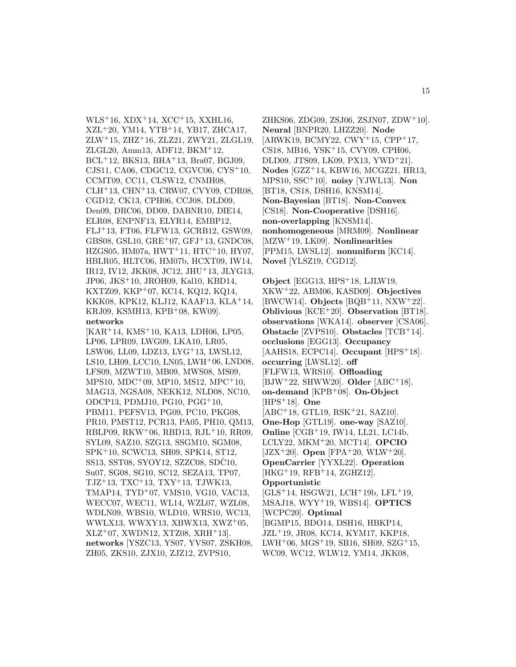$WLS<sup>+</sup>16$ ,  $XDX<sup>+</sup>14$ ,  $XCC<sup>+</sup>15$ ,  $XXHL16$ , XZL<sup>+</sup>20, YM14, YTB<sup>+</sup>14, YB17, ZHCA17,  $ZLW+15$ ,  $ZHZ+16$ ,  $ZLZ21$ ,  $ZWY21$ ,  $ZLGL19$ , ZLGL20, Amm13, ADF12, BKM<sup>+</sup>12, BCL<sup>+</sup>12, BKS13, BHA<sup>+</sup>13, Bra07, BGJ09, CJS11, CA06, CDGC12, CGVC06, CYS<sup>+</sup>10, CCMT09, CC11, CLSW12, CNMH08, CLH<sup>+</sup>13, CHN<sup>+</sup>13, CRW07, CVY09, CDR08, CGD12, CK13, CPH06, CCJ08, DLD09, Den09, DRC06, DD09, DABNR10, DIE14, ELR08, ENPNF13, ELYR14, EMBP12, FLJ<sup>+</sup>13, FT06, FLFW13, GCRB12, GSW09, GBS08, GSL10, GRE<sup>+</sup>07, GFJ<sup>+</sup>13, GNDC08, HZGS05, HM07a, HWT<sup>+</sup>11, HTC<sup>+</sup>10, HY07, HBLR05, HLTC06, HM07b, HCXT09, IW14, IR12, IV12, JKK08, JC12, JHU<sup>+</sup>13, JLYG13, JP06, JKS<sup>+</sup>10, JROH09, Kal10, KBD14, KXTZ09, KKP<sup>+</sup>07, KC14, KQ12, KQ14, KKK08, KPK12, KLJ12, KAAF13, KLA<sup>+</sup>14, KRJ09, KSMH13, KPB<sup>+</sup>08, KW09]. **networks**

[KAR<sup>+</sup>14, KMS<sup>+</sup>10, KA13, LDH06, LP05, LP06, LPR09, LWG09, LKA10, LR05, LSW06, LL09, LDZ13, LYG<sup>+</sup>13, LWSL12, LS10, LH09, LCC10, LN05, LWH<sup>+</sup>06, LND08, LFS09, MZWT10, MB09, MWS08, MS09, MPS10, MDC<sup>+</sup>09, MP10, MS12, MPC<sup>+</sup>10, MAG13, NGSA08, NEKK12, NLD08, NC10, ODCP13, PDMJ10, PG10, PGG<sup>+</sup>10, PBM11, PEFSV13, PG09, PC10, PKG08, PR10, PMST12, PCR13, PA05, PH10, QM13, RBLP09, RKW<sup>+</sup>06, RBD13, RJL<sup>+</sup>10, RR09, SYL09, SAZ10, SZG13, SSGM10, SGM08, SPK<sup>+</sup>10, SCWC13, SH09, SPK14, ST12, SS13, SST08, SYOY12, SZZC08, SDC10, Su07, SG08, SG10, SC12, SEZA13, TP07, TJZ<sup>+</sup>13, TXC<sup>+</sup>13, TXY<sup>+</sup>13, TJWK13, TMAP14, TYD<sup>+</sup>07, VMS10, VG10, VAC13, WECC07, WEC11, WL14, WZL07, WZL08, WDLN09, WBS10, WLD10, WRS10, WC13, WWLX13, WWXY13, XBWX13, XWZ<sup>+</sup>05,  $XLZ+07$ , XWDN12, XTZ08, XRH $+13$ . **networks** [YSZC13, YS07, YVS07, ZSKH08, ZH05, ZKS10, ZJX10, ZJZ12, ZVPS10,

ZHKS06, ZDG09, ZSJ06, ZSJN07, ZDW<sup>+</sup>10]. **Neural** [BNPR20, LHZZ20]. **Node**  $[ARWK19, BCMY22, CWY<sup>+</sup>15, CPP<sup>+</sup>17,$ CS18, MB16, YSK<sup>+</sup>15, CVY09, CPH06, DLD09, JTS09, LK09, PX13, YWD<sup>+</sup>21]. **Nodes** [GZZ<sup>+</sup>14, KBW16, MCGZ21, HR13, MPS10, SSC<sup>+</sup>10]. **noisy** [YJWL13]. **Non** [BT18, CS18, DSH16, KNSM14]. **Non-Bayesian** [BT18]. **Non-Convex** [CS18]. **Non-Cooperative** [DSH16]. **non-overlapping** [KNSM14]. **nonhomogeneous** [MRM09]. **Nonlinear** [MZW<sup>+</sup>19, LK09]. **Nonlinearities** [PPM15, LWSL12]. **nonuniform** [KC14]. **Novel** [YLSZ19, CGD12].

**Object** [EGG13, HPS<sup>+</sup>18, LJLW19, XKW<sup>+</sup>22, ABM06, KASD09]. **Objectives** [BWCW14]. **Objects** [BQB<sup>+</sup>11, NXW<sup>+</sup>22]. **Oblivious** [KCE<sup>+</sup>20]. **Observation** [BT18]. **observations** [WKA14]. **observer** [CSA06]. **Obstacle** [ZVPS10]. **Obstacles** [TCB<sup>+</sup>14]. **occlusions** [EGG13]. **Occupancy** [AAHS18, ECPC14]. **Occupant** [HPS<sup>+</sup>18]. **occurring** [LWSL12]. **off** [FLFW13, WRS10]. **Offloading** [BJW<sup>+</sup>22, SHWW20]. **Older** [ABC<sup>+</sup>18]. **on-demand** [KPB<sup>+</sup>08]. **On-Object** [HPS<sup>+</sup>18]. **One** [ABC<sup>+</sup>18, GTL19, RSK<sup>+</sup>21, SAZ10]. **One-Hop** [GTL19]. **one-way** [SAZ10]. **Online** [CGB<sup>+</sup>19, IW14, LL21, LC14b, LCLY22, MKM<sup>+</sup>20, MCT14]. **OPCIO** [JZX<sup>+</sup>20]. **Open** [FPA<sup>+</sup>20, WLW<sup>+</sup>20]. **OpenCarrier** [YYXL22]. **Operation** [HKG<sup>+</sup>19, RFB<sup>+</sup>14, ZGHZ12]. **Opportunistic** [GLS<sup>+</sup>14, HSGW21, LCH<sup>+</sup>19b, LFL<sup>+</sup>19, MSAJ18, WYY<sup>+</sup>19, WBS14]. **OPTICS** [WCPC20]. **Optimal**

[BGMP15, BDO14, DSH16, HBKP14, JZL<sup>+</sup>19, JR08, KC14, KYM17, KKP18, LWH<sup>+</sup>06, MGS<sup>+</sup>19, SB16, SH09, SZG<sup>+</sup>15, WC09, WC12, WLW12, YM14, JKK08,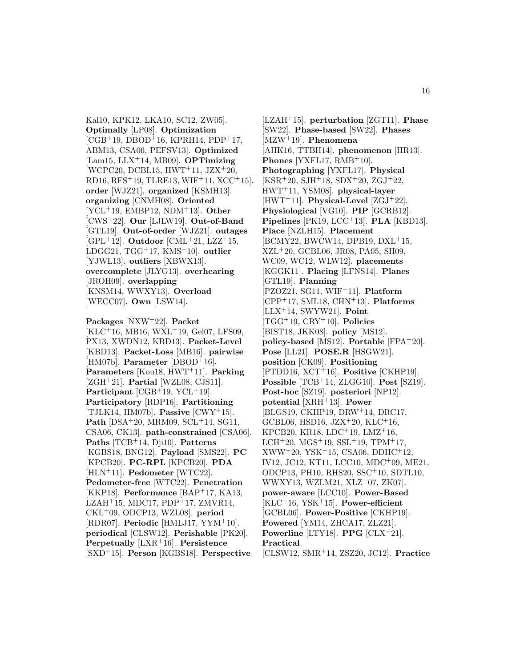Kal10, KPK12, LKA10, SC12, ZW05]. **Optimally** [LP08]. **Optimization**  $[CGB+19, DBOD+16, KPRH14, PDP+17,$ ABM13, CSA06, PEFSV13]. **Optimized** [Lam15, LLX<sup>+</sup>14, MB09]. **OPTimizing**  $[WCPC20, DCBL15, HWT+11, JZX+20,$ RD16, RFS<sup>+</sup>19, TLRE13, WIF<sup>+</sup>11, XCC<sup>+</sup>15]. **order** [WJZ21]. **organized** [KSMH13]. **organizing** [CNMH08]. **Oriented** [YCL<sup>+</sup>19, EMBP12, NDM<sup>+</sup>13]. **Other** [CWS<sup>+</sup>22]. **Our** [LJLW19]. **Out-of-Band** [GTL19]. **Out-of-order** [WJZ21]. **outages** [GPL<sup>+</sup>12]. **Outdoor** [CML<sup>+</sup>21, LZZ<sup>+</sup>15, LDGG21, TGG<sup>+</sup>17, KMS<sup>+</sup>10]. **outlier** [YJWL13]. **outliers** [XBWX13]. **overcomplete** [JLYG13]. **overhearing** [JROH09]. **overlapping** [KNSM14, WWXY13]. **Overload** [WECC07]. **Own** [LSW14].

**Packages** [NXW<sup>+</sup>22]. **Packet** [KLC<sup>+</sup>16, MB16, WXL<sup>+</sup>19, Gel07, LFS09, PX13, XWDN12, KBD13]. **Packet-Level** [KBD13]. **Packet-Loss** [MB16]. **pairwise** [HM07b]. **Parameter** [DBOD<sup>+</sup>16]. **Parameters** [Kou18, HWT<sup>+</sup>11]. **Parking** [ZGH<sup>+</sup>21]. **Partial** [WZL08, CJS11]. **Participant** [CGB<sup>+</sup>19, YCL<sup>+</sup>19]. **Participatory** [RDP16]. **Partitioning** [TJLK14, HM07b]. **Passive** [CWY<sup>+</sup>15]. **Path** [DSA<sup>+</sup>20, MRM09, SCL<sup>+</sup>14, SG11, CSA06, CK13]. **path-constrained** [CSA06]. **Paths** [TCB<sup>+</sup>14, Dji10]. **Patterns** [KGBS18, BNG12]. **Payload** [SMS22]. **PC** [KPCB20]. **PC-RPL** [KPCB20]. **PDA** [HLN<sup>+</sup>11]. **Pedometer** [WTC22]. **Pedometer-free** [WTC22]. **Penetration** [KKP18]. **Performance** [BAP<sup>+</sup>17, KA13, LZAH $+15$ , MDC17, PDP $+17$ , ZMVR14, CKL<sup>+</sup>09, ODCP13, WZL08]. **period** [RDR07]. **Periodic** [HMLJ17, YYM<sup>+</sup>10]. **periodical** [CLSW12]. **Perishable** [PK20]. **Perpetually** [LXR<sup>+</sup>16]. **Persistence** [SXD<sup>+</sup>15]. **Person** [KGBS18]. **Perspective**

[LZAH<sup>+</sup>15]. **perturbation** [ZGT11]. **Phase** [SW22]. **Phase-based** [SW22]. **Phases** [MZW<sup>+</sup>19]. **Phenomena** [AHK16, TTBH14]. **phenomenon** [HR13]. **Phones** [YXFL17,  $RMB+10$ ]. **Photographing** [YXFL17]. **Physical**  $[KSR<sup>+</sup>20, SJH<sup>+</sup>18, SDX<sup>+</sup>20, ZGJ<sup>+</sup>22,$ HWT<sup>+</sup>11, YSM08]. **physical-layer** [HWT<sup>+</sup>11]. **Physical-Level** [ZGJ<sup>+</sup>22]. **Physiological** [VG10]. **PIP** [GCRB12]. **Pipelines** [PK19, LCC<sup>+</sup>13]. **PLA** [KBD13]. **Place** [NZLH15]. **Placement** [BCMY22, BWCW14, DPB19, DXL<sup>+</sup>15, XZL<sup>+</sup>20, GCBL06, JR08, PA05, SH09, WC09, WC12, WLW12]. **placements** [KGGK11]. **Placing** [LFNS14]. **Planes** [GTL19]. **Planning** [PZOZ21, SG11, WIF<sup>+</sup>11]. **Platform** [CPP<sup>+</sup>17, SML18, CHN<sup>+</sup>13]. **Platforms** [LLX<sup>+</sup>14, SWYW21]. **Point** [TGG<sup>+</sup>19, CRY<sup>+</sup>10]. **Policies** [BIST18, JKK08]. **policy** [MS12]. **policy-based** [MS12]. **Portable** [FPA<sup>+</sup>20]. **Pose** [LL21]. **POSE.R** [HSGW21]. **position** [CK09]. **Positioning** [PTDD16, XCT<sup>+</sup>16]. **Positive** [CKHP19]. **Possible** [TCB<sup>+</sup>14, ZLGG10]. **Post** [SZ19]. **Post-hoc** [SZ19]. **posteriori** [NP12]. **potential** [XRH<sup>+</sup>13]. **Power** [BLGS19, CKHP19, DRW<sup>+</sup>14, DRC17, GCBL06, HSD16, JZX<sup>+</sup>20, KLC<sup>+</sup>16, KPCB20, KR18, LDC<sup>+</sup>19, LMZ<sup>+</sup>16, LCH<sup>+</sup>20, MGS<sup>+</sup>19, SSL<sup>+</sup>19, TPM<sup>+</sup>17,  $XWW+20, YSK+15, CSA06, DDHC+12,$ IV12, JC12, KT11, LCC10, MDC<sup>+</sup>09, ME21, ODCP13, PH10, RHS20, SSC<sup>+</sup>10, SDTL10, WWXY13, WZLM21, XLZ<sup>+</sup>07, ZK07]. **power-aware** [LCC10]. **Power-Based** [KLC<sup>+</sup>16, YSK<sup>+</sup>15]. **Power-efficient** [GCBL06]. **Power-Positive** [CKHP19]. **Powered** [YM14, ZHCA17, ZLZ21]. **Powerline** [LTY18]. **PPG** [CLX<sup>+</sup>21]. **Practical** [CLSW12, SMR<sup>+</sup>14, ZSZ20, JC12]. **Practice**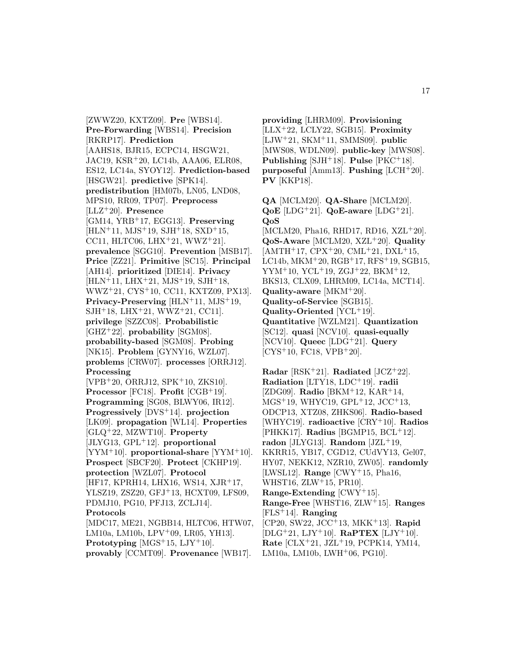[ZWWZ20, KXTZ09]. **Pre** [WBS14]. **Pre-Forwarding** [WBS14]. **Precision** [RKRP17]. **Prediction** [AAHS18, BJR15, ECPC14, HSGW21, JAC19, KSR<sup>+</sup>20, LC14b, AAA06, ELR08, ES12, LC14a, SYOY12]. **Prediction-based** [HSGW21]. **predictive** [SPK14]. **predistribution** [HM07b, LN05, LND08, MPS10, RR09, TP07]. **Preprocess** [LLZ<sup>+</sup>20]. **Presence** [GM14, YRB<sup>+</sup>17, EGG13]. **Preserving** [HLN<sup>+</sup>11, MJS<sup>+</sup>19, SJH<sup>+</sup>18, SXD<sup>+</sup>15, CC11, HLTC06, LHX $+21$ , WWZ $+21$ ]. **prevalence** [SGG10]. **Prevention** [MSB17]. **Price** [ZZ21]. **Primitive** [SC15]. **Principal** [AH14]. **prioritized** [DIE14]. **Privacy**  $[HLN+11, LHX+21, MJS+19, SJH+18,$ WWZ<sup>+</sup>21, CYS<sup>+</sup>10, CC11, KXTZ09, PX13]. **Privacy-Preserving** [HLN<sup>+</sup>11, MJS<sup>+</sup>19, SJH<sup>+</sup>18, LHX<sup>+</sup>21, WWZ<sup>+</sup>21, CC11]. **privilege** [SZZC08]. **Probabilistic** [GHZ<sup>+</sup>22]. **probability** [SGM08]. **probability-based** [SGM08]. **Probing** [NK15]. **Problem** [GYNY16, WZL07]. **problems** [CRW07]. **processes** [ORRJ12]. **Processing** [VPB<sup>+</sup>20, ORRJ12, SPK<sup>+</sup>10, ZKS10]. **Processor** [FC18]. **Profit** [CGB<sup>+</sup>19]. **Programming** [SG08, BLWY06, IR12]. **Progressively** [DVS<sup>+</sup>14]. **projection** [LK09]. **propagation** [WL14]. **Properties** [GLQ<sup>+</sup>22, MZWT10]. **Property** [JLYG13, GPL<sup>+</sup>12]. **proportional** [YYM<sup>+</sup>10]. **proportional-share** [YYM<sup>+</sup>10]. **Prospect** [SBCF20]. **Protect** [CKHP19]. **protection** [WZL07]. **Protocol** [HF17, KPRH14, LHX16, WS14, XJR<sup>+</sup>17, YLSZ19, ZSZ20, GFJ<sup>+</sup>13, HCXT09, LFS09, PDMJ10, PG10, PFJ13, ZCLJ14]. **Protocols** [MDC17, ME21, NGBB14, HLTC06, HTW07, LM10a, LM10b, LPV<sup>+</sup>09, LR05, YH13]. **Prototyping**  $[MGS^+15, LJY^+10]$ . **provably** [CCMT09]. **Provenance** [WB17].

**providing** [LHRM09]. **Provisioning** [LLX<sup>+</sup>22, LCLY22, SGB15]. **Proximity** [LJW<sup>+</sup>21, SKM<sup>+</sup>11, SMMS09]. **public** [MWS08, WDLN09]. **public-key** [MWS08]. **Publishing** [SJH<sup>+</sup>18]. **Pulse** [PKC<sup>+</sup>18]. **purposeful** [Amm13]. **Pushing** [LCH<sup>+</sup>20]. **PV** [KKP18].

**QA** [MCLM20]. **QA-Share** [MCLM20]. **QoE** [LDG<sup>+</sup>21]. **QoE-aware** [LDG<sup>+</sup>21]. **QoS** [MCLM20, Pha16, RHD17, RD16, XZL+20]. **QoS-Aware** [MCLM20, XZL<sup>+</sup>20]. **Quality**  $[AMTH<sup>+</sup>17, CPX<sup>+</sup>20, CML<sup>+</sup>21, DXL<sup>+</sup>15,$ LC14b, MKM<sup>+</sup>20, RGB<sup>+</sup>17, RFS<sup>+</sup>19, SGB15,  $YYM+10$ ,  $YCL+19$ ,  $ZGJ+22$ ,  $BKM+12$ , BKS13, CLX09, LHRM09, LC14a, MCT14].

**Quality-aware** [MKM<sup>+</sup>20]. **Quality-of-Service** [SGB15]. **Quality-Oriented** [YCL<sup>+</sup>19]. **Quantitative** [WZLM21]. **Quantization** [SC12]. **quasi** [NCV10]. **quasi-equally** [NCV10]. **Queec** [LDG<sup>+</sup>21]. **Query**  $[CYS+10, FC18, VPB+20].$ 

**Radar** [RSK<sup>+</sup>21]. **Radiated** [JCZ<sup>+</sup>22]. **Radiation** [LTY18, LDC<sup>+</sup>19]. **radii** [ZDG09]. **Radio** [BKM<sup>+</sup>12, KAR<sup>+</sup>14, MGS<sup>+</sup>19, WHYC19, GPL<sup>+</sup>12, JCC<sup>+</sup>13, ODCP13, XTZ08, ZHKS06]. **Radio-based** [WHYC19]. **radioactive** [CRY<sup>+</sup>10]. **Radios** [PHKK17]. **Radius** [BGMP15, BCL<sup>+</sup>12]. radon [JLYG13]. **Random**  $[JZL^+19,$ KKRR15, YB17, CGD12, CUdVY13, Gel07, HY07, NEKK12, NZR10, ZW05]. **randomly** [LWSL12]. **Range** [CWY<sup>+</sup>15, Pha16, WHST16, ZLW<sup>+</sup>15, PR10]. **Range-Extending** [CWY<sup>+</sup>15]. **Range-Free** [WHST16, ZLW<sup>+</sup>15]. **Ranges** [FLS<sup>+</sup>14]. **Ranging** [CP20, SW22, JCC<sup>+</sup>13, MKK<sup>+</sup>13]. **Rapid**  $[DLG+21, LJY+10]$ . **RaPTEX**  $[LJY+10]$ . **Rate** [CLX<sup>+</sup>21, JZL<sup>+</sup>19, PCPK14, YM14, LM10a, LM10b, LWH<sup>+</sup>06, PG10].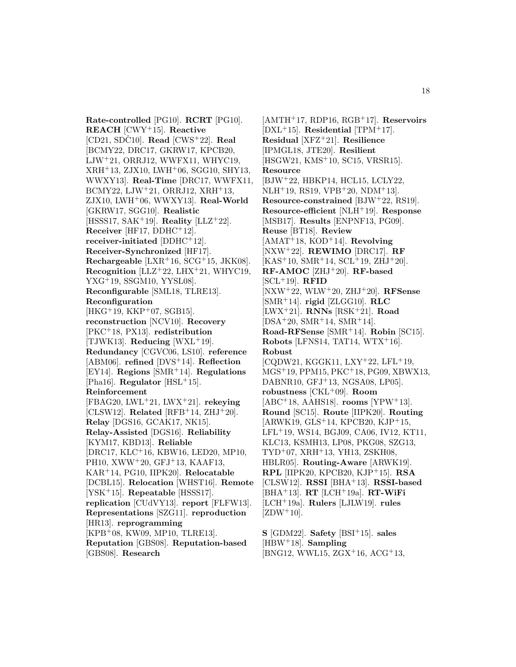**Rate-controlled** [PG10]. **RCRT** [PG10]. **REACH** [CWY<sup>+</sup>15]. **Reactive**  $[CD21, SDC10]$ . **Read**  $[CWS^+22]$ . **Real** [BCMY22, DRC17, GKRW17, KPCB20, LJW<sup>+</sup>21, ORRJ12, WWFX11, WHYC19, XRH<sup>+</sup>13, ZJX10, LWH<sup>+</sup>06, SGG10, SHY13, WWXY13]. **Real-Time** [DRC17, WWFX11,  $BCMY22, LJW^+21, ORRJ12, XRH^+13,$ ZJX10, LWH<sup>+</sup>06, WWXY13]. **Real-World** [GKRW17, SGG10]. **Realistic** [HSSS17, SAK<sup>+</sup>19]. **Reality** [LLZ<sup>+</sup>22]. **Receiver** [HF17, DDHC<sup>+</sup>12]. **receiver-initiated** [DDHC<sup>+</sup>12]. **Receiver-Synchronized** [HF17]. **Rechargeable** [LXR<sup>+</sup>16, SCG<sup>+</sup>15, JKK08]. **Recognition** [LLZ<sup>+</sup>22, LHX<sup>+</sup>21, WHYC19, YXG<sup>+</sup>19, SSGM10, YYSL08]. **Reconfigurable** [SML18, TLRE13]. **Reconfiguration** [HKG<sup>+</sup>19, KKP<sup>+</sup>07, SGB15]. **reconstruction** [NCV10]. **Recovery** [PKC<sup>+</sup>18, PX13]. **redistribution** [TJWK13]. **Reducing** [WXL<sup>+</sup>19]. **Redundancy** [CGVC06, LS10]. **reference** [ABM06]. **refined** [DVS<sup>+</sup>14]. **Reflection** [EY14]. **Regions** [SMR<sup>+</sup>14]. **Regulations** [Pha16]. **Regulator** [HSL<sup>+</sup>15]. **Reinforcement** [FBAG20, LWL<sup>+</sup>21, LWX<sup>+</sup>21]. **rekeying** [CLSW12]. **Related** [RFB<sup>+</sup>14, ZHJ<sup>+</sup>20]. **Relay** [DGS16, GCAK17, NK15]. **Relay-Assisted** [DGS16]. **Reliability** [KYM17, KBD13]. **Reliable** [DRC17, KLC<sup>+</sup>16, KBW16, LED20, MP10, PH10, XWW<sup>+</sup>20, GFJ<sup>+</sup>13, KAAF13, KAR<sup>+</sup>14, PG10, IIPK20]. **Relocatable** [DCBL15]. **Relocation** [WHST16]. **Remote** [YSK<sup>+</sup>15]. **Repeatable** [HSSS17]. **replication** [CUdVY13]. **report** [FLFW13]. **Representations** [SZG11]. **reproduction** [HR13]. **reprogramming** [KPB<sup>+</sup>08, KW09, MP10, TLRE13]. **Reputation** [GBS08]. **Reputation-based** [GBS08]. **Research**

[AMTH<sup>+</sup>17, RDP16, RGB<sup>+</sup>17]. **Reservoirs** [DXL<sup>+</sup>15]. **Residential** [TPM<sup>+</sup>17]. **Residual** [XFZ<sup>+</sup>21]. **Resilience** [IPMGL18, JTE20]. **Resilient** [HSGW21, KMS<sup>+</sup>10, SC15, VRSR15]. **Resource** [BJW<sup>+</sup>22, HBKP14, HCL15, LCLY22,  $NLH+19$ , RS19, VPB $+20$ , NDM $+13$ ]. **Resource-constrained** [BJW<sup>+</sup>22, RS19]. **Resource-efficient** [NLH<sup>+</sup>19]. **Response** [MSB17]. **Results** [ENPNF13, PG09]. **Reuse** [BT18]. **Review** [AMAT<sup>+</sup>18, KOD<sup>+</sup>14]. **Revolving** [NXW<sup>+</sup>22]. **REWIMO** [DRC17]. **RF**  $[KAS<sup>+</sup>10, SMR<sup>+</sup>14, SCL<sup>+</sup>19, ZHJ<sup>+</sup>20].$ **RF-AMOC** [ZHJ<sup>+</sup>20]. **RF-based** [SCL<sup>+</sup>19]. **RFID** [NXW<sup>+</sup>22, WLW<sup>+</sup>20, ZHJ<sup>+</sup>20]. **RFSense** [SMR<sup>+</sup>14]. **rigid** [ZLGG10]. **RLC** [LWX<sup>+</sup>21]. **RNNs** [RSK<sup>+</sup>21]. **Road** [DSA<sup>+</sup>20, SMR<sup>+</sup>14, SMR<sup>+</sup>14]. **Road-RFSense** [SMR<sup>+</sup>14]. **Robin** [SC15]. **Robots** [LFNS14, TAT14, WTX<sup>+</sup>16]. **Robust**  $[CQDW21, KGGK11, LXY<sup>+</sup>22, LFL<sup>+</sup>19,$ MGS<sup>+</sup>19, PPM15, PKC<sup>+</sup>18, PG09, XBWX13, DABNR10, GFJ<sup>+</sup>13, NGSA08, LP05]. **robustness** [CKL<sup>+</sup>09]. **Room** [ABC<sup>+</sup>18, AAHS18]. **rooms** [YPW<sup>+</sup>13]. **Round** [SC15]. **Route** [IIPK20]. **Routing**  $[ARWK19, GLS<sup>+</sup>14, KPCB20, KJP<sup>+</sup>15,$ LFL<sup>+</sup>19, WS14, BGJ09, CA06, IV12, KT11, KLC13, KSMH13, LP08, PKG08, SZG13, TYD<sup>+</sup>07, XRH<sup>+</sup>13, YH13, ZSKH08, HBLR05]. **Routing-Aware** [ARWK19]. **RPL** [IIPK20, KPCB20, KJP<sup>+</sup>15]. **RSA** [CLSW12]. **RSSI** [BHA<sup>+</sup>13]. **RSSI-based** [BHA<sup>+</sup>13]. **RT** [LCH<sup>+</sup>19a]. **RT-WiFi** [LCH<sup>+</sup>19a]. **Rulers** [LJLW19]. **rules**  $[ZDW^+10]$ .

**S** [GDM22]. **Safety** [BSI<sup>+</sup>15]. **sales** [HBW<sup>+</sup>18]. **Sampling** [BNG12, WWL15, ZGX<sup>+</sup>16, ACG<sup>+</sup>13,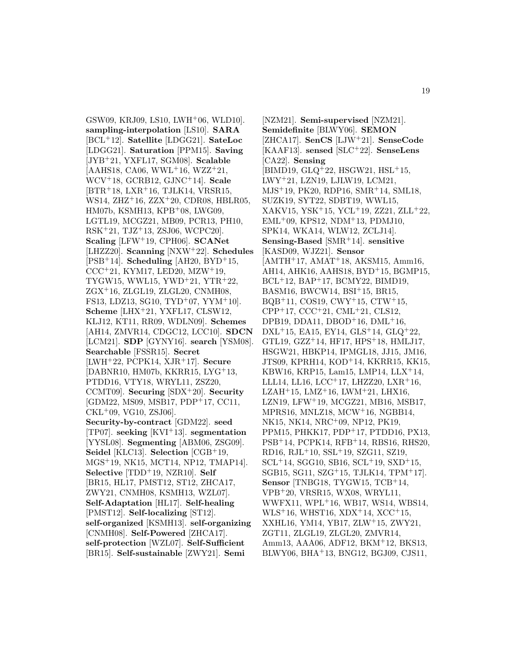GSW09, KRJ09, LS10, LWH<sup>+</sup>06, WLD10]. **sampling-interpolation** [LS10]. **SARA** [BCL<sup>+</sup>12]. **Satellite** [LDGG21]. **SateLoc** [LDGG21]. **Saturation** [PPM15]. **Saving** [JYB<sup>+</sup>21, YXFL17, SGM08]. **Scalable**  $[AAHS18, CA06, WWL<sup>+</sup>16, WZZ<sup>+</sup>21,$ WCV<sup>+</sup>18, GCRB12, GJNC<sup>+</sup>14]. **Scale**  $[BTR+18, LXR+16, TJLK14, VRSR15,$ WS14, ZHZ<sup>+</sup>16, ZZX<sup>+</sup>20, CDR08, HBLR05, HM07b, KSMH13, KPB<sup>+</sup>08, LWG09, LGTL19, MCGZ21, MB09, PCR13, PH10, RSK<sup>+</sup>21, TJZ<sup>+</sup>13, ZSJ06, WCPC20]. **Scaling** [LFW<sup>+</sup>19, CPH06]. **SCANet** [LHZZ20]. **Scanning** [NXW<sup>+</sup>22]. **Schedules** [PSB<sup>+</sup>14]. **Scheduling** [AH20, BYD<sup>+</sup>15,  $CCC+21, KYM17, LED20, MZW+19,$ TYGW15, WWL15, YWD<sup>+</sup>21, YTR<sup>+</sup>22, ZGX<sup>+</sup>16, ZLGL19, ZLGL20, CNMH08, FS13, LDZ13, SG10, TYD<sup>+</sup>07, YYM<sup>+</sup>10]. **Scheme** [LHX<sup>+</sup>21, YXFL17, CLSW12, KLJ12, KT11, RR09, WDLN09]. **Schemes** [AH14, ZMVR14, CDGC12, LCC10]. **SDCN** [LCM21]. **SDP** [GYNY16]. **search** [YSM08]. **Searchable** [FSSR15]. **Secret** [LWH<sup>+</sup>22, PCPK14, XJR<sup>+</sup>17]. **Secure** [DABNR10, HM07b, KKRR15, LYG<sup>+</sup>13, PTDD16, VTY18, WRYL11, ZSZ20, CCMT09]. **Securing** [SDX<sup>+</sup>20]. **Security** [GDM22, MS09, MSB17, PDP<sup>+</sup>17, CC11,  $CKL+09$ , VG10, ZSJ06. **Security-by-contract** [GDM22]. **seed** [TP07]. **seeking** [KVI<sup>+</sup>13]. **segmentation** [YYSL08]. **Segmenting** [ABM06, ZSG09]. **Seidel** [KLC13]. **Selection** [CGB<sup>+</sup>19, MGS<sup>+</sup>19, NK15, MCT14, NP12, TMAP14]. **Selective** [TDD<sup>+</sup>19, NZR10]. **Self** [BR15, HL17, PMST12, ST12, ZHCA17, ZWY21, CNMH08, KSMH13, WZL07]. **Self-Adaptation** [HL17]. **Self-healing** [PMST12]. **Self-localizing** [ST12]. **self-organized** [KSMH13]. **self-organizing** [CNMH08]. **Self-Powered** [ZHCA17]. **self-protection** [WZL07]. **Self-Sufficient** [BR15]. **Self-sustainable** [ZWY21]. **Semi**

[NZM21]. **Semi-supervised** [NZM21]. **Semidefinite** [BLWY06]. **SEMON** [ZHCA17]. **SenCS** [LJW<sup>+</sup>21]. **SenseCode** [KAAF13]. **sensed** [SLC<sup>+</sup>22]. **SenseLens** [CA22]. **Sensing**  $[BIMD19, GLQ<sup>+</sup>22, HSGW21, HSL<sup>+</sup>15,$ LWY<sup>+</sup>21, LZN19, LJLW19, LCM21, MJS<sup>+</sup>19, PK20, RDP16, SMR<sup>+</sup>14, SML18, SUZK19, SYT22, SDBT19, WWL15, XAKV15, YSK<sup>+</sup>15, YCL<sup>+</sup>19, ZZ21, ZLL<sup>+</sup>22, EML<sup>+</sup>09, KPS12, NDM<sup>+</sup>13, PDMJ10, SPK14, WKA14, WLW12, ZCLJ14]. **Sensing-Based** [SMR<sup>+</sup>14]. **sensitive** [KASD09, WJZ21]. **Sensor**  $[AMTH<sup>+</sup>17, AMAT<sup>+</sup>18, AKSM15, Amm16,$ AH14, AHK16, AAHS18, BYD<sup>+</sup>15, BGMP15, BCL<sup>+</sup>12, BAP<sup>+</sup>17, BCMY22, BIMD19, BASM16, BWCW14, BSI<sup>+</sup>15, BR15, BQB<sup>+</sup>11, COS19, CWY<sup>+</sup>15, CTW<sup>+</sup>15, CPP<sup>+</sup>17, CCC<sup>+</sup>21, CML<sup>+</sup>21, CLS12, DPB19, DDA11, DBOD<sup>+</sup>16, DML<sup>+</sup>16, DXL<sup>+</sup>15, EA15, EY14, GLS<sup>+</sup>14, GLQ<sup>+</sup>22, GTL19, GZZ<sup>+</sup>14, HF17, HPS<sup>+</sup>18, HMLJ17, HSGW21, HBKP14, IPMGL18, JJ15, JM16, JTS09, KPRH14, KOD<sup>+</sup>14, KKRR15, KK15, KBW16, KRP15, Lam15, LMP14, LLX<sup>+</sup>14, LLL14, LL16, LCC<sup>+</sup>17, LHZZ20, LXR<sup>+</sup>16, LZAH<sup>+</sup>15, LMZ<sup>+</sup>16, LWM<sup>+</sup>21, LHX16, LZN19, LFW<sup>+</sup>19, MCGZ21, MB16, MSB17, MPRS16, MNLZ18, MCW<sup>+</sup>16, NGBB14, NK15, NK14, NRC<sup>+</sup>09, NP12, PK19, PPM15, PHKK17, PDP<sup>+</sup>17, PTDD16, PX13, PSB<sup>+</sup>14, PCPK14, RFB<sup>+</sup>14, RBS16, RHS20, RD16, RJL<sup>+</sup>10, SSL<sup>+</sup>19, SZG11, SZ19,  $SCL+14$ , SGG10, SB16,  $SCL+19$ ,  $SXD+15$ , SGB15, SG11, SZG<sup>+</sup>15, TJLK14, TPM<sup>+</sup>17]. **Sensor** [TNBG18, TYGW15, TCB<sup>+</sup>14, VPB<sup>+</sup>20, VRSR15, WX08, WRYL11, WWFX11, WPL<sup>+</sup>16, WB17, WS14, WBS14, WLS<sup>+</sup>16, WHST16, XDX<sup>+</sup>14, XCC<sup>+</sup>15, XXHL16, YM14, YB17, ZLW<sup>+</sup>15, ZWY21, ZGT11, ZLGL19, ZLGL20, ZMVR14, Amm13, AAA06, ADF12, BKM<sup>+</sup>12, BKS13, BLWY06, BHA<sup>+</sup>13, BNG12, BGJ09, CJS11,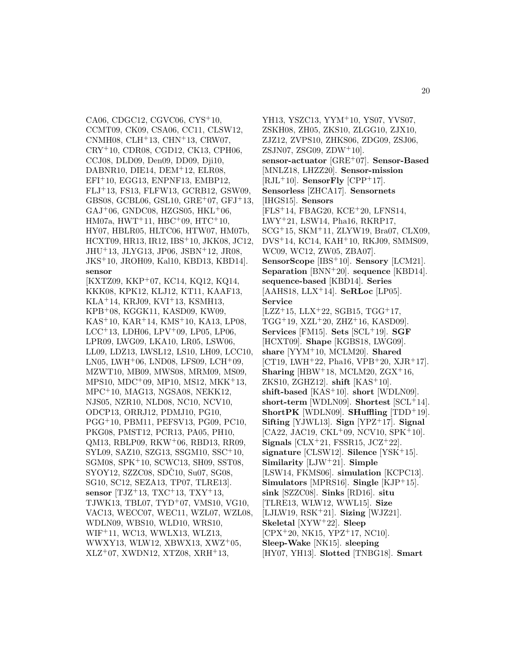CA06, CDGC12, CGVC06, CYS<sup>+</sup>10, CCMT09, CK09, CSA06, CC11, CLSW12, CNMH08, CLH<sup>+</sup>13, CHN<sup>+</sup>13, CRW07, CRY<sup>+</sup>10, CDR08, CGD12, CK13, CPH06, CCJ08, DLD09, Den09, DD09, Dji10, DABNR10, DIE14, DEM<sup>+</sup>12, ELR08, EFI<sup>+</sup>10, EGG13, ENPNF13, EMBP12, FLJ<sup>+</sup>13, FS13, FLFW13, GCRB12, GSW09, GBS08, GCBL06, GSL10, GRE<sup>+</sup>07, GFJ<sup>+</sup>13,  $GAJ+06$ , GNDC08, HZGS05, HKL+06, HM07a, HWT<sup>+</sup>11, HBC<sup>+</sup>09, HTC<sup>+</sup>10, HY07, HBLR05, HLTC06, HTW07, HM07b, HCXT09, HR13, IR12, IBS<sup>+</sup>10, JKK08, JC12, JHU<sup>+</sup>13, JLYG13, JP06, JSBN<sup>+</sup>12, JR08, JKS<sup>+</sup>10, JROH09, Kal10, KBD13, KBD14]. **sensor**

[KXTZ09, KKP<sup>+</sup>07, KC14, KQ12, KQ14, KKK08, KPK12, KLJ12, KT11, KAAF13, KLA<sup>+</sup>14, KRJ09, KVI<sup>+</sup>13, KSMH13, KPB<sup>+</sup>08, KGGK11, KASD09, KW09, KAS<sup>+</sup>10, KAR<sup>+</sup>14, KMS<sup>+</sup>10, KA13, LP08, LCC<sup>+</sup>13, LDH06, LPV<sup>+</sup>09, LP05, LP06, LPR09, LWG09, LKA10, LR05, LSW06, LL09, LDZ13, LWSL12, LS10, LH09, LCC10, LN05, LWH<sup>+</sup>06, LND08, LFS09, LCH<sup>+</sup>09, MZWT10, MB09, MWS08, MRM09, MS09, MPS10, MDC<sup>+</sup>09, MP10, MS12, MKK<sup>+</sup>13, MPC<sup>+</sup>10, MAG13, NGSA08, NEKK12, NJS05, NZR10, NLD08, NC10, NCV10, ODCP13, ORRJ12, PDMJ10, PG10, PGG<sup>+</sup>10, PBM11, PEFSV13, PG09, PC10, PKG08, PMST12, PCR13, PA05, PH10, QM13, RBLP09, RKW<sup>+</sup>06, RBD13, RR09, SYL09, SAZ10, SZG13, SSGM10, SSC<sup>+</sup>10, SGM08, SPK<sup>+</sup>10, SCWC13, SH09, SST08, SYOY12, SZZC08, SDC10, Su07, SG08, SG10, SC12, SEZA13, TP07, TLRE13]. **sensor** [TJZ<sup>+</sup>13, TXC<sup>+</sup>13, TXY<sup>+</sup>13, TJWK13, TBL07, TYD<sup>+</sup>07, VMS10, VG10, VAC13, WECC07, WEC11, WZL07, WZL08, WDLN09, WBS10, WLD10, WRS10, WIF<sup>+</sup>11, WC13, WWLX13, WLZ13, WWXY13, WLW12, XBWX13, XWZ<sup>+</sup>05, XLZ<sup>+</sup>07, XWDN12, XTZ08, XRH<sup>+</sup>13,

YH13, YSZC13, YYM<sup>+</sup>10, YS07, YVS07, ZSKH08, ZH05, ZKS10, ZLGG10, ZJX10, ZJZ12, ZVPS10, ZHKS06, ZDG09, ZSJ06, ZSJN07, ZSG09, ZDW<sup>+</sup>10]. **sensor-actuator** [GRE<sup>+</sup>07]. **Sensor-Based** [MNLZ18, LHZZ20]. **Sensor-mission**  $[RJL+10]$ . **SensorFly**  $[CPP+17]$ . **Sensorless** [ZHCA17]. **Sensornets** [IHGS15]. **Sensors** [FLS<sup>+</sup>14, FBAG20, KCE<sup>+</sup>20, LFNS14, LWY<sup>+</sup>21, LSW14, Pha16, RKRP17, SCG<sup>+</sup>15, SKM<sup>+</sup>11, ZLYW19, Bra07, CLX09, DVS<sup>+</sup>14, KC14, KAH<sup>+</sup>10, RKJ09, SMMS09, WC09, WC12, ZW05, ZBA07]. **SensorScope** [IBS<sup>+</sup>10]. **Sensory** [LCM21]. **Separation** [BNN<sup>+</sup>20]. **sequence** [KBD14]. **sequence-based** [KBD14]. **Series** [AAHS18, LLX<sup>+</sup>14]. **SeRLoc** [LP05]. **Service**  $[LZZ+15, LLX+22, SGB15, TGG+17,$  $TGG+19$ ,  $XZL+20$ ,  $ZHZ+16$ ,  $KASD09$ ]. **Services** [FM15]. **Sets** [SCL<sup>+</sup>19]. **SGF** [HCXT09]. **Shape** [KGBS18, LWG09]. **share** [YYM<sup>+</sup>10, MCLM20]. **Shared** [CT19, LWH<sup>+</sup>22, Pha16, VPB<sup>+</sup>20, XJR<sup>+</sup>17]. **Sharing** [HBW<sup>+</sup>18, MCLM20,  $ZGX$ <sup>+</sup>16, ZKS10, ZGHZ12]. **shift** [KAS<sup>+</sup>10]. **shift-based** [KAS<sup>+</sup>10]. **short** [WDLN09]. **short-term** [WDLN09]. **Shortest** [SCL<sup>+</sup>14]. **ShortPK** [WDLN09]. **SHuffling** [TDD<sup>+</sup>19]. **Sifting** [YJWL13]. **Sign** [YPZ<sup>+</sup>17]. **Signal**  $[CA22, JAC19, CKL<sup>+</sup>09, NCV10, SPK<sup>+</sup>10].$ **Signals** [CLX<sup>+</sup>21, FSSR15, JCZ<sup>+</sup>22]. **signature** [CLSW12]. **Silence** [YSK<sup>+</sup>15]. **Similarity** [LJW<sup>+</sup>21]. **Simple** [LSW14, FKMS06]. **simulation** [KCPC13]. **Simulators** [MPRS16]. **Single** [KJP<sup>+</sup>15]. **sink** [SZZC08]. **Sinks** [RD16]. **situ** [TLRE13, WLW12, WWL15]. **Size** [LJLW19, RSK<sup>+</sup>21]. **Sizing** [WJZ21]. **Skeletal** [XYW<sup>+</sup>22]. **Sleep**  $[CPX + 20, NK15, YPZ + 17, NC10].$ **Sleep-Wake** [NK15]. **sleeping** [HY07, YH13]. **Slotted** [TNBG18]. **Smart**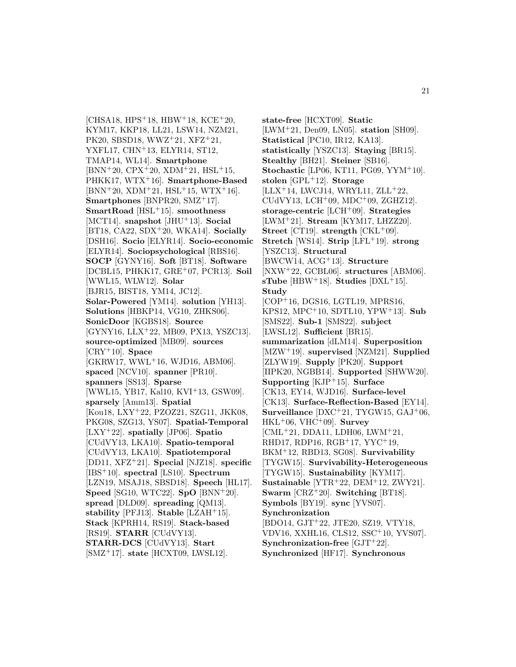[CHSA18, HPS<sup>+</sup>18, HBW<sup>+</sup>18, KCE<sup>+</sup>20, KYM17, KKP18, LL21, LSW14, NZM21, PK20, SBSD18, WWZ<sup>+</sup>21, XFZ<sup>+</sup>21, YXFL17, CHN<sup>+</sup>13, ELYR14, ST12, TMAP14, WL14]. **Smartphone**  $[BNN+20, CPX+20, XDM+21, HSL+15,$ PHKK17, WTX<sup>+</sup>16]. **Smartphone-Based**  $[BNN+20, XDM+21, HSL+15, WTX+16].$ **Smartphones** [BNPR20, SMZ<sup>+</sup>17]. **SmartRoad** [HSL<sup>+</sup>15]. **smoothness** [MCT14]. **snapshot** [JHU<sup>+</sup>13]. **Social** [BT18, CA22, SDX<sup>+</sup>20, WKA14]. **Socially** [DSH16]. **Socio** [ELYR14]. **Socio-economic** [ELYR14]. **Sociopsychological** [RBS16]. **SOCP** [GYNY16]. **Soft** [BT18]. **Software** [DCBL15, PHKK17, GRE<sup>+</sup>07, PCR13]. **Soil** [WWL15, WLW12]. **Solar** [BJR15, BIST18, YM14, JC12]. **Solar-Powered** [YM14]. **solution** [YH13]. **Solutions** [HBKP14, VG10, ZHKS06]. **SonicDoor** [KGBS18]. **Source** [GYNY16, LLX<sup>+</sup>22, MB09, PX13, YSZC13]. **source-optimized** [MB09]. **sources** [CRY<sup>+</sup>10]. **Space** [GKRW17, WWL<sup>+</sup>16, WJD16, ABM06]. **spaced** [NCV10]. **spanner** [PR10]. **spanners** [SS13]. **Sparse** [WWL15, YB17, Kal10, KVI<sup>+</sup>13, GSW09]. **sparsely** [Amm13]. **Spatial** [Kou18, LXY<sup>+</sup>22, PZOZ21, SZG11, JKK08, PKG08, SZG13, YS07]. **Spatial-Temporal** [LXY<sup>+</sup>22]. **spatially** [JP06]. **Spatio** [CUdVY13, LKA10]. **Spatio-temporal** [CUdVY13, LKA10]. **Spatiotemporal** [DD11, XFZ<sup>+</sup>21]. **Special** [NJZ18]. **specific** [IBS<sup>+</sup>10]. **spectral** [LS10]. **Spectrum** [LZN19, MSAJ18, SBSD18]. **Speech** [HL17]. **Speed** [SG10, WTC22]. **SpO** [BNN<sup>+</sup>20]. **spread** [DLD09]. **spreading** [QM13]. **stability** [PFJ13]. **Stable** [LZAH<sup>+</sup>15]. **Stack** [KPRH14, RS19]. **Stack-based** [RS19]. **STARR** [CUdVY13]. **STARR-DCS** [CUdVY13]. **Start** [SMZ<sup>+</sup>17]. **state** [HCXT09, LWSL12].

**state-free** [HCXT09]. **Static** [LWM<sup>+</sup>21, Den09, LN05]. **station** [SH09]. **Statistical** [PC10, IR12, KA13]. **statistically** [YSZC13]. **Staying** [BR15]. **Stealthy** [BH21]. **Steiner** [SB16]. **Stochastic** [LP06, KT11, PG09, YYM<sup>+</sup>10]. **stolen** [GPL<sup>+</sup>12]. **Storage**  $[LLX+14, LWCJ14, WRYL11, ZLL+22,$ CUdVY13, LCH<sup>+</sup>09, MDC<sup>+</sup>09, ZGHZ12]. **storage-centric** [LCH<sup>+</sup>09]. **Strategies** [LWM<sup>+</sup>21]. **Stream** [KYM17, LHZZ20]. **Street** [CT19]. **strength** [CKL+09]. **Stretch** [WS14]. **Strip** [LFL<sup>+</sup>19]. **strong** [YSZC13]. **Structural** [BWCW14, ACG<sup>+</sup>13]. **Structure** [NXW<sup>+</sup>22, GCBL06]. **structures** [ABM06].  $sTube [HBW<sup>+</sup>18]$ . **Studies**  $[DXL<sup>+</sup>15]$ . **Study** [COP<sup>+</sup>16, DGS16, LGTL19, MPRS16, KPS12, MPC<sup>+</sup>10, SDTL10, YPW<sup>+</sup>13]. **Sub** [SMS22]. **Sub-1** [SMS22]. **subject** [LWSL12]. **Sufficient** [BR15]. **summarization** [dLM14]. **Superposition** [MZW<sup>+</sup>19]. **supervised** [NZM21]. **Supplied** [ZLYW19]. **Supply** [PK20]. **Support** [IIPK20, NGBB14]. **Supported** [SHWW20]. **Supporting** [KJP<sup>+</sup>15]. **Surface** [CK13, EY14, WJD16]. **Surface-level** [CK13]. **Surface-Reflection-Based** [EY14]. **Surveillance** [DXC<sup>+</sup>21, TYGW15, GAJ<sup>+</sup>06, HKL<sup>+</sup>06, VHC<sup>+</sup>09]. **Survey**  $[CML+21, DDA11, LDH06, LWM+21,$ RHD17, RDP16, RGB<sup>+</sup>17, YYC<sup>+</sup>19, BKM<sup>+</sup>12, RBD13, SG08]. **Survivability** [TYGW15]. **Survivability-Heterogeneous** [TYGW15]. **Sustainability** [KYM17]. **Sustainable** [YTR<sup>+</sup>22, DEM<sup>+</sup>12, ZWY21]. **Swarm** [CRZ<sup>+</sup>20]. **Switching** [BT18]. **Symbols** [BY19]. **sync** [YVS07]. **Synchronization** [BDO14, GJT<sup>+</sup>22, JTE20, SZ19, VTY18, VDV16, XXHL16, CLS12, SSC<sup>+</sup>10, YVS07]. **Synchronization-free** [GJT<sup>+</sup>22]. **Synchronized** [HF17]. **Synchronous**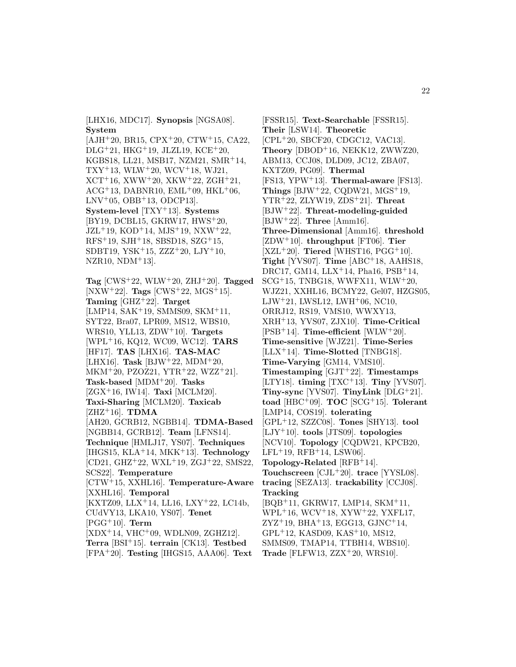[LHX16, MDC17]. **Synopsis** [NGSA08]. **System**

 $[AJH<sup>+</sup>20, BR15, CPX<sup>+</sup>20, CTW<sup>+</sup>15, CA22,$ DLG<sup>+</sup>21, HKG<sup>+</sup>19, JLZL19, KCE<sup>+</sup>20, KGBS18, LL21, MSB17, NZM21, SMR<sup>+</sup>14,  $TXY+13$ , WLW<sup>+</sup>20, WCV<sup>+</sup>18, WJ21,  $XCT+16$ ,  $XWW+20$ ,  $XKW+22$ ,  $ZGH+21$ ,  $ACG+13$ , DABNR10, EML+09, HKL+06,  $LNV^+05$ , OBB<sup>+</sup>13, ODCP13. **System-level** [TXY<sup>+</sup>13]. **Systems** [BY19, DCBL15, GKRW17, HWS<sup>+</sup>20, JZL<sup>+</sup>19, KOD<sup>+</sup>14, MJS<sup>+</sup>19, NXW<sup>+</sup>22, RFS<sup>+</sup>19, SJH<sup>+</sup>18, SBSD18, SZG<sup>+</sup>15, SDBT19, YSK<sup>+</sup>15, ZZZ<sup>+</sup>20, LJY<sup>+</sup>10,  $NZR10$ ,  $NDM+13$ .

**Tag**  $[CWS^+22, WLW^+20, ZHJ^+20]$ . **Tagged** [NXW<sup>+</sup>22]. **Tags** [CWS<sup>+</sup>22, MGS<sup>+</sup>15]. **Taming** [GHZ<sup>+</sup>22]. **Target** [LMP14, SAK<sup>+</sup>19, SMMS09, SKM<sup>+</sup>11, SYT22, Bra07, LPR09, MS12, WBS10, WRS10, YLL13, ZDW<sup>+</sup>10]. **Targets** [WPL<sup>+</sup>16, KQ12, WC09, WC12]. **TARS** [HF17]. **TAS** [LHX16]. **TAS-MAC** [LHX16]. **Task** [BJW<sup>+</sup>22, MDM<sup>+</sup>20,  $MKM<sup>+</sup>20, PZOZ21, YTR<sup>+</sup>22, WZZ<sup>+</sup>21$ . **Task-based** [MDM<sup>+</sup>20]. **Tasks** [ZGX<sup>+</sup>16, IW14]. **Taxi** [MCLM20]. **Taxi-Sharing** [MCLM20]. **Taxicab**  $[ZHZ^+16]$ . **TDMA** [AH20, GCRB12, NGBB14]. **TDMA-Based** [NGBB14, GCRB12]. **Team** [LFNS14]. **Technique** [HMLJ17, YS07]. **Techniques** [IHGS15, KLA<sup>+</sup>14, MKK<sup>+</sup>13]. **Technology** [CD21, GHZ<sup>+</sup>22, WXL<sup>+</sup>19, ZGJ<sup>+</sup>22, SMS22, SCS22]. **Temperature** [CTW<sup>+</sup>15, XXHL16]. **Temperature-Aware** [XXHL16]. **Temporal** [KXTZ09, LLX<sup>+</sup>14, LL16, LXY<sup>+</sup>22, LC14b, CUdVY13, LKA10, YS07]. **Tenet** [PGG<sup>+</sup>10]. **Term** [XDX<sup>+</sup>14, VHC<sup>+</sup>09, WDLN09, ZGHZ12]. **Terra** [BSI<sup>+</sup>15]. **terrain** [CK13]. **Testbed**

[FPA<sup>+</sup>20]. **Testing** [IHGS15, AAA06]. **Text**

[FSSR15]. **Text-Searchable** [FSSR15]. **Their** [LSW14]. **Theoretic** [CPL<sup>+</sup>20, SBCF20, CDGC12, VAC13]. **Theory** [DBOD<sup>+</sup>16, NEKK12, ZWWZ20, ABM13, CCJ08, DLD09, JC12, ZBA07, KXTZ09, PG09]. **Thermal** [FS13, YPW<sup>+</sup>13]. **Thermal-aware** [FS13]. **Things** [BJW<sup>+</sup>22, CQDW21,  $MGS$ <sup>+</sup>19, YTR<sup>+</sup>22, ZLYW19, ZDS<sup>+</sup>21]. **Threat** [BJW<sup>+</sup>22]. **Threat-modeling-guided** [BJW<sup>+</sup>22]. **Three** [Amm16]. **Three-Dimensional** [Amm16]. **threshold** [ZDW<sup>+</sup>10]. **throughput** [FT06]. **Tier**  $[XZL+20]$ . **Tiered** [WHST16, PGG<sup>+</sup>10]. **Tight** [YVS07]. **Time** [ABC<sup>+</sup>18, AAHS18, DRC17, GM14, LLX<sup>+</sup>14, Pha16, PSB<sup>+</sup>14, SCG<sup>+</sup>15, TNBG18, WWFX11, WLW<sup>+</sup>20, WJZ21, XXHL16, BCMY22, Gel07, HZGS05, LJW<sup>+</sup>21, LWSL12, LWH<sup>+</sup>06, NC10, ORRJ12, RS19, VMS10, WWXY13, XRH<sup>+</sup>13, YVS07, ZJX10]. **Time-Critical** [PSB<sup>+</sup>14]. **Time-efficient** [WLW<sup>+</sup>20]. **Time-sensitive** [WJZ21]. **Time-Series** [LLX<sup>+</sup>14]. **Time-Slotted** [TNBG18]. **Time-Varying** [GM14, VMS10]. **Timestamping** [GJT<sup>+</sup>22]. **Timestamps** [LTY18]. **timing** [TXC<sup>+</sup>13]. **Tiny** [YVS07]. **Tiny-sync** [YVS07]. **TinyLink** [DLG<sup>+</sup>21]. **toad** [HBC<sup>+</sup>09]. **TOC** [SCG<sup>+</sup>15]. **Tolerant** [LMP14, COS19]. **tolerating** [GPL<sup>+</sup>12, SZZC08]. **Tones** [SHY13]. **tool** [LJY<sup>+</sup>10]. **tools** [JTS09]. **topologies** [NCV10]. **Topology** [CQDW21, KPCB20,  $LFL+19$ ,  $RFB+14$ ,  $LSW06$ . **Topology-Related** [RFB<sup>+</sup>14]. **Touchscreen** [CJL<sup>+</sup>20]. **trace** [YYSL08]. **tracing** [SEZA13]. **trackability** [CCJ08]. **Tracking** [BQB<sup>+</sup>11, GKRW17, LMP14, SKM<sup>+</sup>11, WPL<sup>+</sup>16, WCV<sup>+</sup>18, XYW<sup>+</sup>22, YXFL17,  $ZYZ^+19$ , BHA<sup>+</sup>13, EGG13, GJNC<sup>+</sup>14, GPL<sup>+</sup>12, KASD09, KAS<sup>+</sup>10, MS12, SMMS09, TMAP14, TTBH14, WBS10]. **Trade** [FLFW13, ZZX<sup>+</sup>20, WRS10].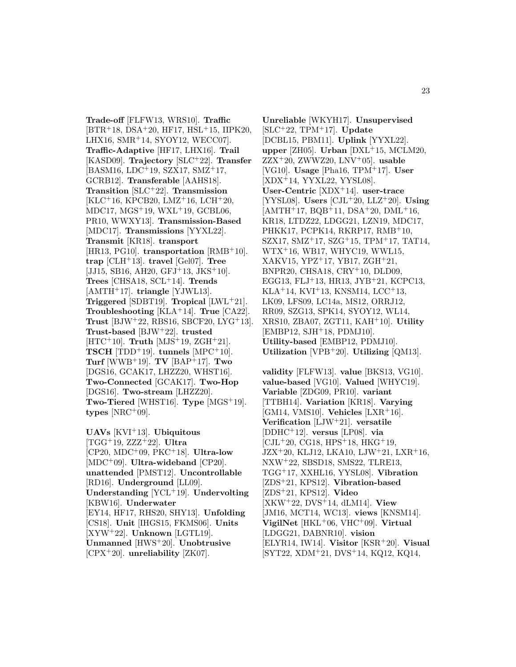**Trade-off** [FLFW13, WRS10]. **Traffic**  $[BTR+18, DSA+20, HF17, HSL+15, IIPK20,$ LHX16, SMR<sup>+</sup>14, SYOY12, WECC07]. **Traffic-Adaptive** [HF17, LHX16]. **Trail** [KASD09]. **Trajectory** [SLC<sup>+</sup>22]. **Transfer** [BASM16, LDC<sup>+</sup>19, SZX17, SMZ<sup>+</sup>17, GCRB12]. **Transferable** [AAHS18]. **Transition** [SLC<sup>+</sup>22]. **Transmission**  $[KLC+16, KPCB20, LMZ+16, LCH+20,$ MDC17, MGS<sup>+</sup>19, WXL<sup>+</sup>19, GCBL06, PR10, WWXY13]. **Transmission-Based** [MDC17]. **Transmissions** [YYXL22]. **Transmit** [KR18]. **transport** [HR13, PG10]. **transportation** [RMB<sup>+</sup>10]. **trap** [CLH<sup>+</sup>13]. **travel** [Gel07]. **Tree** [JJ15, SB16, AH20, GFJ<sup>+</sup>13, JKS<sup>+</sup>10]. **Trees** [CHSA18, SCL<sup>+</sup>14]. **Trends** [AMTH<sup>+</sup>17]. **triangle** [YJWL13]. **Triggered** [SDBT19]. **Tropical** [LWL<sup>+</sup>21]. **Troubleshooting** [KLA<sup>+</sup>14]. **True** [CA22]. **Trust** [BJW<sup>+</sup>22, RBS16, SBCF20, LYG<sup>+</sup>13]. **Trust-based** [BJW<sup>+</sup>22]. **trusted** [HTC<sup>+</sup>10]. **Truth** [MJS<sup>+</sup>19, ZGH<sup>+</sup>21]. **TSCH** [TDD<sup>+</sup>19]. **tunnels** [MPC<sup>+</sup>10]. **Turf** [WWB<sup>+</sup>19]. **TV** [BAP<sup>+</sup>17]. **Two** [DGS16, GCAK17, LHZZ20, WHST16]. **Two-Connected** [GCAK17]. **Two-Hop** [DGS16]. **Two-stream** [LHZZ20]. **Two-Tiered** [WHST16]. **Type** [MGS<sup>+</sup>19].  $types$  [NRC<sup>+</sup>09].

**UAVs** [KVI<sup>+</sup>13]. **Ubiquitous** [TGG<sup>+</sup>19, ZZZ<sup>+</sup>22]. **Ultra** [CP20, MDC<sup>+</sup>09, PKC<sup>+</sup>18]. **Ultra-low** [MDC<sup>+</sup>09]. **Ultra-wideband** [CP20]. **unattended** [PMST12]. **Uncontrollable** [RD16]. **Underground** [LL09]. **Understanding** [YCL<sup>+</sup>19]. **Undervolting** [KBW16]. **Underwater** [EY14, HF17, RHS20, SHY13]. **Unfolding** [CS18]. **Unit** [IHGS15, FKMS06]. **Units** [XYW<sup>+</sup>22]. **Unknown** [LGTL19]. **Unmanned** [HWS<sup>+</sup>20]. **Unobtrusive** [CPX<sup>+</sup>20]. **unreliability** [ZK07].

**Unreliable** [WKYH17]. **Unsupervised** [SLC<sup>+</sup>22, TPM<sup>+</sup>17]. **Update** [DCBL15, PBM11]. **Uplink** [YYXL22]. **upper** [ZH05]. **Urban** [DXL<sup>+</sup>15, MCLM20, ZZX<sup>+</sup>20, ZWWZ20, LNV<sup>+</sup>05]. **usable** [VG10]. **Usage** [Pha16, TPM<sup>+</sup>17]. **User** [XDX<sup>+</sup>14, YYXL22, YYSL08]. **User-Centric** [XDX<sup>+</sup>14]. **user-trace** [YYSL08]. **Users** [CJL<sup>+</sup>20, LLZ<sup>+</sup>20]. **Using** [AMTH<sup>+</sup>17, BQB<sup>+</sup>11, DSA<sup>+</sup>20, DML<sup>+</sup>16, KR18, LTDZ22, LDGG21, LZN19, MDC17, PHKK17, PCPK14, RKRP17, RMB<sup>+</sup>10, SZX17, SMZ<sup>+</sup>17, SZG<sup>+</sup>15, TPM<sup>+</sup>17, TAT14, WTX<sup>+</sup>16, WB17, WHYC19, WWL15, XAKV15, YPZ<sup>+</sup>17, YB17, ZGH<sup>+</sup>21, BNPR20, CHSA18, CRY<sup>+</sup>10, DLD09, EGG13, FLJ<sup>+</sup>13, HR13, JYB<sup>+</sup>21, KCPC13,  $KLA+14$ ,  $KVI+13$ ,  $KNSM14$ ,  $LCC+13$ , LK09, LFS09, LC14a, MS12, ORRJ12, RR09, SZG13, SPK14, SYOY12, WL14, XRS10, ZBA07, ZGT11, KAH<sup>+</sup>10]. **Utility** [EMBP12, SJH<sup>+</sup>18, PDMJ10]. **Utility-based** [EMBP12, PDMJ10]. **Utilization** [VPB<sup>+</sup>20]. **Utilizing** [QM13].

**validity** [FLFW13]. **value** [BKS13, VG10]. **value-based** [VG10]. **Valued** [WHYC19]. **Variable** [ZDG09, PR10]. **variant** [TTBH14]. **Variation** [KR18]. **Varying** [GM14, VMS10]. **Vehicles** [LXR<sup>+</sup>16]. **Verification** [LJW<sup>+</sup>21]. **versatile** [DDHC<sup>+</sup>12]. **versus** [LP08]. **via**  $[CJ<sup>+</sup>20, CG18, HPS<sup>+</sup>18, HKG<sup>+</sup>19,$  $JZX^+20$ , KLJ12, LKA10, LJW<sup>+</sup>21, LXR<sup>+</sup>16, NXW<sup>+</sup>22, SBSD18, SMS22, TLRE13, TGG<sup>+</sup>17, XXHL16, YYSL08]. **Vibration** [ZDS<sup>+</sup>21, KPS12]. **Vibration-based** [ZDS<sup>+</sup>21, KPS12]. **Video** [XKW<sup>+</sup>22, DVS<sup>+</sup>14, dLM14]. **View** [JM16, MCT14, WC13]. **views** [KNSM14]. **VigilNet** [HKL<sup>+</sup>06, VHC<sup>+</sup>09]. **Virtual** [LDGG21, DABNR10]. **vision** [ELYR14, IW14]. **Visitor** [KSR<sup>+</sup>20]. **Visual** [SYT22, XDM<sup>+</sup>21, DVS<sup>+</sup>14, KQ12, KQ14,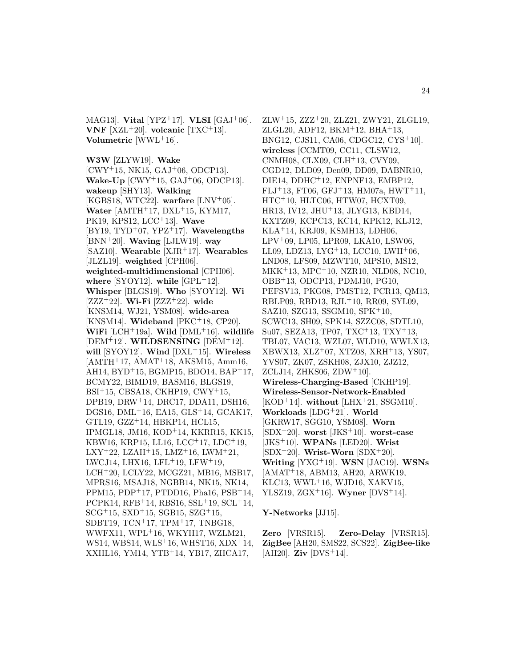MAG13]. **Vital** [YPZ<sup>+</sup>17]. **VLSI** [GAJ<sup>+</sup>06]. **VNF**  $[XZL+20]$ . **volcanic**  $[TXC+13]$ . **Volumetric** [WWL<sup>+</sup>16].

**W3W** [ZLYW19]. **Wake** [CWY<sup>+</sup>15, NK15, GAJ<sup>+</sup>06, ODCP13]. **Wake-Up** [CWY<sup>+</sup>15, GAJ<sup>+</sup>06, ODCP13]. **wakeup** [SHY13]. **Walking** [KGBS18, WTC22]. **warfare** [LNV<sup>+</sup>05]. **Water** [AMTH+17, DXL+15, KYM17, PK19, KPS12, LCC<sup>+</sup>13]. **Wave** [BY19, TYD<sup>+</sup>07, YPZ<sup>+</sup>17]. **Wavelengths** [BNN<sup>+</sup>20]. **Waving** [LJLW19]. **way** [SAZ10]. **Wearable** [XJR<sup>+</sup>17]. **Wearables** [JLZL19]. **weighted** [CPH06]. **weighted-multidimensional** [CPH06]. where  $[SYOY12]$ . while  $[GPL<sup>+</sup>12]$ . **Whisper** [BLGS19]. **Who** [SYOY12]. **Wi** [ZZZ<sup>+</sup>22]. **Wi-Fi** [ZZZ<sup>+</sup>22]. **wide** [KNSM14, WJ21, YSM08]. **wide-area** [KNSM14]. **Wideband** [PKC<sup>+</sup>18, CP20]. **WiFi** [LCH<sup>+</sup>19a]. **Wild** [DML<sup>+</sup>16]. **wildlife** [DEM<sup>+</sup>12]. **WILDSENSING** [DEM<sup>+</sup>12]. **will** [SYOY12]. **Wind** [DXL<sup>+</sup>15]. **Wireless**  $[AMTH<sup>+</sup>17, AMAT<sup>+</sup>18, AKSM15, Amm16,$ AH14, BYD<sup>+</sup>15, BGMP15, BDO14, BAP<sup>+</sup>17, BCMY22, BIMD19, BASM16, BLGS19, BSI<sup>+</sup>15, CBSA18, CKHP19, CWY<sup>+</sup>15, DPB19, DRW<sup>+</sup>14, DRC17, DDA11, DSH16, DGS16, DML<sup>+</sup>16, EA15, GLS<sup>+</sup>14, GCAK17, GTL19, GZZ<sup>+</sup>14, HBKP14, HCL15, IPMGL18, JM16, KOD<sup>+</sup>14, KKRR15, KK15, KBW16, KRP15, LL16, LCC<sup>+</sup>17, LDC<sup>+</sup>19,  $LXY+22$ ,  $LZAH+15$ ,  $LMZ+16$ ,  $LWM+21$ , LWCJ14, LHX16, LFL<sup>+</sup>19, LFW<sup>+</sup>19, LCH<sup>+</sup>20, LCLY22, MCGZ21, MB16, MSB17, MPRS16, MSAJ18, NGBB14, NK15, NK14, PPM15, PDP<sup>+</sup>17, PTDD16, Pha16, PSB<sup>+</sup>14, PCPK14, RFB<sup>+</sup>14, RBS16, SSL<sup>+</sup>19, SCL<sup>+</sup>14,  $SCG+15$ ,  $SXD+15$ ,  $SGB15$ ,  $SZG+15$ , SDBT19, TCN<sup>+</sup>17, TPM<sup>+</sup>17, TNBG18, WWFX11, WPL<sup>+</sup>16, WKYH17, WZLM21, WS14, WBS14, WLS<sup>+</sup>16, WHST16, XDX<sup>+</sup>14, XXHL16, YM14, YTB<sup>+</sup>14, YB17, ZHCA17,

 $ZLW+15$ ,  $ZZZ+20$ ,  $ZLZ21$ ,  $ZWY21$ ,  $ZLGL19$ , ZLGL20, ADF12, BKM<sup>+</sup>12, BHA<sup>+</sup>13, BNG12, CJS11, CA06, CDGC12, CYS<sup>+</sup>10]. **wireless** [CCMT09, CC11, CLSW12, CNMH08, CLX09, CLH<sup>+</sup>13, CVY09, CGD12, DLD09, Den09, DD09, DABNR10, DIE14, DDHC<sup>+</sup>12, ENPNF13, EMBP12, FLJ<sup>+</sup>13, FT06, GFJ<sup>+</sup>13, HM07a, HWT<sup>+</sup>11, HTC<sup>+</sup>10, HLTC06, HTW07, HCXT09, HR13, IV12, JHU<sup>+</sup>13, JLYG13, KBD14, KXTZ09, KCPC13, KC14, KPK12, KLJ12, KLA<sup>+</sup>14, KRJ09, KSMH13, LDH06, LPV<sup>+</sup>09, LP05, LPR09, LKA10, LSW06, LL09, LDZ13, LYG<sup>+</sup>13, LCC10, LWH<sup>+</sup>06, LND08, LFS09, MZWT10, MPS10, MS12, MKK<sup>+</sup>13, MPC<sup>+</sup>10, NZR10, NLD08, NC10, OBB<sup>+</sup>13, ODCP13, PDMJ10, PG10, PEFSV13, PKG08, PMST12, PCR13, QM13, RBLP09, RBD13, RJL<sup>+</sup>10, RR09, SYL09, SAZ10, SZG13, SSGM10, SPK<sup>+</sup>10, SCWC13, SH09, SPK14, SZZC08, SDTL10, Su07, SEZA13, TP07, TXC<sup>+</sup>13, TXY<sup>+</sup>13, TBL07, VAC13, WZL07, WLD10, WWLX13, XBWX13, XLZ<sup>+</sup>07, XTZ08, XRH<sup>+</sup>13, YS07, YVS07, ZK07, ZSKH08, ZJX10, ZJZ12, ZCLJ14, ZHKS06, ZDW $+10$ ]. **Wireless-Charging-Based** [CKHP19]. **Wireless-Sensor-Network-Enabled** [KOD<sup>+</sup>14]. **without** [LHX<sup>+</sup>21, SSGM10]. **Workloads** [LDG<sup>+</sup>21]. **World** [GKRW17, SGG10, YSM08]. **Worn** [SDX<sup>+</sup>20]. **worst** [JKS<sup>+</sup>10]. **worst-case** [JKS<sup>+</sup>10]. **WPANs** [LED20]. **Wrist** [SDX<sup>+</sup>20]. **Wrist-Worn** [SDX<sup>+</sup>20]. **Writing** [YXG<sup>+</sup>19]. **WSN** [JAC19]. **WSNs** [AMAT<sup>+</sup>18, ABM13, AH20, ARWK19, KLC13, WWL<sup>+</sup>16, WJD16, XAKV15, YLSZ19, ZGX<sup>+</sup>16]. **Wyner** [DVS<sup>+</sup>14].

**Y-Networks** [JJ15].

**Zero** [VRSR15]. **Zero-Delay** [VRSR15]. **ZigBee** [AH20, SMS22, SCS22]. **ZigBee-like**  $[AH20]$ . **Ziv**  $[DVS+14]$ .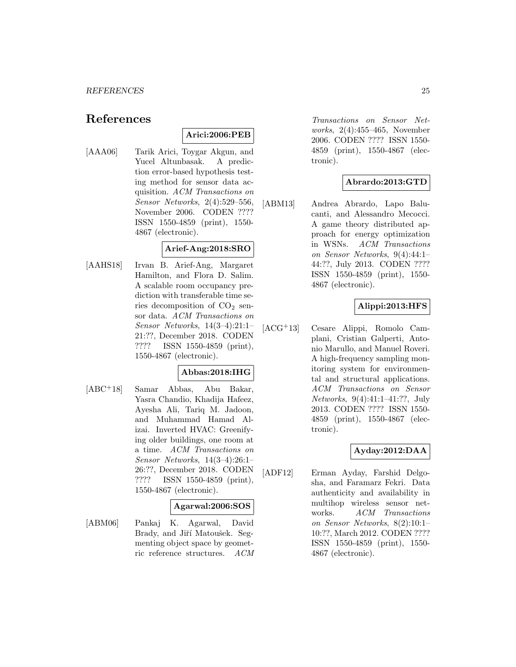# **References**

## **Arici:2006:PEB**

[AAA06] Tarik Arici, Toygar Akgun, and Yucel Altunbasak. A prediction error-based hypothesis testing method for sensor data acquisition. ACM Transactions on Sensor Networks, 2(4):529–556, November 2006. CODEN ???? ISSN 1550-4859 (print), 1550- 4867 (electronic).

#### **Arief-Ang:2018:SRO**

[AAHS18] Irvan B. Arief-Ang, Margaret Hamilton, and Flora D. Salim. A scalable room occupancy prediction with transferable time series decomposition of  $CO<sub>2</sub>$  sensor data. ACM Transactions on Sensor Networks, 14(3–4):21:1– 21:??, December 2018. CODEN ???? ISSN 1550-4859 (print), 1550-4867 (electronic).

## **Abbas:2018:IHG**

[ABC<sup>+</sup>18] Samar Abbas, Abu Bakar, Yasra Chandio, Khadija Hafeez, Ayesha Ali, Tariq M. Jadoon, and Muhammad Hamad Alizai. Inverted HVAC: Greenifying older buildings, one room at a time. ACM Transactions on Sensor Networks, 14(3–4):26:1– 26:??, December 2018. CODEN ???? ISSN 1550-4859 (print), 1550-4867 (electronic).

#### **Agarwal:2006:SOS**

[ABM06] Pankaj K. Agarwal, David Brady, and Jiří Matoušek. Segmenting object space by geometric reference structures. ACM

Transactions on Sensor Networks, 2(4):455–465, November 2006. CODEN ???? ISSN 1550- 4859 (print), 1550-4867 (electronic).

## **Abrardo:2013:GTD**

[ABM13] Andrea Abrardo, Lapo Balucanti, and Alessandro Mecocci. A game theory distributed approach for energy optimization in WSNs. ACM Transactions on Sensor Networks, 9(4):44:1– 44:??, July 2013. CODEN ???? ISSN 1550-4859 (print), 1550- 4867 (electronic).

# **Alippi:2013:HFS**

[ACG<sup>+</sup>13] Cesare Alippi, Romolo Camplani, Cristian Galperti, Antonio Marullo, and Manuel Roveri. A high-frequency sampling monitoring system for environmental and structural applications. ACM Transactions on Sensor Networks, 9(4):41:1–41:??, July 2013. CODEN ???? ISSN 1550- 4859 (print), 1550-4867 (electronic).

## **Ayday:2012:DAA**

[ADF12] Erman Ayday, Farshid Delgosha, and Faramarz Fekri. Data authenticity and availability in multihop wireless sensor networks. ACM Transactions on Sensor Networks, 8(2):10:1– 10:??, March 2012. CODEN ???? ISSN 1550-4859 (print), 1550- 4867 (electronic).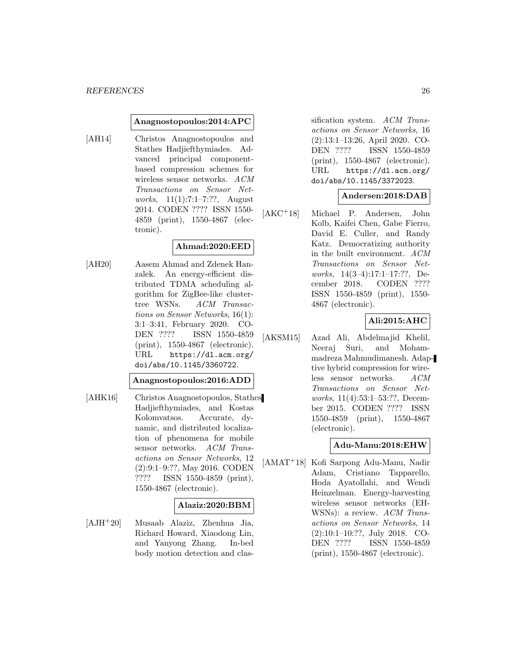#### **Anagnostopoulos:2014:APC**

[AH14] Christos Anagnostopoulos and Stathes Hadjiefthymiades. Advanced principal componentbased compression schemes for wireless sensor networks. ACM Transactions on Sensor Networks, 11(1):7:1–7:??, August 2014. CODEN ???? ISSN 1550- 4859 (print), 1550-4867 (electronic).

## **Ahmad:2020:EED**

[AH20] Aasem Ahmad and Zdenek Hanzalek. An energy-efficient distributed TDMA scheduling algorithm for ZigBee-like clustertree WSNs. ACM Transactions on Sensor Networks, 16(1): 3:1–3:41, February 2020. CO-DEN ???? ISSN 1550-4859 (print), 1550-4867 (electronic). URL https://dl.acm.org/ doi/abs/10.1145/3360722.

## **Anagnostopoulos:2016:ADD**

[AHK16] Christos Anagnostopoulos, Stathes Hadjiefthymiades, and Kostas Kolomvatsos. Accurate, dynamic, and distributed localization of phenomena for mobile sensor networks. ACM Transactions on Sensor Networks, 12 (2):9:1–9:??, May 2016. CODEN ???? ISSN 1550-4859 (print), 1550-4867 (electronic).

#### **Alaziz:2020:BBM**

[AJH<sup>+</sup>20] Musaab Alaziz, Zhenhua Jia, Richard Howard, Xiaodong Lin, and Yanyong Zhang. In-bed body motion detection and clas-

sification system. ACM Transactions on Sensor Networks, 16 (2):13:1–13:26, April 2020. CO-DEN ???? ISSN 1550-4859 (print), 1550-4867 (electronic). URL https://dl.acm.org/ doi/abs/10.1145/3372023.

## **Andersen:2018:DAB**

[AKC<sup>+</sup>18] Michael P. Andersen, John Kolb, Kaifei Chen, Gabe Fierro, David E. Culler, and Randy Katz. Democratizing authority in the built environment. ACM Transactions on Sensor Networks, 14(3–4):17:1–17:??, December 2018. CODEN ???? ISSN 1550-4859 (print), 1550- 4867 (electronic).

#### **Ali:2015:AHC**

[AKSM15] Azad Ali, Abdelmajid Khelil, Neeraj Suri, and Mohammadreza Mahmudimanesh. Adaptive hybrid compression for wireless sensor networks. ACM Transactions on Sensor Networks, 11(4):53:1–53:??, December 2015. CODEN ???? ISSN 1550-4859 (print), 1550-4867 (electronic).

#### **Adu-Manu:2018:EHW**

[AMAT<sup>+</sup>18] Kofi Sarpong Adu-Manu, Nadir Adam, Cristiano Tapparello, Hoda Ayatollahi, and Wendi Heinzelman. Energy-harvesting wireless sensor networks (EH-WSNs): a review. ACM Transactions on Sensor Networks, 14 (2):10:1–10:??, July 2018. CO-DEN ???? ISSN 1550-4859 (print), 1550-4867 (electronic).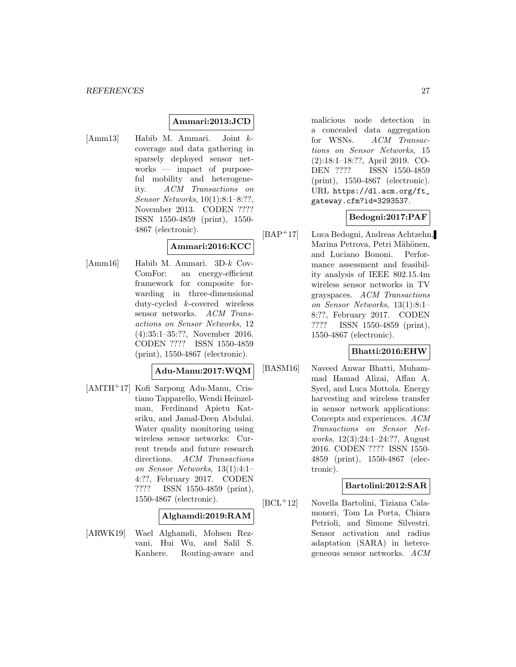#### **Ammari:2013:JCD**

[Amm13] Habib M. Ammari. Joint kcoverage and data gathering in sparsely deployed sensor networks — impact of purposeful mobility and heterogeneity. ACM Transactions on Sensor Networks, 10(1):8:1–8:??, November 2013. CODEN ???? ISSN 1550-4859 (print), 1550- 4867 (electronic).

## **Ammari:2016:KCC**

[Amm16] Habib M. Ammari. 3D-k Cov-ComFor: an energy-efficient framework for composite forwarding in three-dimensional duty-cycled k-covered wireless sensor networks. ACM Transactions on Sensor Networks, 12 (4):35:1–35:??, November 2016. CODEN ???? ISSN 1550-4859 (print), 1550-4867 (electronic).

#### **Adu-Manu:2017:WQM**

[AMTH<sup>+</sup>17] Kofi Sarpong Adu-Manu, Cristiano Tapparello, Wendi Heinzelman, Ferdinand Apietu Katsriku, and Jamal-Deen Abdulai. Water quality monitoring using wireless sensor networks: Current trends and future research directions. ACM Transactions on Sensor Networks, 13(1):4:1– 4:??, February 2017. CODEN ???? ISSN 1550-4859 (print), 1550-4867 (electronic).

#### **Alghamdi:2019:RAM**

[ARWK19] Wael Alghamdi, Mohsen Rezvani, Hui Wu, and Salil S. Kanhere. Routing-aware and

malicious node detection in a concealed data aggregation for WSNs. ACM Transactions on Sensor Networks, 15 (2):18:1–18:??, April 2019. CO-DEN ???? ISSN 1550-4859 (print), 1550-4867 (electronic). URL https://dl.acm.org/ft\_ gateway.cfm?id=3293537.

## **Bedogni:2017:PAF**

[BAP<sup>+</sup>17] Luca Bedogni, Andreas Achtzehn, Marina Petrova, Petri Mähönen, and Luciano Bononi. Performance assessment and feasibility analysis of IEEE 802.15.4m wireless sensor networks in TV grayspaces. ACM Transactions on Sensor Networks, 13(1):8:1– 8:??, February 2017. CODEN ???? ISSN 1550-4859 (print), 1550-4867 (electronic).

## **Bhatti:2016:EHW**

[BASM16] Naveed Anwar Bhatti, Muhammad Hamad Alizai, Affan A. Syed, and Luca Mottola. Energy harvesting and wireless transfer in sensor network applications: Concepts and experiences. ACM Transactions on Sensor Networks, 12(3):24:1–24:??, August 2016. CODEN ???? ISSN 1550- 4859 (print), 1550-4867 (electronic).

## **Bartolini:2012:SAR**

[BCL<sup>+</sup>12] Novella Bartolini, Tiziana Calamoneri, Tom La Porta, Chiara Petrioli, and Simone Silvestri. Sensor activation and radius adaptation (SARA) in heterogeneous sensor networks. ACM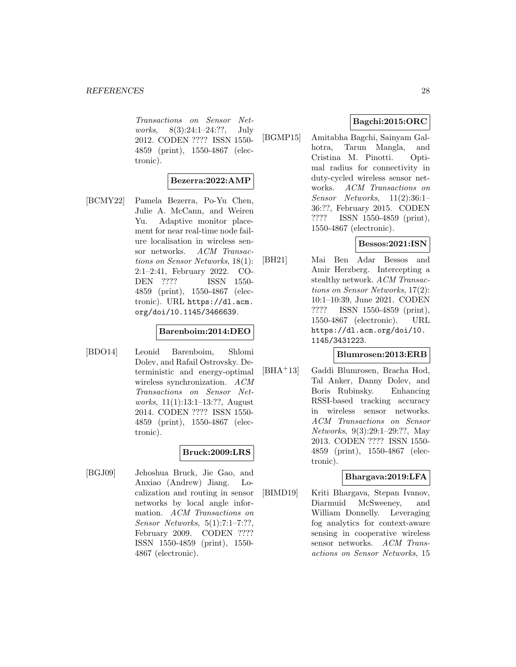Transactions on Sensor Networks, 8(3):24:1–24:??, July 2012. CODEN ???? ISSN 1550- 4859 (print), 1550-4867 (electronic).

## **Bezerra:2022:AMP**

[BCMY22] Pamela Bezerra, Po-Yu Chen, Julie A. McCann, and Weiren Yu. Adaptive monitor placement for near real-time node failure localisation in wireless sensor networks. ACM Transactions on Sensor Networks, 18(1): 2:1–2:41, February 2022. CO-DEN ???? ISSN 1550- 4859 (print), 1550-4867 (electronic). URL https://dl.acm. org/doi/10.1145/3466639.

## **Barenboim:2014:DEO**

[BDO14] Leonid Barenboim, Shlomi Dolev, and Rafail Ostrovsky. Deterministic and energy-optimal wireless synchronization. ACM Transactions on Sensor Networks, 11(1):13:1–13:??, August 2014. CODEN ???? ISSN 1550- 4859 (print), 1550-4867 (electronic).

## **Bruck:2009:LRS**

[BGJ09] Jehoshua Bruck, Jie Gao, and Anxiao (Andrew) Jiang. Localization and routing in sensor networks by local angle information. ACM Transactions on Sensor Networks, 5(1):7:1–7:??, February 2009. CODEN ???? ISSN 1550-4859 (print), 1550- 4867 (electronic).

## **Bagchi:2015:ORC**

[BGMP15] Amitabha Bagchi, Sainyam Galhotra, Tarun Mangla, and Cristina M. Pinotti. Optimal radius for connectivity in duty-cycled wireless sensor networks. ACM Transactions on Sensor Networks, 11(2):36:1– 36:??, February 2015. CODEN ???? ISSN 1550-4859 (print), 1550-4867 (electronic).

## **Bessos:2021:ISN**

[BH21] Mai Ben Adar Bessos and Amir Herzberg. Intercepting a stealthy network. ACM Transactions on Sensor Networks, 17(2): 10:1–10:39, June 2021. CODEN ???? ISSN 1550-4859 (print), 1550-4867 (electronic). URL https://dl.acm.org/doi/10. 1145/3431223.

#### **Blumrosen:2013:ERB**

[BHA<sup>+</sup>13] Gaddi Blumrosen, Bracha Hod, Tal Anker, Danny Dolev, and Boris Rubinsky. Enhancing RSSI-based tracking accuracy in wireless sensor networks. ACM Transactions on Sensor Networks, 9(3):29:1–29:??, May 2013. CODEN ???? ISSN 1550- 4859 (print), 1550-4867 (electronic).

## **Bhargava:2019:LFA**

[BIMD19] Kriti Bhargava, Stepan Ivanov, Diarmuid McSweeney, and William Donnelly. Leveraging fog analytics for context-aware sensing in cooperative wireless sensor networks. ACM Transactions on Sensor Networks, 15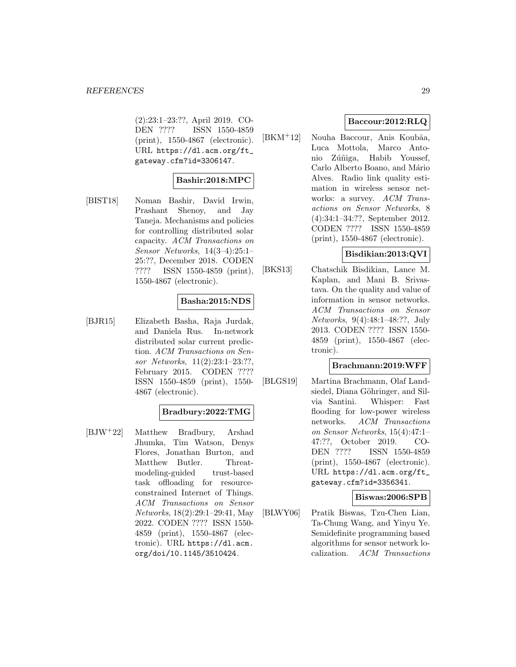(2):23:1–23:??, April 2019. CO-DEN ???? ISSN 1550-4859 (print), 1550-4867 (electronic). URL https://dl.acm.org/ft\_ gateway.cfm?id=3306147.

## **Bashir:2018:MPC**

[BIST18] Noman Bashir, David Irwin, Prashant Shenoy, and Jay Taneja. Mechanisms and policies for controlling distributed solar capacity. ACM Transactions on Sensor Networks, 14(3–4):25:1– 25:??, December 2018. CODEN ???? ISSN 1550-4859 (print), 1550-4867 (electronic).

## **Basha:2015:NDS**

[BJR15] Elizabeth Basha, Raja Jurdak, and Daniela Rus. In-network distributed solar current prediction. ACM Transactions on Sensor Networks, 11(2):23:1–23:??, February 2015. CODEN ???? ISSN 1550-4859 (print), 1550- 4867 (electronic).

## **Bradbury:2022:TMG**

[BJW<sup>+</sup>22] Matthew Bradbury, Arshad Jhumka, Tim Watson, Denys Flores, Jonathan Burton, and Matthew Butler. Threatmodeling-guided trust-based task offloading for resourceconstrained Internet of Things. ACM Transactions on Sensor Networks, 18(2):29:1–29:41, May 2022. CODEN ???? ISSN 1550- 4859 (print), 1550-4867 (electronic). URL https://dl.acm. org/doi/10.1145/3510424.

## **Baccour:2012:RLQ**

 $[BKM^+12]$  Nouha Baccour, Anis Koubâa, Luca Mottola, Marco Antonio Zúñiga, Habib Youssef, Carlo Alberto Boano, and Mário Alves. Radio link quality estimation in wireless sensor networks: a survey. ACM Transactions on Sensor Networks, 8 (4):34:1–34:??, September 2012. CODEN ???? ISSN 1550-4859 (print), 1550-4867 (electronic).

## **Bisdikian:2013:QVI**

[BKS13] Chatschik Bisdikian, Lance M. Kaplan, and Mani B. Srivastava. On the quality and value of information in sensor networks. ACM Transactions on Sensor Networks, 9(4):48:1–48:??, July 2013. CODEN ???? ISSN 1550- 4859 (print), 1550-4867 (electronic).

## **Brachmann:2019:WFF**

[BLGS19] Martina Brachmann, Olaf Landsiedel, Diana Göhringer, and Silvia Santini. Whisper: Fast flooding for low-power wireless networks. ACM Transactions on Sensor Networks, 15(4):47:1– 47:??, October 2019. CO-DEN ???? ISSN 1550-4859 (print), 1550-4867 (electronic). URL https://dl.acm.org/ft\_ gateway.cfm?id=3356341.

**Biswas:2006:SPB**

[BLWY06] Pratik Biswas, Tzu-Chen Lian, Ta-Chung Wang, and Yinyu Ye. Semidefinite programming based algorithms for sensor network localization. ACM Transactions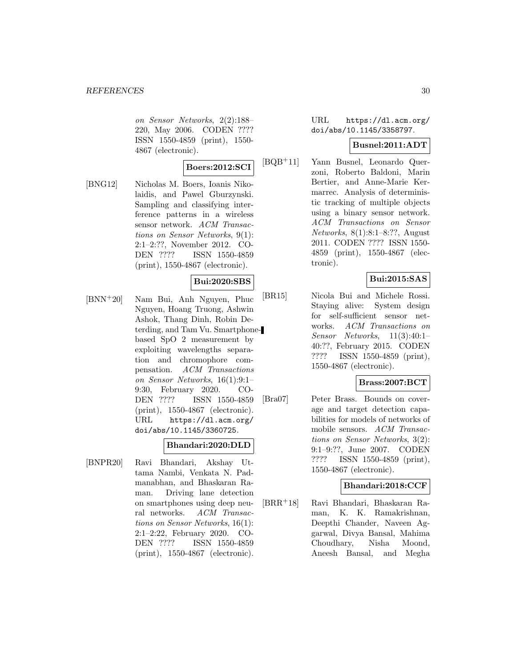on Sensor Networks, 2(2):188– 220, May 2006. CODEN ???? ISSN 1550-4859 (print), 1550- 4867 (electronic).

## **Boers:2012:SCI**

[BNG12] Nicholas M. Boers, Ioanis Nikolaidis, and Pawel Gburzynski. Sampling and classifying interference patterns in a wireless sensor network. ACM Transactions on Sensor Networks, 9(1): 2:1–2:??, November 2012. CO-DEN ???? ISSN 1550-4859 (print), 1550-4867 (electronic).

## **Bui:2020:SBS**

[BNN<sup>+</sup>20] Nam Bui, Anh Nguyen, Phuc Nguyen, Hoang Truong, Ashwin Ashok, Thang Dinh, Robin Deterding, and Tam Vu. Smartphonebased SpO 2 measurement by exploiting wavelengths separation and chromophore compensation. ACM Transactions on Sensor Networks, 16(1):9:1– 9:30, February 2020. CO-DEN ???? ISSN 1550-4859 (print), 1550-4867 (electronic). URL https://dl.acm.org/ doi/abs/10.1145/3360725.

## **Bhandari:2020:DLD**

[BNPR20] Ravi Bhandari, Akshay Uttama Nambi, Venkata N. Padmanabhan, and Bhaskaran Raman. Driving lane detection on smartphones using deep neural networks. ACM Transactions on Sensor Networks, 16(1): 2:1–2:22, February 2020. CO-DEN ???? ISSN 1550-4859 (print), 1550-4867 (electronic).

## URL https://dl.acm.org/ doi/abs/10.1145/3358797.

#### **Busnel:2011:ADT**

[BQB<sup>+</sup>11] Yann Busnel, Leonardo Querzoni, Roberto Baldoni, Marin Bertier, and Anne-Marie Kermarrec. Analysis of deterministic tracking of multiple objects using a binary sensor network. ACM Transactions on Sensor Networks, 8(1):8:1–8:??, August 2011. CODEN ???? ISSN 1550- 4859 (print), 1550-4867 (electronic).

# **Bui:2015:SAS**

[BR15] Nicola Bui and Michele Rossi. Staying alive: System design for self-sufficient sensor networks. ACM Transactions on Sensor Networks, 11(3):40:1– 40:??, February 2015. CODEN ???? ISSN 1550-4859 (print), 1550-4867 (electronic).

#### **Brass:2007:BCT**

[Bra07] Peter Brass. Bounds on coverage and target detection capabilities for models of networks of mobile sensors. ACM Transactions on Sensor Networks, 3(2): 9:1–9:??, June 2007. CODEN ???? ISSN 1550-4859 (print), 1550-4867 (electronic).

#### **Bhandari:2018:CCF**

[BRR<sup>+</sup>18] Ravi Bhandari, Bhaskaran Raman, K. K. Ramakrishnan, Deepthi Chander, Naveen Aggarwal, Divya Bansal, Mahima Choudhary, Nisha Moond, Aneesh Bansal, and Megha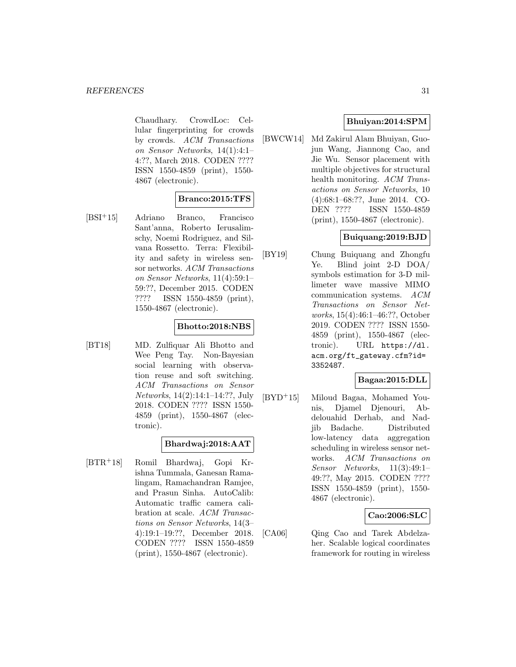Chaudhary. CrowdLoc: Cellular fingerprinting for crowds by crowds. ACM Transactions on Sensor Networks, 14(1):4:1– 4:??, March 2018. CODEN ???? ISSN 1550-4859 (print), 1550- 4867 (electronic).

## **Branco:2015:TFS**

[BSI<sup>+</sup>15] Adriano Branco, Francisco Sant'anna, Roberto Ierusalimschy, Noemi Rodriguez, and Silvana Rossetto. Terra: Flexibility and safety in wireless sensor networks. ACM Transactions on Sensor Networks, 11(4):59:1– 59:??, December 2015. CODEN ???? ISSN 1550-4859 (print), 1550-4867 (electronic).

## **Bhotto:2018:NBS**

[BT18] MD. Zulfiquar Ali Bhotto and Wee Peng Tay. Non-Bayesian social learning with observation reuse and soft switching. ACM Transactions on Sensor Networks, 14(2):14:1–14:??, July 2018. CODEN ???? ISSN 1550- 4859 (print), 1550-4867 (electronic).

# **Bhardwaj:2018:AAT**

[BTR<sup>+</sup>18] Romil Bhardwaj, Gopi Krishna Tummala, Ganesan Ramalingam, Ramachandran Ramjee, and Prasun Sinha. AutoCalib: Automatic traffic camera calibration at scale. ACM Transactions on Sensor Networks, 14(3– 4):19:1–19:??, December 2018. CODEN ???? ISSN 1550-4859 (print), 1550-4867 (electronic).

## **Bhuiyan:2014:SPM**

[BWCW14] Md Zakirul Alam Bhuiyan, Guojun Wang, Jiannong Cao, and Jie Wu. Sensor placement with multiple objectives for structural health monitoring. ACM Transactions on Sensor Networks, 10 (4):68:1–68:??, June 2014. CO-DEN ???? ISSN 1550-4859 (print), 1550-4867 (electronic).

## **Buiquang:2019:BJD**

[BY19] Chung Buiquang and Zhongfu Ye. Blind joint 2-D DOA/ symbols estimation for 3-D millimeter wave massive MIMO communication systems. ACM Transactions on Sensor Networks, 15(4):46:1–46:??, October 2019. CODEN ???? ISSN 1550- 4859 (print), 1550-4867 (electronic). URL https://dl. acm.org/ft\_gateway.cfm?id= 3352487.

## **Bagaa:2015:DLL**

[BYD<sup>+</sup>15] Miloud Bagaa, Mohamed Younis, Djamel Djenouri, Abdelouahid Derhab, and Nadjib Badache. Distributed low-latency data aggregation scheduling in wireless sensor networks. ACM Transactions on Sensor Networks, 11(3):49:1– 49:??, May 2015. CODEN ???? ISSN 1550-4859 (print), 1550- 4867 (electronic).

#### **Cao:2006:SLC**

[CA06] Qing Cao and Tarek Abdelzaher. Scalable logical coordinates framework for routing in wireless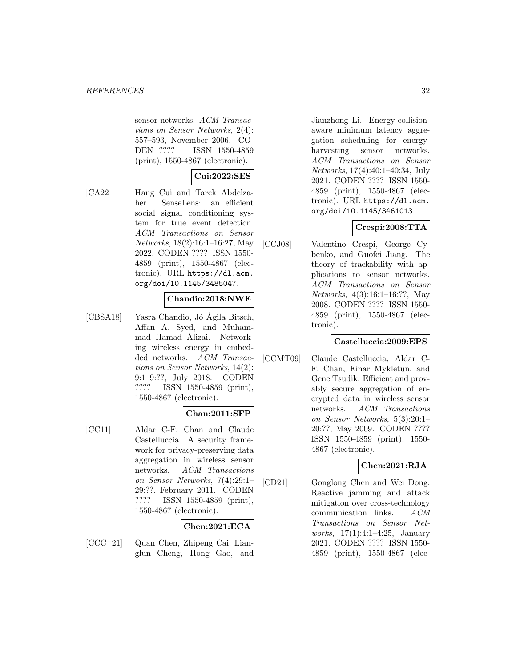sensor networks. ACM Transactions on Sensor Networks, 2(4): 557–593, November 2006. CO-DEN ???? ISSN 1550-4859 (print), 1550-4867 (electronic).

# **Cui:2022:SES**

[CA22] Hang Cui and Tarek Abdelzaher. SenseLens: an efficient social signal conditioning system for true event detection. ACM Transactions on Sensor Networks, 18(2):16:1–16:27, May 2022. CODEN ???? ISSN 1550- 4859 (print), 1550-4867 (electronic). URL https://dl.acm. org/doi/10.1145/3485047.

## **Chandio:2018:NWE**

[CBSA18] Yasra Chandio, Jó Ágila Bitsch, Affan A. Syed, and Muhammad Hamad Alizai. Networking wireless energy in embedded networks. ACM Transactions on Sensor Networks, 14(2): 9:1–9:??, July 2018. CODEN ???? ISSN 1550-4859 (print), 1550-4867 (electronic).

## **Chan:2011:SFP**

[CC11] Aldar C-F. Chan and Claude Castelluccia. A security framework for privacy-preserving data aggregation in wireless sensor networks. ACM Transactions on Sensor Networks, 7(4):29:1– 29:??, February 2011. CODEN ???? ISSN 1550-4859 (print), 1550-4867 (electronic).

## **Chen:2021:ECA**

[CCC<sup>+</sup>21] Quan Chen, Zhipeng Cai, Lianglun Cheng, Hong Gao, and

Jianzhong Li. Energy-collisionaware minimum latency aggregation scheduling for energyharvesting sensor networks. ACM Transactions on Sensor Networks, 17(4):40:1–40:34, July 2021. CODEN ???? ISSN 1550- 4859 (print), 1550-4867 (electronic). URL https://dl.acm. org/doi/10.1145/3461013.

## **Crespi:2008:TTA**

[CCJ08] Valentino Crespi, George Cybenko, and Guofei Jiang. The theory of trackability with applications to sensor networks. ACM Transactions on Sensor Networks, 4(3):16:1–16:??, May 2008. CODEN ???? ISSN 1550- 4859 (print), 1550-4867 (electronic).

#### **Castelluccia:2009:EPS**

[CCMT09] Claude Castelluccia, Aldar C-F. Chan, Einar Mykletun, and Gene Tsudik. Efficient and provably secure aggregation of encrypted data in wireless sensor networks. ACM Transactions on Sensor Networks, 5(3):20:1– 20:??, May 2009. CODEN ???? ISSN 1550-4859 (print), 1550- 4867 (electronic).

#### **Chen:2021:RJA**

[CD21] Gonglong Chen and Wei Dong. Reactive jamming and attack mitigation over cross-technology communication links. ACM Transactions on Sensor Networks, 17(1):4:1–4:25, January 2021. CODEN ???? ISSN 1550- 4859 (print), 1550-4867 (elec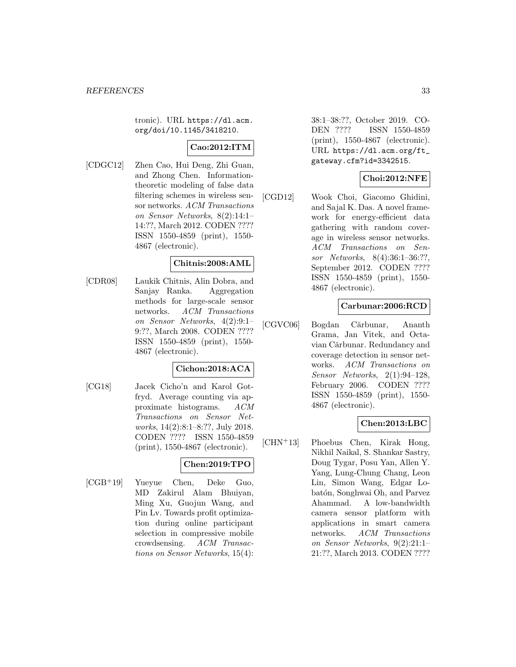tronic). URL https://dl.acm. org/doi/10.1145/3418210.

## **Cao:2012:ITM**

[CDGC12] Zhen Cao, Hui Deng, Zhi Guan, and Zhong Chen. Informationtheoretic modeling of false data filtering schemes in wireless sensor networks. ACM Transactions on Sensor Networks, 8(2):14:1– 14:??, March 2012. CODEN ???? ISSN 1550-4859 (print), 1550- 4867 (electronic).

### **Chitnis:2008:AML**

[CDR08] Laukik Chitnis, Alin Dobra, and Sanjay Ranka. Aggregation methods for large-scale sensor networks. ACM Transactions on Sensor Networks, 4(2):9:1– 9:??, March 2008. CODEN ???? ISSN 1550-4859 (print), 1550- 4867 (electronic).

#### **Cichon:2018:ACA**

[CG18] Jacek Cicho'n and Karol Gotfryd. Average counting via approximate histograms. ACM Transactions on Sensor Networks, 14(2):8:1–8:??, July 2018. CODEN ???? ISSN 1550-4859 (print), 1550-4867 (electronic).

## **Chen:2019:TPO**

[CGB<sup>+</sup>19] Yueyue Chen, Deke Guo, MD Zakirul Alam Bhuiyan, Ming Xu, Guojun Wang, and Pin Lv. Towards profit optimization during online participant selection in compressive mobile crowdsensing. ACM Transactions on Sensor Networks, 15(4): 38:1–38:??, October 2019. CO-DEN ???? ISSN 1550-4859 (print), 1550-4867 (electronic). URL https://dl.acm.org/ft\_ gateway.cfm?id=3342515.

## **Choi:2012:NFE**

[CGD12] Wook Choi, Giacomo Ghidini, and Sajal K. Das. A novel framework for energy-efficient data gathering with random coverage in wireless sensor networks. ACM Transactions on Sensor Networks, 8(4):36:1–36:??, September 2012. CODEN ???? ISSN 1550-4859 (print), 1550- 4867 (electronic).

## **Carbunar:2006:RCD**

[CGVC06] Bogdan Cărbunar, Ananth Grama, Jan Vitek, and Octavian Cărbunar. Redundancy and coverage detection in sensor networks. ACM Transactions on Sensor Networks, 2(1):94–128, February 2006. CODEN ???? ISSN 1550-4859 (print), 1550- 4867 (electronic).

#### **Chen:2013:LBC**

[CHN<sup>+</sup>13] Phoebus Chen, Kirak Hong, Nikhil Naikal, S. Shankar Sastry, Doug Tygar, Posu Yan, Allen Y. Yang, Lung-Chung Chang, Leon Lin, Simon Wang, Edgar Lobatón, Songhwai Oh, and Parvez Ahammad. A low-bandwidth camera sensor platform with applications in smart camera networks. ACM Transactions on Sensor Networks, 9(2):21:1– 21:??, March 2013. CODEN ????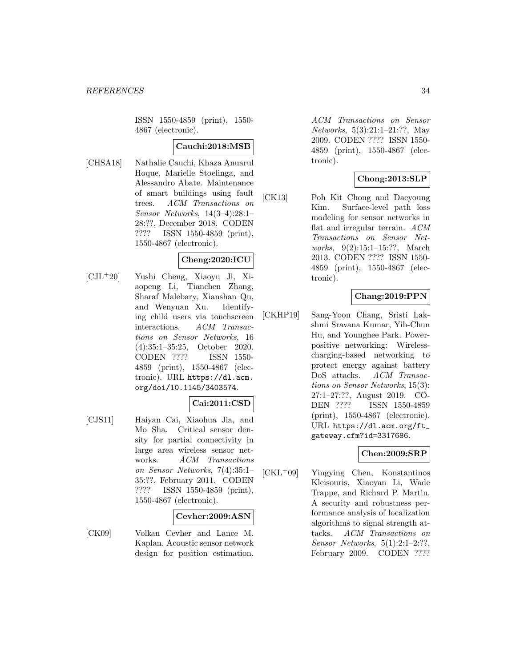ISSN 1550-4859 (print), 1550- 4867 (electronic).

#### **Cauchi:2018:MSB**

[CHSA18] Nathalie Cauchi, Khaza Anuarul Hoque, Marielle Stoelinga, and Alessandro Abate. Maintenance of smart buildings using fault trees. ACM Transactions on Sensor Networks, 14(3–4):28:1– 28:??, December 2018. CODEN ???? ISSN 1550-4859 (print), 1550-4867 (electronic).

# **Cheng:2020:ICU**

[CJL<sup>+</sup>20] Yushi Cheng, Xiaoyu Ji, Xiaopeng Li, Tianchen Zhang, Sharaf Malebary, Xianshan Qu, and Wenyuan Xu. Identifying child users via touchscreen interactions. ACM Transactions on Sensor Networks, 16 (4):35:1–35:25, October 2020. CODEN ???? ISSN 1550- 4859 (print), 1550-4867 (electronic). URL https://dl.acm. org/doi/10.1145/3403574.

# **Cai:2011:CSD**

[CJS11] Haiyan Cai, Xiaohua Jia, and Mo Sha. Critical sensor density for partial connectivity in large area wireless sensor networks. ACM Transactions on Sensor Networks, 7(4):35:1– 35:??, February 2011. CODEN ???? ISSN 1550-4859 (print), 1550-4867 (electronic).

#### **Cevher:2009:ASN**

[CK09] Volkan Cevher and Lance M. Kaplan. Acoustic sensor network design for position estimation.

ACM Transactions on Sensor Networks, 5(3):21:1–21:??, May 2009. CODEN ???? ISSN 1550- 4859 (print), 1550-4867 (electronic).

## **Chong:2013:SLP**

[CK13] Poh Kit Chong and Daeyoung Kim. Surface-level path loss modeling for sensor networks in flat and irregular terrain. ACM Transactions on Sensor Networks, 9(2):15:1–15:??, March 2013. CODEN ???? ISSN 1550- 4859 (print), 1550-4867 (electronic).

## **Chang:2019:PPN**

[CKHP19] Sang-Yoon Chang, Sristi Lakshmi Sravana Kumar, Yih-Chun Hu, and Younghee Park. Powerpositive networking: Wirelesscharging-based networking to protect energy against battery DoS attacks. ACM Transactions on Sensor Networks, 15(3): 27:1–27:??, August 2019. CO-DEN ???? ISSN 1550-4859 (print), 1550-4867 (electronic). URL https://dl.acm.org/ft\_ gateway.cfm?id=3317686.

#### **Chen:2009:SRP**

[CKL<sup>+</sup>09] Yingying Chen, Konstantinos Kleisouris, Xiaoyan Li, Wade Trappe, and Richard P. Martin. A security and robustness performance analysis of localization algorithms to signal strength attacks. ACM Transactions on Sensor Networks, 5(1):2:1–2:??, February 2009. CODEN ????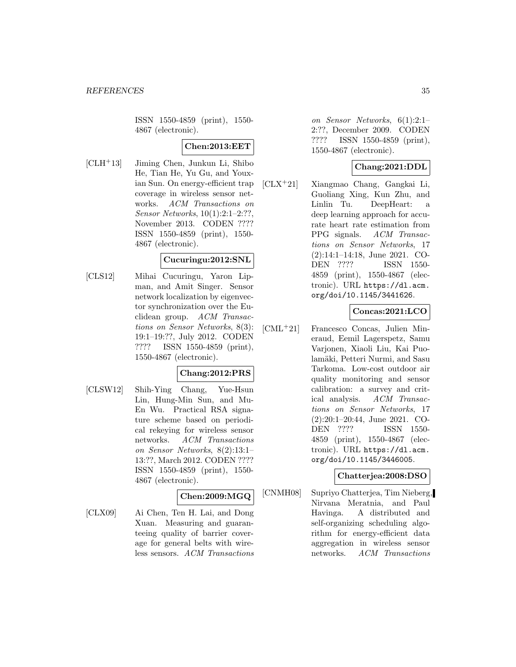ISSN 1550-4859 (print), 1550- 4867 (electronic).

## **Chen:2013:EET**

[CLH<sup>+</sup>13] Jiming Chen, Junkun Li, Shibo He, Tian He, Yu Gu, and Youxian Sun. On energy-efficient trap coverage in wireless sensor networks. ACM Transactions on Sensor Networks, 10(1):2:1–2:??, November 2013. CODEN ???? ISSN 1550-4859 (print), 1550- 4867 (electronic).

#### **Cucuringu:2012:SNL**

[CLS12] Mihai Cucuringu, Yaron Lipman, and Amit Singer. Sensor network localization by eigenvector synchronization over the Euclidean group. ACM Transactions on Sensor Networks, 8(3): 19:1–19:??, July 2012. CODEN ???? ISSN 1550-4859 (print), 1550-4867 (electronic).

## **Chang:2012:PRS**

[CLSW12] Shih-Ying Chang, Yue-Hsun Lin, Hung-Min Sun, and Mu-En Wu. Practical RSA signature scheme based on periodical rekeying for wireless sensor networks. ACM Transactions on Sensor Networks, 8(2):13:1– 13:??, March 2012. CODEN ???? ISSN 1550-4859 (print), 1550- 4867 (electronic).

## **Chen:2009:MGQ**

[CLX09] Ai Chen, Ten H. Lai, and Dong Xuan. Measuring and guaranteeing quality of barrier coverage for general belts with wireless sensors. ACM Transactions on Sensor Networks, 6(1):2:1– 2:??, December 2009. CODEN ???? ISSN 1550-4859 (print), 1550-4867 (electronic).

## **Chang:2021:DDL**

[CLX<sup>+</sup>21] Xiangmao Chang, Gangkai Li, Guoliang Xing, Kun Zhu, and Linlin Tu. DeepHeart: a deep learning approach for accurate heart rate estimation from PPG signals. ACM Transactions on Sensor Networks, 17 (2):14:1–14:18, June 2021. CO-DEN ???? ISSN 1550- 4859 (print), 1550-4867 (electronic). URL https://dl.acm. org/doi/10.1145/3441626.

## **Concas:2021:LCO**

[CML<sup>+</sup>21] Francesco Concas, Julien Mineraud, Eemil Lagerspetz, Samu Varjonen, Xiaoli Liu, Kai Puolamäki, Petteri Nurmi, and Sasu Tarkoma. Low-cost outdoor air quality monitoring and sensor calibration: a survey and critical analysis. ACM Transactions on Sensor Networks, 17 (2):20:1–20:44, June 2021. CO-DEN ???? ISSN 1550- 4859 (print), 1550-4867 (electronic). URL https://dl.acm. org/doi/10.1145/3446005.

#### **Chatterjea:2008:DSO**

[CNMH08] Supriyo Chatterjea, Tim Nieberg, Nirvana Meratnia, and Paul Havinga. A distributed and self-organizing scheduling algorithm for energy-efficient data aggregation in wireless sensor networks. ACM Transactions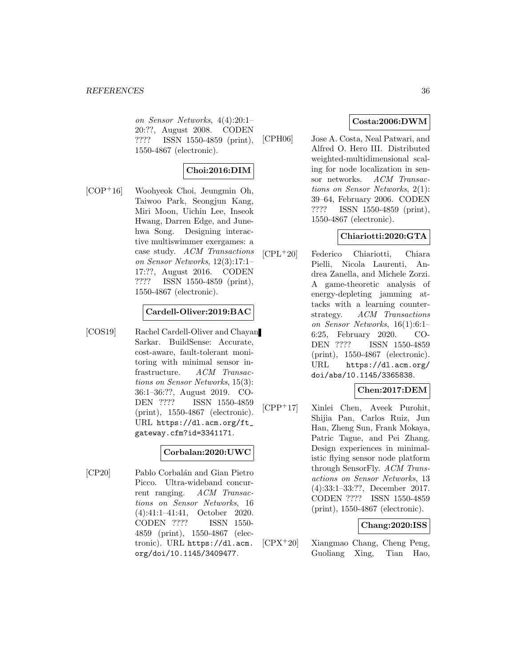on Sensor Networks, 4(4):20:1– 20:??, August 2008. CODEN ???? ISSN 1550-4859 (print), 1550-4867 (electronic).

# **Choi:2016:DIM**

[COP<sup>+</sup>16] Woohyeok Choi, Jeungmin Oh, Taiwoo Park, Seongjun Kang, Miri Moon, Uichin Lee, Inseok Hwang, Darren Edge, and Junehwa Song. Designing interactive multiswimmer exergames: a case study. ACM Transactions on Sensor Networks, 12(3):17:1– 17:??, August 2016. CODEN ???? ISSN 1550-4859 (print), 1550-4867 (electronic).

#### **Cardell-Oliver:2019:BAC**

[COS19] Rachel Cardell-Oliver and Chayan Sarkar. BuildSense: Accurate, cost-aware, fault-tolerant monitoring with minimal sensor infrastructure. ACM Transactions on Sensor Networks, 15(3): 36:1–36:??, August 2019. CO-DEN ???? ISSN 1550-4859 (print), 1550-4867 (electronic). URL https://dl.acm.org/ft\_ gateway.cfm?id=3341171.

#### **Corbalan:2020:UWC**

[CP20] Pablo Corbalán and Gian Pietro Picco. Ultra-wideband concurrent ranging. ACM Transactions on Sensor Networks, 16 (4):41:1–41:41, October 2020. CODEN ???? ISSN 1550- 4859 (print), 1550-4867 (electronic). URL https://dl.acm. org/doi/10.1145/3409477.

## **Costa:2006:DWM**

[CPH06] Jose A. Costa, Neal Patwari, and Alfred O. Hero III. Distributed weighted-multidimensional scaling for node localization in sensor networks. ACM Transactions on Sensor Networks, 2(1): 39–64, February 2006. CODEN ???? ISSN 1550-4859 (print), 1550-4867 (electronic).

## **Chiariotti:2020:GTA**

[CPL<sup>+</sup>20] Federico Chiariotti, Chiara Pielli, Nicola Laurenti, Andrea Zanella, and Michele Zorzi. A game-theoretic analysis of energy-depleting jamming attacks with a learning counterstrategy. ACM Transactions on Sensor Networks, 16(1):6:1– 6:25, February 2020. CO-DEN ???? ISSN 1550-4859 (print), 1550-4867 (electronic). URL https://dl.acm.org/ doi/abs/10.1145/3365838.

## **Chen:2017:DEM**

[CPP<sup>+</sup>17] Xinlei Chen, Aveek Purohit, Shijia Pan, Carlos Ruiz, Jun Han, Zheng Sun, Frank Mokaya, Patric Tague, and Pei Zhang. Design experiences in minimalistic flying sensor node platform through SensorFly. ACM Transactions on Sensor Networks, 13 (4):33:1–33:??, December 2017. CODEN ???? ISSN 1550-4859 (print), 1550-4867 (electronic).

## **Chang:2020:ISS**

[CPX<sup>+</sup>20] Xiangmao Chang, Cheng Peng, Guoliang Xing, Tian Hao,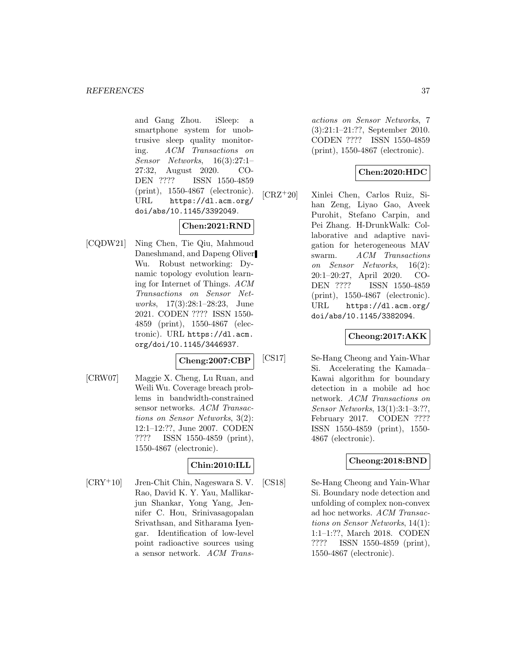and Gang Zhou. iSleep: a smartphone system for unobtrusive sleep quality monitoring. ACM Transactions on Sensor Networks, 16(3):27:1– 27:32, August 2020. CO-DEN ???? ISSN 1550-4859 (print), 1550-4867 (electronic). URL https://dl.acm.org/ doi/abs/10.1145/3392049.

# **Chen:2021:RND**

[CQDW21] Ning Chen, Tie Qiu, Mahmoud Daneshmand, and Dapeng Oliver Wu. Robust networking: Dynamic topology evolution learning for Internet of Things. ACM Transactions on Sensor Networks, 17(3):28:1–28:23, June 2021. CODEN ???? ISSN 1550- 4859 (print), 1550-4867 (electronic). URL https://dl.acm. org/doi/10.1145/3446937.

#### **Cheng:2007:CBP**

[CRW07] Maggie X. Cheng, Lu Ruan, and Weili Wu. Coverage breach problems in bandwidth-constrained sensor networks. ACM Transactions on Sensor Networks, 3(2): 12:1–12:??, June 2007. CODEN ???? ISSN 1550-4859 (print), 1550-4867 (electronic).

# **Chin:2010:ILL**

[CRY<sup>+</sup>10] Jren-Chit Chin, Nageswara S. V. Rao, David K. Y. Yau, Mallikarjun Shankar, Yong Yang, Jennifer C. Hou, Srinivasagopalan Srivathsan, and Sitharama Iyengar. Identification of low-level point radioactive sources using a sensor network. ACM Transactions on Sensor Networks, 7 (3):21:1–21:??, September 2010. CODEN ???? ISSN 1550-4859 (print), 1550-4867 (electronic).

# **Chen:2020:HDC**

[CRZ<sup>+</sup>20] Xinlei Chen, Carlos Ruiz, Sihan Zeng, Liyao Gao, Aveek Purohit, Stefano Carpin, and Pei Zhang. H-DrunkWalk: Collaborative and adaptive navigation for heterogeneous MAV swarm. ACM Transactions on Sensor Networks, 16(2): 20:1–20:27, April 2020. CO-DEN ???? ISSN 1550-4859 (print), 1550-4867 (electronic). URL https://dl.acm.org/ doi/abs/10.1145/3382094.

# **Cheong:2017:AKK**

[CS17] Se-Hang Cheong and Yain-Whar Si. Accelerating the Kamada– Kawai algorithm for boundary detection in a mobile ad hoc network. ACM Transactions on Sensor Networks, 13(1):3:1–3:??, February 2017. CODEN ???? ISSN 1550-4859 (print), 1550- 4867 (electronic).

# **Cheong:2018:BND**

[CS18] Se-Hang Cheong and Yain-Whar Si. Boundary node detection and unfolding of complex non-convex ad hoc networks. ACM Transactions on Sensor Networks, 14(1): 1:1–1:??, March 2018. CODEN ???? ISSN 1550-4859 (print), 1550-4867 (electronic).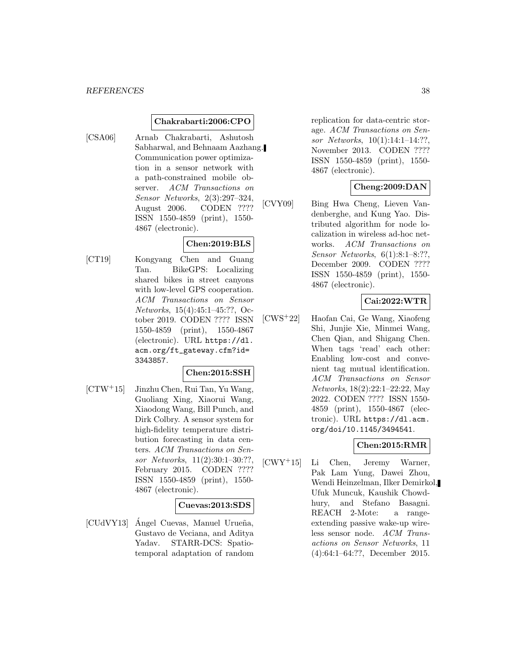#### **Chakrabarti:2006:CPO**

[CSA06] Arnab Chakrabarti, Ashutosh Sabharwal, and Behnaam Aazhang. Communication power optimization in a sensor network with a path-constrained mobile observer. ACM Transactions on Sensor Networks, 2(3):297–324, August 2006. CODEN ???? ISSN 1550-4859 (print), 1550- 4867 (electronic).

# **Chen:2019:BLS**

[CT19] Kongyang Chen and Guang Tan. BikeGPS: Localizing shared bikes in street canyons with low-level GPS cooperation. ACM Transactions on Sensor Networks, 15(4):45:1–45:??, October 2019. CODEN ???? ISSN 1550-4859 (print), 1550-4867 (electronic). URL https://dl. acm.org/ft\_gateway.cfm?id= 3343857.

#### **Chen:2015:SSH**

[CTW<sup>+</sup>15] Jinzhu Chen, Rui Tan, Yu Wang, Guoliang Xing, Xiaorui Wang, Xiaodong Wang, Bill Punch, and Dirk Colbry. A sensor system for high-fidelity temperature distribution forecasting in data centers. ACM Transactions on Sensor Networks, 11(2):30:1–30:??, February 2015. CODEN ???? ISSN 1550-4859 (print), 1550- 4867 (electronic).

#### **Cuevas:2013:SDS**

[CUdVY13] Ángel Cuevas, Manuel Urueña, Gustavo de Veciana, and Aditya Yadav. STARR-DCS: Spatiotemporal adaptation of random

replication for data-centric storage. ACM Transactions on Sensor Networks, 10(1):14:1–14:??, November 2013. CODEN ???? ISSN 1550-4859 (print), 1550- 4867 (electronic).

# **Cheng:2009:DAN**

[CVY09] Bing Hwa Cheng, Lieven Vandenberghe, and Kung Yao. Distributed algorithm for node localization in wireless ad-hoc networks. ACM Transactions on Sensor Networks, 6(1):8:1–8:??, December 2009. CODEN ???? ISSN 1550-4859 (print), 1550- 4867 (electronic).

# **Cai:2022:WTR**

[CWS<sup>+</sup>22] Haofan Cai, Ge Wang, Xiaofeng Shi, Junjie Xie, Minmei Wang, Chen Qian, and Shigang Chen. When tags 'read' each other: Enabling low-cost and convenient tag mutual identification. ACM Transactions on Sensor Networks, 18(2):22:1–22:22, May 2022. CODEN ???? ISSN 1550- 4859 (print), 1550-4867 (electronic). URL https://dl.acm. org/doi/10.1145/3494541.

## **Chen:2015:RMR**

[CWY<sup>+</sup>15] Li Chen, Jeremy Warner, Pak Lam Yung, Dawei Zhou, Wendi Heinzelman, Ilker Demirkol, Ufuk Muncuk, Kaushik Chowdhury, and Stefano Basagni. REACH 2-Mote: a rangeextending passive wake-up wireless sensor node. ACM Transactions on Sensor Networks, 11 (4):64:1–64:??, December 2015.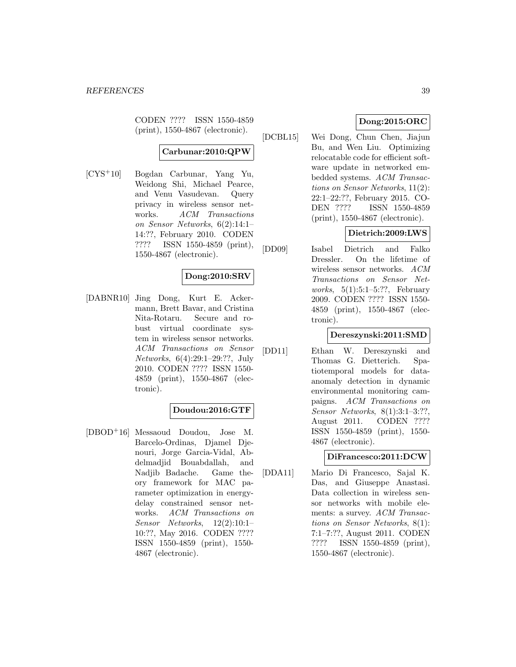CODEN ???? ISSN 1550-4859 (print), 1550-4867 (electronic).

# **Carbunar:2010:QPW**

[CYS<sup>+</sup>10] Bogdan Carbunar, Yang Yu, Weidong Shi, Michael Pearce, and Venu Vasudevan. Query privacy in wireless sensor networks. ACM Transactions on Sensor Networks, 6(2):14:1– 14:??, February 2010. CODEN ???? ISSN 1550-4859 (print), 1550-4867 (electronic).

# **Dong:2010:SRV**

[DABNR10] Jing Dong, Kurt E. Ackermann, Brett Bavar, and Cristina Nita-Rotaru. Secure and robust virtual coordinate system in wireless sensor networks. ACM Transactions on Sensor Networks, 6(4):29:1–29:??, July 2010. CODEN ???? ISSN 1550- 4859 (print), 1550-4867 (electronic).

### **Doudou:2016:GTF**

[DBOD<sup>+</sup>16] Messaoud Doudou, Jose M. Barcelo-Ordinas, Djamel Djenouri, Jorge Garcia-Vidal, Abdelmadjid Bouabdallah, and Nadjib Badache. Game theory framework for MAC parameter optimization in energydelay constrained sensor networks. ACM Transactions on Sensor Networks, 12(2):10:1– 10:??, May 2016. CODEN ???? ISSN 1550-4859 (print), 1550- 4867 (electronic).

# **Dong:2015:ORC**

[DCBL15] Wei Dong, Chun Chen, Jiajun Bu, and Wen Liu. Optimizing relocatable code for efficient software update in networked embedded systems. ACM Transactions on Sensor Networks, 11(2): 22:1–22:??, February 2015. CO-DEN ???? ISSN 1550-4859 (print), 1550-4867 (electronic).

# **Dietrich:2009:LWS**

[DD09] Isabel Dietrich and Falko Dressler. On the lifetime of wireless sensor networks. ACM Transactions on Sensor Networks, 5(1):5:1–5:??, February 2009. CODEN ???? ISSN 1550- 4859 (print), 1550-4867 (electronic).

#### **Dereszynski:2011:SMD**

[DD11] Ethan W. Dereszynski and Thomas G. Dietterich. Spatiotemporal models for dataanomaly detection in dynamic environmental monitoring campaigns. ACM Transactions on Sensor Networks, 8(1):3:1–3:??, August 2011. CODEN ???? ISSN 1550-4859 (print), 1550- 4867 (electronic).

#### **DiFrancesco:2011:DCW**

[DDA11] Mario Di Francesco, Sajal K. Das, and Giuseppe Anastasi. Data collection in wireless sensor networks with mobile elements: a survey. ACM Transactions on Sensor Networks, 8(1): 7:1–7:??, August 2011. CODEN ???? ISSN 1550-4859 (print), 1550-4867 (electronic).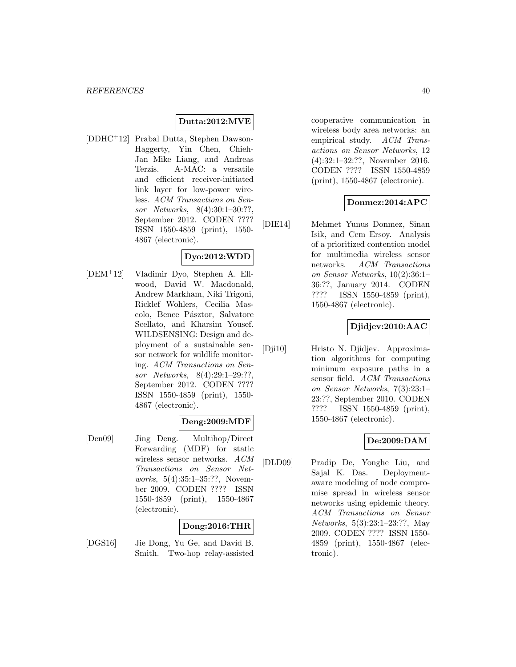## **Dutta:2012:MVE**

[DDHC<sup>+</sup>12] Prabal Dutta, Stephen Dawson-Haggerty, Yin Chen, Chieh-Jan Mike Liang, and Andreas Terzis. A-MAC: a versatile and efficient receiver-initiated link layer for low-power wireless. ACM Transactions on Sensor Networks, 8(4):30:1–30:??, September 2012. CODEN ???? ISSN 1550-4859 (print), 1550- 4867 (electronic).

#### **Dyo:2012:WDD**

[DEM<sup>+</sup>12] Vladimir Dyo, Stephen A. Ellwood, David W. Macdonald, Andrew Markham, Niki Trigoni, Ricklef Wohlers, Cecilia Mascolo, Bence Pásztor, Salvatore Scellato, and Kharsim Yousef. WILDSENSING: Design and deployment of a sustainable sensor network for wildlife monitoring. ACM Transactions on Sensor Networks, 8(4):29:1–29:??, September 2012. CODEN ???? ISSN 1550-4859 (print), 1550- 4867 (electronic).

# **Deng:2009:MDF**

[Den09] Jing Deng. Multihop/Direct Forwarding (MDF) for static wireless sensor networks. ACM Transactions on Sensor Networks, 5(4):35:1–35:??, November 2009. CODEN ???? ISSN 1550-4859 (print), 1550-4867 (electronic).

## **Dong:2016:THR**

[DGS16] Jie Dong, Yu Ge, and David B. Smith. Two-hop relay-assisted cooperative communication in wireless body area networks: an empirical study. ACM Transactions on Sensor Networks, 12 (4):32:1–32:??, November 2016. CODEN ???? ISSN 1550-4859 (print), 1550-4867 (electronic).

### **Donmez:2014:APC**

[DIE14] Mehmet Yunus Donmez, Sinan Isik, and Cem Ersoy. Analysis of a prioritized contention model for multimedia wireless sensor networks. ACM Transactions on Sensor Networks, 10(2):36:1– 36:??, January 2014. CODEN ???? ISSN 1550-4859 (print), 1550-4867 (electronic).

### **Djidjev:2010:AAC**

[Dji10] Hristo N. Djidjev. Approximation algorithms for computing minimum exposure paths in a sensor field. ACM Transactions on Sensor Networks, 7(3):23:1– 23:??, September 2010. CODEN ???? ISSN 1550-4859 (print), 1550-4867 (electronic).

#### **De:2009:DAM**

[DLD09] Pradip De, Yonghe Liu, and Sajal K. Das. Deploymentaware modeling of node compromise spread in wireless sensor networks using epidemic theory. ACM Transactions on Sensor Networks, 5(3):23:1–23:??, May 2009. CODEN ???? ISSN 1550- 4859 (print), 1550-4867 (electronic).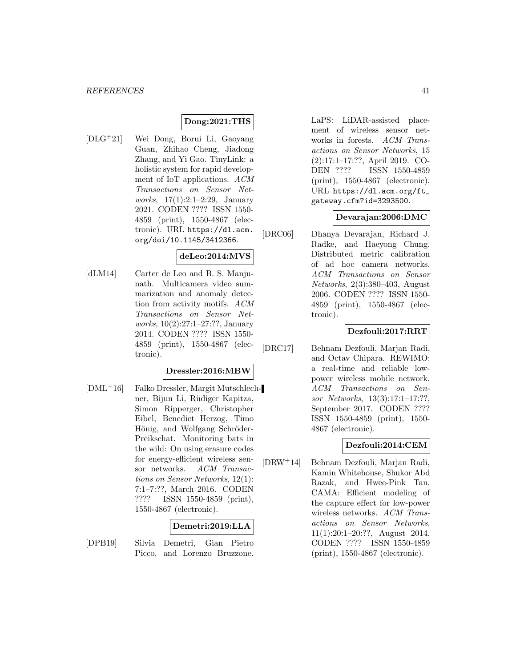#### **Dong:2021:THS**

[DLG<sup>+</sup>21] Wei Dong, Borui Li, Gaoyang Guan, Zhihao Cheng, Jiadong Zhang, and Yi Gao. TinyLink: a holistic system for rapid development of IoT applications. ACM Transactions on Sensor Networks, 17(1):2:1–2:29, January 2021. CODEN ???? ISSN 1550- 4859 (print), 1550-4867 (electronic). URL https://dl.acm. org/doi/10.1145/3412366.

#### **deLeo:2014:MVS**

[dLM14] Carter de Leo and B. S. Manjunath. Multicamera video summarization and anomaly detection from activity motifs. ACM Transactions on Sensor Networks, 10(2):27:1–27:??, January 2014. CODEN ???? ISSN 1550- 4859 (print), 1550-4867 (electronic).

#### **Dressler:2016:MBW**

[DML<sup>+</sup>16] Falko Dressler, Margit Mutschlechner, Bijun Li, Rüdiger Kapitza, Simon Ripperger, Christopher Eibel, Benedict Herzog, Timo Hönig, and Wolfgang Schröder-Preikschat. Monitoring bats in the wild: On using erasure codes for energy-efficient wireless sensor networks. ACM Transactions on Sensor Networks, 12(1): 7:1–7:??, March 2016. CODEN ???? ISSN 1550-4859 (print), 1550-4867 (electronic).

#### **Demetri:2019:LLA**

[DPB19] Silvia Demetri, Gian Pietro Picco, and Lorenzo Bruzzone.

LaPS: LiDAR-assisted placement of wireless sensor networks in forests. ACM Transactions on Sensor Networks, 15 (2):17:1–17:??, April 2019. CO-DEN ???? ISSN 1550-4859 (print), 1550-4867 (electronic). URL https://dl.acm.org/ft\_ gateway.cfm?id=3293500.

#### **Devarajan:2006:DMC**

[DRC06] Dhanya Devarajan, Richard J. Radke, and Haeyong Chung. Distributed metric calibration of ad hoc camera networks. ACM Transactions on Sensor Networks, 2(3):380–403, August 2006. CODEN ???? ISSN 1550- 4859 (print), 1550-4867 (electronic).

## **Dezfouli:2017:RRT**

[DRC17] Behnam Dezfouli, Marjan Radi, and Octav Chipara. REWIMO: a real-time and reliable lowpower wireless mobile network. ACM Transactions on Sensor Networks, 13(3):17:1–17:??, September 2017. CODEN ???? ISSN 1550-4859 (print), 1550- 4867 (electronic).

# **Dezfouli:2014:CEM**

[DRW<sup>+</sup>14] Behnam Dezfouli, Marjan Radi, Kamin Whitehouse, Shukor Abd Razak, and Hwee-Pink Tan. CAMA: Efficient modeling of the capture effect for low-power wireless networks. ACM Transactions on Sensor Networks, 11(1):20:1–20:??, August 2014. CODEN ???? ISSN 1550-4859 (print), 1550-4867 (electronic).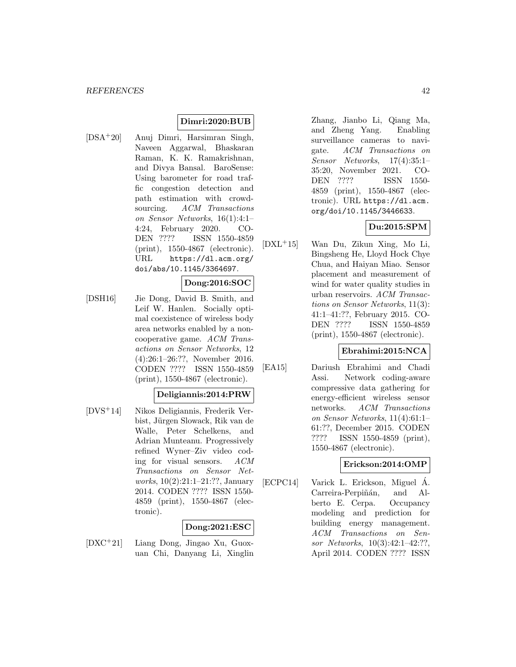# **Dimri:2020:BUB**

[DSA<sup>+</sup>20] Anuj Dimri, Harsimran Singh, Naveen Aggarwal, Bhaskaran Raman, K. K. Ramakrishnan, and Divya Bansal. BaroSense: Using barometer for road traffic congestion detection and path estimation with crowdsourcing. ACM Transactions on Sensor Networks, 16(1):4:1– 4:24, February 2020. CO-DEN ???? ISSN 1550-4859 (print), 1550-4867 (electronic). URL https://dl.acm.org/ doi/abs/10.1145/3364697.

#### **Dong:2016:SOC**

[DSH16] Jie Dong, David B. Smith, and Leif W. Hanlen. Socially optimal coexistence of wireless body area networks enabled by a noncooperative game. ACM Transactions on Sensor Networks, 12 (4):26:1–26:??, November 2016. CODEN ???? ISSN 1550-4859 (print), 1550-4867 (electronic).

## **Deligiannis:2014:PRW**

[DVS<sup>+</sup>14] Nikos Deligiannis, Frederik Verbist, Jürgen Slowack, Rik van de Walle, Peter Schelkens, and Adrian Munteanu. Progressively refined Wyner–Ziv video coding for visual sensors. ACM Transactions on Sensor Networks, 10(2):21:1–21:??, January 2014. CODEN ???? ISSN 1550- 4859 (print), 1550-4867 (electronic).

#### **Dong:2021:ESC**

[DXC<sup>+</sup>21] Liang Dong, Jingao Xu, Guoxuan Chi, Danyang Li, Xinglin

Zhang, Jianbo Li, Qiang Ma, and Zheng Yang. Enabling surveillance cameras to navigate. ACM Transactions on Sensor Networks, 17(4):35:1– 35:20, November 2021. CO-DEN ???? ISSN 1550- 4859 (print), 1550-4867 (electronic). URL https://dl.acm. org/doi/10.1145/3446633.

## **Du:2015:SPM**

[DXL<sup>+</sup>15] Wan Du, Zikun Xing, Mo Li, Bingsheng He, Lloyd Hock Chye Chua, and Haiyan Miao. Sensor placement and measurement of wind for water quality studies in urban reservoirs. ACM Transactions on Sensor Networks, 11(3): 41:1–41:??, February 2015. CO-DEN ???? ISSN 1550-4859 (print), 1550-4867 (electronic).

#### **Ebrahimi:2015:NCA**

[EA15] Dariush Ebrahimi and Chadi Assi. Network coding-aware compressive data gathering for energy-efficient wireless sensor networks. ACM Transactions on Sensor Networks, 11(4):61:1– 61:??, December 2015. CODEN ???? ISSN 1550-4859 (print), 1550-4867 (electronic).

#### **Erickson:2014:OMP**

[ECPC14] Varick L. Erickson, Miguel Á. Carreira-Perpiñán, and Alberto E. Cerpa. Occupancy modeling and prediction for building energy management. ACM Transactions on Sensor Networks, 10(3):42:1–42:??, April 2014. CODEN ???? ISSN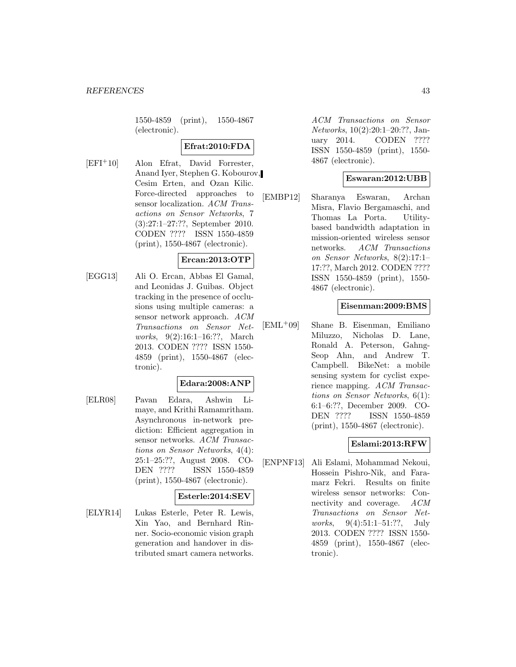1550-4859 (print), 1550-4867 (electronic).

#### **Efrat:2010:FDA**

[EFI<sup>+</sup>10] Alon Efrat, David Forrester, Anand Iyer, Stephen G. Kobourov, Cesim Erten, and Ozan Kilic. Force-directed approaches to sensor localization. ACM Transactions on Sensor Networks, 7 (3):27:1–27:??, September 2010. CODEN ???? ISSN 1550-4859 (print), 1550-4867 (electronic).

# **Ercan:2013:OTP**

[EGG13] Ali O. Ercan, Abbas El Gamal, and Leonidas J. Guibas. Object tracking in the presence of occlusions using multiple cameras: a sensor network approach. ACM Transactions on Sensor Networks, 9(2):16:1–16:??, March 2013. CODEN ???? ISSN 1550- 4859 (print), 1550-4867 (electronic).

#### **Edara:2008:ANP**

[ELR08] Pavan Edara, Ashwin Limaye, and Krithi Ramamritham. Asynchronous in-network prediction: Efficient aggregation in sensor networks. ACM Transactions on Sensor Networks, 4(4): 25:1–25:??, August 2008. CO-DEN ???? ISSN 1550-4859 (print), 1550-4867 (electronic).

#### **Esterle:2014:SEV**

[ELYR14] Lukas Esterle, Peter R. Lewis, Xin Yao, and Bernhard Rinner. Socio-economic vision graph generation and handover in distributed smart camera networks.

ACM Transactions on Sensor Networks, 10(2):20:1–20:??, January 2014. CODEN ???? ISSN 1550-4859 (print), 1550- 4867 (electronic).

#### **Eswaran:2012:UBB**

[EMBP12] Sharanya Eswaran, Archan Misra, Flavio Bergamaschi, and Thomas La Porta. Utilitybased bandwidth adaptation in mission-oriented wireless sensor networks. ACM Transactions on Sensor Networks, 8(2):17:1– 17:??, March 2012. CODEN ???? ISSN 1550-4859 (print), 1550- 4867 (electronic).

### **Eisenman:2009:BMS**

[EML<sup>+</sup>09] Shane B. Eisenman, Emiliano Miluzzo, Nicholas D. Lane, Ronald A. Peterson, Gahng-Seop Ahn, and Andrew T. Campbell. BikeNet: a mobile sensing system for cyclist experience mapping. ACM Transactions on Sensor Networks, 6(1): 6:1–6:??, December 2009. CO-DEN ???? ISSN 1550-4859 (print), 1550-4867 (electronic).

# **Eslami:2013:RFW**

[ENPNF13] Ali Eslami, Mohammad Nekoui, Hossein Pishro-Nik, and Faramarz Fekri. Results on finite wireless sensor networks: Connectivity and coverage. ACM Transactions on Sensor Networks, 9(4):51:1-51:??, July 2013. CODEN ???? ISSN 1550- 4859 (print), 1550-4867 (electronic).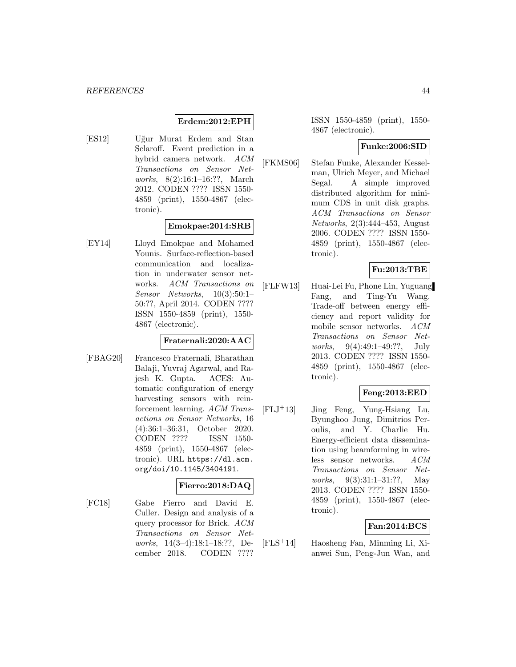# **Erdem:2012:EPH**

[ES12] Uğur Murat Erdem and Stan Sclaroff. Event prediction in a hybrid camera network. ACM Transactions on Sensor Networks, 8(2):16:1–16:??, March 2012. CODEN ???? ISSN 1550- 4859 (print), 1550-4867 (electronic).

#### **Emokpae:2014:SRB**

[EY14] Lloyd Emokpae and Mohamed Younis. Surface-reflection-based communication and localization in underwater sensor networks. ACM Transactions on Sensor Networks, 10(3):50:1– 50:??, April 2014. CODEN ???? ISSN 1550-4859 (print), 1550- 4867 (electronic).

#### **Fraternali:2020:AAC**

[FBAG20] Francesco Fraternali, Bharathan Balaji, Yuvraj Agarwal, and Rajesh K. Gupta. ACES: Automatic configuration of energy harvesting sensors with reinforcement learning. ACM Transactions on Sensor Networks, 16 (4):36:1–36:31, October 2020. CODEN ???? ISSN 1550- 4859 (print), 1550-4867 (electronic). URL https://dl.acm. org/doi/10.1145/3404191.

# **Fierro:2018:DAQ**

[FC18] Gabe Fierro and David E. Culler. Design and analysis of a query processor for Brick. ACM Transactions on Sensor Networks, 14(3–4):18:1–18:??, December 2018. CODEN ????

ISSN 1550-4859 (print), 1550- 4867 (electronic).

#### **Funke:2006:SID**

[FKMS06] Stefan Funke, Alexander Kesselman, Ulrich Meyer, and Michael Segal. A simple improved distributed algorithm for minimum CDS in unit disk graphs. ACM Transactions on Sensor Networks, 2(3):444–453, August 2006. CODEN ???? ISSN 1550- 4859 (print), 1550-4867 (electronic).

# **Fu:2013:TBE**

[FLFW13] Huai-Lei Fu, Phone Lin, Yuguang Fang, and Ting-Yu Wang. Trade-off between energy efficiency and report validity for mobile sensor networks. ACM Transactions on Sensor Networks, 9(4):49:1–49:??, July 2013. CODEN ???? ISSN 1550- 4859 (print), 1550-4867 (electronic).

#### **Feng:2013:EED**

[FLJ<sup>+</sup>13] Jing Feng, Yung-Hsiang Lu, Byunghoo Jung, Dimitrios Peroulis, and Y. Charlie Hu. Energy-efficient data dissemination using beamforming in wireless sensor networks. ACM Transactions on Sensor Networks, 9(3):31:1–31:??, May 2013. CODEN ???? ISSN 1550- 4859 (print), 1550-4867 (electronic).

#### **Fan:2014:BCS**

[FLS<sup>+</sup>14] Haosheng Fan, Minming Li, Xianwei Sun, Peng-Jun Wan, and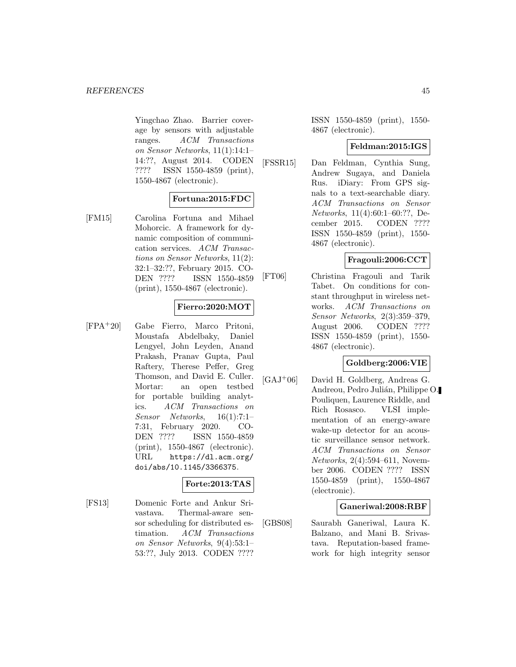Yingchao Zhao. Barrier coverage by sensors with adjustable ranges. ACM Transactions on Sensor Networks, 11(1):14:1– 14:??, August 2014. CODEN ???? ISSN 1550-4859 (print), 1550-4867 (electronic).

# **Fortuna:2015:FDC**

[FM15] Carolina Fortuna and Mihael Mohorcic. A framework for dynamic composition of communication services. ACM Transactions on Sensor Networks, 11(2): 32:1–32:??, February 2015. CO-DEN ???? ISSN 1550-4859 (print), 1550-4867 (electronic).

### **Fierro:2020:MOT**

[FPA<sup>+</sup>20] Gabe Fierro, Marco Pritoni, Moustafa Abdelbaky, Daniel Lengyel, John Leyden, Anand Prakash, Pranav Gupta, Paul Raftery, Therese Peffer, Greg Thomson, and David E. Culler. Mortar: an open testbed for portable building analytics. ACM Transactions on Sensor Networks, 16(1):7:1– 7:31, February 2020. CO-DEN ???? ISSN 1550-4859 (print), 1550-4867 (electronic). URL https://dl.acm.org/ doi/abs/10.1145/3366375.

# **Forte:2013:TAS**

[FS13] Domenic Forte and Ankur Srivastava. Thermal-aware sensor scheduling for distributed estimation. ACM Transactions on Sensor Networks, 9(4):53:1– 53:??, July 2013. CODEN ????

ISSN 1550-4859 (print), 1550- 4867 (electronic).

#### **Feldman:2015:IGS**

[FSSR15] Dan Feldman, Cynthia Sung, Andrew Sugaya, and Daniela Rus. iDiary: From GPS signals to a text-searchable diary. ACM Transactions on Sensor Networks, 11(4):60:1–60:??, December 2015. CODEN ???? ISSN 1550-4859 (print), 1550- 4867 (electronic).

# **Fragouli:2006:CCT**

[FT06] Christina Fragouli and Tarik Tabet. On conditions for constant throughput in wireless networks. ACM Transactions on Sensor Networks, 2(3):359–379, August 2006. CODEN ???? ISSN 1550-4859 (print), 1550- 4867 (electronic).

#### **Goldberg:2006:VIE**

[GAJ<sup>+</sup>06] David H. Goldberg, Andreas G. Andreou, Pedro Julián, Philippe O. Pouliquen, Laurence Riddle, and Rich Rosasco. VLSI implementation of an energy-aware wake-up detector for an acoustic surveillance sensor network. ACM Transactions on Sensor Networks, 2(4):594–611, November 2006. CODEN ???? ISSN 1550-4859 (print), 1550-4867 (electronic).

#### **Ganeriwal:2008:RBF**

[GBS08] Saurabh Ganeriwal, Laura K. Balzano, and Mani B. Srivastava. Reputation-based framework for high integrity sensor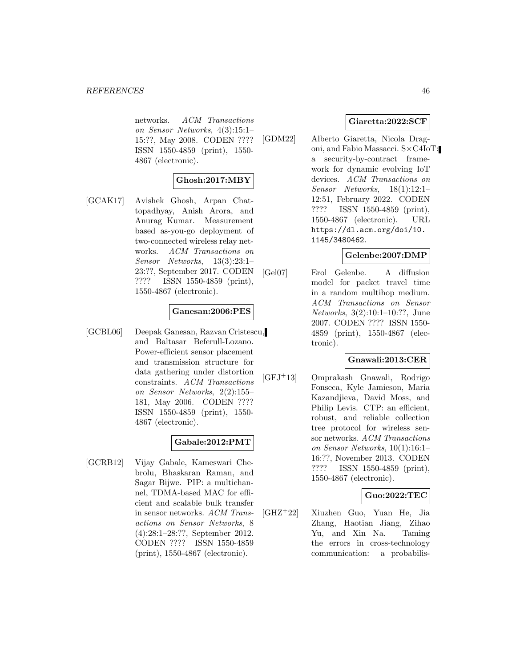networks. ACM Transactions on Sensor Networks, 4(3):15:1– 15:??, May 2008. CODEN ???? ISSN 1550-4859 (print), 1550- 4867 (electronic).

# **Ghosh:2017:MBY**

[GCAK17] Avishek Ghosh, Arpan Chattopadhyay, Anish Arora, and Anurag Kumar. Measurement based as-you-go deployment of two-connected wireless relay networks. ACM Transactions on Sensor Networks, 13(3):23:1– 23:??, September 2017. CODEN ???? ISSN 1550-4859 (print), 1550-4867 (electronic).

### **Ganesan:2006:PES**

[GCBL06] Deepak Ganesan, Razvan Cristescu, and Baltasar Beferull-Lozano. Power-efficient sensor placement and transmission structure for data gathering under distortion constraints. ACM Transactions on Sensor Networks, 2(2):155– 181, May 2006. CODEN ???? ISSN 1550-4859 (print), 1550- 4867 (electronic).

#### **Gabale:2012:PMT**

[GCRB12] Vijay Gabale, Kameswari Chebrolu, Bhaskaran Raman, and Sagar Bijwe. PIP: a multichannel, TDMA-based MAC for efficient and scalable bulk transfer in sensor networks. ACM Transactions on Sensor Networks, 8 (4):28:1–28:??, September 2012. CODEN ???? ISSN 1550-4859 (print), 1550-4867 (electronic).

### **Giaretta:2022:SCF**

[GDM22] Alberto Giaretta, Nicola Dragoni, and Fabio Massacci. S×C4IoT: a security-by-contract framework for dynamic evolving IoT devices. ACM Transactions on Sensor Networks, 18(1):12:1– 12:51, February 2022. CODEN ???? ISSN 1550-4859 (print), 1550-4867 (electronic). URL https://dl.acm.org/doi/10. 1145/3480462.

#### **Gelenbe:2007:DMP**

[Gel07] Erol Gelenbe. A diffusion model for packet travel time in a random multihop medium. ACM Transactions on Sensor Networks, 3(2):10:1–10:??, June 2007. CODEN ???? ISSN 1550- 4859 (print), 1550-4867 (electronic).

# **Gnawali:2013:CER**

[GFJ<sup>+</sup>13] Omprakash Gnawali, Rodrigo Fonseca, Kyle Jamieson, Maria Kazandjieva, David Moss, and Philip Levis. CTP: an efficient, robust, and reliable collection tree protocol for wireless sensor networks. ACM Transactions on Sensor Networks, 10(1):16:1– 16:??, November 2013. CODEN ???? ISSN 1550-4859 (print), 1550-4867 (electronic).

### **Guo:2022:TEC**

[GHZ<sup>+</sup>22] Xiuzhen Guo, Yuan He, Jia Zhang, Haotian Jiang, Zihao Yu, and Xin Na. Taming the errors in cross-technology communication: a probabilis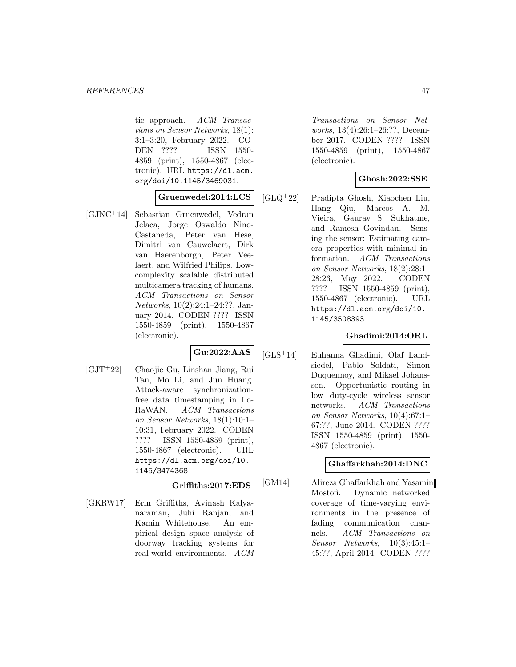tic approach. ACM Transactions on Sensor Networks, 18(1): 3:1–3:20, February 2022. CO-DEN ???? ISSN 1550- 4859 (print), 1550-4867 (electronic). URL https://dl.acm. org/doi/10.1145/3469031.

# **Gruenwedel:2014:LCS**

[GJNC<sup>+</sup>14] Sebastian Gruenwedel, Vedran Jelaca, Jorge Oswaldo Nino-Castaneda, Peter van Hese, Dimitri van Cauwelaert, Dirk van Haerenborgh, Peter Veelaert, and Wilfried Philips. Lowcomplexity scalable distributed multicamera tracking of humans. ACM Transactions on Sensor Networks, 10(2):24:1–24:??, January 2014. CODEN ???? ISSN 1550-4859 (print), 1550-4867 (electronic).

# **Gu:2022:AAS**

[GJT<sup>+</sup>22] Chaojie Gu, Linshan Jiang, Rui Tan, Mo Li, and Jun Huang. Attack-aware synchronizationfree data timestamping in Lo-RaWAN. ACM Transactions on Sensor Networks, 18(1):10:1– 10:31, February 2022. CODEN ???? ISSN 1550-4859 (print), 1550-4867 (electronic). URL https://dl.acm.org/doi/10. 1145/3474368.

# **Griffiths:2017:EDS**

[GKRW17] Erin Griffiths, Avinash Kalyanaraman, Juhi Ranjan, and Kamin Whitehouse. An empirical design space analysis of doorway tracking systems for real-world environments. ACM Transactions on Sensor Networks, 13(4):26:1–26:??, December 2017. CODEN ???? ISSN 1550-4859 (print), 1550-4867 (electronic).

# **Ghosh:2022:SSE**

[GLQ<sup>+</sup>22] Pradipta Ghosh, Xiaochen Liu, Hang Qiu, Marcos A. M. Vieira, Gaurav S. Sukhatme, and Ramesh Govindan. Sensing the sensor: Estimating camera properties with minimal information. ACM Transactions on Sensor Networks, 18(2):28:1– 28:26, May 2022. CODEN ???? ISSN 1550-4859 (print), 1550-4867 (electronic). URL https://dl.acm.org/doi/10. 1145/3508393.

# **Ghadimi:2014:ORL**

[GLS<sup>+</sup>14] Euhanna Ghadimi, Olaf Landsiedel, Pablo Soldati, Simon Duquennoy, and Mikael Johansson. Opportunistic routing in low duty-cycle wireless sensor networks. ACM Transactions on Sensor Networks, 10(4):67:1– 67:??, June 2014. CODEN ???? ISSN 1550-4859 (print), 1550- 4867 (electronic).

# **Ghaffarkhah:2014:DNC**

[GM14] Alireza Ghaffarkhah and Yasamin Mostofi. Dynamic networked coverage of time-varying environments in the presence of fading communication channels. ACM Transactions on Sensor Networks, 10(3):45:1– 45:??, April 2014. CODEN ????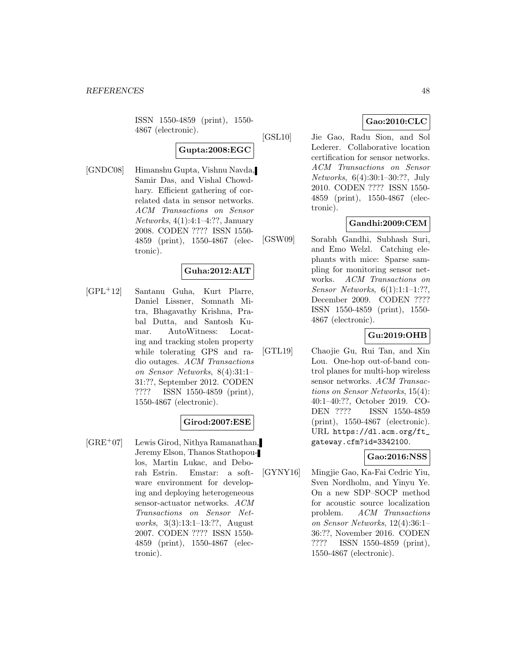ISSN 1550-4859 (print), 1550- 4867 (electronic).

**Gupta:2008:EGC**

[GNDC08] Himanshu Gupta, Vishnu Navda, Samir Das, and Vishal Chowdhary. Efficient gathering of correlated data in sensor networks. ACM Transactions on Sensor Networks, 4(1):4:1–4:??, January 2008. CODEN ???? ISSN 1550- 4859 (print), 1550-4867 (electronic).

# **Guha:2012:ALT**

[GPL<sup>+</sup>12] Santanu Guha, Kurt Plarre, Daniel Lissner, Somnath Mitra, Bhagavathy Krishna, Prabal Dutta, and Santosh Kumar. AutoWitness: Locating and tracking stolen property while tolerating GPS and radio outages. ACM Transactions on Sensor Networks, 8(4):31:1– 31:??, September 2012. CODEN ???? ISSN 1550-4859 (print), 1550-4867 (electronic).

## **Girod:2007:ESE**

[GRE<sup>+</sup>07] Lewis Girod, Nithya Ramanathan, Jeremy Elson, Thanos Stathopoulos, Martin Lukac, and Deborah Estrin. Emstar: a software environment for developing and deploying heterogeneous sensor-actuator networks. ACM Transactions on Sensor Networks, 3(3):13:1–13:??, August 2007. CODEN ???? ISSN 1550- 4859 (print), 1550-4867 (electronic).

# **Gao:2010:CLC**

[GSL10] Jie Gao, Radu Sion, and Sol Lederer. Collaborative location certification for sensor networks. ACM Transactions on Sensor Networks, 6(4):30:1–30:??, July 2010. CODEN ???? ISSN 1550- 4859 (print), 1550-4867 (electronic).

# **Gandhi:2009:CEM**

[GSW09] Sorabh Gandhi, Subhash Suri, and Emo Welzl. Catching elephants with mice: Sparse sampling for monitoring sensor networks. ACM Transactions on Sensor Networks, 6(1):1:1–1:??, December 2009. CODEN ???? ISSN 1550-4859 (print), 1550- 4867 (electronic).

#### **Gu:2019:OHB**

[GTL19] Chaojie Gu, Rui Tan, and Xin Lou. One-hop out-of-band control planes for multi-hop wireless sensor networks. ACM Transactions on Sensor Networks, 15(4): 40:1–40:??, October 2019. CO-DEN ???? ISSN 1550-4859 (print), 1550-4867 (electronic). URL https://dl.acm.org/ft\_ gateway.cfm?id=3342100.

# **Gao:2016:NSS**

[GYNY16] Mingjie Gao, Ka-Fai Cedric Yiu, Sven Nordholm, and Yinyu Ye. On a new SDP–SOCP method for acoustic source localization problem. ACM Transactions on Sensor Networks, 12(4):36:1– 36:??, November 2016. CODEN ???? ISSN 1550-4859 (print), 1550-4867 (electronic).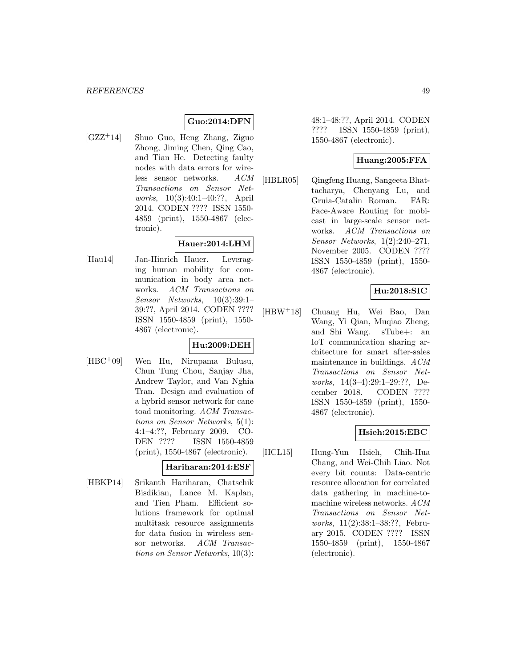# **Guo:2014:DFN**

[GZZ<sup>+</sup>14] Shuo Guo, Heng Zhang, Ziguo Zhong, Jiming Chen, Qing Cao, and Tian He. Detecting faulty nodes with data errors for wireless sensor networks. ACM Transactions on Sensor Networks, 10(3):40:1–40:??, April 2014. CODEN ???? ISSN 1550- 4859 (print), 1550-4867 (electronic).

# **Hauer:2014:LHM**

[Hau14] Jan-Hinrich Hauer. Leveraging human mobility for communication in body area networks. ACM Transactions on Sensor Networks, 10(3):39:1– 39:??, April 2014. CODEN ???? ISSN 1550-4859 (print), 1550- 4867 (electronic).

# **Hu:2009:DEH**

[HBC<sup>+</sup>09] Wen Hu, Nirupama Bulusu, Chun Tung Chou, Sanjay Jha, Andrew Taylor, and Van Nghia Tran. Design and evaluation of a hybrid sensor network for cane toad monitoring. ACM Transactions on Sensor Networks, 5(1): 4:1–4:??, February 2009. CO-DEN ???? ISSN 1550-4859 (print), 1550-4867 (electronic).

# **Hariharan:2014:ESF**

[HBKP14] Srikanth Hariharan, Chatschik Bisdikian, Lance M. Kaplan, and Tien Pham. Efficient solutions framework for optimal multitask resource assignments for data fusion in wireless sensor networks. ACM Transactions on Sensor Networks, 10(3):

48:1–48:??, April 2014. CODEN ???? ISSN 1550-4859 (print), 1550-4867 (electronic).

# **Huang:2005:FFA**

[HBLR05] Qingfeng Huang, Sangeeta Bhattacharya, Chenyang Lu, and Gruia-Catalin Roman. FAR: Face-Aware Routing for mobicast in large-scale sensor networks. ACM Transactions on Sensor Networks, 1(2):240–271, November 2005. CODEN ???? ISSN 1550-4859 (print), 1550- 4867 (electronic).

# **Hu:2018:SIC**

[HBW<sup>+</sup>18] Chuang Hu, Wei Bao, Dan Wang, Yi Qian, Muqiao Zheng, and Shi Wang. sTube+: an IoT communication sharing architecture for smart after-sales maintenance in buildings. ACM Transactions on Sensor Networks, 14(3–4):29:1–29:??, December 2018. CODEN ???? ISSN 1550-4859 (print), 1550- 4867 (electronic).

# **Hsieh:2015:EBC**

[HCL15] Hung-Yun Hsieh, Chih-Hua Chang, and Wei-Chih Liao. Not every bit counts: Data-centric resource allocation for correlated data gathering in machine-tomachine wireless networks. ACM Transactions on Sensor Networks, 11(2):38:1–38:??, February 2015. CODEN ???? ISSN 1550-4859 (print), 1550-4867 (electronic).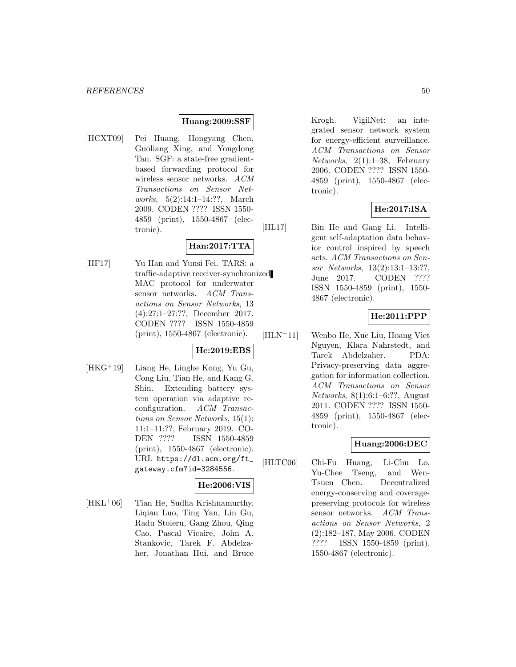#### **Huang:2009:SSF**

[HCXT09] Pei Huang, Hongyang Chen, Guoliang Xing, and Yongdong Tan. SGF: a state-free gradientbased forwarding protocol for wireless sensor networks. ACM Transactions on Sensor Networks, 5(2):14:1–14:??, March 2009. CODEN ???? ISSN 1550- 4859 (print), 1550-4867 (electronic).

# **Han:2017:TTA**

[HF17] Yu Han and Yunsi Fei. TARS: a traffic-adaptive receiver-synchronized MAC protocol for underwater sensor networks. ACM Transactions on Sensor Networks, 13 (4):27:1–27:??, December 2017. CODEN ???? ISSN 1550-4859 (print), 1550-4867 (electronic).

#### **He:2019:EBS**

[HKG<sup>+</sup>19] Liang He, Linghe Kong, Yu Gu, Cong Liu, Tian He, and Kang G. Shin. Extending battery system operation via adaptive reconfiguration. ACM Transactions on Sensor Networks, 15(1): 11:1–11:??, February 2019. CO-DEN ???? ISSN 1550-4859 (print), 1550-4867 (electronic). URL https://dl.acm.org/ft\_ gateway.cfm?id=3284556.

# **He:2006:VIS**

 $[HKL+06]$  Tian He, Sudha Krishnamurthy, Liqian Luo, Ting Yan, Lin Gu, Radu Stoleru, Gang Zhou, Qing Cao, Pascal Vicaire, John A. Stankovic, Tarek F. Abdelzaher, Jonathan Hui, and Bruce

Krogh. VigilNet: an integrated sensor network system for energy-efficient surveillance. ACM Transactions on Sensor Networks, 2(1):1–38, February 2006. CODEN ???? ISSN 1550- 4859 (print), 1550-4867 (electronic).

# **He:2017:ISA**

[HL17] Bin He and Gang Li. Intelligent self-adaptation data behavior control inspired by speech acts. ACM Transactions on Sensor Networks, 13(2):13:1–13:??, June 2017. CODEN ???? ISSN 1550-4859 (print), 1550- 4867 (electronic).

### **He:2011:PPP**

[HLN<sup>+</sup>11] Wenbo He, Xue Liu, Hoang Viet Nguyen, Klara Nahrstedt, and Tarek Abdelzaher. PDA: Privacy-preserving data aggregation for information collection. ACM Transactions on Sensor Networks, 8(1):6:1–6:??, August 2011. CODEN ???? ISSN 1550- 4859 (print), 1550-4867 (electronic).

# **Huang:2006:DEC**

[HLTC06] Chi-Fu Huang, Li-Chu Lo, Yu-Chee Tseng, and Wen-Tsuen Chen. Decentralized energy-conserving and coveragepreserving protocols for wireless sensor networks. ACM Transactions on Sensor Networks, 2 (2):182–187, May 2006. CODEN ???? ISSN 1550-4859 (print), 1550-4867 (electronic).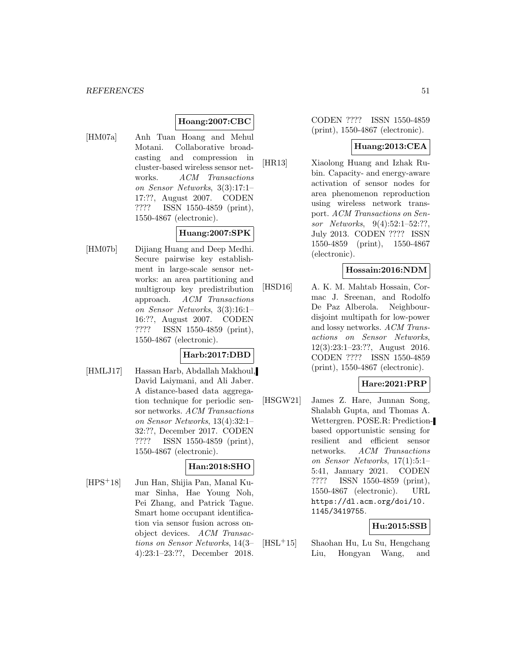# **Hoang:2007:CBC**

[HM07a] Anh Tuan Hoang and Mehul Motani. Collaborative broadcasting and compression in cluster-based wireless sensor networks. ACM Transactions on Sensor Networks, 3(3):17:1– 17:??, August 2007. CODEN ???? ISSN 1550-4859 (print), 1550-4867 (electronic).

# **Huang:2007:SPK**

[HM07b] Dijiang Huang and Deep Medhi. Secure pairwise key establishment in large-scale sensor networks: an area partitioning and multigroup key predistribution approach. ACM Transactions on Sensor Networks, 3(3):16:1– 16:??, August 2007. CODEN ???? ISSN 1550-4859 (print), 1550-4867 (electronic).

# **Harb:2017:DBD**

[HMLJ17] Hassan Harb, Abdallah Makhoul, David Laiymani, and Ali Jaber. A distance-based data aggregation technique for periodic sensor networks. ACM Transactions on Sensor Networks, 13(4):32:1– 32:??, December 2017. CODEN ???? ISSN 1550-4859 (print), 1550-4867 (electronic).

# **Han:2018:SHO**

[HPS<sup>+</sup>18] Jun Han, Shijia Pan, Manal Kumar Sinha, Hae Young Noh, Pei Zhang, and Patrick Tague. Smart home occupant identification via sensor fusion across onobject devices. ACM Transactions on Sensor Networks, 14(3– 4):23:1–23:??, December 2018.

CODEN ???? ISSN 1550-4859 (print), 1550-4867 (electronic).

## **Huang:2013:CEA**

[HR13] Xiaolong Huang and Izhak Rubin. Capacity- and energy-aware activation of sensor nodes for area phenomenon reproduction using wireless network transport. ACM Transactions on Sensor Networks, 9(4):52:1–52:??, July 2013. CODEN ???? ISSN 1550-4859 (print), 1550-4867 (electronic).

#### **Hossain:2016:NDM**

[HSD16] A. K. M. Mahtab Hossain, Cormac J. Sreenan, and Rodolfo De Paz Alberola. Neighbourdisjoint multipath for low-power and lossy networks. ACM Transactions on Sensor Networks, 12(3):23:1–23:??, August 2016. CODEN ???? ISSN 1550-4859 (print), 1550-4867 (electronic).

# **Hare:2021:PRP**

[HSGW21] James Z. Hare, Junnan Song, Shalabh Gupta, and Thomas A. Wettergren. POSE.R: Predictionbased opportunistic sensing for resilient and efficient sensor networks. ACM Transactions on Sensor Networks, 17(1):5:1– 5:41, January 2021. CODEN ???? ISSN 1550-4859 (print), 1550-4867 (electronic). URL https://dl.acm.org/doi/10. 1145/3419755.

# **Hu:2015:SSB**

[HSL<sup>+</sup>15] Shaohan Hu, Lu Su, Hengchang Liu, Hongyan Wang, and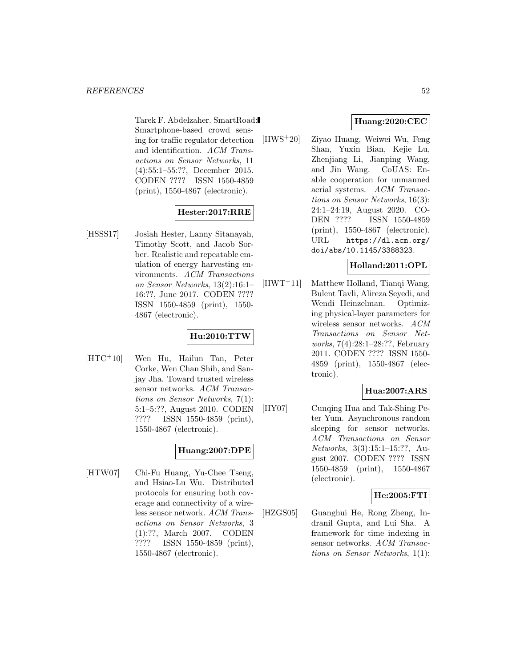Tarek F. Abdelzaher. SmartRoad: Smartphone-based crowd sensing for traffic regulator detection and identification. ACM Transactions on Sensor Networks, 11 (4):55:1–55:??, December 2015. CODEN ???? ISSN 1550-4859 (print), 1550-4867 (electronic).

# **Hester:2017:RRE**

[HSSS17] Josiah Hester, Lanny Sitanayah, Timothy Scott, and Jacob Sorber. Realistic and repeatable emulation of energy harvesting environments. ACM Transactions on Sensor Networks, 13(2):16:1– 16:??, June 2017. CODEN ???? ISSN 1550-4859 (print), 1550- 4867 (electronic).

# **Hu:2010:TTW**

[HTC<sup>+</sup>10] Wen Hu, Hailun Tan, Peter Corke, Wen Chan Shih, and Sanjay Jha. Toward trusted wireless sensor networks. ACM Transactions on Sensor Networks, 7(1): 5:1–5:??, August 2010. CODEN ???? ISSN 1550-4859 (print), 1550-4867 (electronic).

# **Huang:2007:DPE**

[HTW07] Chi-Fu Huang, Yu-Chee Tseng, and Hsiao-Lu Wu. Distributed protocols for ensuring both coverage and connectivity of a wireless sensor network. ACM Transactions on Sensor Networks, 3 (1):??, March 2007. CODEN ???? ISSN 1550-4859 (print), 1550-4867 (electronic).

# **Huang:2020:CEC**

[HWS<sup>+</sup>20] Ziyao Huang, Weiwei Wu, Feng Shan, Yuxin Bian, Kejie Lu, Zhenjiang Li, Jianping Wang, and Jin Wang. CoUAS: Enable cooperation for unmanned aerial systems. ACM Transactions on Sensor Networks, 16(3): 24:1–24:19, August 2020. CO-DEN ???? ISSN 1550-4859 (print), 1550-4867 (electronic). URL https://dl.acm.org/ doi/abs/10.1145/3388323.

### **Holland:2011:OPL**

[HWT<sup>+</sup>11] Matthew Holland, Tianqi Wang, Bulent Tavli, Alireza Seyedi, and Wendi Heinzelman. Optimizing physical-layer parameters for wireless sensor networks. ACM Transactions on Sensor Networks, 7(4):28:1–28:??, February 2011. CODEN ???? ISSN 1550- 4859 (print), 1550-4867 (electronic).

# **Hua:2007:ARS**

[HY07] Cunqing Hua and Tak-Shing Peter Yum. Asynchronous random sleeping for sensor networks. ACM Transactions on Sensor Networks, 3(3):15:1–15:??, August 2007. CODEN ???? ISSN 1550-4859 (print), 1550-4867 (electronic).

# **He:2005:FTI**

[HZGS05] Guanghui He, Rong Zheng, Indranil Gupta, and Lui Sha. A framework for time indexing in sensor networks. ACM Transactions on Sensor Networks, 1(1):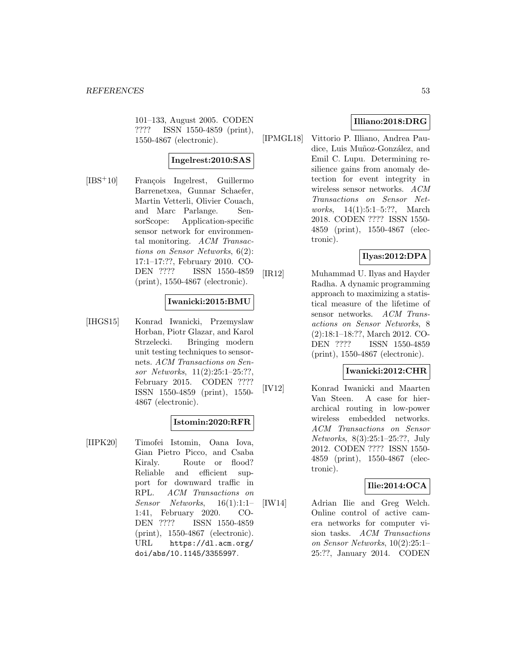101–133, August 2005. CODEN ???? ISSN 1550-4859 (print), 1550-4867 (electronic).

# **Ingelrest:2010:SAS**

[IBS<sup>+</sup>10] François Ingelrest, Guillermo Barrenetxea, Gunnar Schaefer, Martin Vetterli, Olivier Couach, and Marc Parlange. SensorScope: Application-specific sensor network for environmental monitoring. ACM Transactions on Sensor Networks, 6(2): 17:1–17:??, February 2010. CO-DEN ???? ISSN 1550-4859 (print), 1550-4867 (electronic).

### **Iwanicki:2015:BMU**

[IHGS15] Konrad Iwanicki, Przemyslaw Horban, Piotr Glazar, and Karol Strzelecki. Bringing modern unit testing techniques to sensornets. ACM Transactions on Sensor Networks, 11(2):25:1–25:??, February 2015. CODEN ???? ISSN 1550-4859 (print), 1550- 4867 (electronic).

#### **Istomin:2020:RFR**

[IIPK20] Timofei Istomin, Oana Iova, Gian Pietro Picco, and Csaba Kiraly. Route or flood? Reliable and efficient support for downward traffic in RPL. ACM Transactions on Sensor Networks, 16(1):1:1– 1:41, February 2020. CO-DEN ???? ISSN 1550-4859 (print), 1550-4867 (electronic). URL https://dl.acm.org/ doi/abs/10.1145/3355997.

# **Illiano:2018:DRG**

[IPMGL18] Vittorio P. Illiano, Andrea Paudice, Luis Muñoz-González, and Emil C. Lupu. Determining resilience gains from anomaly detection for event integrity in wireless sensor networks. ACM Transactions on Sensor Networks, 14(1):5:1–5:??, March 2018. CODEN ???? ISSN 1550- 4859 (print), 1550-4867 (electronic).

# **Ilyas:2012:DPA**

[IR12] Muhammad U. Ilyas and Hayder Radha. A dynamic programming approach to maximizing a statistical measure of the lifetime of sensor networks. ACM Transactions on Sensor Networks, 8 (2):18:1–18:??, March 2012. CO-DEN ???? ISSN 1550-4859 (print), 1550-4867 (electronic).

#### **Iwanicki:2012:CHR**

[IV12] Konrad Iwanicki and Maarten Van Steen. A case for hierarchical routing in low-power wireless embedded networks. ACM Transactions on Sensor Networks, 8(3):25:1–25:??, July 2012. CODEN ???? ISSN 1550- 4859 (print), 1550-4867 (electronic).

# **Ilie:2014:OCA**

[IW14] Adrian Ilie and Greg Welch. Online control of active camera networks for computer vision tasks. ACM Transactions on Sensor Networks, 10(2):25:1– 25:??, January 2014. CODEN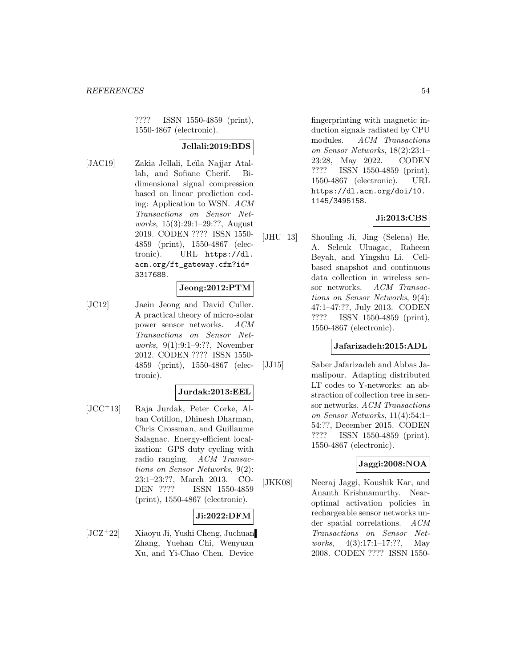???? ISSN 1550-4859 (print), 1550-4867 (electronic).

# **Jellali:2019:BDS**

[JAC19] Zakia Jellali, Leïla Najjar Atallah, and Sofiane Cherif. Bidimensional signal compression based on linear prediction coding: Application to WSN. ACM Transactions on Sensor Networks, 15(3):29:1–29:??, August 2019. CODEN ???? ISSN 1550- 4859 (print), 1550-4867 (electronic). URL https://dl. acm.org/ft\_gateway.cfm?id= 3317688.

#### **Jeong:2012:PTM**

[JC12] Jaein Jeong and David Culler. A practical theory of micro-solar power sensor networks. ACM Transactions on Sensor Networks, 9(1):9:1–9:??, November 2012. CODEN ???? ISSN 1550- 4859 (print), 1550-4867 (electronic).

# **Jurdak:2013:EEL**

[JCC<sup>+</sup>13] Raja Jurdak, Peter Corke, Alban Cotillon, Dhinesh Dharman, Chris Crossman, and Guillaume Salagnac. Energy-efficient localization: GPS duty cycling with radio ranging. ACM Transactions on Sensor Networks, 9(2): 23:1–23:??, March 2013. CO-DEN ???? ISSN 1550-4859 (print), 1550-4867 (electronic).

#### **Ji:2022:DFM**

[JCZ<sup>+</sup>22] Xiaoyu Ji, Yushi Cheng, Juchuan Zhang, Yuehan Chi, Wenyuan Xu, and Yi-Chao Chen. Device

fingerprinting with magnetic induction signals radiated by CPU modules. ACM Transactions on Sensor Networks, 18(2):23:1– 23:28, May 2022. CODEN ???? ISSN 1550-4859 (print), 1550-4867 (electronic). URL https://dl.acm.org/doi/10. 1145/3495158.

# **Ji:2013:CBS**

[JHU<sup>+</sup>13] Shouling Ji, Jing (Selena) He, A. Selcuk Uluagac, Raheem Beyah, and Yingshu Li. Cellbased snapshot and continuous data collection in wireless sensor networks. ACM Transactions on Sensor Networks, 9(4): 47:1–47:??, July 2013. CODEN ???? ISSN 1550-4859 (print), 1550-4867 (electronic).

#### **Jafarizadeh:2015:ADL**

[JJ15] Saber Jafarizadeh and Abbas Jamalipour. Adapting distributed LT codes to Y-networks: an abstraction of collection tree in sensor networks. ACM Transactions on Sensor Networks, 11(4):54:1– 54:??, December 2015. CODEN ???? ISSN 1550-4859 (print), 1550-4867 (electronic).

# **Jaggi:2008:NOA**

[JKK08] Neeraj Jaggi, Koushik Kar, and Ananth Krishnamurthy. Nearoptimal activation policies in rechargeable sensor networks under spatial correlations. ACM Transactions on Sensor Networks, 4(3):17:1-17:??, May 2008. CODEN ???? ISSN 1550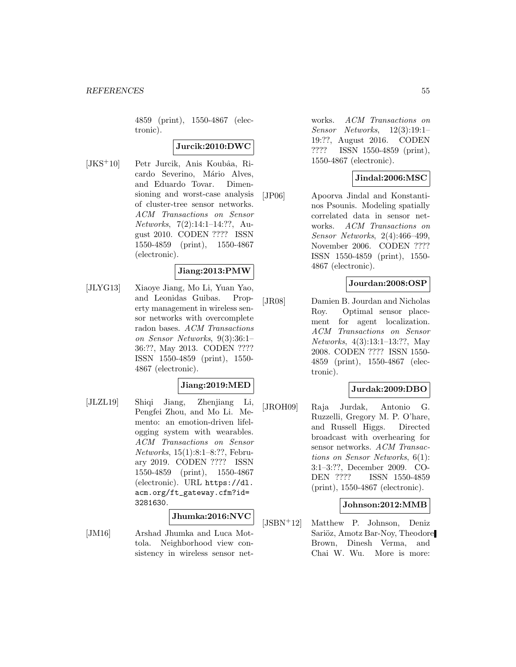4859 (print), 1550-4867 (electronic).

### **Jurcik:2010:DWC**

 $[JKS^+10]$  Petr Jurcik, Anis Koubâa, Ricardo Severino, Mário Alves, and Eduardo Tovar. Dimensioning and worst-case analysis of cluster-tree sensor networks. ACM Transactions on Sensor Networks, 7(2):14:1–14:??, August 2010. CODEN ???? ISSN 1550-4859 (print), 1550-4867 (electronic).

#### **Jiang:2013:PMW**

[JLYG13] Xiaoye Jiang, Mo Li, Yuan Yao, and Leonidas Guibas. Property management in wireless sensor networks with overcomplete radon bases. ACM Transactions on Sensor Networks, 9(3):36:1– 36:??, May 2013. CODEN ???? ISSN 1550-4859 (print), 1550- 4867 (electronic).

#### **Jiang:2019:MED**

[JLZL19] Shiqi Jiang, Zhenjiang Li, Pengfei Zhou, and Mo Li. Memento: an emotion-driven lifelogging system with wearables. ACM Transactions on Sensor Networks, 15(1):8:1–8:??, February 2019. CODEN ???? ISSN 1550-4859 (print), 1550-4867 (electronic). URL https://dl. acm.org/ft\_gateway.cfm?id= 3281630.

# **Jhumka:2016:NVC**

[JM16] Arshad Jhumka and Luca Mottola. Neighborhood view consistency in wireless sensor networks. ACM Transactions on Sensor Networks, 12(3):19:1– 19:??, August 2016. CODEN ???? ISSN 1550-4859 (print), 1550-4867 (electronic).

### **Jindal:2006:MSC**

[JP06] Apoorva Jindal and Konstantinos Psounis. Modeling spatially correlated data in sensor networks. ACM Transactions on Sensor Networks, 2(4):466–499, November 2006. CODEN ???? ISSN 1550-4859 (print), 1550- 4867 (electronic).

## **Jourdan:2008:OSP**

[JR08] Damien B. Jourdan and Nicholas Roy. Optimal sensor placement for agent localization. ACM Transactions on Sensor Networks, 4(3):13:1–13:??, May 2008. CODEN ???? ISSN 1550- 4859 (print), 1550-4867 (electronic).

# **Jurdak:2009:DBO**

[JROH09] Raja Jurdak, Antonio G. Ruzzelli, Gregory M. P. O'hare, and Russell Higgs. Directed broadcast with overhearing for sensor networks. ACM Transactions on Sensor Networks, 6(1): 3:1–3:??, December 2009. CO-DEN ???? ISSN 1550-4859 (print), 1550-4867 (electronic).

### **Johnson:2012:MMB**

[JSBN<sup>+</sup>12] Matthew P. Johnson, Deniz Sariöz, Amotz Bar-Noy, Theodore Brown, Dinesh Verma, and Chai W. Wu. More is more: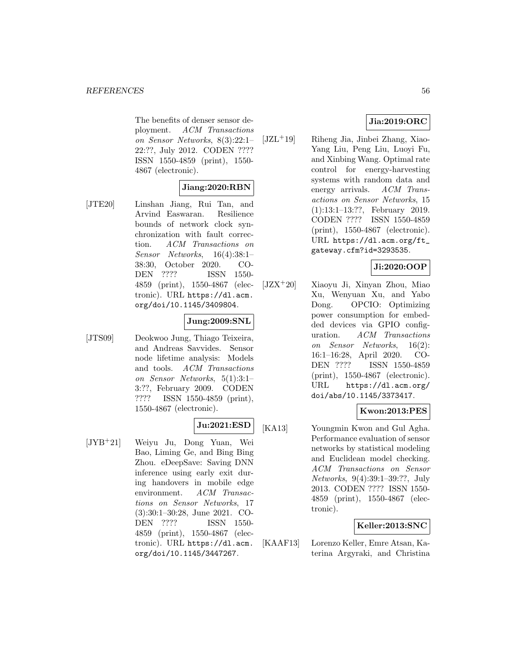The benefits of denser sensor deployment. ACM Transactions on Sensor Networks, 8(3):22:1– 22:??, July 2012. CODEN ???? ISSN 1550-4859 (print), 1550- 4867 (electronic).

### **Jiang:2020:RBN**

[JTE20] Linshan Jiang, Rui Tan, and Arvind Easwaran. Resilience bounds of network clock synchronization with fault correction. ACM Transactions on Sensor Networks, 16(4):38:1– 38:30, October 2020. CO-DEN ???? ISSN 1550- 4859 (print), 1550-4867 (electronic). URL https://dl.acm. org/doi/10.1145/3409804.

#### **Jung:2009:SNL**

[JTS09] Deokwoo Jung, Thiago Teixeira, and Andreas Savvides. Sensor node lifetime analysis: Models and tools. ACM Transactions on Sensor Networks, 5(1):3:1– 3:??, February 2009. CODEN ???? ISSN 1550-4859 (print), 1550-4867 (electronic).

# **Ju:2021:ESD**

[JYB<sup>+</sup>21] Weiyu Ju, Dong Yuan, Wei Bao, Liming Ge, and Bing Bing Zhou. eDeepSave: Saving DNN inference using early exit during handovers in mobile edge environment. ACM Transactions on Sensor Networks, 17 (3):30:1–30:28, June 2021. CO-DEN ???? ISSN 1550- 4859 (print), 1550-4867 (electronic). URL https://dl.acm. org/doi/10.1145/3447267.

# **Jia:2019:ORC**

[JZL<sup>+</sup>19] Riheng Jia, Jinbei Zhang, Xiao-Yang Liu, Peng Liu, Luoyi Fu, and Xinbing Wang. Optimal rate control for energy-harvesting systems with random data and energy arrivals. ACM Transactions on Sensor Networks, 15 (1):13:1–13:??, February 2019. CODEN ???? ISSN 1550-4859 (print), 1550-4867 (electronic). URL https://dl.acm.org/ft\_ gateway.cfm?id=3293535.

# **Ji:2020:OOP**

[JZX<sup>+</sup>20] Xiaoyu Ji, Xinyan Zhou, Miao Xu, Wenyuan Xu, and Yabo Dong. OPCIO: Optimizing power consumption for embedded devices via GPIO configuration. ACM Transactions on Sensor Networks, 16(2): 16:1–16:28, April 2020. CO-DEN ???? ISSN 1550-4859 (print), 1550-4867 (electronic). URL https://dl.acm.org/ doi/abs/10.1145/3373417.

#### **Kwon:2013:PES**

[KA13] Youngmin Kwon and Gul Agha. Performance evaluation of sensor networks by statistical modeling and Euclidean model checking. ACM Transactions on Sensor Networks, 9(4):39:1–39:??, July 2013. CODEN ???? ISSN 1550- 4859 (print), 1550-4867 (electronic).

### **Keller:2013:SNC**

[KAAF13] Lorenzo Keller, Emre Atsan, Katerina Argyraki, and Christina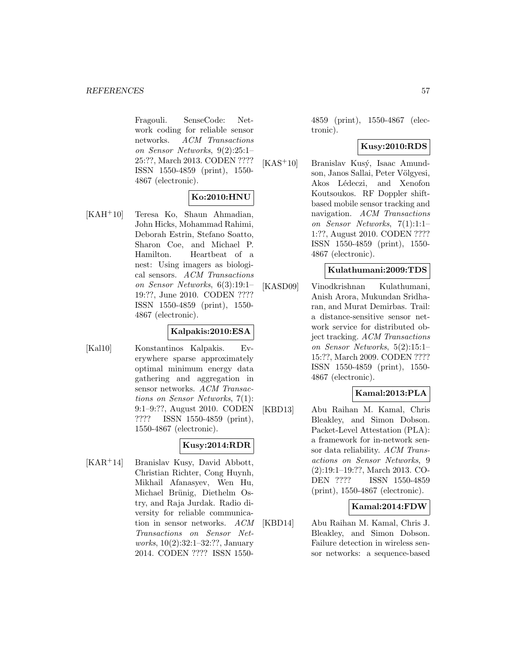Fragouli. SenseCode: Network coding for reliable sensor networks. ACM Transactions on Sensor Networks, 9(2):25:1– 25:??, March 2013. CODEN ???? ISSN 1550-4859 (print), 1550- 4867 (electronic).

# **Ko:2010:HNU**

[KAH<sup>+</sup>10] Teresa Ko, Shaun Ahmadian, John Hicks, Mohammad Rahimi, Deborah Estrin, Stefano Soatto, Sharon Coe, and Michael P. Hamilton. Heartbeat of a nest: Using imagers as biological sensors. ACM Transactions on Sensor Networks, 6(3):19:1– 19:??, June 2010. CODEN ???? ISSN 1550-4859 (print), 1550- 4867 (electronic).

### **Kalpakis:2010:ESA**

[Kal10] Konstantinos Kalpakis. Everywhere sparse approximately optimal minimum energy data gathering and aggregation in sensor networks. ACM Transactions on Sensor Networks, 7(1): 9:1–9:??, August 2010. CODEN ???? ISSN 1550-4859 (print), 1550-4867 (electronic).

# **Kusy:2014:RDR**

[KAR<sup>+</sup>14] Branislav Kusy, David Abbott, Christian Richter, Cong Huynh, Mikhail Afanasyev, Wen Hu, Michael Brünig, Diethelm Ostry, and Raja Jurdak. Radio diversity for reliable communication in sensor networks. ACM Transactions on Sensor Networks, 10(2):32:1–32:??, January 2014. CODEN ???? ISSN 15504859 (print), 1550-4867 (electronic).

### **Kusy:2010:RDS**

 $[KAS<sup>+</sup>10]$  Branislav Kusý, Isaac Amundson, Janos Sallai, Peter Völgyesi, Akos Lédeczi, and Xenofon Koutsoukos. RF Doppler shiftbased mobile sensor tracking and navigation. ACM Transactions on Sensor Networks, 7(1):1:1– 1:??, August 2010. CODEN ???? ISSN 1550-4859 (print), 1550- 4867 (electronic).

#### **Kulathumani:2009:TDS**

[KASD09] Vinodkrishnan Kulathumani, Anish Arora, Mukundan Sridharan, and Murat Demirbas. Trail: a distance-sensitive sensor network service for distributed object tracking. ACM Transactions on Sensor Networks, 5(2):15:1– 15:??, March 2009. CODEN ???? ISSN 1550-4859 (print), 1550- 4867 (electronic).

# **Kamal:2013:PLA**

[KBD13] Abu Raihan M. Kamal, Chris Bleakley, and Simon Dobson. Packet-Level Attestation (PLA): a framework for in-network sensor data reliability. ACM Transactions on Sensor Networks, 9 (2):19:1–19:??, March 2013. CO-DEN ???? ISSN 1550-4859 (print), 1550-4867 (electronic).

#### **Kamal:2014:FDW**

[KBD14] Abu Raihan M. Kamal, Chris J. Bleakley, and Simon Dobson. Failure detection in wireless sensor networks: a sequence-based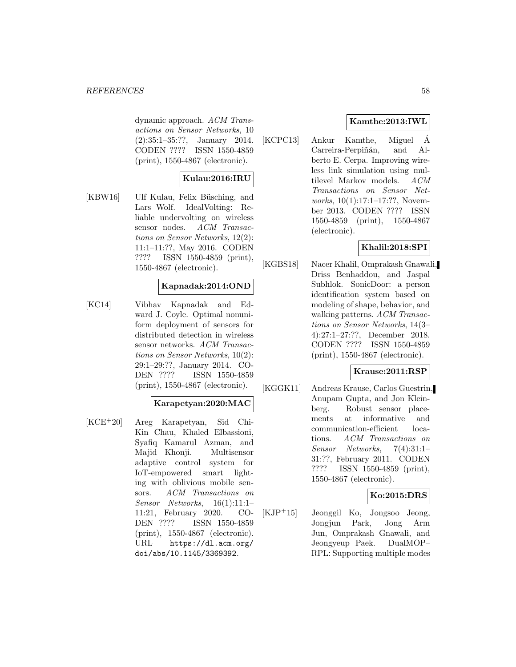#### *REFERENCES* 58

dynamic approach. ACM Transactions on Sensor Networks, 10 (2):35:1–35:??, January 2014. CODEN ???? ISSN 1550-4859 (print), 1550-4867 (electronic).

### **Kulau:2016:IRU**

[KBW16] Ulf Kulau, Felix Büsching, and Lars Wolf. IdealVolting: Reliable undervolting on wireless sensor nodes. ACM Transactions on Sensor Networks, 12(2): 11:1–11:??, May 2016. CODEN ???? ISSN 1550-4859 (print), 1550-4867 (electronic).

#### **Kapnadak:2014:OND**

[KC14] Vibhav Kapnadak and Edward J. Coyle. Optimal nonuniform deployment of sensors for distributed detection in wireless sensor networks. ACM Transactions on Sensor Networks, 10(2): 29:1–29:??, January 2014. CO-DEN ???? ISSN 1550-4859 (print), 1550-4867 (electronic).

#### **Karapetyan:2020:MAC**

[KCE<sup>+</sup>20] Areg Karapetyan, Sid Chi-Kin Chau, Khaled Elbassioni, Syafiq Kamarul Azman, and Majid Khonji. Multisensor adaptive control system for IoT-empowered smart lighting with oblivious mobile sensors. ACM Transactions on Sensor Networks, 16(1):11:1– 11:21, February 2020. CO-DEN ???? ISSN 1550-4859 (print), 1550-4867 (electronic). URL https://dl.acm.org/ doi/abs/10.1145/3369392.

# **Kamthe:2013:IWL**

[KCPC13] Ankur Kamthe, Miguel A´ Carreira-Perpiñán, and Alberto E. Cerpa. Improving wireless link simulation using multilevel Markov models. ACM Transactions on Sensor Networks, 10(1):17:1-17:??, November 2013. CODEN ???? ISSN 1550-4859 (print), 1550-4867 (electronic).

# **Khalil:2018:SPI**

[KGBS18] Nacer Khalil, Omprakash Gnawali, Driss Benhaddou, and Jaspal Subhlok. SonicDoor: a person identification system based on modeling of shape, behavior, and walking patterns. ACM Transactions on Sensor Networks, 14(3– 4):27:1–27:??, December 2018. CODEN ???? ISSN 1550-4859 (print), 1550-4867 (electronic).

#### **Krause:2011:RSP**

[KGGK11] Andreas Krause, Carlos Guestrin, Anupam Gupta, and Jon Kleinberg. Robust sensor placements at informative and communication-efficient locations. ACM Transactions on Sensor Networks, 7(4):31:1– 31:??, February 2011. CODEN ???? ISSN 1550-4859 (print), 1550-4867 (electronic).

#### **Ko:2015:DRS**

[KJP<sup>+</sup>15] Jeonggil Ko, Jongsoo Jeong, Jongjun Park, Jong Arm Jun, Omprakash Gnawali, and Jeongyeup Paek. DualMOP– RPL: Supporting multiple modes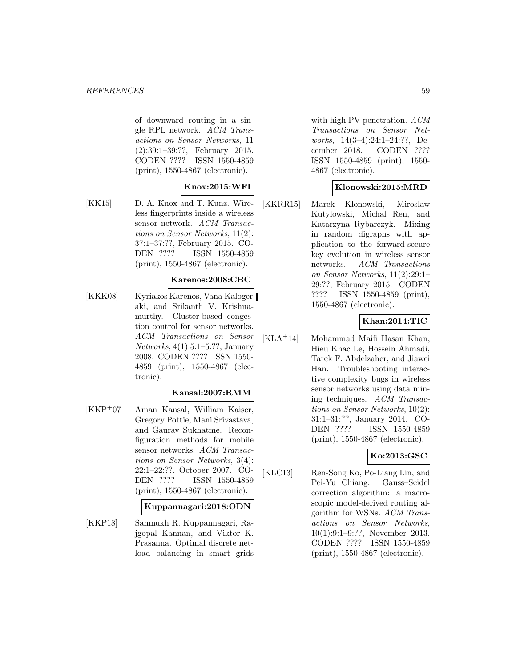of downward routing in a single RPL network. ACM Transactions on Sensor Networks, 11 (2):39:1–39:??, February 2015. CODEN ???? ISSN 1550-4859 (print), 1550-4867 (electronic).

# **Knox:2015:WFI**

[KK15] D. A. Knox and T. Kunz. Wireless fingerprints inside a wireless sensor network. ACM Transactions on Sensor Networks, 11(2): 37:1–37:??, February 2015. CO-DEN ???? ISSN 1550-4859 (print), 1550-4867 (electronic).

#### **Karenos:2008:CBC**

[KKK08] Kyriakos Karenos, Vana Kalogeraki, and Srikanth V. Krishnamurthy. Cluster-based congestion control for sensor networks. ACM Transactions on Sensor Networks, 4(1):5:1–5:??, January 2008. CODEN ???? ISSN 1550- 4859 (print), 1550-4867 (electronic).

#### **Kansal:2007:RMM**

[KKP<sup>+</sup>07] Aman Kansal, William Kaiser, Gregory Pottie, Mani Srivastava, and Gaurav Sukhatme. Reconfiguration methods for mobile sensor networks. ACM Transactions on Sensor Networks, 3(4): 22:1–22:??, October 2007. CO-DEN ???? ISSN 1550-4859 (print), 1550-4867 (electronic).

#### **Kuppannagari:2018:ODN**

[KKP18] Sanmukh R. Kuppannagari, Rajgopal Kannan, and Viktor K. Prasanna. Optimal discrete netload balancing in smart grids with high PV penetration.  $ACM$ Transactions on Sensor Networks, 14(3–4):24:1–24:??, December 2018. CODEN ???? ISSN 1550-4859 (print), 1550- 4867 (electronic).

#### **Klonowski:2015:MRD**

[KKRR15] Marek Klonowski, Miroslaw Kutylowski, Michal Ren, and Katarzyna Rybarczyk. Mixing in random digraphs with application to the forward-secure key evolution in wireless sensor networks. ACM Transactions on Sensor Networks, 11(2):29:1– 29:??, February 2015. CODEN ???? ISSN 1550-4859 (print), 1550-4867 (electronic).

## **Khan:2014:TIC**

[KLA<sup>+</sup>14] Mohammad Maifi Hasan Khan, Hieu Khac Le, Hossein Ahmadi, Tarek F. Abdelzaher, and Jiawei Han. Troubleshooting interactive complexity bugs in wireless sensor networks using data mining techniques. ACM Transactions on Sensor Networks, 10(2): 31:1–31:??, January 2014. CO-DEN ???? ISSN 1550-4859 (print), 1550-4867 (electronic).

# **Ko:2013:GSC**

[KLC13] Ren-Song Ko, Po-Liang Lin, and Pei-Yu Chiang. Gauss–Seidel correction algorithm: a macroscopic model-derived routing algorithm for WSNs. ACM Transactions on Sensor Networks, 10(1):9:1–9:??, November 2013. CODEN ???? ISSN 1550-4859 (print), 1550-4867 (electronic).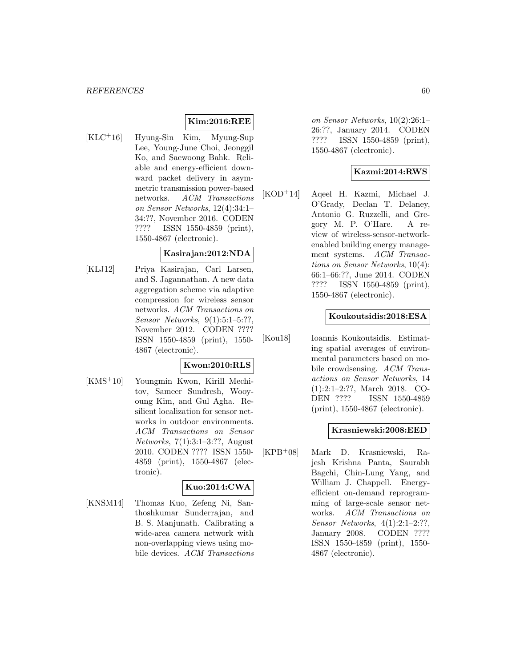# **Kim:2016:REE**

[KLC<sup>+</sup>16] Hyung-Sin Kim, Myung-Sup Lee, Young-June Choi, Jeonggil Ko, and Saewoong Bahk. Reliable and energy-efficient downward packet delivery in asymmetric transmission power-based networks. ACM Transactions on Sensor Networks, 12(4):34:1– 34:??, November 2016. CODEN ???? ISSN 1550-4859 (print), 1550-4867 (electronic).

#### **Kasirajan:2012:NDA**

[KLJ12] Priya Kasirajan, Carl Larsen, and S. Jagannathan. A new data aggregation scheme via adaptive compression for wireless sensor networks. ACM Transactions on Sensor Networks, 9(1):5:1–5:??, November 2012. CODEN ???? ISSN 1550-4859 (print), 1550- 4867 (electronic).

#### **Kwon:2010:RLS**

[KMS<sup>+</sup>10] Youngmin Kwon, Kirill Mechitov, Sameer Sundresh, Wooyoung Kim, and Gul Agha. Resilient localization for sensor networks in outdoor environments. ACM Transactions on Sensor Networks, 7(1):3:1–3:??, August 2010. CODEN ???? ISSN 1550- 4859 (print), 1550-4867 (electronic).

#### **Kuo:2014:CWA**

[KNSM14] Thomas Kuo, Zefeng Ni, Santhoshkumar Sunderrajan, and B. S. Manjunath. Calibrating a wide-area camera network with non-overlapping views using mobile devices. ACM Transactions on Sensor Networks, 10(2):26:1– 26:??, January 2014. CODEN ???? ISSN 1550-4859 (print), 1550-4867 (electronic).

# **Kazmi:2014:RWS**

[KOD<sup>+</sup>14] Aqeel H. Kazmi, Michael J. O'Grady, Declan T. Delaney, Antonio G. Ruzzelli, and Gregory M. P. O'Hare. A review of wireless-sensor-networkenabled building energy management systems. ACM Transactions on Sensor Networks, 10(4): 66:1–66:??, June 2014. CODEN ???? ISSN 1550-4859 (print), 1550-4867 (electronic).

#### **Koukoutsidis:2018:ESA**

[Kou18] Ioannis Koukoutsidis. Estimating spatial averages of environmental parameters based on mobile crowdsensing. ACM Transactions on Sensor Networks, 14 (1):2:1–2:??, March 2018. CO-DEN ???? ISSN 1550-4859 (print), 1550-4867 (electronic).

#### **Krasniewski:2008:EED**

[KPB<sup>+</sup>08] Mark D. Krasniewski, Rajesh Krishna Panta, Saurabh Bagchi, Chin-Lung Yang, and William J. Chappell. Energyefficient on-demand reprogramming of large-scale sensor networks. ACM Transactions on Sensor Networks, 4(1):2:1–2:??, January 2008. CODEN ???? ISSN 1550-4859 (print), 1550- 4867 (electronic).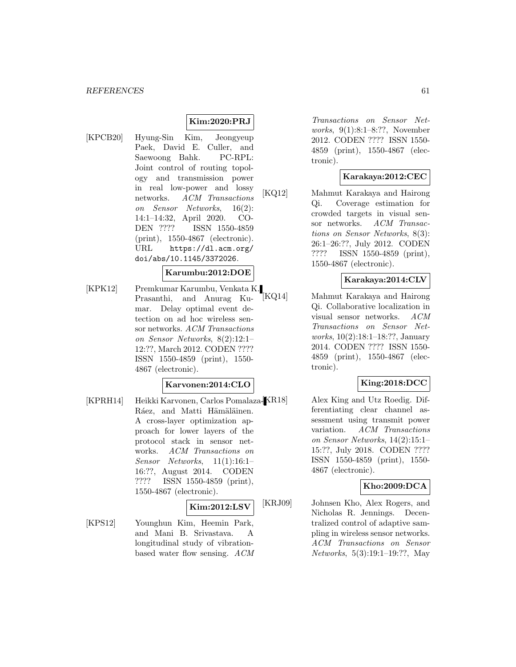# **Kim:2020:PRJ**

[KPCB20] Hyung-Sin Kim, Jeongyeup Paek, David E. Culler, and Saewoong Bahk. PC-RPL: Joint control of routing topology and transmission power in real low-power and lossy networks. ACM Transactions on Sensor Networks, 16(2): 14:1–14:32, April 2020. CO-DEN ???? ISSN 1550-4859 (print), 1550-4867 (electronic). URL https://dl.acm.org/ doi/abs/10.1145/3372026.

#### **Karumbu:2012:DOE**

[KPK12] Premkumar Karumbu, Venkata K. Prasanthi, and Anurag Kumar. Delay optimal event detection on ad hoc wireless sensor networks. ACM Transactions on Sensor Networks, 8(2):12:1– 12:??, March 2012. CODEN ???? ISSN 1550-4859 (print), 1550- 4867 (electronic).

## **Karvonen:2014:CLO**

[KPRH14] Heikki Karvonen, Carlos Pomalaza-KR18] Ráez, and Matti Hämäläinen. A cross-layer optimization approach for lower layers of the protocol stack in sensor networks. ACM Transactions on Sensor Networks, 11(1):16:1– 16:??, August 2014. CODEN ???? ISSN 1550-4859 (print), 1550-4867 (electronic).

#### **Kim:2012:LSV**

[KPS12] Younghun Kim, Heemin Park, and Mani B. Srivastava. A longitudinal study of vibrationbased water flow sensing. ACM

Transactions on Sensor Networks, 9(1):8:1–8:??, November 2012. CODEN ???? ISSN 1550- 4859 (print), 1550-4867 (electronic).

# **Karakaya:2012:CEC**

[KQ12] Mahmut Karakaya and Hairong Qi. Coverage estimation for crowded targets in visual sensor networks. ACM Transactions on Sensor Networks, 8(3): 26:1–26:??, July 2012. CODEN ???? ISSN 1550-4859 (print), 1550-4867 (electronic).

## **Karakaya:2014:CLV**

[KQ14] Mahmut Karakaya and Hairong Qi. Collaborative localization in visual sensor networks. ACM Transactions on Sensor Networks, 10(2):18:1–18:??, January 2014. CODEN ???? ISSN 1550- 4859 (print), 1550-4867 (electronic).

# **King:2018:DCC**

Alex King and Utz Roedig. Differentiating clear channel assessment using transmit power variation. ACM Transactions on Sensor Networks, 14(2):15:1– 15:??, July 2018. CODEN ???? ISSN 1550-4859 (print), 1550- 4867 (electronic).

# **Kho:2009:DCA**

[KRJ09] Johnsen Kho, Alex Rogers, and Nicholas R. Jennings. Decentralized control of adaptive sampling in wireless sensor networks. ACM Transactions on Sensor Networks, 5(3):19:1–19:??, May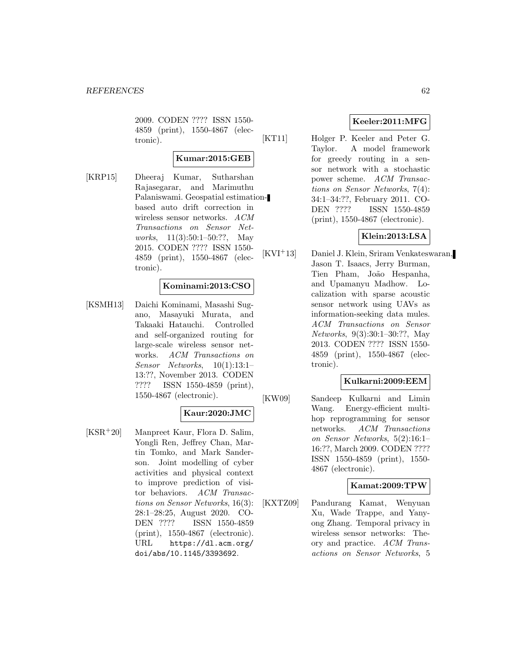2009. CODEN ???? ISSN 1550- 4859 (print), 1550-4867 (electronic).

#### **Kumar:2015:GEB**

[KRP15] Dheeraj Kumar, Sutharshan Rajasegarar, and Marimuthu Palaniswami. Geospatial estimationbased auto drift correction in wireless sensor networks. ACM Transactions on Sensor Networks, 11(3):50:1–50:??, May 2015. CODEN ???? ISSN 1550- 4859 (print), 1550-4867 (electronic).

### **Kominami:2013:CSO**

[KSMH13] Daichi Kominami, Masashi Sugano, Masayuki Murata, and Takaaki Hatauchi. Controlled and self-organized routing for large-scale wireless sensor networks. ACM Transactions on Sensor Networks, 10(1):13:1– 13:??, November 2013. CODEN ???? ISSN 1550-4859 (print), 1550-4867 (electronic).

## **Kaur:2020:JMC**

[KSR<sup>+</sup>20] Manpreet Kaur, Flora D. Salim, Yongli Ren, Jeffrey Chan, Martin Tomko, and Mark Sanderson. Joint modelling of cyber activities and physical context to improve prediction of visitor behaviors. ACM Transactions on Sensor Networks, 16(3): 28:1–28:25, August 2020. CO-DEN ???? ISSN 1550-4859 (print), 1550-4867 (electronic). URL https://dl.acm.org/ doi/abs/10.1145/3393692.

# **Keeler:2011:MFG**

[KT11] Holger P. Keeler and Peter G. Taylor. A model framework for greedy routing in a sensor network with a stochastic power scheme. ACM Transactions on Sensor Networks, 7(4): 34:1–34:??, February 2011. CO-DEN ???? ISSN 1550-4859 (print), 1550-4867 (electronic).

# **Klein:2013:LSA**

[KVI<sup>+</sup>13] Daniel J. Klein, Sriram Venkateswaran, Jason T. Isaacs, Jerry Burman, Tien Pham, João Hespanha, and Upamanyu Madhow. Localization with sparse acoustic sensor network using UAVs as information-seeking data mules. ACM Transactions on Sensor Networks, 9(3):30:1–30:??, May 2013. CODEN ???? ISSN 1550- 4859 (print), 1550-4867 (electronic).

#### **Kulkarni:2009:EEM**

[KW09] Sandeep Kulkarni and Limin Wang. Energy-efficient multihop reprogramming for sensor networks. ACM Transactions on Sensor Networks, 5(2):16:1– 16:??, March 2009. CODEN ???? ISSN 1550-4859 (print), 1550- 4867 (electronic).

# **Kamat:2009:TPW**

[KXTZ09] Pandurang Kamat, Wenyuan Xu, Wade Trappe, and Yanyong Zhang. Temporal privacy in wireless sensor networks: Theory and practice. ACM Transactions on Sensor Networks, 5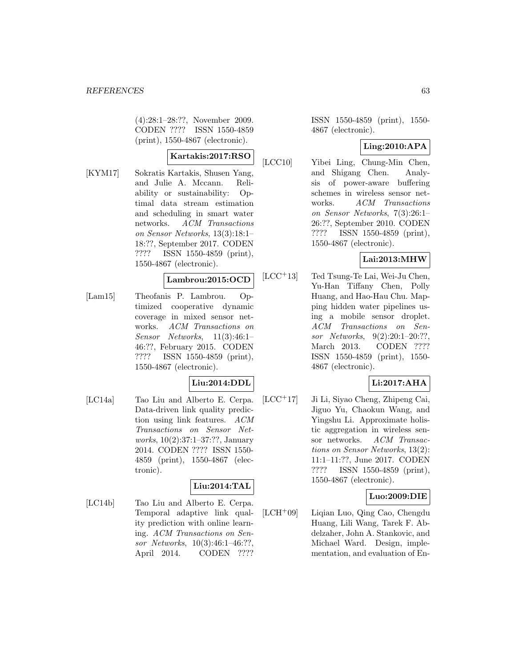(4):28:1–28:??, November 2009. CODEN ???? ISSN 1550-4859 (print), 1550-4867 (electronic).

## **Kartakis:2017:RSO**

[KYM17] Sokratis Kartakis, Shusen Yang, and Julie A. Mccann. Reliability or sustainability: Optimal data stream estimation and scheduling in smart water networks. ACM Transactions on Sensor Networks, 13(3):18:1– 18:??, September 2017. CODEN ???? ISSN 1550-4859 (print), 1550-4867 (electronic).

### **Lambrou:2015:OCD**

[Lam15] Theofanis P. Lambrou. Optimized cooperative dynamic coverage in mixed sensor networks. ACM Transactions on Sensor Networks, 11(3):46:1– 46:??, February 2015. CODEN ???? ISSN 1550-4859 (print), 1550-4867 (electronic).

# **Liu:2014:DDL**

[LC14a] Tao Liu and Alberto E. Cerpa. Data-driven link quality prediction using link features. ACM Transactions on Sensor Networks, 10(2):37:1–37:??, January 2014. CODEN ???? ISSN 1550- 4859 (print), 1550-4867 (electronic).

# **Liu:2014:TAL**

[LC14b] Tao Liu and Alberto E. Cerpa. Temporal adaptive link quality prediction with online learning. ACM Transactions on Sensor Networks, 10(3):46:1–46:??, April 2014. CODEN ????

ISSN 1550-4859 (print), 1550- 4867 (electronic).

# **Ling:2010:APA**

[LCC10] Yibei Ling, Chung-Min Chen, and Shigang Chen. Analysis of power-aware buffering schemes in wireless sensor networks. ACM Transactions on Sensor Networks, 7(3):26:1– 26:??, September 2010. CODEN ???? ISSN 1550-4859 (print), 1550-4867 (electronic).

# **Lai:2013:MHW**

[LCC<sup>+</sup>13] Ted Tsung-Te Lai, Wei-Ju Chen, Yu-Han Tiffany Chen, Polly Huang, and Hao-Hau Chu. Mapping hidden water pipelines using a mobile sensor droplet. ACM Transactions on Sensor Networks, 9(2):20:1–20:??, March 2013. CODEN ???? ISSN 1550-4859 (print), 1550- 4867 (electronic).

# **Li:2017:AHA**

[LCC<sup>+</sup>17] Ji Li, Siyao Cheng, Zhipeng Cai, Jiguo Yu, Chaokun Wang, and Yingshu Li. Approximate holistic aggregation in wireless sensor networks. ACM Transactions on Sensor Networks, 13(2): 11:1–11:??, June 2017. CODEN ???? ISSN 1550-4859 (print), 1550-4867 (electronic).

# **Luo:2009:DIE**

[LCH<sup>+</sup>09] Liqian Luo, Qing Cao, Chengdu Huang, Lili Wang, Tarek F. Abdelzaher, John A. Stankovic, and Michael Ward. Design, implementation, and evaluation of En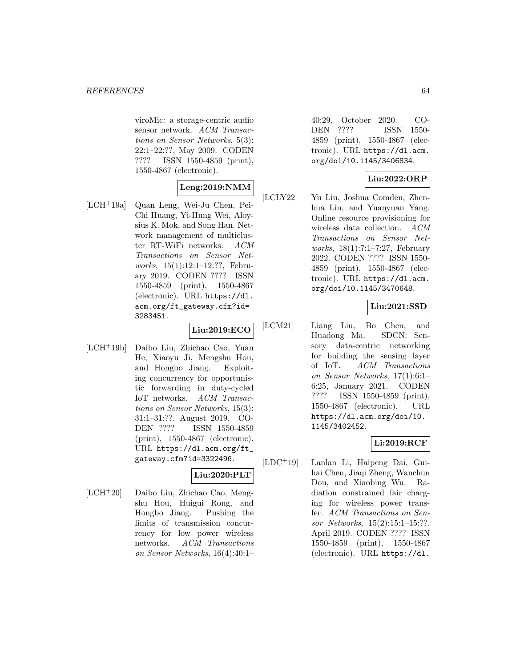viroMic: a storage-centric audio sensor network. ACM Transactions on Sensor Networks, 5(3): 22:1–22:??, May 2009. CODEN ???? ISSN 1550-4859 (print), 1550-4867 (electronic).

# **Leng:2019:NMM**

[LCH<sup>+</sup>19a] Quan Leng, Wei-Ju Chen, Pei-Chi Huang, Yi-Hung Wei, Aloysius K. Mok, and Song Han. Network management of multicluster RT-WiFi networks. ACM Transactions on Sensor Networks, 15(1):12:1–12:??, February 2019. CODEN ???? ISSN 1550-4859 (print), 1550-4867 (electronic). URL https://dl. acm.org/ft\_gateway.cfm?id= 3283451.

# **Liu:2019:ECO**

[LCH<sup>+</sup>19b] Daibo Liu, Zhichao Cao, Yuan He, Xiaoyu Ji, Mengshu Hou, and Hongbo Jiang. Exploiting concurrency for opportunistic forwarding in duty-cycled IoT networks. ACM Transactions on Sensor Networks, 15(3): 31:1–31:??, August 2019. CO-DEN ???? ISSN 1550-4859 (print), 1550-4867 (electronic). URL https://dl.acm.org/ft\_ gateway.cfm?id=3322496.

# **Liu:2020:PLT**

[LCH<sup>+</sup>20] Daibo Liu, Zhichao Cao, Mengshu Hou, Huigui Rong, and Hongbo Jiang. Pushing the limits of transmission concurrency for low power wireless networks. ACM Transactions on Sensor Networks, 16(4):40:1–

40:29, October 2020. CO-DEN ???? ISSN 1550- 4859 (print), 1550-4867 (electronic). URL https://dl.acm. org/doi/10.1145/3406834.

### **Liu:2022:ORP**

[LCLY22] Yu Liu, Joshua Comden, Zhenhua Liu, and Yuanyuan Yang. Online resource provisioning for wireless data collection. ACM Transactions on Sensor Networks, 18(1):7:1–7:27, February 2022. CODEN ???? ISSN 1550- 4859 (print), 1550-4867 (electronic). URL https://dl.acm. org/doi/10.1145/3470648.

# **Liu:2021:SSD**

[LCM21] Liang Liu, Bo Chen, and Huadong Ma. SDCN: Sensory data-centric networking for building the sensing layer of IoT. ACM Transactions on Sensor Networks, 17(1):6:1– 6:25, January 2021. CODEN ???? ISSN 1550-4859 (print), 1550-4867 (electronic). URL https://dl.acm.org/doi/10. 1145/3402452.

# **Li:2019:RCF**

[LDC<sup>+</sup>19] Lanlan Li, Haipeng Dai, Guihai Chen, Jiaqi Zheng, Wanchun Dou, and Xiaobing Wu. Radiation constrained fair charging for wireless power transfer. ACM Transactions on Sensor Networks, 15(2):15:1–15:??, April 2019. CODEN ???? ISSN 1550-4859 (print), 1550-4867 (electronic). URL https://dl.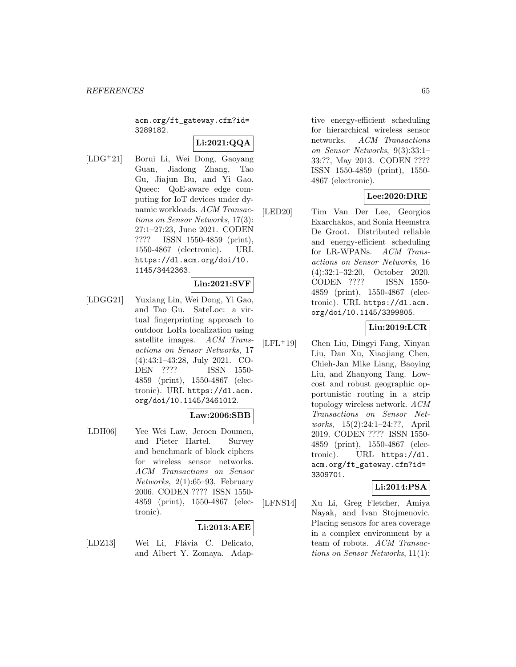acm.org/ft\_gateway.cfm?id= 3289182.

# **Li:2021:QQA**

[LDG<sup>+</sup>21] Borui Li, Wei Dong, Gaoyang Guan, Jiadong Zhang, Tao Gu, Jiajun Bu, and Yi Gao. Queec: QoE-aware edge computing for IoT devices under dynamic workloads. ACM Transactions on Sensor Networks, 17(3): 27:1–27:23, June 2021. CODEN ???? ISSN 1550-4859 (print), 1550-4867 (electronic). URL https://dl.acm.org/doi/10. 1145/3442363.

#### **Lin:2021:SVF**

[LDGG21] Yuxiang Lin, Wei Dong, Yi Gao, and Tao Gu. SateLoc: a virtual fingerprinting approach to outdoor LoRa localization using satellite images. ACM Transactions on Sensor Networks, 17 (4):43:1–43:28, July 2021. CO-DEN ???? ISSN 1550- 4859 (print), 1550-4867 (electronic). URL https://dl.acm. org/doi/10.1145/3461012.

#### **Law:2006:SBB**

[LDH06] Yee Wei Law, Jeroen Doumen, and Pieter Hartel. Survey and benchmark of block ciphers for wireless sensor networks. ACM Transactions on Sensor Networks, 2(1):65–93, February 2006. CODEN ???? ISSN 1550- 4859 (print), 1550-4867 (electronic).

# **Li:2013:AEE**

[LDZ13] Wei Li, Flávia C. Delicato, and Albert Y. Zomaya. Adaptive energy-efficient scheduling for hierarchical wireless sensor networks. ACM Transactions on Sensor Networks, 9(3):33:1– 33:??, May 2013. CODEN ???? ISSN 1550-4859 (print), 1550- 4867 (electronic).

### **Lee:2020:DRE**

[LED20] Tim Van Der Lee, Georgios Exarchakos, and Sonia Heemstra De Groot. Distributed reliable and energy-efficient scheduling for LR-WPANs. ACM Transactions on Sensor Networks, 16 (4):32:1–32:20, October 2020. CODEN ???? ISSN 1550- 4859 (print), 1550-4867 (electronic). URL https://dl.acm. org/doi/10.1145/3399805.

#### **Liu:2019:LCR**

[LFL<sup>+</sup>19] Chen Liu, Dingyi Fang, Xinyan Liu, Dan Xu, Xiaojiang Chen, Chieh-Jan Mike Liang, Baoying Liu, and Zhanyong Tang. Lowcost and robust geographic opportunistic routing in a strip topology wireless network. ACM Transactions on Sensor Networks, 15(2):24:1–24:??, April 2019. CODEN ???? ISSN 1550- 4859 (print), 1550-4867 (electronic). URL https://dl. acm.org/ft\_gateway.cfm?id= 3309701.

# **Li:2014:PSA**

[LFNS14] Xu Li, Greg Fletcher, Amiya Nayak, and Ivan Stojmenovic. Placing sensors for area coverage in a complex environment by a team of robots. ACM Transactions on Sensor Networks, 11(1):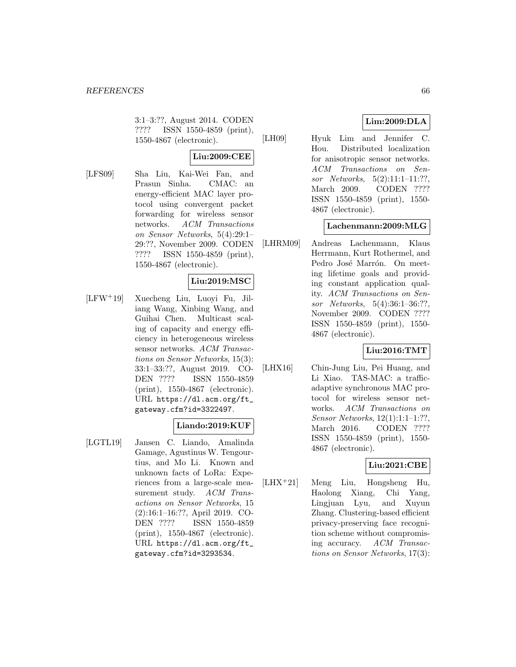3:1–3:??, August 2014. CODEN ???? ISSN 1550-4859 (print), 1550-4867 (electronic).

# **Liu:2009:CEE**

[LFS09] Sha Liu, Kai-Wei Fan, and Prasun Sinha. CMAC: an energy-efficient MAC layer protocol using convergent packet forwarding for wireless sensor networks. ACM Transactions on Sensor Networks, 5(4):29:1– 29:??, November 2009. CODEN ???? ISSN 1550-4859 (print), 1550-4867 (electronic).

# **Liu:2019:MSC**

[LFW<sup>+</sup>19] Xuecheng Liu, Luoyi Fu, Jiliang Wang, Xinbing Wang, and Guihai Chen. Multicast scaling of capacity and energy efficiency in heterogeneous wireless sensor networks. ACM Transactions on Sensor Networks, 15(3): 33:1–33:??, August 2019. CO-DEN ???? ISSN 1550-4859 (print), 1550-4867 (electronic). URL https://dl.acm.org/ft\_ gateway.cfm?id=3322497.

# **Liando:2019:KUF**

[LGTL19] Jansen C. Liando, Amalinda Gamage, Agustinus W. Tengourtius, and Mo Li. Known and unknown facts of LoRa: Experiences from a large-scale measurement study. ACM Transactions on Sensor Networks, 15 (2):16:1–16:??, April 2019. CO-DEN ???? ISSN 1550-4859 (print), 1550-4867 (electronic). URL https://dl.acm.org/ft\_ gateway.cfm?id=3293534.

# **Lim:2009:DLA**

[LH09] Hyuk Lim and Jennifer C. Hou. Distributed localization for anisotropic sensor networks. ACM Transactions on Sensor Networks, 5(2):11:1–11:??, March 2009. CODEN ???? ISSN 1550-4859 (print), 1550- 4867 (electronic).

# **Lachenmann:2009:MLG**

[LHRM09] Andreas Lachenmann, Klaus Herrmann, Kurt Rothermel, and Pedro José Marrón. On meeting lifetime goals and providing constant application quality. ACM Transactions on Sensor Networks, 5(4):36:1–36:??, November 2009. CODEN ???? ISSN 1550-4859 (print), 1550- 4867 (electronic).

# **Liu:2016:TMT**

[LHX16] Chin-Jung Liu, Pei Huang, and Li Xiao. TAS-MAC: a trafficadaptive synchronous MAC protocol for wireless sensor networks. ACM Transactions on Sensor Networks, 12(1):1:1–1:??, March 2016. CODEN ???? ISSN 1550-4859 (print), 1550- 4867 (electronic).

# **Liu:2021:CBE**

[LHX<sup>+</sup>21] Meng Liu, Hongsheng Hu, Haolong Xiang, Chi Yang, Lingjuan Lyu, and Xuyun Zhang. Clustering-based efficient privacy-preserving face recognition scheme without compromising accuracy. ACM Transactions on Sensor Networks, 17(3):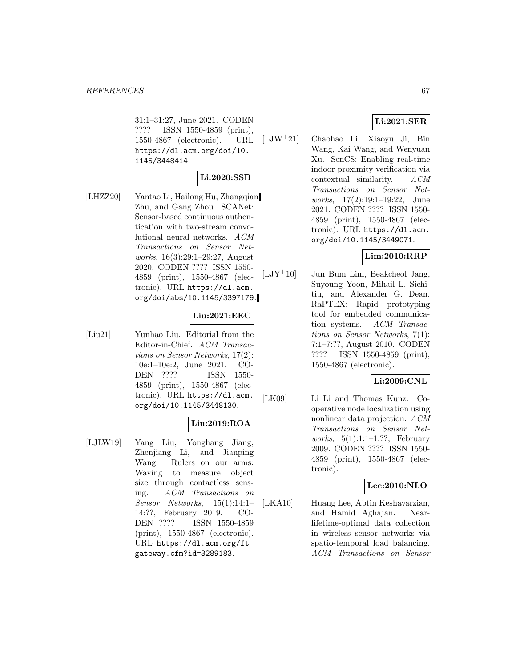31:1–31:27, June 2021. CODEN ???? ISSN 1550-4859 (print), 1550-4867 (electronic). URL https://dl.acm.org/doi/10. 1145/3448414.

# **Li:2020:SSB**

[LHZZ20] Yantao Li, Hailong Hu, Zhangqian Zhu, and Gang Zhou. SCANet: Sensor-based continuous authentication with two-stream convolutional neural networks. ACM Transactions on Sensor Networks, 16(3):29:1–29:27, August 2020. CODEN ???? ISSN 1550- 4859 (print), 1550-4867 (electronic). URL https://dl.acm. org/doi/abs/10.1145/3397179.

# **Liu:2021:EEC**

[Liu21] Yunhao Liu. Editorial from the Editor-in-Chief. ACM Transactions on Sensor Networks, 17(2): 10e:1–10e:2, June 2021. CO-DEN ???? ISSN 1550- 4859 (print), 1550-4867 (electronic). URL https://dl.acm. org/doi/10.1145/3448130.

# **Liu:2019:ROA**

[LJLW19] Yang Liu, Yonghang Jiang, Zhenjiang Li, and Jianping Wang. Rulers on our arms: Waving to measure object size through contactless sensing. ACM Transactions on Sensor Networks, 15(1):14:1– 14:??, February 2019. CO-DEN ???? ISSN 1550-4859 (print), 1550-4867 (electronic). URL https://dl.acm.org/ft\_ gateway.cfm?id=3289183.

# **Li:2021:SER**

[LJW<sup>+</sup>21] Chaohao Li, Xiaoyu Ji, Bin Wang, Kai Wang, and Wenyuan Xu. SenCS: Enabling real-time indoor proximity verification via contextual similarity. ACM Transactions on Sensor Networks, 17(2):19:1–19:22, June 2021. CODEN ???? ISSN 1550- 4859 (print), 1550-4867 (electronic). URL https://dl.acm. org/doi/10.1145/3449071.

# **Lim:2010:RRP**

[LJY<sup>+</sup>10] Jun Bum Lim, Beakcheol Jang, Suyoung Yoon, Mihail L. Sichitiu, and Alexander G. Dean. RaPTEX: Rapid prototyping tool for embedded communication systems. ACM Transactions on Sensor Networks, 7(1): 7:1–7:??, August 2010. CODEN ???? ISSN 1550-4859 (print), 1550-4867 (electronic).

# **Li:2009:CNL**

[LK09] Li Li and Thomas Kunz. Cooperative node localization using nonlinear data projection. ACM Transactions on Sensor Networks,  $5(1):1:1-1:??$ , February 2009. CODEN ???? ISSN 1550- 4859 (print), 1550-4867 (electronic).

# **Lee:2010:NLO**

[LKA10] Huang Lee, Abtin Keshavarzian, and Hamid Aghajan. Nearlifetime-optimal data collection in wireless sensor networks via spatio-temporal load balancing. ACM Transactions on Sensor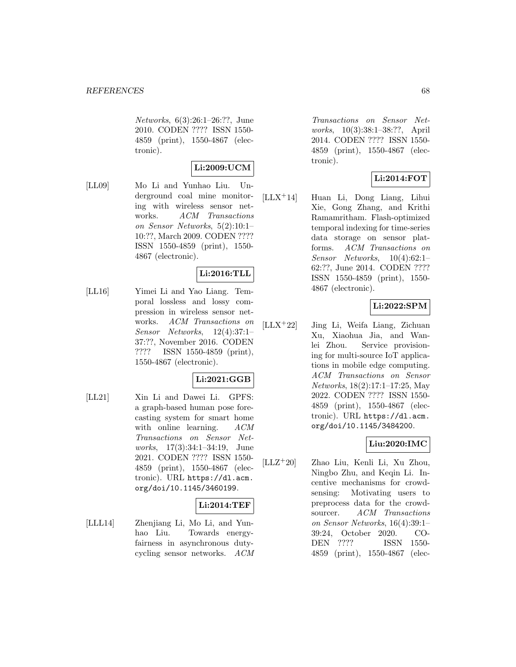Networks, 6(3):26:1–26:??, June 2010. CODEN ???? ISSN 1550- 4859 (print), 1550-4867 (electronic).

# **Li:2009:UCM**

[LL09] Mo Li and Yunhao Liu. Underground coal mine monitoring with wireless sensor networks. ACM Transactions on Sensor Networks, 5(2):10:1– 10:??, March 2009. CODEN ???? ISSN 1550-4859 (print), 1550- 4867 (electronic).

# **Li:2016:TLL**

[LL16] Yimei Li and Yao Liang. Temporal lossless and lossy compression in wireless sensor networks. ACM Transactions on Sensor Networks, 12(4):37:1– 37:??, November 2016. CODEN ???? ISSN 1550-4859 (print), 1550-4867 (electronic).

#### **Li:2021:GGB**

[LL21] Xin Li and Dawei Li. GPFS: a graph-based human pose forecasting system for smart home with online learning.  $ACM$ Transactions on Sensor Networks, 17(3):34:1–34:19, June 2021. CODEN ???? ISSN 1550- 4859 (print), 1550-4867 (electronic). URL https://dl.acm. org/doi/10.1145/3460199.

# **Li:2014:TEF**

[LLL14] Zhenjiang Li, Mo Li, and Yunhao Liu. Towards energyfairness in asynchronous dutycycling sensor networks. ACM Transactions on Sensor Networks, 10(3):38:1–38:??, April 2014. CODEN ???? ISSN 1550- 4859 (print), 1550-4867 (electronic).

# **Li:2014:FOT**

[LLX<sup>+</sup>14] Huan Li, Dong Liang, Lihui Xie, Gong Zhang, and Krithi Ramamritham. Flash-optimized temporal indexing for time-series data storage on sensor platforms. ACM Transactions on Sensor Networks, 10(4):62:1– 62:??, June 2014. CODEN ???? ISSN 1550-4859 (print), 1550- 4867 (electronic).

# **Li:2022:SPM**

[LLX<sup>+</sup>22] Jing Li, Weifa Liang, Zichuan Xu, Xiaohua Jia, and Wanlei Zhou. Service provisioning for multi-source IoT applications in mobile edge computing. ACM Transactions on Sensor Networks, 18(2):17:1–17:25, May 2022. CODEN ???? ISSN 1550- 4859 (print), 1550-4867 (electronic). URL https://dl.acm. org/doi/10.1145/3484200.

# **Liu:2020:IMC**

[LLZ<sup>+</sup>20] Zhao Liu, Kenli Li, Xu Zhou, Ningbo Zhu, and Keqin Li. Incentive mechanisms for crowdsensing: Motivating users to preprocess data for the crowdsourcer. ACM Transactions on Sensor Networks, 16(4):39:1– 39:24, October 2020. CO-DEN ???? ISSN 1550- 4859 (print), 1550-4867 (elec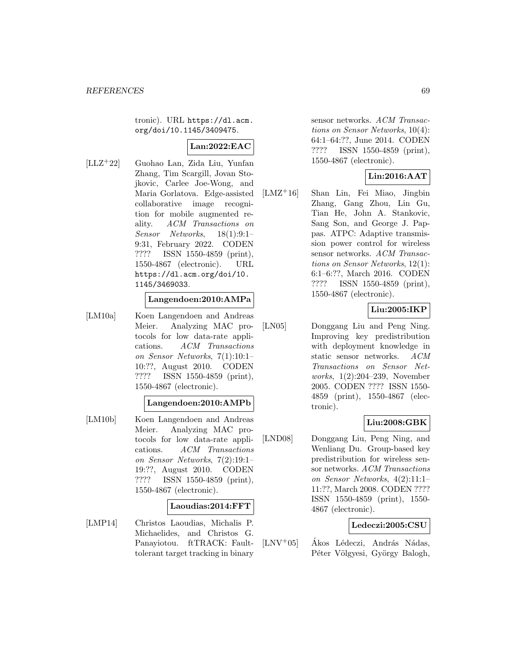tronic). URL https://dl.acm. org/doi/10.1145/3409475.

# **Lan:2022:EAC**

[LLZ<sup>+</sup>22] Guohao Lan, Zida Liu, Yunfan Zhang, Tim Scargill, Jovan Stojkovic, Carlee Joe-Wong, and Maria Gorlatova. Edge-assisted collaborative image recognition for mobile augmented reality. ACM Transactions on Sensor Networks, 18(1):9:1– 9:31, February 2022. CODEN ???? ISSN 1550-4859 (print), 1550-4867 (electronic). URL https://dl.acm.org/doi/10. 1145/3469033.

### **Langendoen:2010:AMPa**

[LM10a] Koen Langendoen and Andreas Meier. Analyzing MAC protocols for low data-rate applications. ACM Transactions on Sensor Networks, 7(1):10:1– 10:??, August 2010. CODEN ???? ISSN 1550-4859 (print), 1550-4867 (electronic).

# **Langendoen:2010:AMPb**

[LM10b] Koen Langendoen and Andreas Meier. Analyzing MAC protocols for low data-rate applications. ACM Transactions on Sensor Networks, 7(2):19:1– 19:??, August 2010. CODEN ???? ISSN 1550-4859 (print), 1550-4867 (electronic).

#### **Laoudias:2014:FFT**

[LMP14] Christos Laoudias, Michalis P. Michaelides, and Christos G. Panayiotou. ftTRACK: Faulttolerant target tracking in binary sensor networks. ACM Transactions on Sensor Networks, 10(4): 64:1–64:??, June 2014. CODEN ???? ISSN 1550-4859 (print), 1550-4867 (electronic).

### **Lin:2016:AAT**

[LMZ<sup>+</sup>16] Shan Lin, Fei Miao, Jingbin Zhang, Gang Zhou, Lin Gu, Tian He, John A. Stankovic, Sang Son, and George J. Pappas. ATPC: Adaptive transmission power control for wireless sensor networks. ACM Transactions on Sensor Networks, 12(1): 6:1–6:??, March 2016. CODEN ???? ISSN 1550-4859 (print), 1550-4867 (electronic).

## **Liu:2005:IKP**

[LN05] Donggang Liu and Peng Ning. Improving key predistribution with deployment knowledge in static sensor networks. ACM Transactions on Sensor Networks, 1(2):204–239, November 2005. CODEN ???? ISSN 1550- 4859 (print), 1550-4867 (electronic).

### **Liu:2008:GBK**

[LND08] Donggang Liu, Peng Ning, and Wenliang Du. Group-based key predistribution for wireless sensor networks. ACM Transactions on Sensor Networks, 4(2):11:1– 11:??, March 2008. CODEN ???? ISSN 1550-4859 (print), 1550- 4867 (electronic).

#### **Ledeczi:2005:CSU**

 $[LNV^+05]$  Ákos Lédeczi, András Nádas, Péter Völgyesi, György Balogh,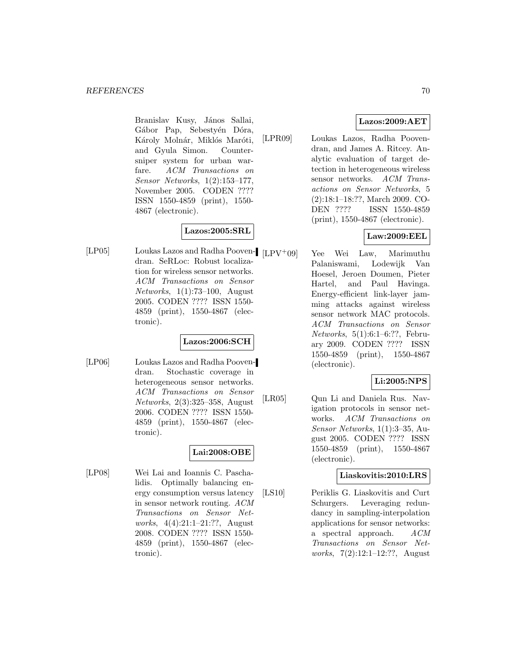Branislav Kusy, János Sallai, Gábor Pap, Sebestyén Dóra, Károly Molnár, Miklós Maróti, and Gyula Simon. Countersniper system for urban warfare. ACM Transactions on Sensor Networks, 1(2):153–177, November 2005. CODEN ???? ISSN 1550-4859 (print), 1550- 4867 (electronic).

# **Lazos:2005:SRL**

[LP05] Loukas Lazos and Radha Pooven- [LPV+09] dran. SeRLoc: Robust localization for wireless sensor networks. ACM Transactions on Sensor Networks, 1(1):73–100, August 2005. CODEN ???? ISSN 1550- 4859 (print), 1550-4867 (electronic).

#### **Lazos:2006:SCH**

[LP06] Loukas Lazos and Radha Poovendran. Stochastic coverage in heterogeneous sensor networks. ACM Transactions on Sensor Networks, 2(3):325–358, August 2006. CODEN ???? ISSN 1550- 4859 (print), 1550-4867 (electronic).

# **Lai:2008:OBE**

[LP08] Wei Lai and Ioannis C. Paschalidis. Optimally balancing energy consumption versus latency in sensor network routing. ACM Transactions on Sensor Networks, 4(4):21:1–21:??, August 2008. CODEN ???? ISSN 1550- 4859 (print), 1550-4867 (electronic).

# **Lazos:2009:AET**

[LPR09] Loukas Lazos, Radha Poovendran, and James A. Ritcey. Analytic evaluation of target detection in heterogeneous wireless sensor networks. ACM Transactions on Sensor Networks, 5 (2):18:1–18:??, March 2009. CO-DEN ???? ISSN 1550-4859 (print), 1550-4867 (electronic).

# **Law:2009:EEL**

Yee Wei Law, Marimuthu Palaniswami, Lodewijk Van Hoesel, Jeroen Doumen, Pieter Hartel, and Paul Havinga. Energy-efficient link-layer jamming attacks against wireless sensor network MAC protocols. ACM Transactions on Sensor Networks, 5(1):6:1–6:??, February 2009. CODEN ???? ISSN 1550-4859 (print), 1550-4867 (electronic).

# **Li:2005:NPS**

[LR05] Qun Li and Daniela Rus. Navigation protocols in sensor networks. ACM Transactions on Sensor Networks, 1(1):3–35, August 2005. CODEN ???? ISSN 1550-4859 (print), 1550-4867 (electronic).

#### **Liaskovitis:2010:LRS**

[LS10] Periklis G. Liaskovitis and Curt Schurgers. Leveraging redundancy in sampling-interpolation applications for sensor networks: a spectral approach. ACM Transactions on Sensor Networks, 7(2):12:1–12:??, August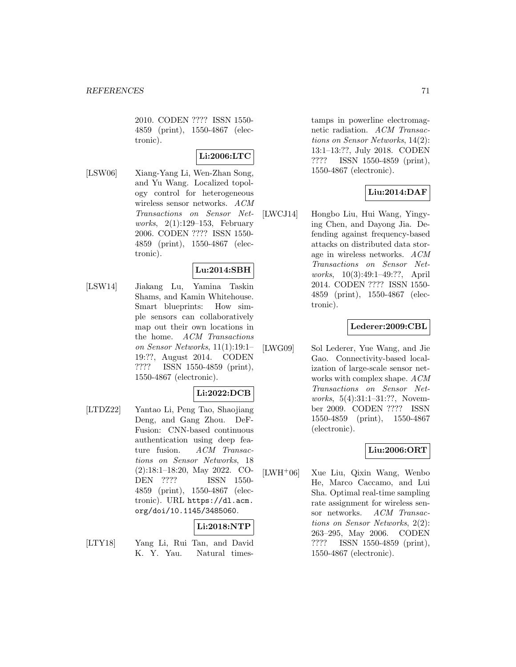2010. CODEN ???? ISSN 1550- 4859 (print), 1550-4867 (electronic).

# **Li:2006:LTC**

[LSW06] Xiang-Yang Li, Wen-Zhan Song, and Yu Wang. Localized topology control for heterogeneous wireless sensor networks. ACM Transactions on Sensor Networks, 2(1):129–153, February 2006. CODEN ???? ISSN 1550- 4859 (print), 1550-4867 (electronic).

### **Lu:2014:SBH**

[LSW14] Jiakang Lu, Yamina Taskin Shams, and Kamin Whitehouse. Smart blueprints: How simple sensors can collaboratively map out their own locations in the home. ACM Transactions on Sensor Networks, 11(1):19:1– 19:??, August 2014. CODEN ???? ISSN 1550-4859 (print), 1550-4867 (electronic).

#### **Li:2022:DCB**

[LTDZ22] Yantao Li, Peng Tao, Shaojiang Deng, and Gang Zhou. DeF-Fusion: CNN-based continuous authentication using deep fea-<br>ture fusion. ACM Transac- $ACM$  Transactions on Sensor Networks, 18 (2):18:1–18:20, May 2022. CO-DEN ???? ISSN 1550- 4859 (print), 1550-4867 (electronic). URL https://dl.acm. org/doi/10.1145/3485060.

# **Li:2018:NTP**

[LTY18] Yang Li, Rui Tan, and David K. Y. Yau. Natural timestamps in powerline electromagnetic radiation. ACM Transactions on Sensor Networks, 14(2): 13:1–13:??, July 2018. CODEN ???? ISSN 1550-4859 (print), 1550-4867 (electronic).

# **Liu:2014:DAF**

[LWCJ14] Hongbo Liu, Hui Wang, Yingying Chen, and Dayong Jia. Defending against frequency-based attacks on distributed data storage in wireless networks. ACM Transactions on Sensor Networks, 10(3):49:1–49:??, April 2014. CODEN ???? ISSN 1550- 4859 (print), 1550-4867 (electronic).

#### **Lederer:2009:CBL**

[LWG09] Sol Lederer, Yue Wang, and Jie Gao. Connectivity-based localization of large-scale sensor networks with complex shape. ACM Transactions on Sensor Networks, 5(4):31:1–31:??, November 2009. CODEN ???? ISSN 1550-4859 (print), 1550-4867 (electronic).

#### **Liu:2006:ORT**

[LWH<sup>+</sup>06] Xue Liu, Qixin Wang, Wenbo He, Marco Caccamo, and Lui Sha. Optimal real-time sampling rate assignment for wireless sensor networks. ACM Transactions on Sensor Networks, 2(2): 263–295, May 2006. CODEN ???? ISSN 1550-4859 (print), 1550-4867 (electronic).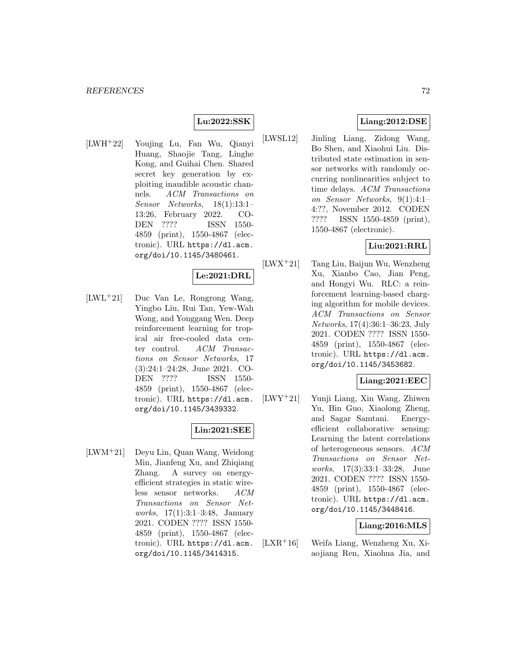#### **Lu:2022:SSK**

[LWH<sup>+</sup>22] Youjing Lu, Fan Wu, Qianyi Huang, Shaojie Tang, Linghe Kong, and Guihai Chen. Shared secret key generation by exploiting inaudible acoustic channels. ACM Transactions on Sensor Networks, 18(1):13:1– 13:26, February 2022. CO-DEN ???? ISSN 1550- 4859 (print), 1550-4867 (electronic). URL https://dl.acm. org/doi/10.1145/3480461.

#### **Le:2021:DRL**

[LWL<sup>+</sup>21] Duc Van Le, Rongrong Wang, Yingbo Liu, Rui Tan, Yew-Wah Wong, and Yonggang Wen. Deep reinforcement learning for tropical air free-cooled data center control. ACM Transactions on Sensor Networks, 17 (3):24:1–24:28, June 2021. CO-DEN ???? ISSN 1550- 4859 (print), 1550-4867 (electronic). URL https://dl.acm. org/doi/10.1145/3439332.

# **Lin:2021:SEE**

[LWM<sup>+</sup>21] Deyu Lin, Quan Wang, Weidong Min, Jianfeng Xu, and Zhiqiang Zhang. A survey on energyefficient strategies in static wireless sensor networks. ACM Transactions on Sensor Networks, 17(1):3:1–3:48, January 2021. CODEN ???? ISSN 1550- 4859 (print), 1550-4867 (electronic). URL https://dl.acm. org/doi/10.1145/3414315.

#### **Liang:2012:DSE**

[LWSL12] Jinling Liang, Zidong Wang, Bo Shen, and Xiaohui Liu. Distributed state estimation in sensor networks with randomly occurring nonlinearities subject to time delays. ACM Transactions on Sensor Networks, 9(1):4:1– 4:??, November 2012. CODEN ???? ISSN 1550-4859 (print), 1550-4867 (electronic).

## **Liu:2021:RRL**

[LWX<sup>+</sup>21] Tang Liu, Baijun Wu, Wenzheng Xu, Xianbo Cao, Jian Peng, and Hongyi Wu. RLC: a reinforcement learning-based charging algorithm for mobile devices. ACM Transactions on Sensor Networks, 17(4):36:1–36:23, July 2021. CODEN ???? ISSN 1550- 4859 (print), 1550-4867 (electronic). URL https://dl.acm. org/doi/10.1145/3453682.

#### **Liang:2021:EEC**

[LWY<sup>+</sup>21] Yunji Liang, Xin Wang, Zhiwen Yu, Bin Guo, Xiaolong Zheng, and Sagar Samtani. Energyefficient collaborative sensing: Learning the latent correlations of heterogeneous sensors. ACM Transactions on Sensor Networks, 17(3):33:1–33:28, June 2021. CODEN ???? ISSN 1550- 4859 (print), 1550-4867 (electronic). URL https://dl.acm. org/doi/10.1145/3448416.

#### **Liang:2016:MLS**

[LXR<sup>+</sup>16] Weifa Liang, Wenzheng Xu, Xiaojiang Ren, Xiaohua Jia, and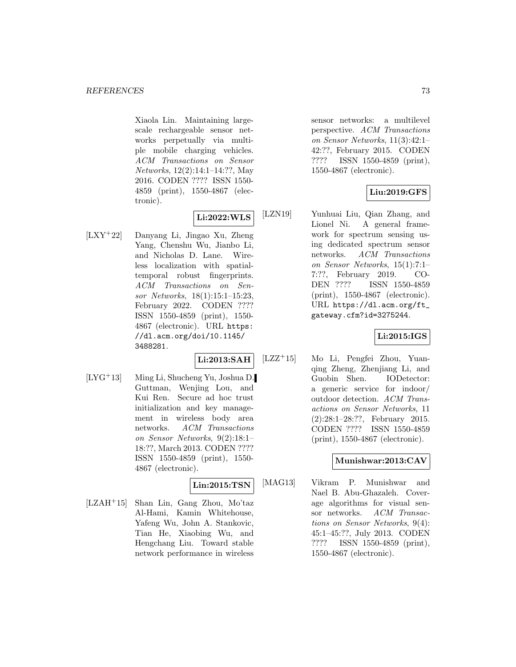Xiaola Lin. Maintaining largescale rechargeable sensor networks perpetually via multiple mobile charging vehicles. ACM Transactions on Sensor Networks, 12(2):14:1–14:??, May 2016. CODEN ???? ISSN 1550- 4859 (print), 1550-4867 (electronic).

## **Li:2022:WLS**

[LXY<sup>+</sup>22] Danyang Li, Jingao Xu, Zheng Yang, Chenshu Wu, Jianbo Li, and Nicholas D. Lane. Wireless localization with spatialtemporal robust fingerprints. ACM Transactions on Sensor Networks, 18(1):15:1–15:23, February 2022. CODEN ???? ISSN 1550-4859 (print), 1550- 4867 (electronic). URL https: //dl.acm.org/doi/10.1145/ 3488281.

## **Li:2013:SAH**

[LYG<sup>+</sup>13] Ming Li, Shucheng Yu, Joshua D. Guttman, Wenjing Lou, and Kui Ren. Secure ad hoc trust initialization and key management in wireless body area networks. ACM Transactions on Sensor Networks, 9(2):18:1– 18:??, March 2013. CODEN ???? ISSN 1550-4859 (print), 1550- 4867 (electronic).

## **Lin:2015:TSN**

[LZAH<sup>+</sup>15] Shan Lin, Gang Zhou, Mo'taz Al-Hami, Kamin Whitehouse, Yafeng Wu, John A. Stankovic, Tian He, Xiaobing Wu, and Hengchang Liu. Toward stable network performance in wireless

sensor networks: a multilevel perspective. ACM Transactions on Sensor Networks, 11(3):42:1– 42:??, February 2015. CODEN ???? ISSN 1550-4859 (print), 1550-4867 (electronic).

## **Liu:2019:GFS**

[LZN19] Yunhuai Liu, Qian Zhang, and Lionel Ni. A general framework for spectrum sensing using dedicated spectrum sensor networks. ACM Transactions on Sensor Networks, 15(1):7:1– 7:??, February 2019. CO-DEN ???? ISSN 1550-4859 (print), 1550-4867 (electronic). URL https://dl.acm.org/ft\_ gateway.cfm?id=3275244.

## **Li:2015:IGS**

[LZZ<sup>+</sup>15] Mo Li, Pengfei Zhou, Yuanqing Zheng, Zhenjiang Li, and Guobin Shen. IODetector: a generic service for indoor/ outdoor detection. ACM Transactions on Sensor Networks, 11 (2):28:1–28:??, February 2015. CODEN ???? ISSN 1550-4859 (print), 1550-4867 (electronic).

## **Munishwar:2013:CAV**

[MAG13] Vikram P. Munishwar and Nael B. Abu-Ghazaleh. Coverage algorithms for visual sensor networks. ACM Transactions on Sensor Networks, 9(4): 45:1–45:??, July 2013. CODEN ???? ISSN 1550-4859 (print), 1550-4867 (electronic).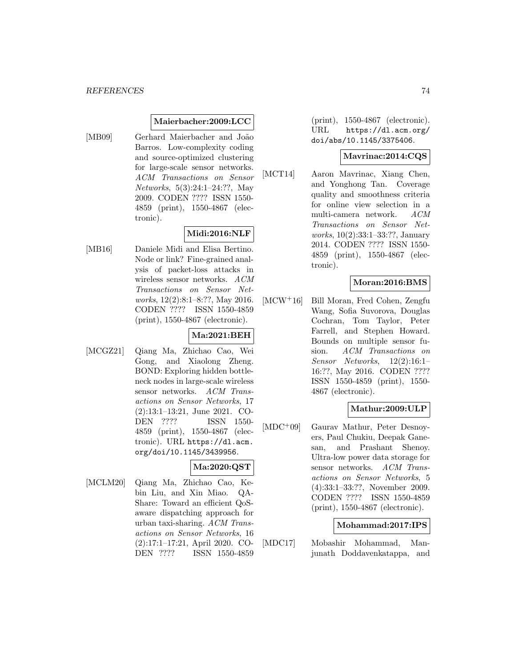#### **Maierbacher:2009:LCC**

[MB09] Gerhard Maierbacher and João Barros. Low-complexity coding and source-optimized clustering for large-scale sensor networks. ACM Transactions on Sensor Networks, 5(3):24:1–24:??, May 2009. CODEN ???? ISSN 1550- 4859 (print), 1550-4867 (electronic).

## **Midi:2016:NLF**

[MB16] Daniele Midi and Elisa Bertino. Node or link? Fine-grained analysis of packet-loss attacks in wireless sensor networks. ACM Transactions on Sensor Networks, 12(2):8:1–8:??, May 2016. CODEN ???? ISSN 1550-4859 (print), 1550-4867 (electronic).

### **Ma:2021:BEH**

[MCGZ21] Qiang Ma, Zhichao Cao, Wei Gong, and Xiaolong Zheng. BOND: Exploring hidden bottleneck nodes in large-scale wireless sensor networks. ACM Transactions on Sensor Networks, 17 (2):13:1–13:21, June 2021. CO-DEN ???? ISSN 1550- 4859 (print), 1550-4867 (electronic). URL https://dl.acm. org/doi/10.1145/3439956.

## **Ma:2020:QST**

[MCLM20] Qiang Ma, Zhichao Cao, Kebin Liu, and Xin Miao. QA-Share: Toward an efficient QoSaware dispatching approach for urban taxi-sharing. ACM Transactions on Sensor Networks, 16 (2):17:1–17:21, April 2020. CO-DEN ???? ISSN 1550-4859

(print), 1550-4867 (electronic). URL https://dl.acm.org/ doi/abs/10.1145/3375406.

#### **Mavrinac:2014:CQS**

[MCT14] Aaron Mavrinac, Xiang Chen, and Yonghong Tan. Coverage quality and smoothness criteria for online view selection in a multi-camera network. ACM Transactions on Sensor Networks, 10(2):33:1–33:??, January 2014. CODEN ???? ISSN 1550- 4859 (print), 1550-4867 (electronic).

## **Moran:2016:BMS**

[MCW<sup>+</sup>16] Bill Moran, Fred Cohen, Zengfu Wang, Sofia Suvorova, Douglas Cochran, Tom Taylor, Peter Farrell, and Stephen Howard. Bounds on multiple sensor fusion. ACM Transactions on Sensor Networks, 12(2):16:1– 16:??, May 2016. CODEN ???? ISSN 1550-4859 (print), 1550- 4867 (electronic).

### **Mathur:2009:ULP**

[MDC<sup>+</sup>09] Gaurav Mathur, Peter Desnoyers, Paul Chukiu, Deepak Ganesan, and Prashant Shenoy. Ultra-low power data storage for sensor networks. ACM Transactions on Sensor Networks, 5 (4):33:1–33:??, November 2009. CODEN ???? ISSN 1550-4859 (print), 1550-4867 (electronic).

#### **Mohammad:2017:IPS**

[MDC17] Mobashir Mohammad, Manjunath Doddavenkatappa, and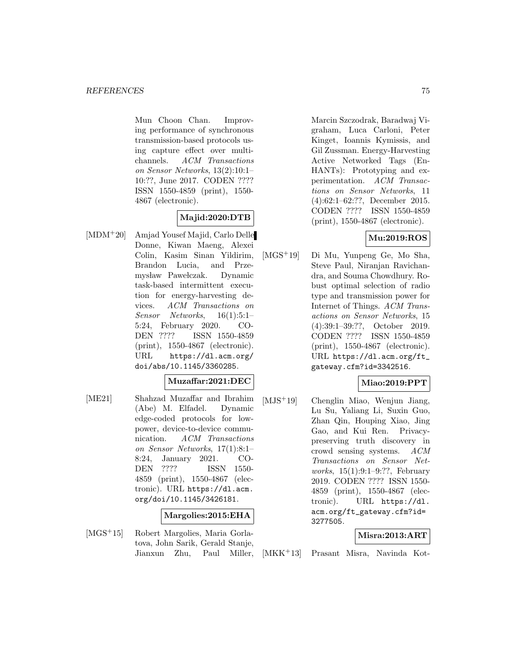Mun Choon Chan. Improving performance of synchronous transmission-based protocols using capture effect over multichannels. ACM Transactions on Sensor Networks, 13(2):10:1– 10:??, June 2017. CODEN ???? ISSN 1550-4859 (print), 1550- 4867 (electronic).

## **Majid:2020:DTB**

[MDM<sup>+</sup>20] Amjad Yousef Majid, Carlo Delle Donne, Kiwan Maeng, Alexei Colin, Kasim Sinan Yildirim, Brandon Lucia, and Przemysław Pawełczak. Dynamic task-based intermittent execution for energy-harvesting devices. ACM Transactions on Sensor Networks, 16(1):5:1– 5:24, February 2020. CO-DEN ???? ISSN 1550-4859 (print), 1550-4867 (electronic). URL https://dl.acm.org/ doi/abs/10.1145/3360285.

### **Muzaffar:2021:DEC**

[ME21] Shahzad Muzaffar and Ibrahim (Abe) M. Elfadel. Dynamic edge-coded protocols for lowpower, device-to-device communication. ACM Transactions on Sensor Networks, 17(1):8:1– 8:24, January 2021. CO-DEN ???? ISSN 1550- 4859 (print), 1550-4867 (electronic). URL https://dl.acm. org/doi/10.1145/3426181.

### **Margolies:2015:EHA**

[MGS<sup>+</sup>15] Robert Margolies, Maria Gorlatova, John Sarik, Gerald Stanje, Jianxun Zhu, Paul Miller, Marcin Szczodrak, Baradwaj Vigraham, Luca Carloni, Peter Kinget, Ioannis Kymissis, and Gil Zussman. Energy-Harvesting Active Networked Tags (En-HANTs): Prototyping and experimentation. ACM Transactions on Sensor Networks, 11 (4):62:1–62:??, December 2015. CODEN ???? ISSN 1550-4859 (print), 1550-4867 (electronic).

## **Mu:2019:ROS**

[MGS<sup>+</sup>19] Di Mu, Yunpeng Ge, Mo Sha, Steve Paul, Niranjan Ravichandra, and Souma Chowdhury. Robust optimal selection of radio type and transmission power for Internet of Things. ACM Transactions on Sensor Networks, 15 (4):39:1–39:??, October 2019. CODEN ???? ISSN 1550-4859 (print), 1550-4867 (electronic). URL https://dl.acm.org/ft\_ gateway.cfm?id=3342516.

## **Miao:2019:PPT**

[MJS<sup>+</sup>19] Chenglin Miao, Wenjun Jiang, Lu Su, Yaliang Li, Suxin Guo, Zhan Qin, Houping Xiao, Jing Gao, and Kui Ren. Privacypreserving truth discovery in crowd sensing systems. ACM Transactions on Sensor Networks, 15(1):9:1–9:??, February 2019. CODEN ???? ISSN 1550- 4859 (print), 1550-4867 (electronic). URL https://dl. acm.org/ft\_gateway.cfm?id= 3277505.

## **Misra:2013:ART**

[MKK<sup>+</sup>13] Prasant Misra, Navinda Kot-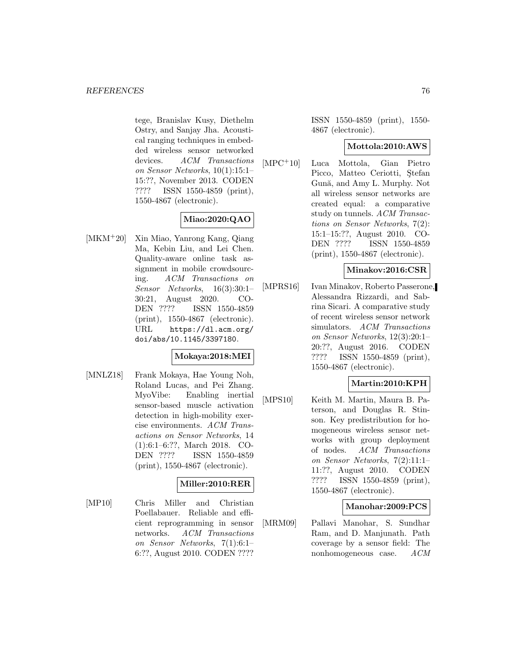tege, Branislav Kusy, Diethelm Ostry, and Sanjay Jha. Acoustical ranging techniques in embedded wireless sensor networked devices. ACM Transactions on Sensor Networks, 10(1):15:1– 15:??, November 2013. CODEN ???? ISSN 1550-4859 (print), 1550-4867 (electronic).

# **Miao:2020:QAO**

[MKM<sup>+</sup>20] Xin Miao, Yanrong Kang, Qiang Ma, Kebin Liu, and Lei Chen. Quality-aware online task assignment in mobile crowdsourcing. ACM Transactions on Sensor Networks, 16(3):30:1– 30:21, August 2020. CO-DEN ???? ISSN 1550-4859 (print), 1550-4867 (electronic). URL https://dl.acm.org/ doi/abs/10.1145/3397180.

### **Mokaya:2018:MEI**

[MNLZ18] Frank Mokaya, Hae Young Noh, Roland Lucas, and Pei Zhang. MyoVibe: Enabling inertial sensor-based muscle activation detection in high-mobility exercise environments. ACM Transactions on Sensor Networks, 14 (1):6:1–6:??, March 2018. CO-DEN ???? ISSN 1550-4859 (print), 1550-4867 (electronic).

## **Miller:2010:RER**

[MP10] Chris Miller and Christian Poellabauer. Reliable and efficient reprogramming in sensor networks. ACM Transactions on Sensor Networks, 7(1):6:1– 6:??, August 2010. CODEN ????

ISSN 1550-4859 (print), 1550- 4867 (electronic).

### **Mottola:2010:AWS**

[MPC<sup>+</sup>10] Luca Mottola, Gian Pietro Picco, Matteo Ceriotti, Stefan Gună, and Amy L. Murphy. Not all wireless sensor networks are created equal: a comparative study on tunnels. ACM Transactions on Sensor Networks, 7(2): 15:1–15:??, August 2010. CO-DEN ???? ISSN 1550-4859 (print), 1550-4867 (electronic).

### **Minakov:2016:CSR**

[MPRS16] Ivan Minakov, Roberto Passerone, Alessandra Rizzardi, and Sabrina Sicari. A comparative study of recent wireless sensor network simulators. ACM Transactions on Sensor Networks, 12(3):20:1– 20:??, August 2016. CODEN ???? ISSN 1550-4859 (print), 1550-4867 (electronic).

## **Martin:2010:KPH**

[MPS10] Keith M. Martin, Maura B. Paterson, and Douglas R. Stinson. Key predistribution for homogeneous wireless sensor networks with group deployment of nodes. ACM Transactions on Sensor Networks, 7(2):11:1– 11:??, August 2010. CODEN ???? ISSN 1550-4859 (print), 1550-4867 (electronic).

### **Manohar:2009:PCS**

[MRM09] Pallavi Manohar, S. Sundhar Ram, and D. Manjunath. Path coverage by a sensor field: The nonhomogeneous case. ACM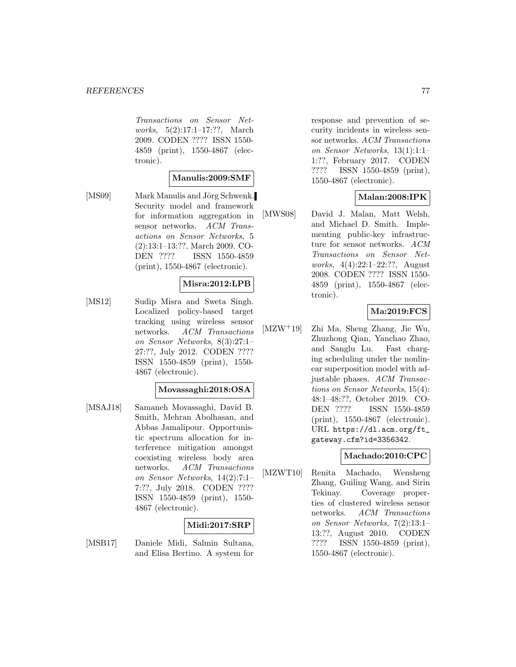Transactions on Sensor Networks, 5(2):17:1–17:??, March 2009. CODEN ???? ISSN 1550- 4859 (print), 1550-4867 (electronic).

### **Manulis:2009:SMF**

[MS09] Mark Manulis and Jörg Schwenk. Security model and framework for information aggregation in sensor networks. ACM Transactions on Sensor Networks, 5 (2):13:1–13:??, March 2009. CO-DEN ???? ISSN 1550-4859 (print), 1550-4867 (electronic).

### **Misra:2012:LPB**

[MS12] Sudip Misra and Sweta Singh. Localized policy-based target tracking using wireless sensor networks. ACM Transactions on Sensor Networks, 8(3):27:1– 27:??, July 2012. CODEN ???? ISSN 1550-4859 (print), 1550- 4867 (electronic).

### **Movassaghi:2018:OSA**

[MSAJ18] Samaneh Movassaghi, David B. Smith, Mehran Abolhasan, and Abbas Jamalipour. Opportunistic spectrum allocation for interference mitigation amongst coexisting wireless body area networks. ACM Transactions on Sensor Networks, 14(2):7:1– 7:??, July 2018. CODEN ???? ISSN 1550-4859 (print), 1550- 4867 (electronic).

## **Midi:2017:SRP**

[MSB17] Daniele Midi, Salmin Sultana, and Elisa Bertino. A system for response and prevention of security incidents in wireless sensor networks. ACM Transactions on Sensor Networks, 13(1):1:1– 1:??, February 2017. CODEN ???? ISSN 1550-4859 (print), 1550-4867 (electronic).

## **Malan:2008:IPK**

[MWS08] David J. Malan, Matt Welsh, and Michael D. Smith. Implementing public-key infrastructure for sensor networks. ACM Transactions on Sensor Networks, 4(4):22:1–22:??, August 2008. CODEN ???? ISSN 1550- 4859 (print), 1550-4867 (electronic).

## **Ma:2019:FCS**

[MZW<sup>+</sup>19] Zhi Ma, Sheng Zhang, Jie Wu, Zhuzhong Qian, Yanchao Zhao, and Sanglu Lu. Fast charging scheduling under the nonlinear superposition model with adjustable phases. ACM Transactions on Sensor Networks, 15(4): 48:1–48:??, October 2019. CO-DEN ???? ISSN 1550-4859 (print), 1550-4867 (electronic). URL https://dl.acm.org/ft\_ gateway.cfm?id=3356342.

### **Machado:2010:CPC**

[MZWT10] Renita Machado, Wensheng Zhang, Guiling Wang, and Sirin Tekinay. Coverage properties of clustered wireless sensor networks. ACM Transactions on Sensor Networks, 7(2):13:1– 13:??, August 2010. CODEN ???? ISSN 1550-4859 (print), 1550-4867 (electronic).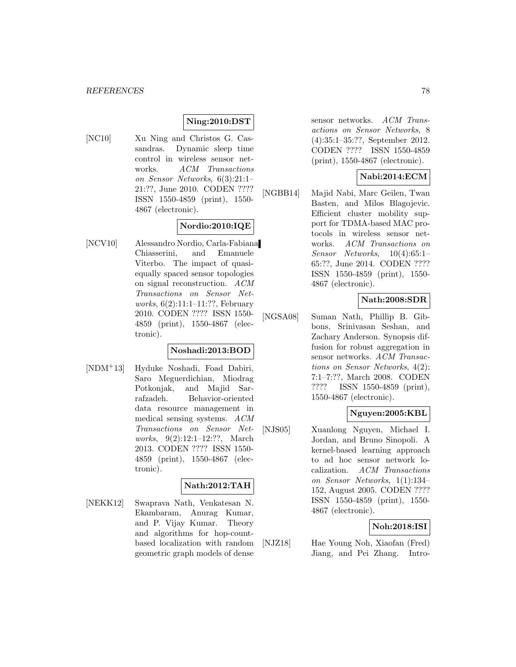### **Ning:2010:DST**

[NC10] Xu Ning and Christos G. Cassandras. Dynamic sleep time control in wireless sensor networks. ACM Transactions on Sensor Networks, 6(3):21:1– 21:??, June 2010. CODEN ???? ISSN 1550-4859 (print), 1550- 4867 (electronic).

## **Nordio:2010:IQE**

[NCV10] Alessandro Nordio, Carla-Fabiana Chiasserini, and Emanuele Viterbo. The impact of quasiequally spaced sensor topologies on signal reconstruction. ACM Transactions on Sensor Networks, 6(2):11:1–11:??, February 2010. CODEN ???? ISSN 1550- 4859 (print), 1550-4867 (electronic).

### **Noshadi:2013:BOD**

[NDM<sup>+</sup>13] Hyduke Noshadi, Foad Dabiri, Saro Meguerdichian, Miodrag Potkonjak, and Majid Sarrafzadeh. Behavior-oriented data resource management in medical sensing systems. ACM Transactions on Sensor Networks, 9(2):12:1–12:??, March 2013. CODEN ???? ISSN 1550- 4859 (print), 1550-4867 (electronic).

### **Nath:2012:TAH**

[NEKK12] Swaprava Nath, Venkatesan N. Ekambaram, Anurag Kumar, and P. Vijay Kumar. Theory and algorithms for hop-countbased localization with random geometric graph models of dense

sensor networks. ACM Transactions on Sensor Networks, 8 (4):35:1–35:??, September 2012. CODEN ???? ISSN 1550-4859 (print), 1550-4867 (electronic).

## **Nabi:2014:ECM**

[NGBB14] Majid Nabi, Marc Geilen, Twan Basten, and Milos Blagojevic. Efficient cluster mobility support for TDMA-based MAC protocols in wireless sensor networks. ACM Transactions on Sensor Networks, 10(4):65:1– 65:??, June 2014. CODEN ???? ISSN 1550-4859 (print), 1550- 4867 (electronic).

### **Nath:2008:SDR**

[NGSA08] Suman Nath, Phillip B. Gibbons, Srinivasan Seshan, and Zachary Anderson. Synopsis diffusion for robust aggregation in sensor networks. ACM Transactions on Sensor Networks, 4(2): 7:1–7:??, March 2008. CODEN ???? ISSN 1550-4859 (print), 1550-4867 (electronic).

## **Nguyen:2005:KBL**

[NJS05] Xuanlong Nguyen, Michael I. Jordan, and Bruno Sinopoli. A kernel-based learning approach to ad hoc sensor network localization. ACM Transactions on Sensor Networks, 1(1):134– 152, August 2005. CODEN ???? ISSN 1550-4859 (print), 1550- 4867 (electronic).

## **Noh:2018:ISI**

[NJZ18] Hae Young Noh, Xiaofan (Fred) Jiang, and Pei Zhang. Intro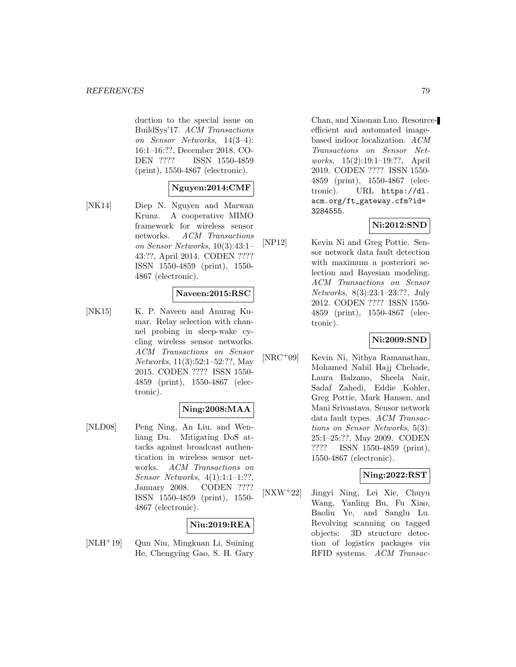duction to the special issue on BuildSys'17. ACM Transactions on Sensor Networks, 14(3–4): 16:1–16:??, December 2018. CO-DEN ???? ISSN 1550-4859 (print), 1550-4867 (electronic).

## **Nguyen:2014:CMF**

[NK14] Diep N. Nguyen and Marwan Krunz. A cooperative MIMO framework for wireless sensor networks. ACM Transactions on Sensor Networks, 10(3):43:1– 43:??, April 2014. CODEN ???? ISSN 1550-4859 (print), 1550- 4867 (electronic).

### **Naveen:2015:RSC**

[NK15] K. P. Naveen and Anurag Kumar. Relay selection with channel probing in sleep-wake cycling wireless sensor networks. ACM Transactions on Sensor Networks, 11(3):52:1–52:??, May 2015. CODEN ???? ISSN 1550- 4859 (print), 1550-4867 (electronic).

### **Ning:2008:MAA**

[NLD08] Peng Ning, An Liu, and Wenliang Du. Mitigating DoS attacks against broadcast authentication in wireless sensor networks. ACM Transactions on Sensor Networks, 4(1):1:1–1:??, January 2008. CODEN ???? ISSN 1550-4859 (print), 1550- 4867 (electronic).

## **Niu:2019:REA**

[NLH<sup>+</sup>19] Qun Niu, Mingkuan Li, Suining He, Chengying Gao, S. H. Gary

Chan, and Xiaonan Luo. Resourceefficient and automated imagebased indoor localization. ACM Transactions on Sensor Networks, 15(2):19:1–19:??, April 2019. CODEN ???? ISSN 1550- 4859 (print), 1550-4867 (electronic). URL https://dl. acm.org/ft\_gateway.cfm?id= 3284555.

### **Ni:2012:SND**

[NP12] Kevin Ni and Greg Pottie. Sensor network data fault detection with maximum a posteriori selection and Bayesian modeling. ACM Transactions on Sensor Networks, 8(3):23:1–23:??, July 2012. CODEN ???? ISSN 1550- 4859 (print), 1550-4867 (electronic).

### **Ni:2009:SND**

[NRC<sup>+</sup>09] Kevin Ni, Nithya Ramanathan, Mohamed Nabil Hajj Chehade, Laura Balzano, Sheela Nair, Sadaf Zahedi, Eddie Kohler, Greg Pottie, Mark Hansen, and Mani Srivastava. Sensor network data fault types. ACM Transactions on Sensor Networks, 5(3): 25:1–25:??, May 2009. CODEN ???? ISSN 1550-4859 (print), 1550-4867 (electronic).

### **Ning:2022:RST**

[NXW<sup>+</sup>22] Jingyi Ning, Lei Xie, Chuyu Wang, Yanling Bu, Fu Xiao, Baoliu Ye, and Sanglu Lu. Revolving scanning on tagged objects: 3D structure detection of logistics packages via RFID systems. ACM Transac-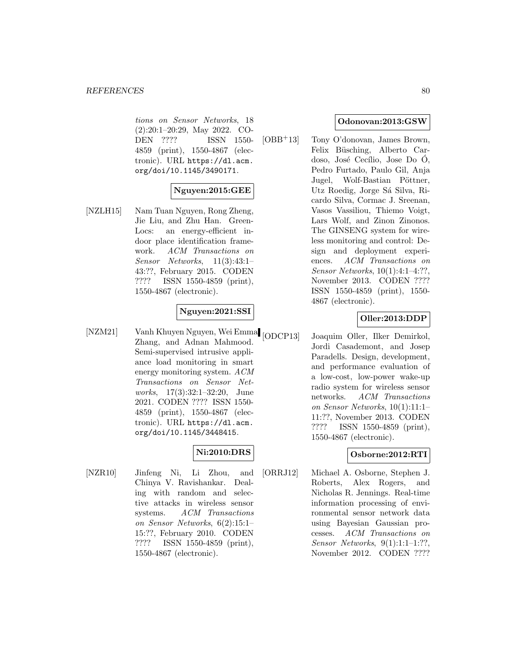tions on Sensor Networks, 18 (2):20:1–20:29, May 2022. CO-DEN ???? ISSN 1550- 4859 (print), 1550-4867 (electronic). URL https://dl.acm. org/doi/10.1145/3490171.

## **Nguyen:2015:GEE**

[NZLH15] Nam Tuan Nguyen, Rong Zheng, Jie Liu, and Zhu Han. Green-Locs: an energy-efficient indoor place identification framework. ACM Transactions on Sensor Networks, 11(3):43:1– 43:??, February 2015. CODEN ???? ISSN 1550-4859 (print), 1550-4867 (electronic).

### **Nguyen:2021:SSI**

[NZM21] Vanh Khuyen Nguyen, Wei Emma Zhang, and Adnan Mahmood. Semi-supervised intrusive appliance load monitoring in smart energy monitoring system. ACM Transactions on Sensor Networks, 17(3):32:1–32:20, June 2021. CODEN ???? ISSN 1550- 4859 (print), 1550-4867 (electronic). URL https://dl.acm. org/doi/10.1145/3448415.

## **Ni:2010:DRS**

[NZR10] Jinfeng Ni, Li Zhou, and Chinya V. Ravishankar. Dealing with random and selective attacks in wireless sensor systems. ACM Transactions on Sensor Networks, 6(2):15:1– 15:??, February 2010. CODEN ???? ISSN 1550-4859 (print), 1550-4867 (electronic).

### **Odonovan:2013:GSW**

[OBB<sup>+</sup>13] Tony O'donovan, James Brown, Felix Büsching, Alberto Cardoso, José Cecílio, Jose Do O, Pedro Furtado, Paulo Gil, Anja Jugel, Wolf-Bastian Pöttner, Utz Roedig, Jorge Sá Silva, Ricardo Silva, Cormac J. Sreenan, Vasos Vassiliou, Thiemo Voigt, Lars Wolf, and Zinon Zinonos. The GINSENG system for wireless monitoring and control: Design and deployment experiences. ACM Transactions on Sensor Networks, 10(1):4:1–4:??, November 2013. CODEN ???? ISSN 1550-4859 (print), 1550- 4867 (electronic).

## **Oller:2013:DDP**

Joaquim Oller, Ilker Demirkol, Jordi Casademont, and Josep Paradells. Design, development, and performance evaluation of a low-cost, low-power wake-up radio system for wireless sensor networks. ACM Transactions on Sensor Networks, 10(1):11:1– 11:??, November 2013. CODEN ???? ISSN 1550-4859 (print), 1550-4867 (electronic).

## **Osborne:2012:RTI**

[ORRJ12] Michael A. Osborne, Stephen J. Roberts, Alex Rogers, and Nicholas R. Jennings. Real-time information processing of environmental sensor network data using Bayesian Gaussian processes. ACM Transactions on Sensor Networks, 9(1):1:1–1:??, November 2012. CODEN ????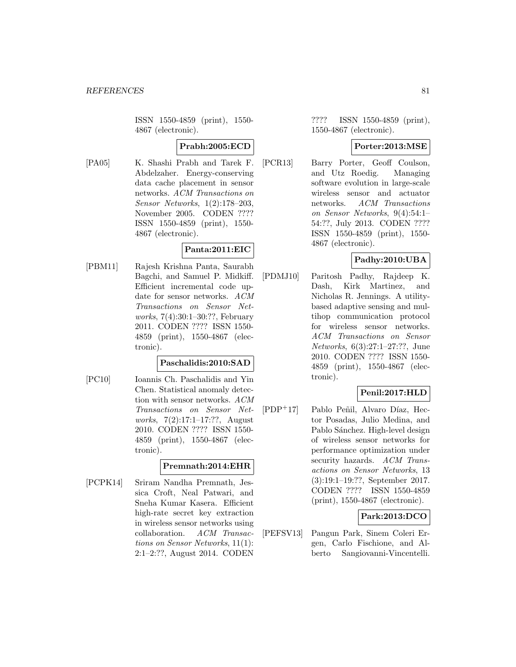ISSN 1550-4859 (print), 1550- 4867 (electronic).

## **Prabh:2005:ECD**

[PA05] K. Shashi Prabh and Tarek F. Abdelzaher. Energy-conserving data cache placement in sensor networks. ACM Transactions on Sensor Networks, 1(2):178–203, November 2005. CODEN ???? ISSN 1550-4859 (print), 1550- 4867 (electronic).

### **Panta:2011:EIC**

[PBM11] Rajesh Krishna Panta, Saurabh Bagchi, and Samuel P. Midkiff. Efficient incremental code update for sensor networks. ACM Transactions on Sensor Networks, 7(4):30:1–30:??, February 2011. CODEN ???? ISSN 1550- 4859 (print), 1550-4867 (electronic).

### **Paschalidis:2010:SAD**

[PC10] Ioannis Ch. Paschalidis and Yin Chen. Statistical anomaly detection with sensor networks. ACM Transactions on Sensor Networks, 7(2):17:1–17:??, August 2010. CODEN ???? ISSN 1550- 4859 (print), 1550-4867 (electronic).

## **Premnath:2014:EHR**

[PCPK14] Sriram Nandha Premnath, Jessica Croft, Neal Patwari, and Sneha Kumar Kasera. Efficient high-rate secret key extraction in wireless sensor networks using collaboration. ACM Transactions on Sensor Networks, 11(1): 2:1–2:??, August 2014. CODEN

???? ISSN 1550-4859 (print), 1550-4867 (electronic).

### **Porter:2013:MSE**

[PCR13] Barry Porter, Geoff Coulson, and Utz Roedig. Managing software evolution in large-scale wireless sensor and actuator networks. ACM Transactions on Sensor Networks, 9(4):54:1– 54:??, July 2013. CODEN ???? ISSN 1550-4859 (print), 1550- 4867 (electronic).

## **Padhy:2010:UBA**

[PDMJ10] Paritosh Padhy, Rajdeep K. Dash, Kirk Martinez, and Nicholas R. Jennings. A utilitybased adaptive sensing and multihop communication protocol for wireless sensor networks. ACM Transactions on Sensor Networks, 6(3):27:1–27:??, June 2010. CODEN ???? ISSN 1550- 4859 (print), 1550-4867 (electronic).

## **Penil:2017:HLD**

 $[PDF+17]$  Pablo Peñil, Alvaro Díaz, Hector Posadas, Julio Medina, and Pablo Sánchez. High-level design of wireless sensor networks for performance optimization under security hazards. ACM Transactions on Sensor Networks, 13 (3):19:1–19:??, September 2017. CODEN ???? ISSN 1550-4859 (print), 1550-4867 (electronic).

## **Park:2013:DCO**

[PEFSV13] Pangun Park, Sinem Coleri Ergen, Carlo Fischione, and Alberto Sangiovanni-Vincentelli.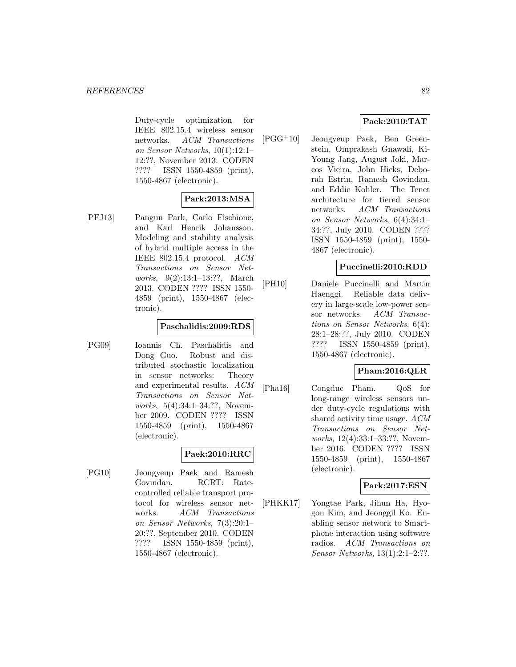Duty-cycle optimization for IEEE 802.15.4 wireless sensor networks. ACM Transactions on Sensor Networks, 10(1):12:1– 12:??, November 2013. CODEN ???? ISSN 1550-4859 (print), 1550-4867 (electronic).

## **Park:2013:MSA**

[PFJ13] Pangun Park, Carlo Fischione, and Karl Henrik Johansson. Modeling and stability analysis of hybrid multiple access in the IEEE 802.15.4 protocol. ACM Transactions on Sensor Networks, 9(2):13:1–13:??, March 2013. CODEN ???? ISSN 1550- 4859 (print), 1550-4867 (electronic).

### **Paschalidis:2009:RDS**

[PG09] Ioannis Ch. Paschalidis and Dong Guo. Robust and distributed stochastic localization in sensor networks: Theory and experimental results. ACM Transactions on Sensor Networks, 5(4):34:1–34:??, November 2009. CODEN ???? ISSN 1550-4859 (print), 1550-4867 (electronic).

## **Paek:2010:RRC**

[PG10] Jeongyeup Paek and Ramesh Govindan. RCRT: Ratecontrolled reliable transport protocol for wireless sensor networks. ACM Transactions on Sensor Networks, 7(3):20:1– 20:??, September 2010. CODEN ???? ISSN 1550-4859 (print), 1550-4867 (electronic).

## **Paek:2010:TAT**

[PGG<sup>+</sup>10] Jeongyeup Paek, Ben Greenstein, Omprakash Gnawali, Ki-Young Jang, August Joki, Marcos Vieira, John Hicks, Deborah Estrin, Ramesh Govindan, and Eddie Kohler. The Tenet architecture for tiered sensor networks. ACM Transactions on Sensor Networks, 6(4):34:1– 34:??, July 2010. CODEN ???? ISSN 1550-4859 (print), 1550- 4867 (electronic).

### **Puccinelli:2010:RDD**

[PH10] Daniele Puccinelli and Martin Haenggi. Reliable data delivery in large-scale low-power sensor networks. ACM Transactions on Sensor Networks, 6(4): 28:1–28:??, July 2010. CODEN ???? ISSN 1550-4859 (print), 1550-4867 (electronic).

## **Pham:2016:QLR**

[Pha16] Congduc Pham. QoS for long-range wireless sensors under duty-cycle regulations with shared activity time usage. ACM Transactions on Sensor Networks, 12(4):33:1–33:??, November 2016. CODEN ???? ISSN 1550-4859 (print), 1550-4867 (electronic).

## **Park:2017:ESN**

[PHKK17] Yongtae Park, Jihun Ha, Hyogon Kim, and Jeonggil Ko. Enabling sensor network to Smartphone interaction using software radios. ACM Transactions on Sensor Networks, 13(1):2:1–2:??,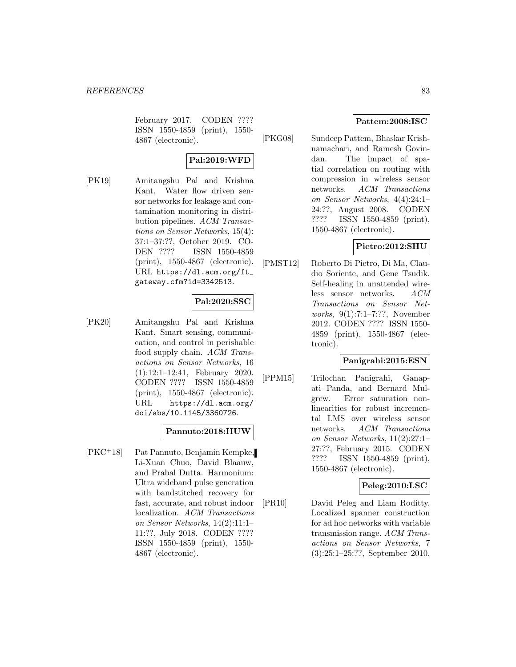February 2017. CODEN ???? ISSN 1550-4859 (print), 1550- 4867 (electronic).

## **Pal:2019:WFD**

[PK19] Amitangshu Pal and Krishna Kant. Water flow driven sensor networks for leakage and contamination monitoring in distribution pipelines. ACM Transactions on Sensor Networks, 15(4): 37:1–37:??, October 2019. CO-DEN ???? ISSN 1550-4859 (print), 1550-4867 (electronic). URL https://dl.acm.org/ft\_ gateway.cfm?id=3342513.

## **Pal:2020:SSC**

[PK20] Amitangshu Pal and Krishna Kant. Smart sensing, communication, and control in perishable food supply chain. ACM Transactions on Sensor Networks, 16 (1):12:1–12:41, February 2020. CODEN ???? ISSN 1550-4859 (print), 1550-4867 (electronic). URL https://dl.acm.org/ doi/abs/10.1145/3360726.

### **Pannuto:2018:HUW**

[PKC<sup>+</sup>18] Pat Pannuto, Benjamin Kempke, Li-Xuan Chuo, David Blaauw, and Prabal Dutta. Harmonium: Ultra wideband pulse generation with bandstitched recovery for fast, accurate, and robust indoor localization. ACM Transactions on Sensor Networks, 14(2):11:1– 11:??, July 2018. CODEN ???? ISSN 1550-4859 (print), 1550- 4867 (electronic).

### **Pattem:2008:ISC**

[PKG08] Sundeep Pattem, Bhaskar Krishnamachari, and Ramesh Govindan. The impact of spatial correlation on routing with compression in wireless sensor networks. ACM Transactions on Sensor Networks, 4(4):24:1– 24:??, August 2008. CODEN ???? ISSN 1550-4859 (print), 1550-4867 (electronic).

### **Pietro:2012:SHU**

[PMST12] Roberto Di Pietro, Di Ma, Claudio Soriente, and Gene Tsudik. Self-healing in unattended wireless sensor networks. ACM Transactions on Sensor Networks, 9(1):7:1–7:??, November 2012. CODEN ???? ISSN 1550- 4859 (print), 1550-4867 (electronic).

## **Panigrahi:2015:ESN**

[PPM15] Trilochan Panigrahi, Ganapati Panda, and Bernard Mulgrew. Error saturation nonlinearities for robust incremental LMS over wireless sensor networks. ACM Transactions on Sensor Networks, 11(2):27:1– 27:??, February 2015. CODEN ???? ISSN 1550-4859 (print), 1550-4867 (electronic).

## **Peleg:2010:LSC**

[PR10] David Peleg and Liam Roditty. Localized spanner construction for ad hoc networks with variable transmission range. ACM Transactions on Sensor Networks, 7 (3):25:1–25:??, September 2010.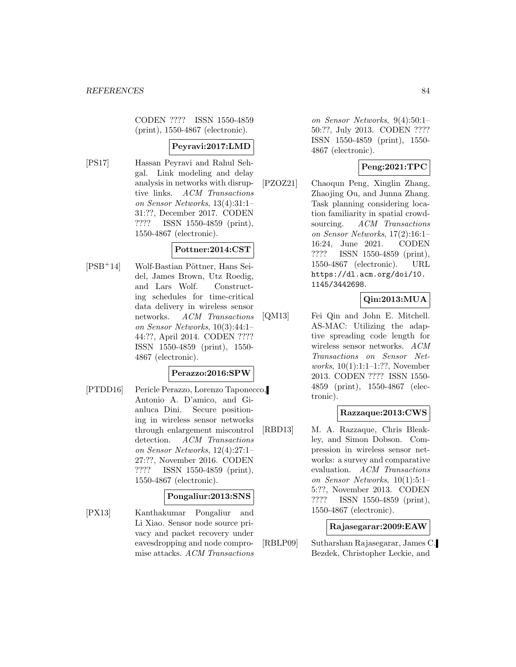CODEN ???? ISSN 1550-4859 (print), 1550-4867 (electronic).

### **Peyravi:2017:LMD**

[PS17] Hassan Peyravi and Rahul Sehgal. Link modeling and delay analysis in networks with disruptive links. ACM Transactions on Sensor Networks, 13(4):31:1– 31:??, December 2017. CODEN ???? ISSN 1550-4859 (print), 1550-4867 (electronic).

## **Pottner:2014:CST**

 $[PSB+14]$  Wolf-Bastian Pöttner, Hans Seidel, James Brown, Utz Roedig, and Lars Wolf. Constructing schedules for time-critical data delivery in wireless sensor networks. ACM Transactions on Sensor Networks, 10(3):44:1– 44:??, April 2014. CODEN ???? ISSN 1550-4859 (print), 1550- 4867 (electronic).

### **Perazzo:2016:SPW**

[PTDD16] Pericle Perazzo, Lorenzo Taponecco, Antonio A. D'amico, and Gianluca Dini. Secure positioning in wireless sensor networks through enlargement miscontrol detection. ACM Transactions on Sensor Networks, 12(4):27:1– 27:??, November 2016. CODEN ???? ISSN 1550-4859 (print), 1550-4867 (electronic).

### **Pongaliur:2013:SNS**

[PX13] Kanthakumar Pongaliur and Li Xiao. Sensor node source privacy and packet recovery under eavesdropping and node compromise attacks. ACM Transactions on Sensor Networks, 9(4):50:1– 50:??, July 2013. CODEN ???? ISSN 1550-4859 (print), 1550- 4867 (electronic).

## **Peng:2021:TPC**

[PZOZ21] Chaoqun Peng, Xinglin Zhang, Zhaojing Ou, and Junna Zhang. Task planning considering location familiarity in spatial crowdsourcing. ACM Transactions on Sensor Networks, 17(2):16:1– 16:24, June 2021. CODEN ???? ISSN 1550-4859 (print), 1550-4867 (electronic). URL https://dl.acm.org/doi/10. 1145/3442698.

## **Qin:2013:MUA**

[QM13] Fei Qin and John E. Mitchell. AS-MAC: Utilizing the adaptive spreading code length for wireless sensor networks. ACM Transactions on Sensor Networks, 10(1):1:1–1:??, November 2013. CODEN ???? ISSN 1550- 4859 (print), 1550-4867 (electronic).

## **Razzaque:2013:CWS**

[RBD13] M. A. Razzaque, Chris Bleakley, and Simon Dobson. Compression in wireless sensor networks: a survey and comparative evaluation. ACM Transactions on Sensor Networks, 10(1):5:1– 5:??, November 2013. CODEN ???? ISSN 1550-4859 (print), 1550-4867 (electronic).

### **Rajasegarar:2009:EAW**

[RBLP09] Sutharshan Rajasegarar, James C. Bezdek, Christopher Leckie, and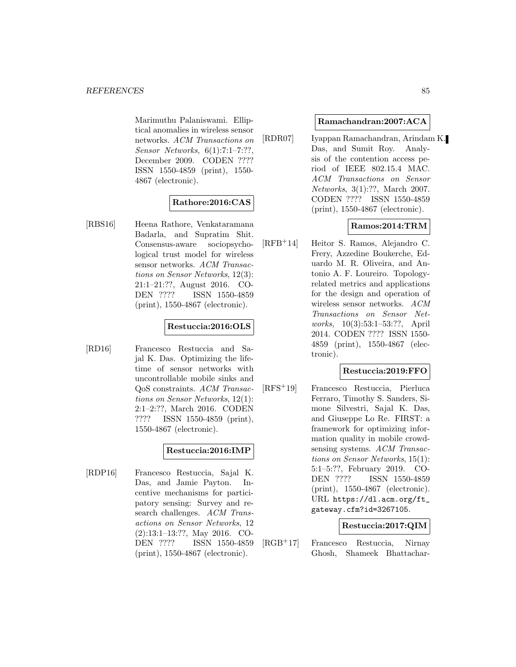Marimuthu Palaniswami. Elliptical anomalies in wireless sensor networks. ACM Transactions on Sensor Networks, 6(1):7:1–7:??, December 2009. CODEN ???? ISSN 1550-4859 (print), 1550- 4867 (electronic).

## **Rathore:2016:CAS**

[RBS16] Heena Rathore, Venkataramana Badarla, and Supratim Shit. Consensus-aware sociopsychological trust model for wireless sensor networks. ACM Transactions on Sensor Networks, 12(3): 21:1–21:??, August 2016. CO-DEN ???? ISSN 1550-4859 (print), 1550-4867 (electronic).

## **Restuccia:2016:OLS**

[RD16] Francesco Restuccia and Sajal K. Das. Optimizing the lifetime of sensor networks with uncontrollable mobile sinks and QoS constraints. ACM Transactions on Sensor Networks, 12(1): 2:1–2:??, March 2016. CODEN ???? ISSN 1550-4859 (print), 1550-4867 (electronic).

## **Restuccia:2016:IMP**

[RDP16] Francesco Restuccia, Sajal K. Das, and Jamie Payton. Incentive mechanisms for participatory sensing: Survey and research challenges. ACM Transactions on Sensor Networks, 12 (2):13:1–13:??, May 2016. CO-DEN ???? ISSN 1550-4859 (print), 1550-4867 (electronic).

### **Ramachandran:2007:ACA**

[RDR07] Iyappan Ramachandran, Arindam K. Das, and Sumit Roy. Analysis of the contention access period of IEEE 802.15.4 MAC. ACM Transactions on Sensor Networks, 3(1):??, March 2007. CODEN ???? ISSN 1550-4859 (print), 1550-4867 (electronic).

## **Ramos:2014:TRM**

[RFB<sup>+</sup>14] Heitor S. Ramos, Alejandro C. Frery, Azzedine Boukerche, Eduardo M. R. Oliveira, and Antonio A. F. Loureiro. Topologyrelated metrics and applications for the design and operation of wireless sensor networks. ACM Transactions on Sensor Networks, 10(3):53:1–53:??, April 2014. CODEN ???? ISSN 1550- 4859 (print), 1550-4867 (electronic).

## **Restuccia:2019:FFO**

[RFS<sup>+</sup>19] Francesco Restuccia, Pierluca Ferraro, Timothy S. Sanders, Simone Silvestri, Sajal K. Das, and Giuseppe Lo Re. FIRST: a framework for optimizing information quality in mobile crowdsensing systems. ACM Transactions on Sensor Networks, 15(1): 5:1–5:??, February 2019. CO-DEN ???? ISSN 1550-4859 (print), 1550-4867 (electronic). URL https://dl.acm.org/ft\_ gateway.cfm?id=3267105.

## **Restuccia:2017:QIM**

[RGB<sup>+</sup>17] Francesco Restuccia, Nirnay Ghosh, Shameek Bhattachar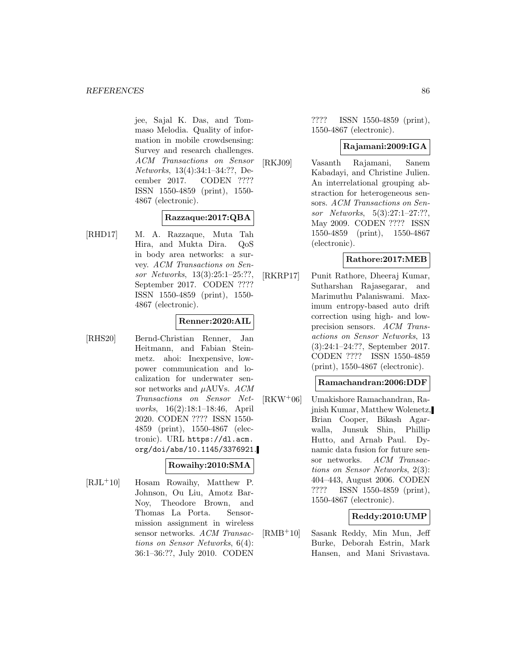jee, Sajal K. Das, and Tommaso Melodia. Quality of information in mobile crowdsensing: Survey and research challenges. ACM Transactions on Sensor Networks, 13(4):34:1–34:??, December 2017. CODEN ???? ISSN 1550-4859 (print), 1550- 4867 (electronic).

## **Razzaque:2017:QBA**

[RHD17] M. A. Razzaque, Muta Tah Hira, and Mukta Dira. QoS in body area networks: a survey. ACM Transactions on Sensor Networks, 13(3):25:1–25:??, September 2017. CODEN ???? ISSN 1550-4859 (print), 1550- 4867 (electronic).

### **Renner:2020:AIL**

[RHS20] Bernd-Christian Renner, Jan Heitmann, and Fabian Steinmetz. ahoi: Inexpensive, lowpower communication and localization for underwater sensor networks and  $\mu$ AUVs. ACM Transactions on Sensor Networks, 16(2):18:1–18:46, April 2020. CODEN ???? ISSN 1550- 4859 (print), 1550-4867 (electronic). URL https://dl.acm. org/doi/abs/10.1145/3376921.

## **Rowaihy:2010:SMA**

[RJL<sup>+</sup>10] Hosam Rowaihy, Matthew P. Johnson, Ou Liu, Amotz Bar-Noy, Theodore Brown, and Thomas La Porta. Sensormission assignment in wireless sensor networks. ACM Transactions on Sensor Networks, 6(4): 36:1–36:??, July 2010. CODEN

???? ISSN 1550-4859 (print), 1550-4867 (electronic).

### **Rajamani:2009:IGA**

[RKJ09] Vasanth Rajamani, Sanem Kabadayi, and Christine Julien. An interrelational grouping abstraction for heterogeneous sensors. ACM Transactions on Sensor Networks, 5(3):27:1–27:??, May 2009. CODEN ???? ISSN 1550-4859 (print), 1550-4867 (electronic).

### **Rathore:2017:MEB**

[RKRP17] Punit Rathore, Dheeraj Kumar, Sutharshan Rajasegarar, and Marimuthu Palaniswami. Maximum entropy-based auto drift correction using high- and lowprecision sensors. ACM Transactions on Sensor Networks, 13 (3):24:1–24:??, September 2017. CODEN ???? ISSN 1550-4859 (print), 1550-4867 (electronic).

### **Ramachandran:2006:DDF**

[RKW<sup>+</sup>06] Umakishore Ramachandran, Rajnish Kumar, Matthew Wolenetz, Brian Cooper, Bikash Agarwalla, Junsuk Shin, Phillip Hutto, and Arnab Paul. Dynamic data fusion for future sensor networks. ACM Transactions on Sensor Networks, 2(3): 404–443, August 2006. CODEN ???? ISSN 1550-4859 (print), 1550-4867 (electronic).

## **Reddy:2010:UMP**

[RMB<sup>+</sup>10] Sasank Reddy, Min Mun, Jeff Burke, Deborah Estrin, Mark Hansen, and Mani Srivastava.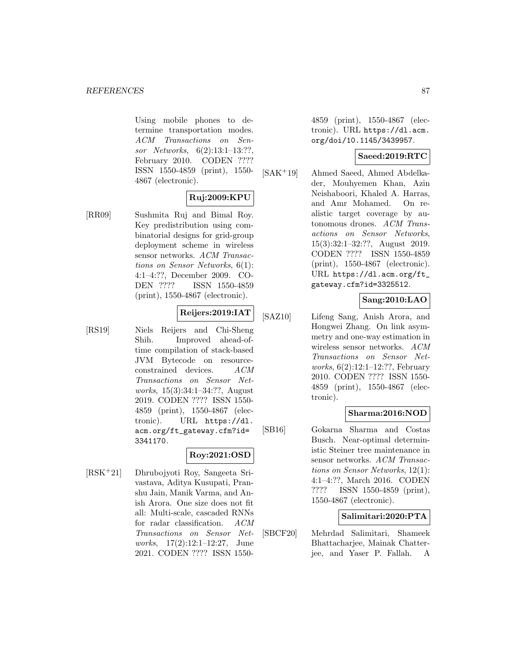Using mobile phones to determine transportation modes. ACM Transactions on Sensor Networks, 6(2):13:1–13:??, February 2010. CODEN ???? ISSN 1550-4859 (print), 1550- 4867 (electronic).

## **Ruj:2009:KPU**

[RR09] Sushmita Ruj and Bimal Roy. Key predistribution using combinatorial designs for grid-group deployment scheme in wireless sensor networks. ACM Transactions on Sensor Networks, 6(1): 4:1–4:??, December 2009. CO-DEN ???? ISSN 1550-4859 (print), 1550-4867 (electronic).

## **Reijers:2019:IAT**

[RS19] Niels Reijers and Chi-Sheng Shih. Improved ahead-oftime compilation of stack-based JVM Bytecode on resourceconstrained devices. ACM Transactions on Sensor Networks, 15(3):34:1–34:??, August 2019. CODEN ???? ISSN 1550- 4859 (print), 1550-4867 (electronic). URL https://dl. acm.org/ft\_gateway.cfm?id= 3341170.

## **Roy:2021:OSD**

[RSK<sup>+</sup>21] Dhrubojyoti Roy, Sangeeta Srivastava, Aditya Kusupati, Pranshu Jain, Manik Varma, and Anish Arora. One size does not fit all: Multi-scale, cascaded RNNs for radar classification. ACM Transactions on Sensor Networks, 17(2):12:1–12:27, June 2021. CODEN ???? ISSN 15504859 (print), 1550-4867 (electronic). URL https://dl.acm. org/doi/10.1145/3439957.

### **Saeed:2019:RTC**

[SAK<sup>+</sup>19] Ahmed Saeed, Ahmed Abdelkader, Mouhyemen Khan, Azin Neishaboori, Khaled A. Harras, and Amr Mohamed. On realistic target coverage by autonomous drones. ACM Transactions on Sensor Networks, 15(3):32:1–32:??, August 2019. CODEN ???? ISSN 1550-4859 (print), 1550-4867 (electronic). URL https://dl.acm.org/ft\_ gateway.cfm?id=3325512.

## **Sang:2010:LAO**

[SAZ10] Lifeng Sang, Anish Arora, and Hongwei Zhang. On link asymmetry and one-way estimation in wireless sensor networks. ACM Transactions on Sensor Networks, 6(2):12:1–12:??, February 2010. CODEN ???? ISSN 1550- 4859 (print), 1550-4867 (electronic).

## **Sharma:2016:NOD**

[SB16] Gokarna Sharma and Costas Busch. Near-optimal deterministic Steiner tree maintenance in sensor networks. ACM Transactions on Sensor Networks, 12(1): 4:1–4:??, March 2016. CODEN ???? ISSN 1550-4859 (print), 1550-4867 (electronic).

## **Salimitari:2020:PTA**

[SBCF20] Mehrdad Salimitari, Shameek Bhattacharjee, Mainak Chatterjee, and Yaser P. Fallah. A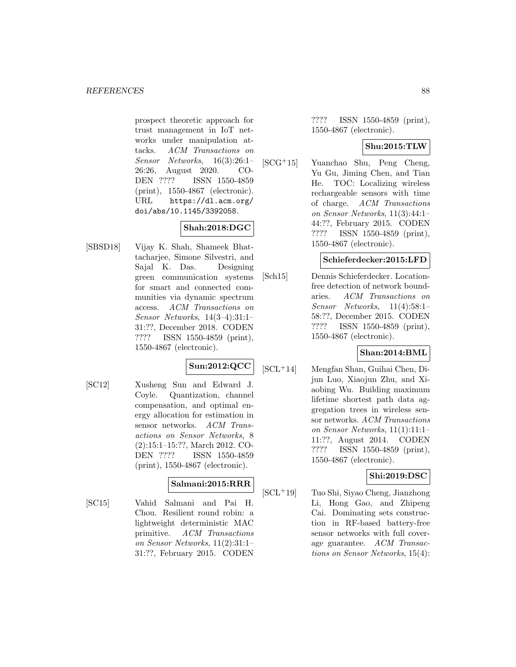prospect theoretic approach for trust management in IoT networks under manipulation attacks. ACM Transactions on Sensor Networks, 16(3):26:1– 26:26, August 2020. CO-DEN ???? ISSN 1550-4859 (print), 1550-4867 (electronic). URL https://dl.acm.org/ doi/abs/10.1145/3392058.

## **Shah:2018:DGC**

[SBSD18] Vijay K. Shah, Shameek Bhattacharjee, Simone Silvestri, and Sajal K. Das. Designing green communication systems for smart and connected communities via dynamic spectrum access. ACM Transactions on Sensor Networks, 14(3–4):31:1– 31:??, December 2018. CODEN ???? ISSN 1550-4859 (print), 1550-4867 (electronic).

## **Sun:2012:QCC**

[SC12] Xusheng Sun and Edward J. Coyle. Quantization, channel compensation, and optimal energy allocation for estimation in sensor networks. ACM Transactions on Sensor Networks, 8 (2):15:1–15:??, March 2012. CO-DEN ???? ISSN 1550-4859 (print), 1550-4867 (electronic).

## **Salmani:2015:RRR**

[SC15] Vahid Salmani and Pai H. Chou. Resilient round robin: a lightweight deterministic MAC primitive. ACM Transactions on Sensor Networks, 11(2):31:1– 31:??, February 2015. CODEN

???? ISSN 1550-4859 (print), 1550-4867 (electronic).

### **Shu:2015:TLW**

[SCG<sup>+</sup>15] Yuanchao Shu, Peng Cheng, Yu Gu, Jiming Chen, and Tian He. TOC: Localizing wireless rechargeable sensors with time of charge. ACM Transactions on Sensor Networks, 11(3):44:1– 44:??, February 2015. CODEN ???? ISSN 1550-4859 (print), 1550-4867 (electronic).

## **Schieferdecker:2015:LFD**

[Sch15] Dennis Schieferdecker. Locationfree detection of network boundaries. ACM Transactions on Sensor Networks, 11(4):58:1– 58:??, December 2015. CODEN ???? ISSN 1550-4859 (print), 1550-4867 (electronic).

## **Shan:2014:BML**

[SCL<sup>+</sup>14] Mengfan Shan, Guihai Chen, Dijun Luo, Xiaojun Zhu, and Xiaobing Wu. Building maximum lifetime shortest path data aggregation trees in wireless sensor networks. ACM Transactions on Sensor Networks, 11(1):11:1– 11:??, August 2014. CODEN ???? ISSN 1550-4859 (print), 1550-4867 (electronic).

## **Shi:2019:DSC**

[SCL<sup>+</sup>19] Tuo Shi, Siyao Cheng, Jianzhong Li, Hong Gao, and Zhipeng Cai. Dominating sets construction in RF-based battery-free sensor networks with full coverage guarantee. ACM Transactions on Sensor Networks, 15(4):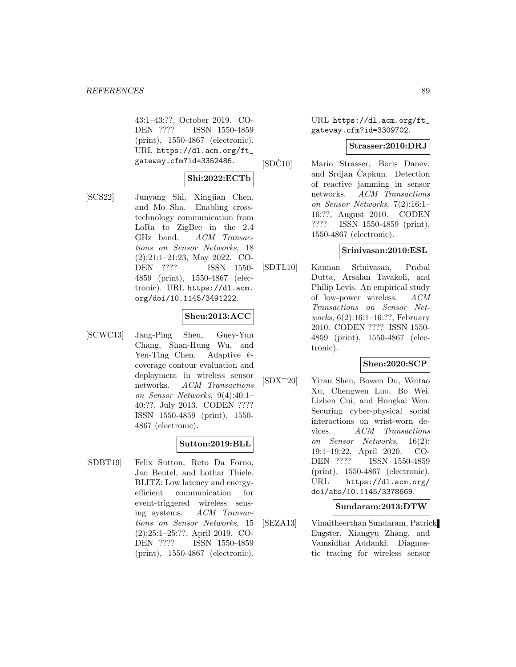43:1–43:??, October 2019. CO-DEN ???? ISSN 1550-4859 (print), 1550-4867 (electronic). URL https://dl.acm.org/ft\_ gateway.cfm?id=3352486.

### **Shi:2022:ECTb**

[SCS22] Junyang Shi, Xingjian Chen, and Mo Sha. Enabling crosstechnology communication from LoRa to ZigBee in the 2.4 GHz band. ACM Transactions on Sensor Networks, 18 (2):21:1–21:23, May 2022. CO-DEN ???? ISSN 1550- 4859 (print), 1550-4867 (electronic). URL https://dl.acm. org/doi/10.1145/3491222.

### **Sheu:2013:ACC**

[SCWC13] Jang-Ping Sheu, Guey-Yun Chang, Shan-Hung Wu, and Yen-Ting Chen. Adaptive kcoverage contour evaluation and deployment in wireless sensor networks. ACM Transactions on Sensor Networks, 9(4):40:1– 40:??, July 2013. CODEN ???? ISSN 1550-4859 (print), 1550- 4867 (electronic).

## **Sutton:2019:BLL**

[SDBT19] Felix Sutton, Reto Da Forno, Jan Beutel, and Lothar Thiele. BLITZ: Low latency and energyefficient communication for event-triggered wireless sensing systems. ACM Transactions on Sensor Networks, 15 (2):25:1–25:??, April 2019. CO-DEN ???? ISSN 1550-4859 (print), 1550-4867 (electronic).

URL https://dl.acm.org/ft\_ gateway.cfm?id=3309702.

### **Strasser:2010:DRJ**

[SDC10] Mario Strasser, Boris Danev, and Srdjan Capkun. Detection of reactive jamming in sensor networks. ACM Transactions on Sensor Networks, 7(2):16:1– 16:??, August 2010. CODEN ???? ISSN 1550-4859 (print), 1550-4867 (electronic).

### **Srinivasan:2010:ESL**

[SDTL10] Kannan Srinivasan, Prabal Dutta, Arsalan Tavakoli, and Philip Levis. An empirical study of low-power wireless. ACM Transactions on Sensor Networks, 6(2):16:1–16:??, February 2010. CODEN ???? ISSN 1550- 4859 (print), 1550-4867 (electronic).

## **Shen:2020:SCP**

[SDX<sup>+</sup>20] Yiran Shen, Bowen Du, Weitao Xu, Chengwen Luo, Bo Wei, Lizhen Cui, and Hongkai Wen. Securing cyber-physical social interactions on wrist-worn devices. ACM Transactions on Sensor Networks, 16(2): 19:1–19:22, April 2020. CO-DEN ???? ISSN 1550-4859 (print), 1550-4867 (electronic). URL https://dl.acm.org/ doi/abs/10.1145/3378669.

### **Sundaram:2013:DTW**

[SEZA13] Vinaitheerthan Sundaram, Patrick Eugster, Xiangyu Zhang, and Vamsidhar Addanki. Diagnostic tracing for wireless sensor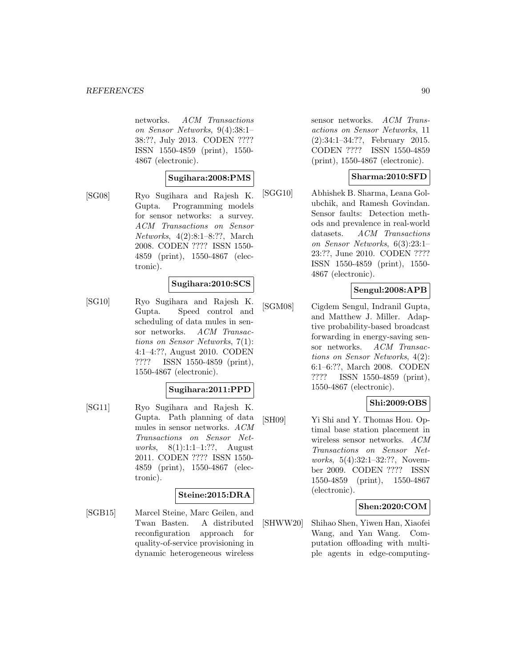networks. ACM Transactions on Sensor Networks, 9(4):38:1– 38:??, July 2013. CODEN ???? ISSN 1550-4859 (print), 1550- 4867 (electronic).

### **Sugihara:2008:PMS**

[SG08] Ryo Sugihara and Rajesh K. Gupta. Programming models for sensor networks: a survey. ACM Transactions on Sensor Networks, 4(2):8:1–8:??, March 2008. CODEN ???? ISSN 1550- 4859 (print), 1550-4867 (electronic).

### **Sugihara:2010:SCS**

[SG10] Ryo Sugihara and Rajesh K. Gupta. Speed control and scheduling of data mules in sensor networks. ACM Transactions on Sensor Networks, 7(1): 4:1–4:??, August 2010. CODEN ???? ISSN 1550-4859 (print), 1550-4867 (electronic).

## **Sugihara:2011:PPD**

[SG11] Ryo Sugihara and Rajesh K. Gupta. Path planning of data mules in sensor networks. ACM Transactions on Sensor Networks, 8(1):1:1–1:??, August 2011. CODEN ???? ISSN 1550- 4859 (print), 1550-4867 (electronic).

### **Steine:2015:DRA**

[SGB15] Marcel Steine, Marc Geilen, and Twan Basten. A distributed reconfiguration approach for quality-of-service provisioning in dynamic heterogeneous wireless

sensor networks. ACM Transactions on Sensor Networks, 11 (2):34:1–34:??, February 2015. CODEN ???? ISSN 1550-4859 (print), 1550-4867 (electronic).

### **Sharma:2010:SFD**

[SGG10] Abhishek B. Sharma, Leana Golubchik, and Ramesh Govindan. Sensor faults: Detection methods and prevalence in real-world datasets. ACM Transactions on Sensor Networks, 6(3):23:1– 23:??, June 2010. CODEN ???? ISSN 1550-4859 (print), 1550- 4867 (electronic).

### **Sengul:2008:APB**

[SGM08] Cigdem Sengul, Indranil Gupta, and Matthew J. Miller. Adaptive probability-based broadcast forwarding in energy-saving sensor networks. ACM Transactions on Sensor Networks, 4(2): 6:1–6:??, March 2008. CODEN ???? ISSN 1550-4859 (print), 1550-4867 (electronic).

## **Shi:2009:OBS**

[SH09] Yi Shi and Y. Thomas Hou. Optimal base station placement in wireless sensor networks. ACM Transactions on Sensor Networks, 5(4):32:1-32:??, November 2009. CODEN ???? ISSN 1550-4859 (print), 1550-4867 (electronic).

### **Shen:2020:COM**

[SHWW20] Shihao Shen, Yiwen Han, Xiaofei Wang, and Yan Wang. Computation offloading with multiple agents in edge-computing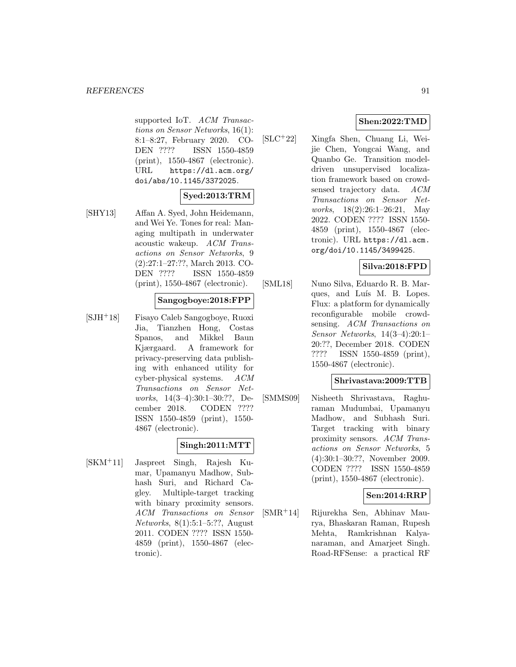supported IoT. ACM Transactions on Sensor Networks, 16(1): 8:1–8:27, February 2020. CO-DEN ???? ISSN 1550-4859 (print), 1550-4867 (electronic). URL https://dl.acm.org/ doi/abs/10.1145/3372025.

## **Syed:2013:TRM**

[SHY13] Affan A. Syed, John Heidemann, and Wei Ye. Tones for real: Managing multipath in underwater acoustic wakeup. ACM Transactions on Sensor Networks, 9 (2):27:1–27:??, March 2013. CO-DEN ???? ISSN 1550-4859 (print), 1550-4867 (electronic).

## **Sangogboye:2018:FPP**

[SJH<sup>+</sup>18] Fisayo Caleb Sangogboye, Ruoxi Jia, Tianzhen Hong, Costas Spanos, and Mikkel Baun Kjærgaard. A framework for privacy-preserving data publishing with enhanced utility for cyber-physical systems. ACM Transactions on Sensor Networks, 14(3–4):30:1–30:??, December 2018. CODEN ???? ISSN 1550-4859 (print), 1550- 4867 (electronic).

## **Singh:2011:MTT**

[SKM<sup>+</sup>11] Jaspreet Singh, Rajesh Kumar, Upamanyu Madhow, Subhash Suri, and Richard Cagley. Multiple-target tracking with binary proximity sensors. ACM Transactions on Sensor Networks, 8(1):5:1–5:??, August 2011. CODEN ???? ISSN 1550- 4859 (print), 1550-4867 (electronic).

## **Shen:2022:TMD**

[SLC<sup>+</sup>22] Xingfa Shen, Chuang Li, Weijie Chen, Yongcai Wang, and Quanbo Ge. Transition modeldriven unsupervised localization framework based on crowdsensed trajectory data. ACM Transactions on Sensor Networks, 18(2):26:1–26:21, May 2022. CODEN ???? ISSN 1550- 4859 (print), 1550-4867 (electronic). URL https://dl.acm. org/doi/10.1145/3499425.

## **Silva:2018:FPD**

[SML18] Nuno Silva, Eduardo R. B. Marques, and Luís M. B. Lopes. Flux: a platform for dynamically reconfigurable mobile crowdsensing. ACM Transactions on Sensor Networks, 14(3–4):20:1– 20:??, December 2018. CODEN ???? ISSN 1550-4859 (print), 1550-4867 (electronic).

### **Shrivastava:2009:TTB**

[SMMS09] Nisheeth Shrivastava, Raghuraman Mudumbai, Upamanyu Madhow, and Subhash Suri. Target tracking with binary proximity sensors. ACM Transactions on Sensor Networks, 5 (4):30:1–30:??, November 2009. CODEN ???? ISSN 1550-4859 (print), 1550-4867 (electronic).

## **Sen:2014:RRP**

[SMR<sup>+</sup>14] Rijurekha Sen, Abhinav Maurya, Bhaskaran Raman, Rupesh Mehta, Ramkrishnan Kalyanaraman, and Amarjeet Singh. Road-RFSense: a practical RF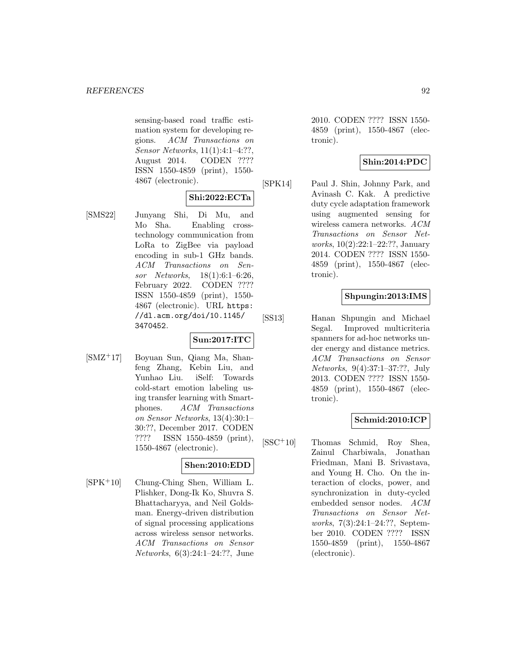sensing-based road traffic estimation system for developing regions. ACM Transactions on Sensor Networks, 11(1):4:1–4:??, August 2014. CODEN ???? ISSN 1550-4859 (print), 1550- 4867 (electronic).

## **Shi:2022:ECTa**

[SMS22] Junyang Shi, Di Mu, and Mo Sha. Enabling crosstechnology communication from LoRa to ZigBee via payload encoding in sub-1 GHz bands. ACM Transactions on Sensor Networks, 18(1):6:1–6:26, February 2022. CODEN ???? ISSN 1550-4859 (print), 1550- 4867 (electronic). URL https: //dl.acm.org/doi/10.1145/ 3470452.

## **Sun:2017:ITC**

[SMZ<sup>+</sup>17] Boyuan Sun, Qiang Ma, Shanfeng Zhang, Kebin Liu, and Yunhao Liu. iSelf: Towards cold-start emotion labeling using transfer learning with Smartphones. ACM Transactions on Sensor Networks, 13(4):30:1– 30:??, December 2017. CODEN ???? ISSN 1550-4859 (print), 1550-4867 (electronic).

## **Shen:2010:EDD**

[SPK<sup>+</sup>10] Chung-Ching Shen, William L. Plishker, Dong-Ik Ko, Shuvra S. Bhattacharyya, and Neil Goldsman. Energy-driven distribution of signal processing applications across wireless sensor networks. ACM Transactions on Sensor Networks, 6(3):24:1–24:??, June

2010. CODEN ???? ISSN 1550- 4859 (print), 1550-4867 (electronic).

## **Shin:2014:PDC**

[SPK14] Paul J. Shin, Johnny Park, and Avinash C. Kak. A predictive duty cycle adaptation framework using augmented sensing for wireless camera networks. ACM Transactions on Sensor Networks, 10(2):22:1–22:??, January 2014. CODEN ???? ISSN 1550- 4859 (print), 1550-4867 (electronic).

## **Shpungin:2013:IMS**

[SS13] Hanan Shpungin and Michael Segal. Improved multicriteria spanners for ad-hoc networks under energy and distance metrics. ACM Transactions on Sensor Networks, 9(4):37:1–37:??, July 2013. CODEN ???? ISSN 1550- 4859 (print), 1550-4867 (electronic).

## **Schmid:2010:ICP**

[SSC<sup>+</sup>10] Thomas Schmid, Roy Shea, Zainul Charbiwala, Jonathan Friedman, Mani B. Srivastava, and Young H. Cho. On the interaction of clocks, power, and synchronization in duty-cycled embedded sensor nodes. ACM Transactions on Sensor Networks, 7(3):24:1–24:??, September 2010. CODEN ???? ISSN 1550-4859 (print), 1550-4867 (electronic).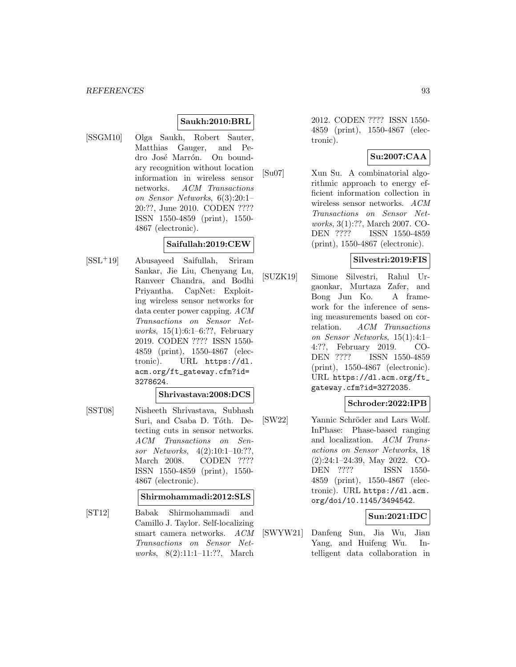## **Saukh:2010:BRL**

[SSGM10] Olga Saukh, Robert Sauter, Matthias Gauger, and Pedro José Marrón. On boundary recognition without location information in wireless sensor networks. ACM Transactions on Sensor Networks, 6(3):20:1– 20:??, June 2010. CODEN ???? ISSN 1550-4859 (print), 1550- 4867 (electronic).

### **Saifullah:2019:CEW**

[SSL<sup>+</sup>19] Abusayeed Saifullah, Sriram Sankar, Jie Liu, Chenyang Lu, Ranveer Chandra, and Bodhi Priyantha. CapNet: Exploiting wireless sensor networks for data center power capping. ACM Transactions on Sensor Networks, 15(1):6:1–6:??, February 2019. CODEN ???? ISSN 1550- 4859 (print), 1550-4867 (electronic). URL https://dl. acm.org/ft\_gateway.cfm?id= 3278624.

#### **Shrivastava:2008:DCS**

[SST08] Nisheeth Shrivastava, Subhash Suri, and Csaba D. Tóth. Detecting cuts in sensor networks. ACM Transactions on Sensor Networks, 4(2):10:1–10:??, March 2008. CODEN ???? ISSN 1550-4859 (print), 1550- 4867 (electronic).

### **Shirmohammadi:2012:SLS**

[ST12] Babak Shirmohammadi and Camillo J. Taylor. Self-localizing smart camera networks. ACM Transactions on Sensor Networks, 8(2):11:1–11:??, March

2012. CODEN ???? ISSN 1550- 4859 (print), 1550-4867 (electronic).

## **Su:2007:CAA**

[Su07] Xun Su. A combinatorial algorithmic approach to energy efficient information collection in wireless sensor networks. ACM Transactions on Sensor Networks, 3(1):??, March 2007. CO-DEN ???? ISSN 1550-4859 (print), 1550-4867 (electronic).

### **Silvestri:2019:FIS**

[SUZK19] Simone Silvestri, Rahul Urgaonkar, Murtaza Zafer, and Bong Jun Ko. A framework for the inference of sensing measurements based on correlation. ACM Transactions on Sensor Networks, 15(1):4:1– 4:??, February 2019. CO-DEN ???? ISSN 1550-4859 (print), 1550-4867 (electronic). URL https://dl.acm.org/ft\_ gateway.cfm?id=3272035.

### **Schroder:2022:IPB**

[SW22] Yannic Schröder and Lars Wolf. InPhase: Phase-based ranging and localization. ACM Transactions on Sensor Networks, 18 (2):24:1–24:39, May 2022. CO-DEN ???? ISSN 1550- 4859 (print), 1550-4867 (electronic). URL https://dl.acm. org/doi/10.1145/3494542.

### **Sun:2021:IDC**

[SWYW21] Danfeng Sun, Jia Wu, Jian Yang, and Huifeng Wu. Intelligent data collaboration in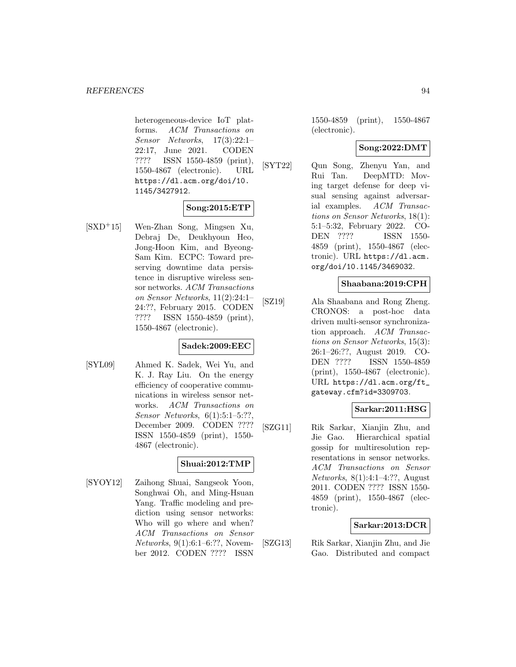heterogeneous-device IoT platforms. ACM Transactions on Sensor Networks, 17(3):22:1– 22:17, June 2021. CODEN ???? ISSN 1550-4859 (print), 1550-4867 (electronic). URL https://dl.acm.org/doi/10. 1145/3427912.

## **Song:2015:ETP**

[SXD<sup>+</sup>15] Wen-Zhan Song, Mingsen Xu, Debraj De, Deukhyoun Heo, Jong-Hoon Kim, and Byeong-Sam Kim. ECPC: Toward preserving downtime data persistence in disruptive wireless sensor networks. ACM Transactions on Sensor Networks, 11(2):24:1– 24:??, February 2015. CODEN ???? ISSN 1550-4859 (print), 1550-4867 (electronic).

## **Sadek:2009:EEC**

[SYL09] Ahmed K. Sadek, Wei Yu, and K. J. Ray Liu. On the energy efficiency of cooperative communications in wireless sensor networks. ACM Transactions on Sensor Networks, 6(1):5:1–5:??, December 2009. CODEN ???? ISSN 1550-4859 (print), 1550- 4867 (electronic).

## **Shuai:2012:TMP**

[SYOY12] Zaihong Shuai, Sangseok Yoon, Songhwai Oh, and Ming-Hsuan Yang. Traffic modeling and prediction using sensor networks: Who will go where and when? ACM Transactions on Sensor Networks, 9(1):6:1–6:??, November 2012. CODEN ???? ISSN

1550-4859 (print), 1550-4867 (electronic).

### **Song:2022:DMT**

[SYT22] Qun Song, Zhenyu Yan, and Rui Tan. DeepMTD: Moving target defense for deep visual sensing against adversarial examples. ACM Transactions on Sensor Networks, 18(1): 5:1–5:32, February 2022. CO-DEN ???? ISSN 1550- 4859 (print), 1550-4867 (electronic). URL https://dl.acm. org/doi/10.1145/3469032.

### **Shaabana:2019:CPH**

[SZ19] Ala Shaabana and Rong Zheng. CRONOS: a post-hoc data driven multi-sensor synchronization approach. ACM Transactions on Sensor Networks, 15(3): 26:1–26:??, August 2019. CO-DEN ???? ISSN 1550-4859 (print), 1550-4867 (electronic). URL https://dl.acm.org/ft\_ gateway.cfm?id=3309703.

### **Sarkar:2011:HSG**

[SZG11] Rik Sarkar, Xianjin Zhu, and Jie Gao. Hierarchical spatial gossip for multiresolution representations in sensor networks. ACM Transactions on Sensor Networks, 8(1):4:1–4:??, August 2011. CODEN ???? ISSN 1550- 4859 (print), 1550-4867 (electronic).

### **Sarkar:2013:DCR**

[SZG13] Rik Sarkar, Xianjin Zhu, and Jie Gao. Distributed and compact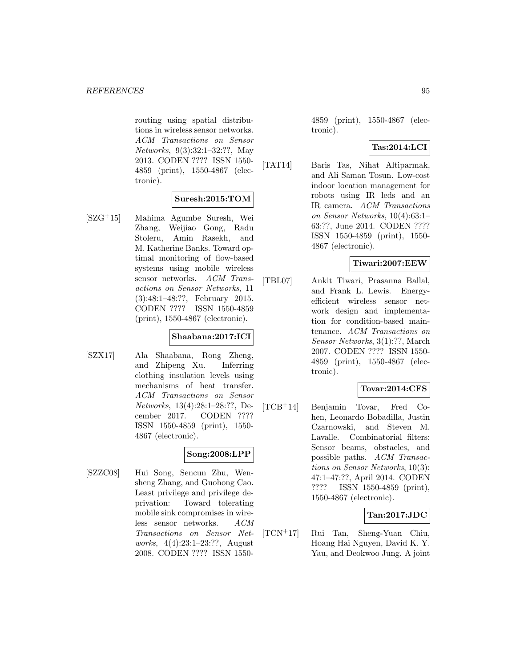routing using spatial distributions in wireless sensor networks. ACM Transactions on Sensor Networks, 9(3):32:1–32:??, May 2013. CODEN ???? ISSN 1550- 4859 (print), 1550-4867 (electronic).

### **Suresh:2015:TOM**

[SZG<sup>+</sup>15] Mahima Agumbe Suresh, Wei Zhang, Weijiao Gong, Radu Stoleru, Amin Rasekh, and M. Katherine Banks. Toward optimal monitoring of flow-based systems using mobile wireless sensor networks. ACM Transactions on Sensor Networks, 11 (3):48:1–48:??, February 2015. CODEN ???? ISSN 1550-4859 (print), 1550-4867 (electronic).

### **Shaabana:2017:ICI**

[SZX17] Ala Shaabana, Rong Zheng, and Zhipeng Xu. Inferring clothing insulation levels using mechanisms of heat transfer. ACM Transactions on Sensor Networks, 13(4):28:1–28:??, December 2017. CODEN ???? ISSN 1550-4859 (print), 1550- 4867 (electronic).

## **Song:2008:LPP**

[SZZC08] Hui Song, Sencun Zhu, Wensheng Zhang, and Guohong Cao. Least privilege and privilege deprivation: Toward tolerating mobile sink compromises in wireless sensor networks. ACM Transactions on Sensor Networks, 4(4):23:1–23:??, August 2008. CODEN ???? ISSN 15504859 (print), 1550-4867 (electronic).

### **Tas:2014:LCI**

[TAT14] Baris Tas, Nihat Altiparmak, and Ali Saman Tosun. Low-cost indoor location management for robots using IR leds and an IR camera. ACM Transactions on Sensor Networks, 10(4):63:1– 63:??, June 2014. CODEN ???? ISSN 1550-4859 (print), 1550- 4867 (electronic).

## **Tiwari:2007:EEW**

[TBL07] Ankit Tiwari, Prasanna Ballal, and Frank L. Lewis. Energyefficient wireless sensor network design and implementation for condition-based maintenance. ACM Transactions on Sensor Networks, 3(1):??, March 2007. CODEN ???? ISSN 1550- 4859 (print), 1550-4867 (electronic).

## **Tovar:2014:CFS**

[TCB<sup>+</sup>14] Benjamin Tovar, Fred Cohen, Leonardo Bobadilla, Justin Czarnowski, and Steven M. Lavalle. Combinatorial filters: Sensor beams, obstacles, and possible paths. ACM Transactions on Sensor Networks, 10(3): 47:1–47:??, April 2014. CODEN ???? ISSN 1550-4859 (print), 1550-4867 (electronic).

### **Tan:2017:JDC**

[TCN<sup>+</sup>17] Rui Tan, Sheng-Yuan Chiu, Hoang Hai Nguyen, David K. Y. Yau, and Deokwoo Jung. A joint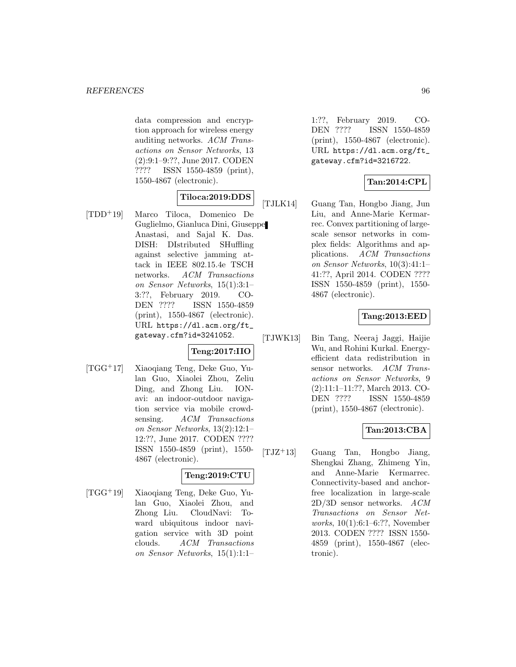data compression and encryption approach for wireless energy auditing networks. ACM Transactions on Sensor Networks, 13 (2):9:1–9:??, June 2017. CODEN ???? ISSN 1550-4859 (print), 1550-4867 (electronic).

## **Tiloca:2019:DDS**

[TDD<sup>+</sup>19] Marco Tiloca, Domenico De Guglielmo, Gianluca Dini, Giuseppe Anastasi, and Sajal K. Das. DISH: DIstributed SHuffling against selective jamming attack in IEEE 802.15.4e TSCH networks. ACM Transactions on Sensor Networks, 15(1):3:1– 3:??, February 2019. CO-DEN ???? ISSN 1550-4859 (print), 1550-4867 (electronic). URL https://dl.acm.org/ft\_ gateway.cfm?id=3241052.

## **Teng:2017:IIO**

[TGG<sup>+</sup>17] Xiaoqiang Teng, Deke Guo, Yulan Guo, Xiaolei Zhou, Zeliu Ding, and Zhong Liu. IONavi: an indoor-outdoor navigation service via mobile crowdsensing. ACM Transactions on Sensor Networks, 13(2):12:1– 12:??, June 2017. CODEN ???? ISSN 1550-4859 (print), 1550- 4867 (electronic).

### **Teng:2019:CTU**

[TGG<sup>+</sup>19] Xiaoqiang Teng, Deke Guo, Yulan Guo, Xiaolei Zhou, and Zhong Liu. CloudNavi: Toward ubiquitous indoor navigation service with 3D point clouds. ACM Transactions on Sensor Networks, 15(1):1:1–

1:??, February 2019. CO-DEN ???? ISSN 1550-4859 (print), 1550-4867 (electronic). URL https://dl.acm.org/ft\_ gateway.cfm?id=3216722.

## **Tan:2014:CPL**

[TJLK14] Guang Tan, Hongbo Jiang, Jun Liu, and Anne-Marie Kermarrec. Convex partitioning of largescale sensor networks in complex fields: Algorithms and applications. ACM Transactions on Sensor Networks, 10(3):41:1– 41:??, April 2014. CODEN ???? ISSN 1550-4859 (print), 1550- 4867 (electronic).

## **Tang:2013:EED**

[TJWK13] Bin Tang, Neeraj Jaggi, Haijie Wu, and Rohini Kurkal. Energyefficient data redistribution in sensor networks. ACM Transactions on Sensor Networks, 9 (2):11:1–11:??, March 2013. CO-DEN ???? ISSN 1550-4859 (print), 1550-4867 (electronic).

## **Tan:2013:CBA**

 $[TJZ^+13]$  Guang Tan, Hongbo Jiang, Shengkai Zhang, Zhimeng Yin, and Anne-Marie Kermarrec. Connectivity-based and anchorfree localization in large-scale 2D/3D sensor networks. ACM Transactions on Sensor Networks, 10(1):6:1–6:??, November 2013. CODEN ???? ISSN 1550- 4859 (print), 1550-4867 (electronic).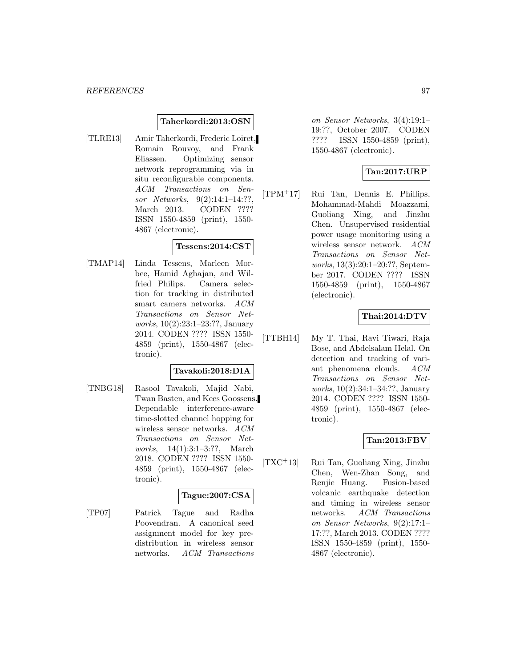#### **Taherkordi:2013:OSN**

[TLRE13] Amir Taherkordi, Frederic Loiret, Romain Rouvoy, and Frank Eliassen. Optimizing sensor network reprogramming via in situ reconfigurable components. ACM Transactions on Sensor Networks, 9(2):14:1–14:??, March 2013. CODEN ???? ISSN 1550-4859 (print), 1550- 4867 (electronic).

### **Tessens:2014:CST**

[TMAP14] Linda Tessens, Marleen Morbee, Hamid Aghajan, and Wilfried Philips. Camera selection for tracking in distributed smart camera networks. ACM Transactions on Sensor Networks, 10(2):23:1–23:??, January 2014. CODEN ???? ISSN 1550- 4859 (print), 1550-4867 (electronic).

### **Tavakoli:2018:DIA**

[TNBG18] Rasool Tavakoli, Majid Nabi, Twan Basten, and Kees Goossens. Dependable interference-aware time-slotted channel hopping for wireless sensor networks. ACM Transactions on Sensor Networks, 14(1):3:1–3:??, March 2018. CODEN ???? ISSN 1550- 4859 (print), 1550-4867 (electronic).

### **Tague:2007:CSA**

[TP07] Patrick Tague and Radha Poovendran. A canonical seed assignment model for key predistribution in wireless sensor networks. ACM Transactions

on Sensor Networks, 3(4):19:1– 19:??, October 2007. CODEN ???? ISSN 1550-4859 (print), 1550-4867 (electronic).

## **Tan:2017:URP**

[TPM<sup>+</sup>17] Rui Tan, Dennis E. Phillips, Mohammad-Mahdi Moazzami, Guoliang Xing, and Jinzhu Chen. Unsupervised residential power usage monitoring using a wireless sensor network. ACM Transactions on Sensor Networks, 13(3):20:1–20:??, September 2017. CODEN ???? ISSN 1550-4859 (print), 1550-4867 (electronic).

## **Thai:2014:DTV**

[TTBH14] My T. Thai, Ravi Tiwari, Raja Bose, and Abdelsalam Helal. On detection and tracking of variant phenomena clouds. ACM Transactions on Sensor Networks, 10(2):34:1–34:??, January 2014. CODEN ???? ISSN 1550- 4859 (print), 1550-4867 (electronic).

## **Tan:2013:FBV**

[TXC<sup>+</sup>13] Rui Tan, Guoliang Xing, Jinzhu Chen, Wen-Zhan Song, and Renjie Huang. Fusion-based volcanic earthquake detection and timing in wireless sensor networks. ACM Transactions on Sensor Networks, 9(2):17:1– 17:??, March 2013. CODEN ???? ISSN 1550-4859 (print), 1550- 4867 (electronic).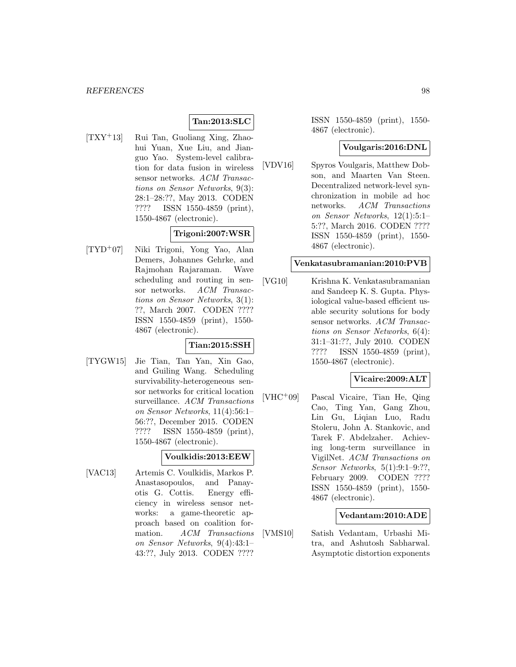## **Tan:2013:SLC**

[TXY<sup>+</sup>13] Rui Tan, Guoliang Xing, Zhaohui Yuan, Xue Liu, and Jianguo Yao. System-level calibration for data fusion in wireless sensor networks. ACM Transactions on Sensor Networks, 9(3): 28:1–28:??, May 2013. CODEN ???? ISSN 1550-4859 (print), 1550-4867 (electronic).

### **Trigoni:2007:WSR**

[TYD<sup>+</sup>07] Niki Trigoni, Yong Yao, Alan Demers, Johannes Gehrke, and Rajmohan Rajaraman. Wave scheduling and routing in sensor networks. ACM Transactions on Sensor Networks, 3(1): ??, March 2007. CODEN ???? ISSN 1550-4859 (print), 1550- 4867 (electronic).

### **Tian:2015:SSH**

[TYGW15] Jie Tian, Tan Yan, Xin Gao, and Guiling Wang. Scheduling survivability-heterogeneous sensor networks for critical location surveillance. ACM Transactions on Sensor Networks, 11(4):56:1– 56:??, December 2015. CODEN ???? ISSN 1550-4859 (print), 1550-4867 (electronic).

#### **Voulkidis:2013:EEW**

[VAC13] Artemis C. Voulkidis, Markos P. Anastasopoulos, and Panayotis G. Cottis. Energy efficiency in wireless sensor networks: a game-theoretic approach based on coalition formation. ACM Transactions on Sensor Networks, 9(4):43:1– 43:??, July 2013. CODEN ????

ISSN 1550-4859 (print), 1550- 4867 (electronic).

### **Voulgaris:2016:DNL**

[VDV16] Spyros Voulgaris, Matthew Dobson, and Maarten Van Steen. Decentralized network-level synchronization in mobile ad hoc networks. ACM Transactions on Sensor Networks, 12(1):5:1– 5:??, March 2016. CODEN ???? ISSN 1550-4859 (print), 1550- 4867 (electronic).

### **Venkatasubramanian:2010:PVB**

[VG10] Krishna K. Venkatasubramanian and Sandeep K. S. Gupta. Physiological value-based efficient usable security solutions for body sensor networks. ACM Transactions on Sensor Networks, 6(4): 31:1–31:??, July 2010. CODEN ???? ISSN 1550-4859 (print), 1550-4867 (electronic).

### **Vicaire:2009:ALT**

[VHC<sup>+</sup>09] Pascal Vicaire, Tian He, Qing Cao, Ting Yan, Gang Zhou, Lin Gu, Liqian Luo, Radu Stoleru, John A. Stankovic, and Tarek F. Abdelzaher. Achieving long-term surveillance in VigilNet. ACM Transactions on Sensor Networks, 5(1):9:1–9:??, February 2009. CODEN ???? ISSN 1550-4859 (print), 1550- 4867 (electronic).

#### **Vedantam:2010:ADE**

[VMS10] Satish Vedantam, Urbashi Mitra, and Ashutosh Sabharwal. Asymptotic distortion exponents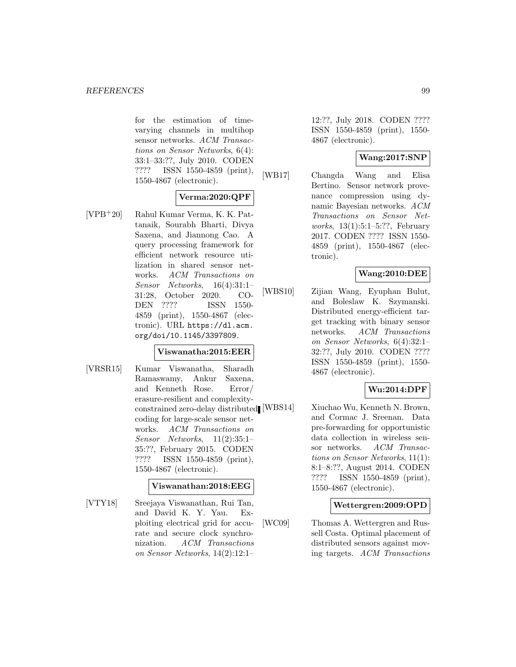for the estimation of timevarying channels in multihop sensor networks. ACM Transactions on Sensor Networks, 6(4): 33:1–33:??, July 2010. CODEN ???? ISSN 1550-4859 (print), 1550-4867 (electronic).

## **Verma:2020:QPF**

[VPB<sup>+</sup>20] Rahul Kumar Verma, K. K. Pattanaik, Sourabh Bharti, Divya Saxena, and Jiannong Cao. A query processing framework for efficient network resource utilization in shared sensor networks. ACM Transactions on Sensor Networks, 16(4):31:1– 31:28, October 2020. CO-DEN ???? ISSN 1550- 4859 (print), 1550-4867 (electronic). URL https://dl.acm. org/doi/10.1145/3397809.

### **Viswanatha:2015:EER**

[VRSR15] Kumar Viswanatha, Sharadh Ramaswamy, Ankur Saxena, and Kenneth Rose. Error/ erasure-resilient and complexityconstrained zero-delay distributed coding for large-scale sensor networks. ACM Transactions on Sensor Networks, 11(2):35:1– 35:??, February 2015. CODEN ???? ISSN 1550-4859 (print), 1550-4867 (electronic).

### **Viswanathan:2018:EEG**

[VTY18] Sreejaya Viswanathan, Rui Tan, and David K. Y. Yau. Exploiting electrical grid for accurate and secure clock synchronization. ACM Transactions on Sensor Networks, 14(2):12:1–

12:??, July 2018. CODEN ???? ISSN 1550-4859 (print), 1550- 4867 (electronic).

## **Wang:2017:SNP**

[WB17] Changda Wang and Elisa Bertino. Sensor network provenance compression using dynamic Bayesian networks. ACM Transactions on Sensor Networks, 13(1):5:1–5:??, February 2017. CODEN ???? ISSN 1550- 4859 (print), 1550-4867 (electronic).

## **Wang:2010:DEE**

[WBS10] Zijian Wang, Eyuphan Bulut, and Boleslaw K. Szymanski. Distributed energy-efficient target tracking with binary sensor networks. ACM Transactions on Sensor Networks, 6(4):32:1– 32:??, July 2010. CODEN ???? ISSN 1550-4859 (print), 1550- 4867 (electronic).

## **Wu:2014:DPF**

[WBS14] Xiuchao Wu, Kenneth N. Brown, and Cormac J. Sreenan. Data pre-forwarding for opportunistic data collection in wireless sensor networks. ACM Transactions on Sensor Networks, 11(1): 8:1–8:??, August 2014. CODEN ???? ISSN 1550-4859 (print), 1550-4867 (electronic).

### **Wettergren:2009:OPD**

[WC09] Thomas A. Wettergren and Russell Costa. Optimal placement of distributed sensors against moving targets. ACM Transactions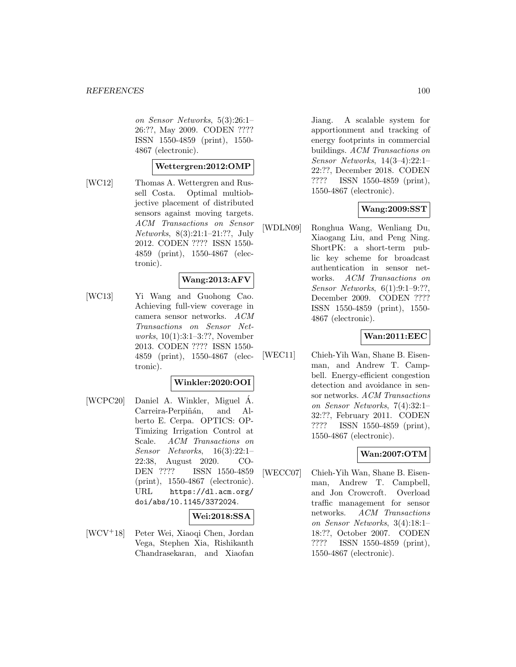on Sensor Networks, 5(3):26:1– 26:??, May 2009. CODEN ???? ISSN 1550-4859 (print), 1550- 4867 (electronic).

### **Wettergren:2012:OMP**

[WC12] Thomas A. Wettergren and Russell Costa. Optimal multiobjective placement of distributed sensors against moving targets. ACM Transactions on Sensor Networks, 8(3):21:1–21:??, July 2012. CODEN ???? ISSN 1550- 4859 (print), 1550-4867 (electronic).

## **Wang:2013:AFV**

[WC13] Yi Wang and Guohong Cao. Achieving full-view coverage in camera sensor networks. ACM Transactions on Sensor Networks, 10(1):3:1–3:??, November 2013. CODEN ???? ISSN 1550- 4859 (print), 1550-4867 (electronic).

### **Winkler:2020:OOI**

[WCPC20] Daniel A. Winkler, Miguel A. Carreira-Perpiñán, and Alberto E. Cerpa. OPTICS: OP-Timizing Irrigation Control at Scale. ACM Transactions on Sensor Networks, 16(3):22:1– 22:38, August 2020. CO-DEN ???? ISSN 1550-4859 (print), 1550-4867 (electronic). URL https://dl.acm.org/ doi/abs/10.1145/3372024.

### **Wei:2018:SSA**

[WCV<sup>+</sup>18] Peter Wei, Xiaoqi Chen, Jordan Vega, Stephen Xia, Rishikanth Chandrasekaran, and Xiaofan Jiang. A scalable system for apportionment and tracking of energy footprints in commercial buildings. ACM Transactions on Sensor Networks, 14(3–4):22:1– 22:??, December 2018. CODEN ???? ISSN 1550-4859 (print), 1550-4867 (electronic).

## **Wang:2009:SST**

[WDLN09] Ronghua Wang, Wenliang Du, Xiaogang Liu, and Peng Ning. ShortPK: a short-term public key scheme for broadcast authentication in sensor networks. ACM Transactions on Sensor Networks, 6(1):9:1–9:??, December 2009. CODEN ???? ISSN 1550-4859 (print), 1550- 4867 (electronic).

### **Wan:2011:EEC**

[WEC11] Chieh-Yih Wan, Shane B. Eisenman, and Andrew T. Campbell. Energy-efficient congestion detection and avoidance in sensor networks. ACM Transactions on Sensor Networks, 7(4):32:1– 32:??, February 2011. CODEN ???? ISSN 1550-4859 (print), 1550-4867 (electronic).

### **Wan:2007:OTM**

[WECC07] Chieh-Yih Wan, Shane B. Eisenman, Andrew T. Campbell, and Jon Crowcroft. Overload traffic management for sensor networks. ACM Transactions on Sensor Networks, 3(4):18:1– 18:??, October 2007. CODEN ???? ISSN 1550-4859 (print), 1550-4867 (electronic).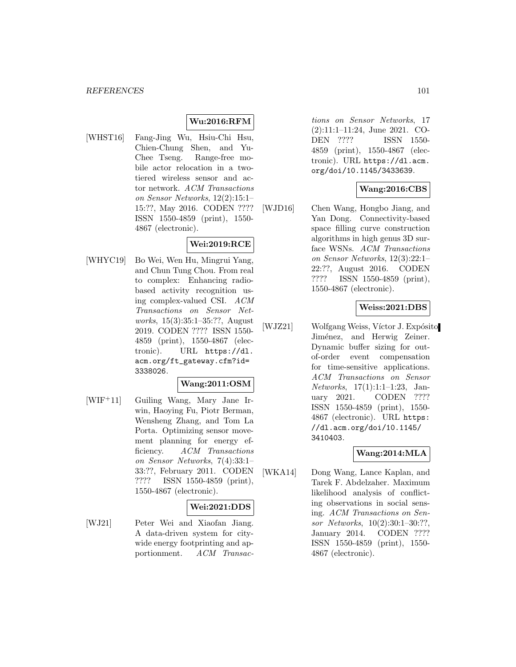## **Wu:2016:RFM**

[WHST16] Fang-Jing Wu, Hsiu-Chi Hsu, Chien-Chung Shen, and Yu-Chee Tseng. Range-free mobile actor relocation in a twotiered wireless sensor and actor network. ACM Transactions on Sensor Networks, 12(2):15:1– 15:??, May 2016. CODEN ???? ISSN 1550-4859 (print), 1550- 4867 (electronic).

## **Wei:2019:RCE**

[WHYC19] Bo Wei, Wen Hu, Mingrui Yang, and Chun Tung Chou. From real to complex: Enhancing radiobased activity recognition using complex-valued CSI. ACM Transactions on Sensor Networks, 15(3):35:1–35:??, August 2019. CODEN ???? ISSN 1550- 4859 (print), 1550-4867 (electronic). URL https://dl. acm.org/ft\_gateway.cfm?id= 3338026.

### **Wang:2011:OSM**

[WIF<sup>+</sup>11] Guiling Wang, Mary Jane Irwin, Haoying Fu, Piotr Berman, Wensheng Zhang, and Tom La Porta. Optimizing sensor movement planning for energy efficiency. ACM Transactions on Sensor Networks, 7(4):33:1– 33:??, February 2011. CODEN ???? ISSN 1550-4859 (print), 1550-4867 (electronic).

### **Wei:2021:DDS**

[WJ21] Peter Wei and Xiaofan Jiang. A data-driven system for citywide energy footprinting and apportionment. ACM Transactions on Sensor Networks, 17 (2):11:1–11:24, June 2021. CO-DEN ???? ISSN 1550- 4859 (print), 1550-4867 (electronic). URL https://dl.acm. org/doi/10.1145/3433639.

### **Wang:2016:CBS**

[WJD16] Chen Wang, Hongbo Jiang, and Yan Dong. Connectivity-based space filling curve construction algorithms in high genus 3D surface WSNs. ACM Transactions on Sensor Networks, 12(3):22:1– 22:??, August 2016. CODEN ???? ISSN 1550-4859 (print), 1550-4867 (electronic).

### **Weiss:2021:DBS**

[WJZ21] Wolfgang Weiss, Víctor J. Expósito Jiménez, and Herwig Zeiner. Dynamic buffer sizing for outof-order event compensation for time-sensitive applications. ACM Transactions on Sensor Networks, 17(1):1:1–1:23, January 2021. CODEN ???? ISSN 1550-4859 (print), 1550- 4867 (electronic). URL https: //dl.acm.org/doi/10.1145/ 3410403.

### **Wang:2014:MLA**

[WKA14] Dong Wang, Lance Kaplan, and Tarek F. Abdelzaher. Maximum likelihood analysis of conflicting observations in social sensing. ACM Transactions on Sensor Networks, 10(2):30:1–30:??, January 2014. CODEN ???? ISSN 1550-4859 (print), 1550- 4867 (electronic).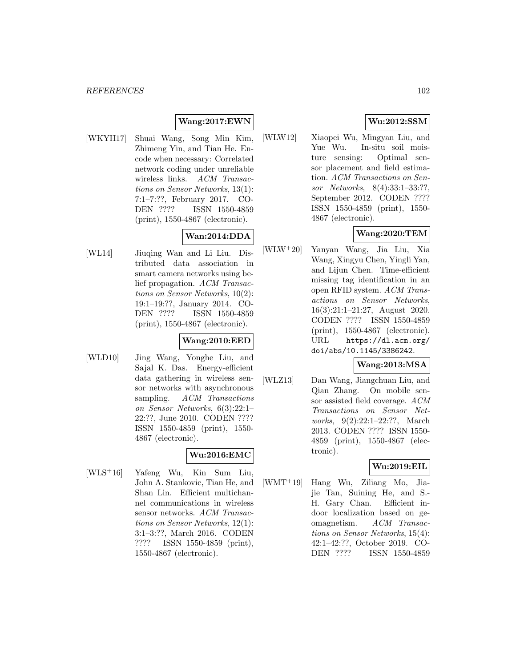## **Wang:2017:EWN**

[WKYH17] Shuai Wang, Song Min Kim, Zhimeng Yin, and Tian He. Encode when necessary: Correlated network coding under unreliable wireless links. ACM Transactions on Sensor Networks, 13(1): 7:1–7:??, February 2017. CO-DEN ???? ISSN 1550-4859 (print), 1550-4867 (electronic).

## **Wan:2014:DDA**

[WL14] Jiuqing Wan and Li Liu. Distributed data association in smart camera networks using belief propagation. ACM Transactions on Sensor Networks, 10(2): 19:1–19:??, January 2014. CO-DEN ???? ISSN 1550-4859 (print), 1550-4867 (electronic).

## **Wang:2010:EED**

[WLD10] Jing Wang, Yonghe Liu, and Sajal K. Das. Energy-efficient data gathering in wireless sensor networks with asynchronous sampling. ACM Transactions on Sensor Networks, 6(3):22:1– 22:??, June 2010. CODEN ???? ISSN 1550-4859 (print), 1550- 4867 (electronic).

## **Wu:2016:EMC**

[WLS<sup>+</sup>16] Yafeng Wu, Kin Sum Liu, John A. Stankovic, Tian He, and Shan Lin. Efficient multichannel communications in wireless sensor networks. ACM Transactions on Sensor Networks, 12(1): 3:1–3:??, March 2016. CODEN ???? ISSN 1550-4859 (print), 1550-4867 (electronic).

## **Wu:2012:SSM**

[WLW12] Xiaopei Wu, Mingyan Liu, and Yue Wu. In-situ soil moisture sensing: Optimal sensor placement and field estimation. ACM Transactions on Sensor Networks, 8(4):33:1–33:??, September 2012. CODEN ???? ISSN 1550-4859 (print), 1550- 4867 (electronic).

## **Wang:2020:TEM**

[WLW<sup>+</sup>20] Yanyan Wang, Jia Liu, Xia Wang, Xingyu Chen, Yingli Yan, and Lijun Chen. Time-efficient missing tag identification in an open RFID system. ACM Transactions on Sensor Networks, 16(3):21:1–21:27, August 2020. CODEN ???? ISSN 1550-4859 (print), 1550-4867 (electronic). URL https://dl.acm.org/ doi/abs/10.1145/3386242.

#### **Wang:2013:MSA**

[WLZ13] Dan Wang, Jiangchuan Liu, and Qian Zhang. On mobile sensor assisted field coverage. ACM Transactions on Sensor Networks, 9(2):22:1–22:??, March 2013. CODEN ???? ISSN 1550- 4859 (print), 1550-4867 (electronic).

### **Wu:2019:EIL**

[WMT<sup>+</sup>19] Hang Wu, Ziliang Mo, Jiajie Tan, Suining He, and S.- H. Gary Chan. Efficient indoor localization based on geomagnetism. ACM Transactions on Sensor Networks, 15(4): 42:1–42:??, October 2019. CO-DEN ???? ISSN 1550-4859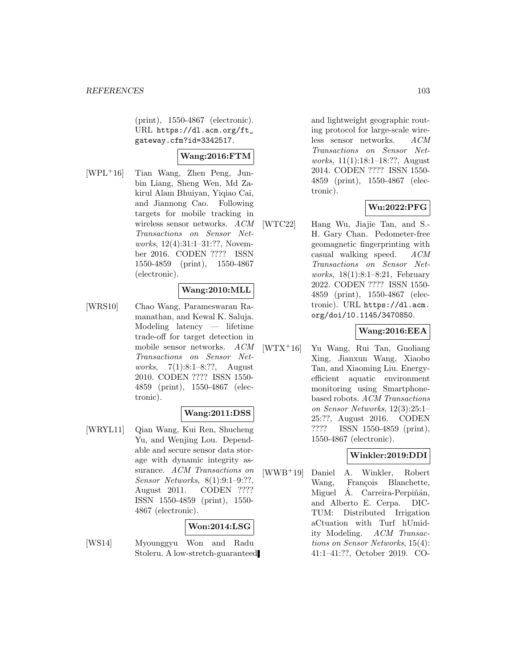(print), 1550-4867 (electronic). URL https://dl.acm.org/ft\_ gateway.cfm?id=3342517.

## **Wang:2016:FTM**

[WPL<sup>+</sup>16] Tian Wang, Zhen Peng, Junbin Liang, Sheng Wen, Md Zakirul Alam Bhuiyan, Yiqiao Cai, and Jiannong Cao. Following targets for mobile tracking in wireless sensor networks. ACM Transactions on Sensor Networks, 12(4):31:1–31:??, November 2016. CODEN ???? ISSN 1550-4859 (print), 1550-4867 (electronic).

## **Wang:2010:MLL**

[WRS10] Chao Wang, Parameswaran Ramanathan, and Kewal K. Saluja. Modeling latency — lifetime trade-off for target detection in mobile sensor networks. ACM Transactions on Sensor Networks, 7(1):8:1–8:??, August 2010. CODEN ???? ISSN 1550- 4859 (print), 1550-4867 (electronic).

## **Wang:2011:DSS**

[WRYL11] Qian Wang, Kui Ren, Shucheng Yu, and Wenjing Lou. Dependable and secure sensor data storage with dynamic integrity assurance. ACM Transactions on Sensor Networks, 8(1):9:1–9:??, August 2011. CODEN ???? ISSN 1550-4859 (print), 1550- 4867 (electronic).

## **Won:2014:LSG**

[WS14] Myounggyu Won and Radu Stoleru. A low-stretch-guaranteed and lightweight geographic routing protocol for large-scale wireless sensor networks. ACM Transactions on Sensor Networks, 11(1):18:1–18:??, August 2014. CODEN ???? ISSN 1550- 4859 (print), 1550-4867 (electronic).

## **Wu:2022:PFG**

[WTC22] Hang Wu, Jiajie Tan, and S.- H. Gary Chan. Pedometer-free geomagnetic fingerprinting with casual walking speed. ACM Transactions on Sensor Networks, 18(1):8:1–8:21, February 2022. CODEN ???? ISSN 1550- 4859 (print), 1550-4867 (electronic). URL https://dl.acm. org/doi/10.1145/3470850.

### **Wang:2016:EEA**

[WTX<sup>+</sup>16] Yu Wang, Rui Tan, Guoliang Xing, Jianxun Wang, Xiaobo Tan, and Xiaoming Liu. Energyefficient aquatic environment monitoring using Smartphonebased robots. ACM Transactions on Sensor Networks, 12(3):25:1– 25:??, August 2016. CODEN ???? ISSN 1550-4859 (print), 1550-4867 (electronic).

## **Winkler:2019:DDI**

[WWB<sup>+</sup>19] Daniel A. Winkler, Robert Wang, François Blanchette, Miguel A. Carreira-Perpiñán, and Alberto E. Cerpa. DIC-TUM: Distributed Irrigation aCtuation with Turf hUmidity Modeling. ACM Transactions on Sensor Networks, 15(4): 41:1–41:??, October 2019. CO-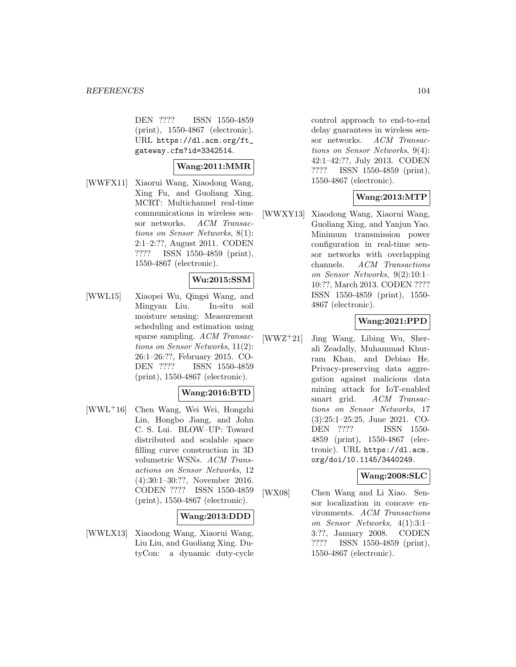DEN ???? ISSN 1550-4859 (print), 1550-4867 (electronic). URL https://dl.acm.org/ft\_ gateway.cfm?id=3342514.

## **Wang:2011:MMR**

[WWFX11] Xiaorui Wang, Xiaodong Wang, Xing Fu, and Guoliang Xing. MCRT: Multichannel real-time communications in wireless sensor networks. ACM Transactions on Sensor Networks, 8(1): 2:1–2:??, August 2011. CODEN ???? ISSN 1550-4859 (print), 1550-4867 (electronic).

## **Wu:2015:SSM**

[WWL15] Xiaopei Wu, Qingsi Wang, and Mingyan Liu. In-situ soil moisture sensing: Measurement scheduling and estimation using sparse sampling. ACM Transactions on Sensor Networks, 11(2): 26:1–26:??, February 2015. CO-DEN ???? ISSN 1550-4859 (print), 1550-4867 (electronic).

## **Wang:2016:BTD**

[WWL<sup>+</sup>16] Chen Wang, Wei Wei, Hongzhi Lin, Hongbo Jiang, and John C. S. Lui. BLOW–UP: Toward distributed and scalable space filling curve construction in 3D volumetric WSNs. ACM Transactions on Sensor Networks, 12 (4):30:1–30:??, November 2016. CODEN ???? ISSN 1550-4859 (print), 1550-4867 (electronic).

## **Wang:2013:DDD**

[WWLX13] Xiaodong Wang, Xiaorui Wang, Liu Liu, and Guoliang Xing. DutyCon: a dynamic duty-cycle

control approach to end-to-end delay guarantees in wireless sensor networks. ACM Transactions on Sensor Networks, 9(4): 42:1–42:??, July 2013. CODEN ???? ISSN 1550-4859 (print), 1550-4867 (electronic).

## **Wang:2013:MTP**

[WWXY13] Xiaodong Wang, Xiaorui Wang, Guoliang Xing, and Yanjun Yao. Minimum transmission power configuration in real-time sensor networks with overlapping channels. ACM Transactions on Sensor Networks, 9(2):10:1– 10:??, March 2013. CODEN ???? ISSN 1550-4859 (print), 1550- 4867 (electronic).

## **Wang:2021:PPD**

[WWZ<sup>+</sup>21] Jing Wang, Libing Wu, Sherali Zeadally, Muhammad Khurram Khan, and Debiao He. Privacy-preserving data aggregation against malicious data mining attack for IoT-enabled smart grid. ACM Transactions on Sensor Networks, 17 (3):25:1–25:25, June 2021. CO-DEN ???? ISSN 1550- 4859 (print), 1550-4867 (electronic). URL https://dl.acm. org/doi/10.1145/3440249.

### **Wang:2008:SLC**

[WX08] Chen Wang and Li Xiao. Sensor localization in concave environments. ACM Transactions on Sensor Networks, 4(1):3:1– 3:??, January 2008. CODEN ???? ISSN 1550-4859 (print), 1550-4867 (electronic).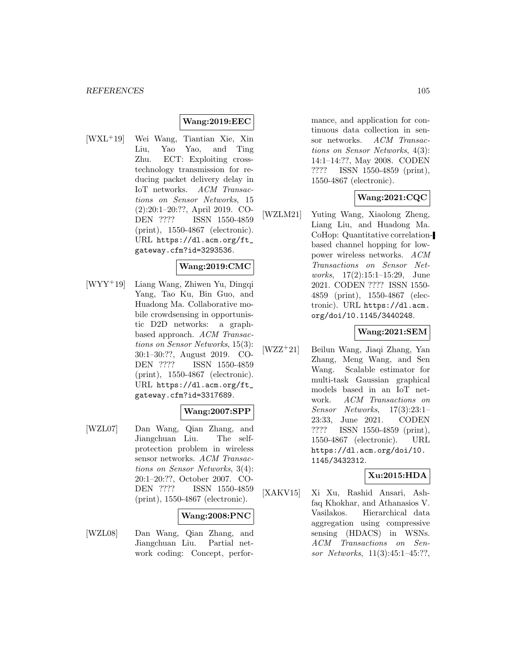### **Wang:2019:EEC**

[WXL<sup>+</sup>19] Wei Wang, Tiantian Xie, Xin Liu, Yao Yao, and Ting Zhu. ECT: Exploiting crosstechnology transmission for reducing packet delivery delay in IoT networks. ACM Transactions on Sensor Networks, 15 (2):20:1–20:??, April 2019. CO-DEN ???? ISSN 1550-4859 (print), 1550-4867 (electronic). URL https://dl.acm.org/ft\_ gateway.cfm?id=3293536.

### **Wang:2019:CMC**

[WYY<sup>+</sup>19] Liang Wang, Zhiwen Yu, Dingqi Yang, Tao Ku, Bin Guo, and Huadong Ma. Collaborative mobile crowdsensing in opportunistic D2D networks: a graphbased approach. ACM Transactions on Sensor Networks, 15(3): 30:1–30:??, August 2019. CO-DEN ???? ISSN 1550-4859 (print), 1550-4867 (electronic). URL https://dl.acm.org/ft\_ gateway.cfm?id=3317689.

### **Wang:2007:SPP**

[WZL07] Dan Wang, Qian Zhang, and Jiangchuan Liu. The selfprotection problem in wireless sensor networks. ACM Transactions on Sensor Networks, 3(4): 20:1–20:??, October 2007. CO-DEN ???? ISSN 1550-4859 (print), 1550-4867 (electronic).

#### **Wang:2008:PNC**

[WZL08] Dan Wang, Qian Zhang, and Jiangchuan Liu. Partial network coding: Concept, performance, and application for continuous data collection in sensor networks. ACM Transactions on Sensor Networks, 4(3): 14:1–14:??, May 2008. CODEN ???? ISSN 1550-4859 (print), 1550-4867 (electronic).

## **Wang:2021:CQC**

[WZLM21] Yuting Wang, Xiaolong Zheng, Liang Liu, and Huadong Ma. CoHop: Quantitative correlationbased channel hopping for lowpower wireless networks. ACM Transactions on Sensor Networks, 17(2):15:1–15:29, June 2021. CODEN ???? ISSN 1550- 4859 (print), 1550-4867 (electronic). URL https://dl.acm. org/doi/10.1145/3440248.

#### **Wang:2021:SEM**

[WZZ<sup>+</sup>21] Beilun Wang, Jiaqi Zhang, Yan Zhang, Meng Wang, and Sen Wang. Scalable estimator for multi-task Gaussian graphical models based in an IoT network. ACM Transactions on Sensor Networks, 17(3):23:1– 23:33, June 2021. CODEN ???? ISSN 1550-4859 (print), 1550-4867 (electronic). URL https://dl.acm.org/doi/10. 1145/3432312.

### **Xu:2015:HDA**

[XAKV15] Xi Xu, Rashid Ansari, Ashfaq Khokhar, and Athanasios V. Vasilakos. Hierarchical data aggregation using compressive sensing (HDACS) in WSNs. ACM Transactions on Sensor Networks, 11(3):45:1–45:??,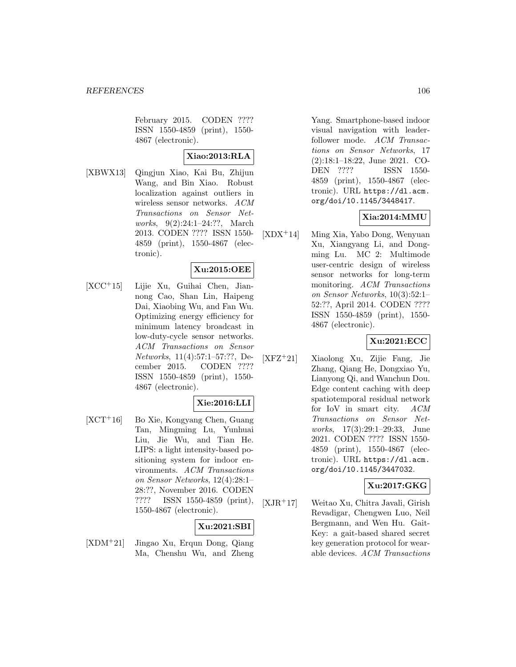February 2015. CODEN ???? ISSN 1550-4859 (print), 1550- 4867 (electronic).

## **Xiao:2013:RLA**

[XBWX13] Qingjun Xiao, Kai Bu, Zhijun Wang, and Bin Xiao. Robust localization against outliers in wireless sensor networks. ACM Transactions on Sensor Networks, 9(2):24:1–24:??, March 2013. CODEN ???? ISSN 1550- 4859 (print), 1550-4867 (electronic).

## **Xu:2015:OEE**

[XCC<sup>+</sup>15] Lijie Xu, Guihai Chen, Jiannong Cao, Shan Lin, Haipeng Dai, Xiaobing Wu, and Fan Wu. Optimizing energy efficiency for minimum latency broadcast in low-duty-cycle sensor networks. ACM Transactions on Sensor Networks, 11(4):57:1–57:??, December 2015. CODEN ???? ISSN 1550-4859 (print), 1550- 4867 (electronic).

## **Xie:2016:LLI**

[XCT<sup>+</sup>16] Bo Xie, Kongyang Chen, Guang Tan, Mingming Lu, Yunhuai Liu, Jie Wu, and Tian He. LIPS: a light intensity-based positioning system for indoor environments. ACM Transactions on Sensor Networks, 12(4):28:1– 28:??, November 2016. CODEN ???? ISSN 1550-4859 (print), 1550-4867 (electronic).

### **Xu:2021:SBI**

[XDM<sup>+</sup>21] Jingao Xu, Erqun Dong, Qiang Ma, Chenshu Wu, and Zheng Yang. Smartphone-based indoor visual navigation with leaderfollower mode. ACM Transactions on Sensor Networks, 17 (2):18:1–18:22, June 2021. CO-DEN ???? ISSN 1550- 4859 (print), 1550-4867 (electronic). URL https://dl.acm. org/doi/10.1145/3448417.

### **Xia:2014:MMU**

[XDX<sup>+</sup>14] Ming Xia, Yabo Dong, Wenyuan Xu, Xiangyang Li, and Dongming Lu. MC 2: Multimode user-centric design of wireless sensor networks for long-term monitoring. ACM Transactions on Sensor Networks, 10(3):52:1– 52:??, April 2014. CODEN ???? ISSN 1550-4859 (print), 1550- 4867 (electronic).

## **Xu:2021:ECC**

[XFZ<sup>+</sup>21] Xiaolong Xu, Zijie Fang, Jie Zhang, Qiang He, Dongxiao Yu, Lianyong Qi, and Wanchun Dou. Edge content caching with deep spatiotemporal residual network for IoV in smart city. ACM Transactions on Sensor Networks, 17(3):29:1–29:33, June 2021. CODEN ???? ISSN 1550- 4859 (print), 1550-4867 (electronic). URL https://dl.acm. org/doi/10.1145/3447032.

## **Xu:2017:GKG**

[XJR<sup>+</sup>17] Weitao Xu, Chitra Javali, Girish Revadigar, Chengwen Luo, Neil Bergmann, and Wen Hu. Gait-Key: a gait-based shared secret key generation protocol for wearable devices. ACM Transactions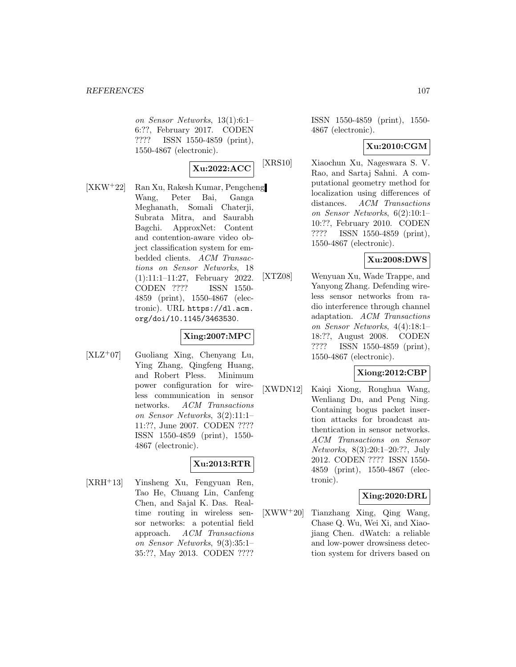on Sensor Networks, 13(1):6:1– 6:??, February 2017. CODEN ???? ISSN 1550-4859 (print), 1550-4867 (electronic).

$$
\boxed{\text{Xu:2022:ACC}} \quad \text{[X]}
$$

[XKW<sup>+</sup>22] Ran Xu, Rakesh Kumar, Pengcheng Wang, Peter Bai, Ganga Meghanath, Somali Chaterji, Subrata Mitra, and Saurabh Bagchi. ApproxNet: Content and contention-aware video object classification system for embedded clients. ACM Transactions on Sensor Networks, 18 (1):11:1–11:27, February 2022. CODEN ???? ISSN 1550- 4859 (print), 1550-4867 (electronic). URL https://dl.acm. org/doi/10.1145/3463530.

## **Xing:2007:MPC**

[XLZ<sup>+</sup>07] Guoliang Xing, Chenyang Lu, Ying Zhang, Qingfeng Huang, and Robert Pless. Minimum power configuration for wireless communication in sensor networks. ACM Transactions on Sensor Networks, 3(2):11:1– 11:??, June 2007. CODEN ???? ISSN 1550-4859 (print), 1550- 4867 (electronic).

## **Xu:2013:RTR**

[XRH<sup>+</sup>13] Yinsheng Xu, Fengyuan Ren, Tao He, Chuang Lin, Canfeng Chen, and Sajal K. Das. Realtime routing in wireless sensor networks: a potential field approach. ACM Transactions on Sensor Networks, 9(3):35:1– 35:??, May 2013. CODEN ????

ISSN 1550-4859 (print), 1550- 4867 (electronic).

### **Xu:2010:CGM**

RS10] Xiaochun Xu, Nageswara S. V. Rao, and Sartaj Sahni. A computational geometry method for localization using differences of distances. ACM Transactions on Sensor Networks, 6(2):10:1– 10:??, February 2010. CODEN ???? ISSN 1550-4859 (print), 1550-4867 (electronic).

## **Xu:2008:DWS**

[XTZ08] Wenyuan Xu, Wade Trappe, and Yanyong Zhang. Defending wireless sensor networks from radio interference through channel adaptation. ACM Transactions on Sensor Networks, 4(4):18:1– 18:??, August 2008. CODEN ???? ISSN 1550-4859 (print), 1550-4867 (electronic).

## **Xiong:2012:CBP**

[XWDN12] Kaiqi Xiong, Ronghua Wang, Wenliang Du, and Peng Ning. Containing bogus packet insertion attacks for broadcast authentication in sensor networks. ACM Transactions on Sensor Networks, 8(3):20:1–20:??, July 2012. CODEN ???? ISSN 1550- 4859 (print), 1550-4867 (electronic).

## **Xing:2020:DRL**

[XWW<sup>+</sup>20] Tianzhang Xing, Qing Wang, Chase Q. Wu, Wei Xi, and Xiaojiang Chen. dWatch: a reliable and low-power drowsiness detection system for drivers based on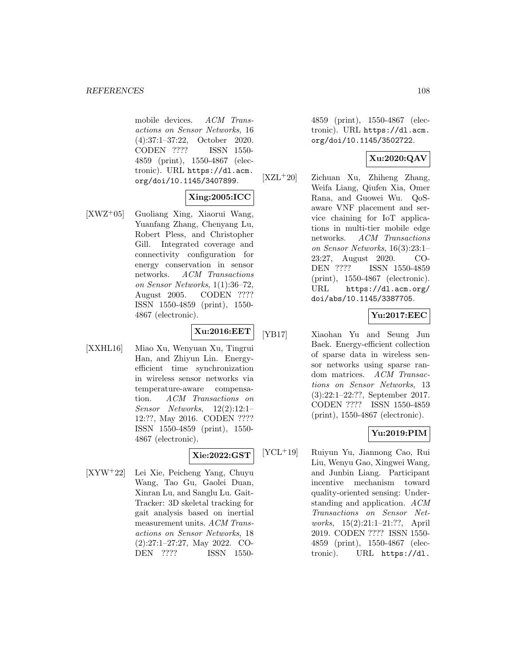mobile devices. ACM Transactions on Sensor Networks, 16 (4):37:1–37:22, October 2020. CODEN ???? ISSN 1550- 4859 (print), 1550-4867 (electronic). URL https://dl.acm. org/doi/10.1145/3407899.

## **Xing:2005:ICC**

[XWZ<sup>+</sup>05] Guoliang Xing, Xiaorui Wang, Yuanfang Zhang, Chenyang Lu, Robert Pless, and Christopher Gill. Integrated coverage and connectivity configuration for energy conservation in sensor networks. ACM Transactions on Sensor Networks, 1(1):36–72, August 2005. CODEN ???? ISSN 1550-4859 (print), 1550- 4867 (electronic).

## **Xu:2016:EET**

[XXHL16] Miao Xu, Wenyuan Xu, Tingrui Han, and Zhiyun Lin. Energyefficient time synchronization in wireless sensor networks via temperature-aware compensation. ACM Transactions on Sensor Networks, 12(2):12:1– 12:??, May 2016. CODEN ???? ISSN 1550-4859 (print), 1550- 4867 (electronic).

## **Xie:2022:GST**

[XYW<sup>+</sup>22] Lei Xie, Peicheng Yang, Chuyu Wang, Tao Gu, Gaolei Duan, Xinran Lu, and Sanglu Lu. Gait-Tracker: 3D skeletal tracking for gait analysis based on inertial measurement units. ACM Transactions on Sensor Networks, 18 (2):27:1–27:27, May 2022. CO-DEN ???? ISSN 15504859 (print), 1550-4867 (electronic). URL https://dl.acm. org/doi/10.1145/3502722.

## **Xu:2020:QAV**

[XZL<sup>+</sup>20] Zichuan Xu, Zhiheng Zhang, Weifa Liang, Qiufen Xia, Omer Rana, and Guowei Wu. QoSaware VNF placement and service chaining for IoT applications in multi-tier mobile edge networks. ACM Transactions on Sensor Networks, 16(3):23:1– 23:27, August 2020. CO-DEN ???? ISSN 1550-4859 (print), 1550-4867 (electronic). URL https://dl.acm.org/ doi/abs/10.1145/3387705.

## **Yu:2017:EEC**

[YB17] Xiaohan Yu and Seung Jun Baek. Energy-efficient collection of sparse data in wireless sensor networks using sparse random matrices. ACM Transactions on Sensor Networks, 13 (3):22:1–22:??, September 2017. CODEN ???? ISSN 1550-4859 (print), 1550-4867 (electronic).

## **Yu:2019:PIM**

[YCL<sup>+</sup>19] Ruiyun Yu, Jiannong Cao, Rui Liu, Wenyu Gao, Xingwei Wang, and Junbin Liang. Participant incentive mechanism toward quality-oriented sensing: Understanding and application. ACM Transactions on Sensor Networks, 15(2):21:1–21:??, April 2019. CODEN ???? ISSN 1550- 4859 (print), 1550-4867 (electronic). URL https://dl.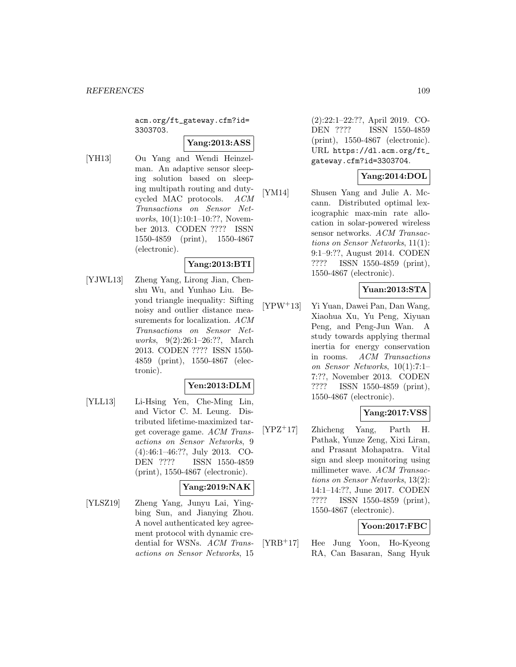acm.org/ft\_gateway.cfm?id= 3303703.

### **Yang:2013:ASS**

[YH13] Ou Yang and Wendi Heinzelman. An adaptive sensor sleeping solution based on sleeping multipath routing and dutycycled MAC protocols. ACM Transactions on Sensor Networks, 10(1):10:1-10:??, November 2013. CODEN ???? ISSN 1550-4859 (print), 1550-4867 (electronic).

## **Yang:2013:BTI**

[YJWL13] Zheng Yang, Lirong Jian, Chenshu Wu, and Yunhao Liu. Beyond triangle inequality: Sifting noisy and outlier distance measurements for localization. ACM Transactions on Sensor Networks, 9(2):26:1–26:??, March 2013. CODEN ???? ISSN 1550- 4859 (print), 1550-4867 (electronic).

#### **Yen:2013:DLM**

[YLL13] Li-Hsing Yen, Che-Ming Lin, and Victor C. M. Leung. Distributed lifetime-maximized target coverage game. ACM Transactions on Sensor Networks, 9 (4):46:1–46:??, July 2013. CO-DEN ???? ISSN 1550-4859 (print), 1550-4867 (electronic).

### **Yang:2019:NAK**

[YLSZ19] Zheng Yang, Junyu Lai, Yingbing Sun, and Jianying Zhou. A novel authenticated key agreement protocol with dynamic credential for WSNs. ACM Transactions on Sensor Networks, 15 (2):22:1–22:??, April 2019. CO-DEN ???? ISSN 1550-4859 (print), 1550-4867 (electronic). URL https://dl.acm.org/ft\_ gateway.cfm?id=3303704.

## **Yang:2014:DOL**

[YM14] Shusen Yang and Julie A. Mccann. Distributed optimal lexicographic max-min rate allocation in solar-powered wireless sensor networks. ACM Transactions on Sensor Networks, 11(1): 9:1–9:??, August 2014. CODEN ???? ISSN 1550-4859 (print), 1550-4867 (electronic).

### **Yuan:2013:STA**

[YPW<sup>+</sup>13] Yi Yuan, Dawei Pan, Dan Wang, Xiaohua Xu, Yu Peng, Xiyuan Peng, and Peng-Jun Wan. A study towards applying thermal inertia for energy conservation in rooms. ACM Transactions on Sensor Networks, 10(1):7:1– 7:??, November 2013. CODEN ???? ISSN 1550-4859 (print), 1550-4867 (electronic).

### **Yang:2017:VSS**

[YPZ<sup>+</sup>17] Zhicheng Yang, Parth H. Pathak, Yunze Zeng, Xixi Liran, and Prasant Mohapatra. Vital sign and sleep monitoring using millimeter wave. ACM Transactions on Sensor Networks, 13(2): 14:1–14:??, June 2017. CODEN ???? ISSN 1550-4859 (print), 1550-4867 (electronic).

#### **Yoon:2017:FBC**

[YRB<sup>+</sup>17] Hee Jung Yoon, Ho-Kyeong RA, Can Basaran, Sang Hyuk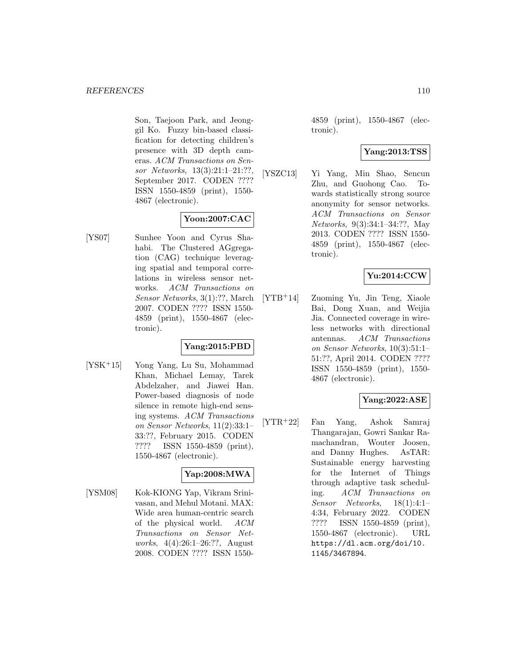Son, Taejoon Park, and Jeonggil Ko. Fuzzy bin-based classification for detecting children's presence with 3D depth cameras. ACM Transactions on Sensor Networks, 13(3):21:1–21:??, September 2017. CODEN ???? ISSN 1550-4859 (print), 1550- 4867 (electronic).

## **Yoon:2007:CAC**

[YS07] Sunhee Yoon and Cyrus Shahabi. The Clustered AGgregation (CAG) technique leveraging spatial and temporal correlations in wireless sensor networks. ACM Transactions on Sensor Networks, 3(1):??, March 2007. CODEN ???? ISSN 1550- 4859 (print), 1550-4867 (electronic).

### **Yang:2015:PBD**

[YSK<sup>+</sup>15] Yong Yang, Lu Su, Mohammad Khan, Michael Lemay, Tarek Abdelzaher, and Jiawei Han. Power-based diagnosis of node silence in remote high-end sensing systems. ACM Transactions on Sensor Networks, 11(2):33:1– 33:??, February 2015. CODEN ???? ISSN 1550-4859 (print), 1550-4867 (electronic).

### **Yap:2008:MWA**

[YSM08] Kok-KIONG Yap, Vikram Srinivasan, and Mehul Motani. MAX: Wide area human-centric search of the physical world. ACM Transactions on Sensor Networks, 4(4):26:1–26:??, August 2008. CODEN ???? ISSN 15504859 (print), 1550-4867 (electronic).

### **Yang:2013:TSS**

[YSZC13] Yi Yang, Min Shao, Sencun Zhu, and Guohong Cao. Towards statistically strong source anonymity for sensor networks. ACM Transactions on Sensor Networks, 9(3):34:1–34:??, May 2013. CODEN ???? ISSN 1550- 4859 (print), 1550-4867 (electronic).

## **Yu:2014:CCW**

[YTB<sup>+</sup>14] Zuoming Yu, Jin Teng, Xiaole Bai, Dong Xuan, and Weijia Jia. Connected coverage in wireless networks with directional antennas. ACM Transactions on Sensor Networks, 10(3):51:1– 51:??, April 2014. CODEN ???? ISSN 1550-4859 (print), 1550- 4867 (electronic).

### **Yang:2022:ASE**

[YTR<sup>+</sup>22] Fan Yang, Ashok Samraj Thangarajan, Gowri Sankar Ramachandran, Wouter Joosen, and Danny Hughes. AsTAR: Sustainable energy harvesting for the Internet of Things through adaptive task scheduling. ACM Transactions on Sensor Networks, 18(1):4:1– 4:34, February 2022. CODEN ???? ISSN 1550-4859 (print), 1550-4867 (electronic). URL https://dl.acm.org/doi/10. 1145/3467894.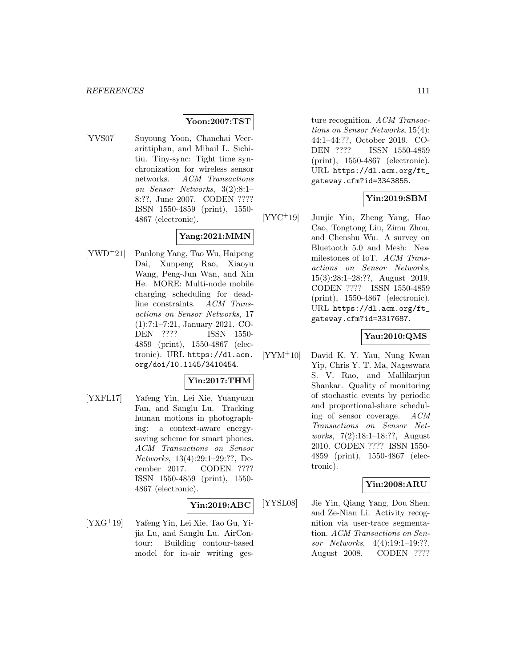#### **Yoon:2007:TST**

[YVS07] Suyoung Yoon, Chanchai Veerarittiphan, and Mihail L. Sichitiu. Tiny-sync: Tight time synchronization for wireless sensor networks. ACM Transactions on Sensor Networks, 3(2):8:1– 8:??, June 2007. CODEN ???? ISSN 1550-4859 (print), 1550- 4867 (electronic).

# **Yang:2021:MMN**

[YWD<sup>+</sup>21] Panlong Yang, Tao Wu, Haipeng Dai, Xunpeng Rao, Xiaoyu Wang, Peng-Jun Wan, and Xin He. MORE: Multi-node mobile charging scheduling for deadline constraints. ACM Transactions on Sensor Networks, 17 (1):7:1–7:21, January 2021. CO-DEN ???? ISSN 1550- 4859 (print), 1550-4867 (electronic). URL https://dl.acm. org/doi/10.1145/3410454.

# **Yin:2017:THM**

[YXFL17] Yafeng Yin, Lei Xie, Yuanyuan Fan, and Sanglu Lu. Tracking human motions in photographing: a context-aware energysaving scheme for smart phones. ACM Transactions on Sensor Networks, 13(4):29:1–29:??, December 2017. CODEN ???? ISSN 1550-4859 (print), 1550- 4867 (electronic).

#### **Yin:2019:ABC**

[YXG<sup>+</sup>19] Yafeng Yin, Lei Xie, Tao Gu, Yijia Lu, and Sanglu Lu. AirContour: Building contour-based model for in-air writing ges-

ture recognition. ACM Transactions on Sensor Networks, 15(4): 44:1–44:??, October 2019. CO-DEN ???? ISSN 1550-4859 (print), 1550-4867 (electronic). URL https://dl.acm.org/ft\_ gateway.cfm?id=3343855.

### **Yin:2019:SBM**

[YYC<sup>+</sup>19] Junjie Yin, Zheng Yang, Hao Cao, Tongtong Liu, Zimu Zhou, and Chenshu Wu. A survey on Bluetooth 5.0 and Mesh: New milestones of IoT. ACM Transactions on Sensor Networks, 15(3):28:1–28:??, August 2019. CODEN ???? ISSN 1550-4859 (print), 1550-4867 (electronic). URL https://dl.acm.org/ft\_ gateway.cfm?id=3317687.

### **Yau:2010:QMS**

[YYM<sup>+</sup>10] David K. Y. Yau, Nung Kwan Yip, Chris Y. T. Ma, Nageswara S. V. Rao, and Mallikarjun Shankar. Quality of monitoring of stochastic events by periodic and proportional-share scheduling of sensor coverage. ACM Transactions on Sensor Networks, 7(2):18:1–18:??, August 2010. CODEN ???? ISSN 1550- 4859 (print), 1550-4867 (electronic).

#### **Yin:2008:ARU**

[YYSL08] Jie Yin, Qiang Yang, Dou Shen, and Ze-Nian Li. Activity recognition via user-trace segmentation. ACM Transactions on Sensor Networks, 4(4):19:1–19:??, August 2008. CODEN ????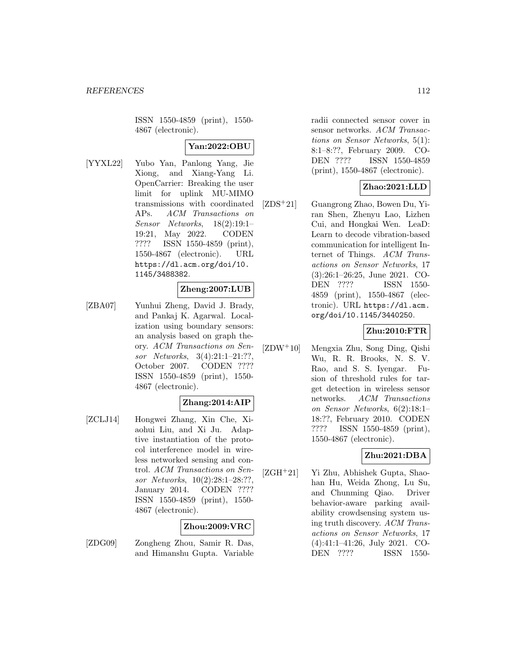ISSN 1550-4859 (print), 1550- 4867 (electronic).

## **Yan:2022:OBU**

[YYXL22] Yubo Yan, Panlong Yang, Jie Xiong, and Xiang-Yang Li. OpenCarrier: Breaking the user limit for uplink MU-MIMO transmissions with coordinated APs. ACM Transactions on Sensor Networks, 18(2):19:1– 19:21, May 2022. CODEN ???? ISSN 1550-4859 (print), 1550-4867 (electronic). URL https://dl.acm.org/doi/10. 1145/3488382.

#### **Zheng:2007:LUB**

[ZBA07] Yunhui Zheng, David J. Brady, and Pankaj K. Agarwal. Localization using boundary sensors: an analysis based on graph theory. ACM Transactions on Sensor Networks, 3(4):21:1–21:??, October 2007. CODEN ???? ISSN 1550-4859 (print), 1550- 4867 (electronic).

#### **Zhang:2014:AIP**

[ZCLJ14] Hongwei Zhang, Xin Che, Xiaohui Liu, and Xi Ju. Adaptive instantiation of the protocol interference model in wireless networked sensing and control. ACM Transactions on Sensor Networks, 10(2):28:1–28:??, January 2014. CODEN ???? ISSN 1550-4859 (print), 1550- 4867 (electronic).

### **Zhou:2009:VRC**

[ZDG09] Zongheng Zhou, Samir R. Das, and Himanshu Gupta. Variable radii connected sensor cover in sensor networks. ACM Transactions on Sensor Networks, 5(1): 8:1–8:??, February 2009. CO-DEN ???? ISSN 1550-4859 (print), 1550-4867 (electronic).

### **Zhao:2021:LLD**

[ZDS<sup>+</sup>21] Guangrong Zhao, Bowen Du, Yiran Shen, Zhenyu Lao, Lizhen Cui, and Hongkai Wen. LeaD: Learn to decode vibration-based communication for intelligent Internet of Things. ACM Transactions on Sensor Networks, 17 (3):26:1–26:25, June 2021. CO-DEN ???? ISSN 1550- 4859 (print), 1550-4867 (electronic). URL https://dl.acm. org/doi/10.1145/3440250.

#### **Zhu:2010:FTR**

[ZDW<sup>+</sup>10] Mengxia Zhu, Song Ding, Qishi Wu, R. R. Brooks, N. S. V. Rao, and S. S. Iyengar. Fusion of threshold rules for target detection in wireless sensor networks. ACM Transactions on Sensor Networks, 6(2):18:1– 18:??, February 2010. CODEN ???? ISSN 1550-4859 (print), 1550-4867 (electronic).

### **Zhu:2021:DBA**

[ZGH<sup>+</sup>21] Yi Zhu, Abhishek Gupta, Shaohan Hu, Weida Zhong, Lu Su, and Chunming Qiao. Driver behavior-aware parking availability crowdsensing system using truth discovery. ACM Transactions on Sensor Networks, 17 (4):41:1–41:26, July 2021. CO-DEN ???? ISSN 1550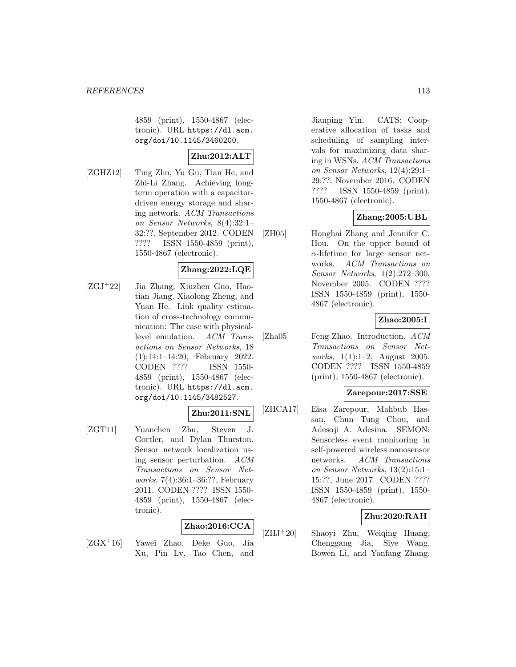4859 (print), 1550-4867 (electronic). URL https://dl.acm. org/doi/10.1145/3460200.

# **Zhu:2012:ALT**

[ZGHZ12] Ting Zhu, Yu Gu, Tian He, and Zhi-Li Zhang. Achieving longterm operation with a capacitordriven energy storage and sharing network. ACM Transactions on Sensor Networks, 8(4):32:1– 32:??, September 2012. CODEN ???? ISSN 1550-4859 (print), 1550-4867 (electronic).

# **Zhang:2022:LQE**

[ZGJ<sup>+</sup>22] Jia Zhang, Xiuzhen Guo, Haotian Jiang, Xiaolong Zheng, and Yuan He. Link quality estimation of cross-technology communication: The case with physicallevel emulation. ACM Transactions on Sensor Networks, 18 (1):14:1–14:20, February 2022. CODEN ???? ISSN 1550- 4859 (print), 1550-4867 (electronic). URL https://dl.acm. org/doi/10.1145/3482527.

### **Zhu:2011:SNL**

[ZGT11] Yuanchen Zhu, Steven J. Gortler, and Dylan Thurston. Sensor network localization using sensor perturbation. ACM Transactions on Sensor Networks, 7(4):36:1–36:??, February 2011. CODEN ???? ISSN 1550- 4859 (print), 1550-4867 (electronic).

### **Zhao:2016:CCA**

[ZGX<sup>+</sup>16] Yawei Zhao, Deke Guo, Jia Xu, Pin Lv, Tao Chen, and

Jianping Yin. CATS: Cooperative allocation of tasks and scheduling of sampling intervals for maximizing data sharing in WSNs. ACM Transactions on Sensor Networks, 12(4):29:1– 29:??, November 2016. CODEN ???? ISSN 1550-4859 (print), 1550-4867 (electronic).

### **Zhang:2005:UBL**

[ZH05] Honghai Zhang and Jennifer C. Hou. On the upper bound of  $\alpha$ -lifetime for large sensor networks. ACM Transactions on Sensor Networks, 1(2):272–300, November 2005. CODEN ???? ISSN 1550-4859 (print), 1550- 4867 (electronic).

### **Zhao:2005:I**

[Zha05] Feng Zhao. Introduction. ACM Transactions on Sensor Networks, 1(1):1–2, August 2005. CODEN ???? ISSN 1550-4859 (print), 1550-4867 (electronic).

### **Zarepour:2017:SSE**

[ZHCA17] Eisa Zarepour, Mahbub Hassan, Chun Tung Chou, and Adesoji A. Adesina. SEMON: Sensorless event monitoring in self-powered wireless nanosensor networks. ACM Transactions on Sensor Networks, 13(2):15:1– 15:??, June 2017. CODEN ???? ISSN 1550-4859 (print), 1550- 4867 (electronic).

### **Zhu:2020:RAH**

[ZHJ<sup>+</sup>20] Shaoyi Zhu, Weiqing Huang, Chenggang Jia, Siye Wang, Bowen Li, and Yanfang Zhang.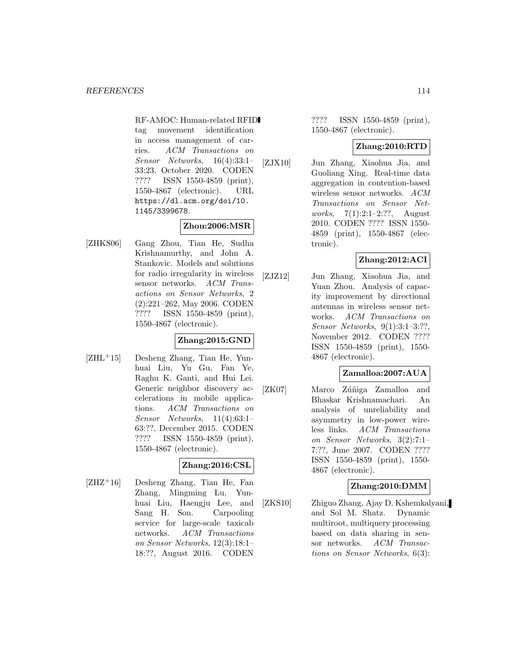RF-AMOC: Human-related RFID tag movement identification in access management of carries. ACM Transactions on Sensor Networks, 16(4):33:1– 33:23, October 2020. CODEN ???? ISSN 1550-4859 (print), 1550-4867 (electronic). URL https://dl.acm.org/doi/10. 1145/3399678.

#### **Zhou:2006:MSR**

[ZHKS06] Gang Zhou, Tian He, Sudha Krishnamurthy, and John A. Stankovic. Models and solutions for radio irregularity in wireless sensor networks. ACM Transactions on Sensor Networks, 2 (2):221–262, May 2006. CODEN ???? ISSN 1550-4859 (print), 1550-4867 (electronic).

# **Zhang:2015:GND**

 $[ZHL^+15]$  Desheng Zhang, Tian He, Yunhuai Liu, Yu Gu, Fan Ye, Raghu K. Ganti, and Hui Lei. Generic neighbor discovery accelerations in mobile applications. ACM Transactions on Sensor Networks, 11(4):63:1– 63:??, December 2015. CODEN ???? ISSN 1550-4859 (print), 1550-4867 (electronic).

### **Zhang:2016:CSL**

[ZHZ<sup>+</sup>16] Desheng Zhang, Tian He, Fan Zhang, Mingming Lu, Yunhuai Liu, Haengju Lee, and Sang H. Son. Carpooling service for large-scale taxicab networks. ACM Transactions on Sensor Networks, 12(3):18:1– 18:??, August 2016. CODEN

???? ISSN 1550-4859 (print), 1550-4867 (electronic).

#### **Zhang:2010:RTD**

[ZJX10] Jun Zhang, Xiaohua Jia, and Guoliang Xing. Real-time data aggregation in contention-based wireless sensor networks. ACM Transactions on Sensor Networks, 7(1):2:1–2:??, August 2010. CODEN ???? ISSN 1550- 4859 (print), 1550-4867 (electronic).

# **Zhang:2012:ACI**

[ZJZ12] Jun Zhang, Xiaohua Jia, and Yuan Zhou. Analysis of capacity improvement by directional antennas in wireless sensor networks. ACM Transactions on Sensor Networks, 9(1):3:1–3:??, November 2012. CODEN ???? ISSN 1550-4859 (print), 1550- 4867 (electronic).

### **Zamalloa:2007:AUA**

[ZK07] Marco Zúñiga Zamalloa and Bhaskar Krishnamachari. An analysis of unreliability and asymmetry in low-power wireless links. ACM Transactions on Sensor Networks, 3(2):7:1– 7:??, June 2007. CODEN ???? ISSN 1550-4859 (print), 1550- 4867 (electronic).

### **Zhang:2010:DMM**

[ZKS10] Zhiguo Zhang, Ajay D. Kshemkalyani, and Sol M. Shatz. Dynamic multiroot, multiquery processing based on data sharing in sensor networks. ACM Transactions on Sensor Networks, 6(3):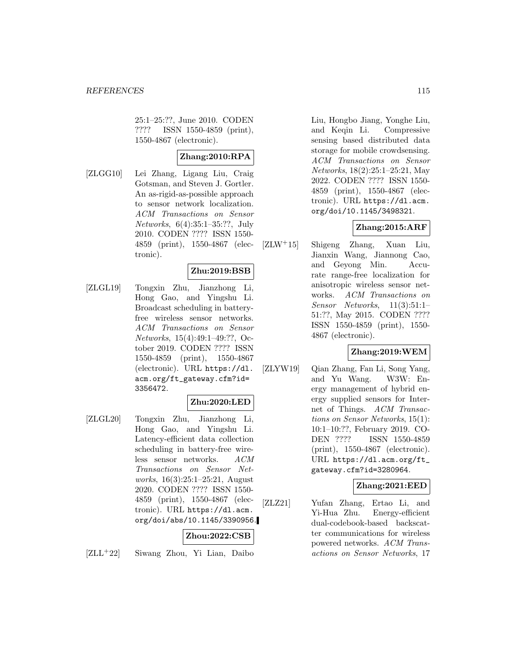25:1–25:??, June 2010. CODEN ???? ISSN 1550-4859 (print), 1550-4867 (electronic).

## **Zhang:2010:RPA**

[ZLGG10] Lei Zhang, Ligang Liu, Craig Gotsman, and Steven J. Gortler. An as-rigid-as-possible approach to sensor network localization. ACM Transactions on Sensor Networks, 6(4):35:1–35:??, July 2010. CODEN ???? ISSN 1550- 4859 (print), 1550-4867 (electronic).

# **Zhu:2019:BSB**

[ZLGL19] Tongxin Zhu, Jianzhong Li, Hong Gao, and Yingshu Li. Broadcast scheduling in batteryfree wireless sensor networks. ACM Transactions on Sensor Networks, 15(4):49:1–49:??, October 2019. CODEN ???? ISSN 1550-4859 (print), 1550-4867 (electronic). URL https://dl. acm.org/ft\_gateway.cfm?id= 3356472.

### **Zhu:2020:LED**

[ZLGL20] Tongxin Zhu, Jianzhong Li, Hong Gao, and Yingshu Li. Latency-efficient data collection scheduling in battery-free wireless sensor networks. ACM Transactions on Sensor Networks, 16(3):25:1–25:21, August 2020. CODEN ???? ISSN 1550- 4859 (print), 1550-4867 (electronic). URL https://dl.acm. org/doi/abs/10.1145/3390956.

### **Zhou:2022:CSB**

[ZLL<sup>+</sup>22] Siwang Zhou, Yi Lian, Daibo

Liu, Hongbo Jiang, Yonghe Liu, and Keqin Li. Compressive sensing based distributed data storage for mobile crowdsensing. ACM Transactions on Sensor Networks, 18(2):25:1–25:21, May 2022. CODEN ???? ISSN 1550- 4859 (print), 1550-4867 (electronic). URL https://dl.acm. org/doi/10.1145/3498321.

### **Zhang:2015:ARF**

[ZLW<sup>+</sup>15] Shigeng Zhang, Xuan Liu, Jianxin Wang, Jiannong Cao, and Geyong Min. Accurate range-free localization for anisotropic wireless sensor networks. ACM Transactions on Sensor Networks, 11(3):51:1– 51:??, May 2015. CODEN ???? ISSN 1550-4859 (print), 1550- 4867 (electronic).

### **Zhang:2019:WEM**

[ZLYW19] Qian Zhang, Fan Li, Song Yang, and Yu Wang. W3W: Energy management of hybrid energy supplied sensors for Internet of Things. ACM Transactions on Sensor Networks, 15(1): 10:1–10:??, February 2019. CO-DEN ???? ISSN 1550-4859 (print), 1550-4867 (electronic). URL https://dl.acm.org/ft\_ gateway.cfm?id=3280964.

### **Zhang:2021:EED**

[ZLZ21] Yufan Zhang, Ertao Li, and Yi-Hua Zhu. Energy-efficient dual-codebook-based backscatter communications for wireless powered networks. ACM Transactions on Sensor Networks, 17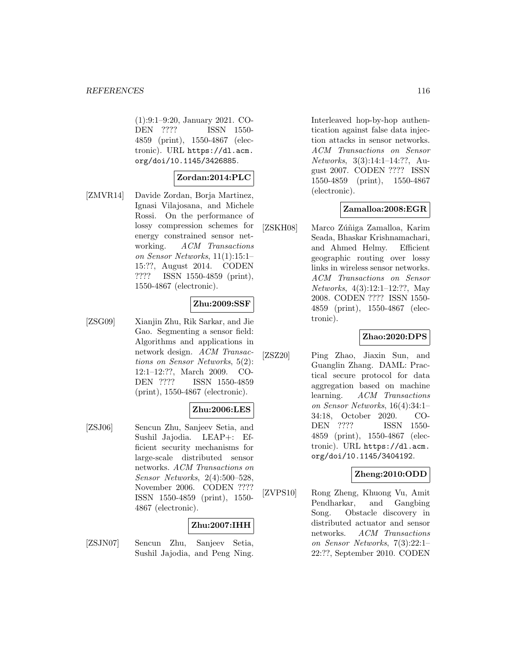(1):9:1–9:20, January 2021. CO-DEN ???? ISSN 1550- 4859 (print), 1550-4867 (electronic). URL https://dl.acm. org/doi/10.1145/3426885.

#### **Zordan:2014:PLC**

[ZMVR14] Davide Zordan, Borja Martinez, Ignasi Vilajosana, and Michele Rossi. On the performance of lossy compression schemes for energy constrained sensor networking. ACM Transactions on Sensor Networks, 11(1):15:1– 15:??, August 2014. CODEN ???? ISSN 1550-4859 (print), 1550-4867 (electronic).

## **Zhu:2009:SSF**

[ZSG09] Xianjin Zhu, Rik Sarkar, and Jie Gao. Segmenting a sensor field: Algorithms and applications in network design. ACM Transactions on Sensor Networks, 5(2): 12:1–12:??, March 2009. CO-DEN ???? ISSN 1550-4859 (print), 1550-4867 (electronic).

### **Zhu:2006:LES**

[ZSJ06] Sencun Zhu, Sanjeev Setia, and Sushil Jajodia. LEAP+: Efficient security mechanisms for large-scale distributed sensor networks. ACM Transactions on Sensor Networks, 2(4):500–528, November 2006. CODEN ???? ISSN 1550-4859 (print), 1550- 4867 (electronic).

# **Zhu:2007:IHH**

[ZSJN07] Sencun Zhu, Sanjeev Setia, Sushil Jajodia, and Peng Ning.

Interleaved hop-by-hop authentication against false data injection attacks in sensor networks. ACM Transactions on Sensor Networks, 3(3):14:1–14:??, August 2007. CODEN ???? ISSN 1550-4859 (print), 1550-4867 (electronic).

#### **Zamalloa:2008:EGR**

[ZSKH08] Marco Zúñiga Zamalloa, Karim Seada, Bhaskar Krishnamachari, and Ahmed Helmy. Efficient geographic routing over lossy links in wireless sensor networks. ACM Transactions on Sensor Networks, 4(3):12:1–12:??, May 2008. CODEN ???? ISSN 1550- 4859 (print), 1550-4867 (electronic).

### **Zhao:2020:DPS**

[ZSZ20] Ping Zhao, Jiaxin Sun, and Guanglin Zhang. DAML: Practical secure protocol for data aggregation based on machine learning. ACM Transactions on Sensor Networks, 16(4):34:1– 34:18, October 2020. CO-DEN ???? ISSN 1550- 4859 (print), 1550-4867 (electronic). URL https://dl.acm. org/doi/10.1145/3404192.

#### **Zheng:2010:ODD**

[ZVPS10] Rong Zheng, Khuong Vu, Amit Pendharkar, and Gangbing Song. Obstacle discovery in distributed actuator and sensor networks. ACM Transactions on Sensor Networks, 7(3):22:1– 22:??, September 2010. CODEN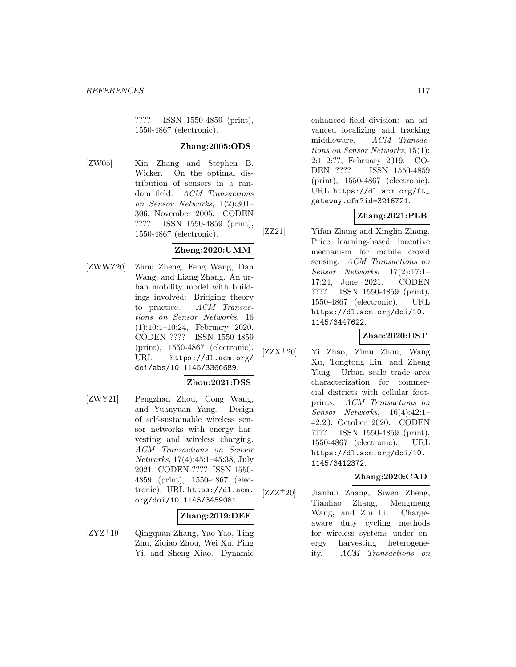???? ISSN 1550-4859 (print), 1550-4867 (electronic).

## **Zhang:2005:ODS**

[ZW05] Xin Zhang and Stephen B. Wicker. On the optimal distribution of sensors in a random field. ACM Transactions on Sensor Networks, 1(2):301– 306, November 2005. CODEN ???? ISSN 1550-4859 (print), 1550-4867 (electronic).

#### **Zheng:2020:UMM**

[ZWWZ20] Zimu Zheng, Feng Wang, Dan Wang, and Liang Zhang. An urban mobility model with buildings involved: Bridging theory to practice. ACM Transactions on Sensor Networks, 16 (1):10:1–10:24, February 2020. CODEN ???? ISSN 1550-4859 (print), 1550-4867 (electronic). URL https://dl.acm.org/ doi/abs/10.1145/3366689.

### **Zhou:2021:DSS**

[ZWY21] Pengzhan Zhou, Cong Wang, and Yuanyuan Yang. Design of self-sustainable wireless sensor networks with energy harvesting and wireless charging. ACM Transactions on Sensor Networks, 17(4):45:1–45:38, July 2021. CODEN ???? ISSN 1550- 4859 (print), 1550-4867 (electronic). URL https://dl.acm. org/doi/10.1145/3459081.

#### **Zhang:2019:DEF**

[ZYZ<sup>+</sup>19] Qingquan Zhang, Yao Yao, Ting Zhu, Ziqiao Zhou, Wei Xu, Ping Yi, and Sheng Xiao. Dynamic enhanced field division: an advanced localizing and tracking middleware. ACM Transactions on Sensor Networks, 15(1): 2:1–2:??, February 2019. CO-DEN ???? ISSN 1550-4859 (print), 1550-4867 (electronic). URL https://dl.acm.org/ft\_ gateway.cfm?id=3216721.

#### **Zhang:2021:PLB**

[ZZ21] Yifan Zhang and Xinglin Zhang. Price learning-based incentive mechanism for mobile crowd sensing. ACM Transactions on Sensor Networks, 17(2):17:1– 17:24, June 2021. CODEN ???? ISSN 1550-4859 (print), 1550-4867 (electronic). URL https://dl.acm.org/doi/10. 1145/3447622.

## **Zhao:2020:UST**

[ZZX<sup>+</sup>20] Yi Zhao, Zimu Zhou, Wang Xu, Tongtong Liu, and Zheng Yang. Urban scale trade area characterization for commercial districts with cellular footprints. ACM Transactions on Sensor Networks, 16(4):42:1– 42:20, October 2020. CODEN ???? ISSN 1550-4859 (print), 1550-4867 (electronic). URL https://dl.acm.org/doi/10. 1145/3412372.

#### **Zhang:2020:CAD**

 $[ZZZ^+20]$  Jianhui Zhang, Siwen Zheng, Tianhao Zhang, Mengmeng Wang, and Zhi Li. Chargeaware duty cycling methods for wireless systems under energy harvesting heterogeneity. ACM Transactions on